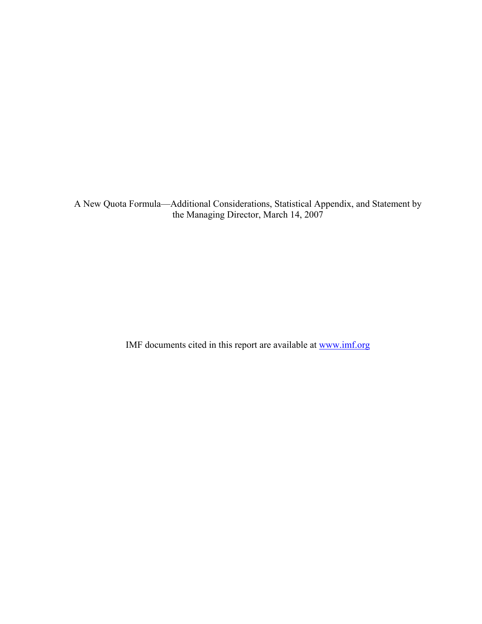A New Quota Formula—Additional Considerations, Statistical Appendix, and Statement by the Managing Director, March 14, 2007

IMF documents cited in this report are available at www.imf.org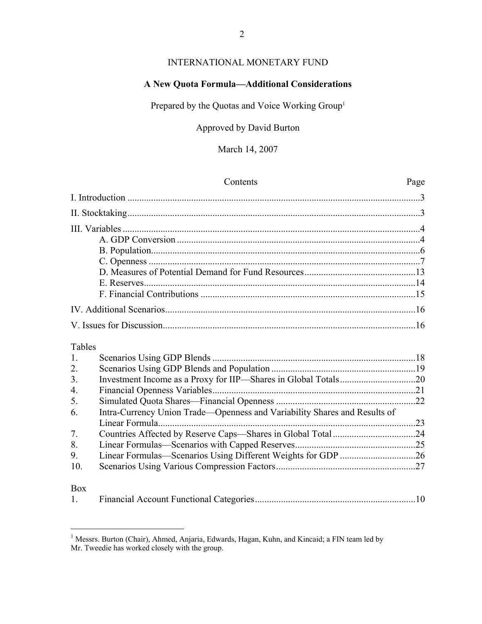# INTERNATIONAL MONETARY FUND

# **A New Quota Formula—Additional Considerations**

Prepared by the Quotas and Voice Working Group<sup>1</sup>

# Approved by David Burton

# March 14, 2007

|                  | Contents                                                                  | Page |
|------------------|---------------------------------------------------------------------------|------|
|                  |                                                                           |      |
|                  |                                                                           |      |
|                  |                                                                           |      |
|                  |                                                                           |      |
|                  |                                                                           |      |
|                  |                                                                           |      |
|                  |                                                                           |      |
|                  |                                                                           |      |
|                  |                                                                           |      |
|                  |                                                                           |      |
|                  |                                                                           |      |
| Tables           |                                                                           |      |
| 1.               |                                                                           |      |
| 2.               |                                                                           |      |
| 3 <sub>1</sub>   |                                                                           |      |
| $\overline{4}$ . |                                                                           |      |
| 5.               |                                                                           |      |
| 6.               | Intra-Currency Union Trade-Openness and Variability Shares and Results of |      |
|                  |                                                                           |      |
| 7.               |                                                                           |      |
| 8.               |                                                                           |      |
| 9.               | Linear Formulas-Scenarios Using Different Weights for GDP 26              |      |
| 10.              |                                                                           |      |
| <b>Box</b>       |                                                                           |      |
| 1.               |                                                                           |      |

<sup>&</sup>lt;sup>1</sup> Messrs. Burton (Chair), Ahmed, Anjaria, Edwards, Hagan, Kuhn, and Kincaid; a FIN team led by Mr. Tweedie has worked closely with the group.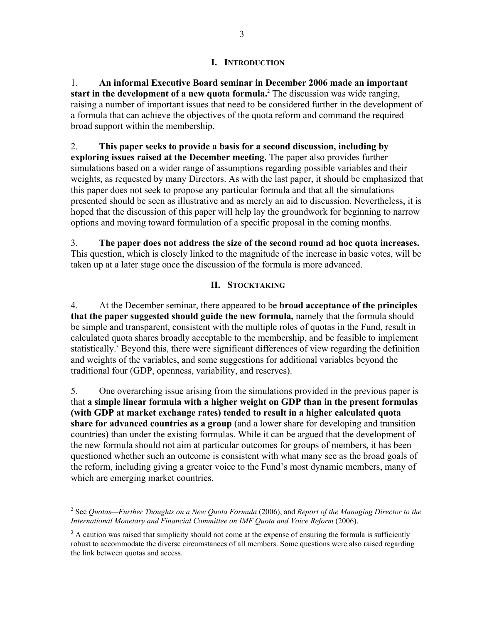### **I. INTRODUCTION**

1. **An informal Executive Board seminar in December 2006 made an important start in the development of a new quota formula.**<sup>2</sup> The discussion was wide ranging, raising a number of important issues that need to be considered further in the development of a formula that can achieve the objectives of the quota reform and command the required broad support within the membership.

2. **This paper seeks to provide a basis for a second discussion, including by exploring issues raised at the December meeting.** The paper also provides further simulations based on a wider range of assumptions regarding possible variables and their weights, as requested by many Directors. As with the last paper, it should be emphasized that this paper does not seek to propose any particular formula and that all the simulations presented should be seen as illustrative and as merely an aid to discussion. Nevertheless, it is hoped that the discussion of this paper will help lay the groundwork for beginning to narrow options and moving toward formulation of a specific proposal in the coming months.

3. **The paper does not address the size of the second round ad hoc quota increases.**  This question, which is closely linked to the magnitude of the increase in basic votes, will be taken up at a later stage once the discussion of the formula is more advanced.

### **II. STOCKTAKING**

4. At the December seminar, there appeared to be **broad acceptance of the principles that the paper suggested should guide the new formula,** namely that the formula should be simple and transparent, consistent with the multiple roles of quotas in the Fund, result in calculated quota shares broadly acceptable to the membership, and be feasible to implement statistically.<sup>3</sup> Beyond this, there were significant differences of view regarding the definition and weights of the variables, and some suggestions for additional variables beyond the traditional four (GDP, openness, variability, and reserves).

5. One overarching issue arising from the simulations provided in the previous paper is that **a simple linear formula with a higher weight on GDP than in the present formulas (with GDP at market exchange rates) tended to result in a higher calculated quota share for advanced countries as a group** (and a lower share for developing and transition countries) than under the existing formulas. While it can be argued that the development of the new formula should not aim at particular outcomes for groups of members, it has been questioned whether such an outcome is consistent with what many see as the broad goals of the reform, including giving a greater voice to the Fund's most dynamic members, many of which are emerging market countries.

<u>.</u>

<sup>2</sup> See *Quotas—Further Thoughts on a New Quota Formula* (2006), and *Report of the Managing Director to the International Monetary and Financial Committee on IMF Quota and Voice Reform* (2006).

 $3$  A caution was raised that simplicity should not come at the expense of ensuring the formula is sufficiently robust to accommodate the diverse circumstances of all members. Some questions were also raised regarding the link between quotas and access.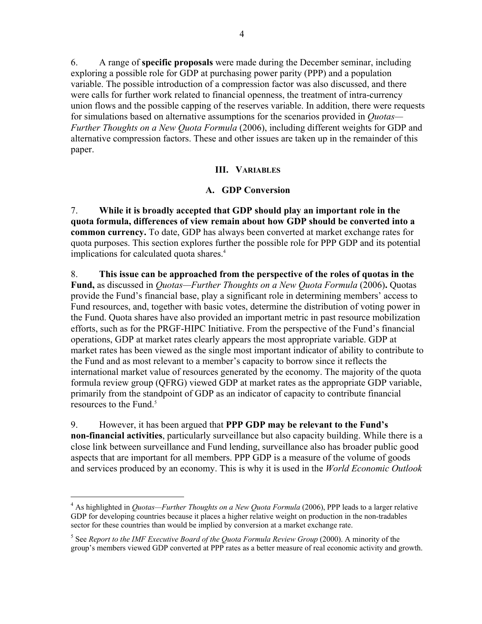6. A range of **specific proposals** were made during the December seminar, including exploring a possible role for GDP at purchasing power parity (PPP) and a population variable. The possible introduction of a compression factor was also discussed, and there were calls for further work related to financial openness, the treatment of intra-currency union flows and the possible capping of the reserves variable. In addition, there were requests for simulations based on alternative assumptions for the scenarios provided in *Quotas— Further Thoughts on a New Quota Formula* (2006), including different weights for GDP and alternative compression factors. These and other issues are taken up in the remainder of this paper.

## **III. VARIABLES**

## **A. GDP Conversion**

7. **While it is broadly accepted that GDP should play an important role in the quota formula, differences of view remain about how GDP should be converted into a common currency.** To date, GDP has always been converted at market exchange rates for quota purposes. This section explores further the possible role for PPP GDP and its potential implications for calculated quota shares.<sup>4</sup>

8. **This issue can be approached from the perspective of the roles of quotas in the Fund,** as discussed in *Quotas—Further Thoughts on a New Quota Formula* (2006)**.** Quotas provide the Fund's financial base, play a significant role in determining members' access to Fund resources, and, together with basic votes, determine the distribution of voting power in the Fund. Quota shares have also provided an important metric in past resource mobilization efforts, such as for the PRGF-HIPC Initiative. From the perspective of the Fund's financial operations, GDP at market rates clearly appears the most appropriate variable. GDP at market rates has been viewed as the single most important indicator of ability to contribute to the Fund and as most relevant to a member's capacity to borrow since it reflects the international market value of resources generated by the economy. The majority of the quota formula review group (QFRG) viewed GDP at market rates as the appropriate GDP variable, primarily from the standpoint of GDP as an indicator of capacity to contribute financial resources to the Fund.<sup>5</sup>

# 9. However, it has been argued that **PPP GDP may be relevant to the Fund's**

<u>.</u>

**non-financial activities**, particularly surveillance but also capacity building. While there is a close link between surveillance and Fund lending, surveillance also has broader public good aspects that are important for all members. PPP GDP is a measure of the volume of goods and services produced by an economy. This is why it is used in the *World Economic Outlook*

<sup>&</sup>lt;sup>4</sup> As highlighted in *Quotas—Further Thoughts on a New Quota Formula* (2006), PPP leads to a larger relative GDP for developing countries because it places a higher relative weight on production in the non-tradables sector for these countries than would be implied by conversion at a market exchange rate.

<sup>&</sup>lt;sup>5</sup> See *Report to the IMF Executive Board of the Quota Formula Review Group* (2000). A minority of the group's members viewed GDP converted at PPP rates as a better measure of real economic activity and growth.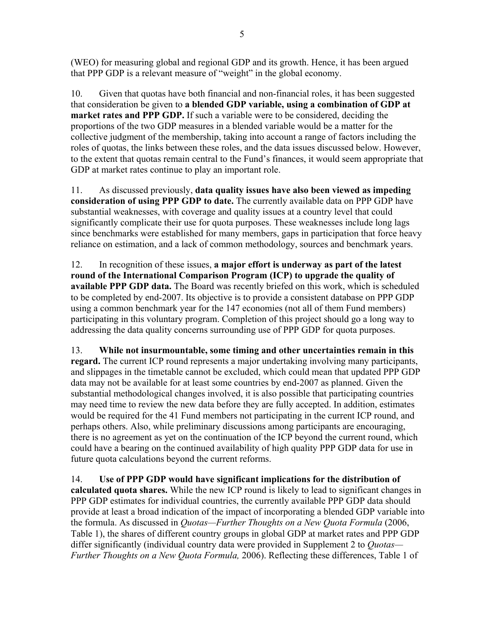(WEO) for measuring global and regional GDP and its growth. Hence, it has been argued that PPP GDP is a relevant measure of "weight" in the global economy.

10. Given that quotas have both financial and non-financial roles, it has been suggested that consideration be given to **a blended GDP variable, using a combination of GDP at market rates and PPP GDP.** If such a variable were to be considered, deciding the proportions of the two GDP measures in a blended variable would be a matter for the collective judgment of the membership, taking into account a range of factors including the roles of quotas, the links between these roles, and the data issues discussed below. However, to the extent that quotas remain central to the Fund's finances, it would seem appropriate that GDP at market rates continue to play an important role.

11. As discussed previously, **data quality issues have also been viewed as impeding consideration of using PPP GDP to date.** The currently available data on PPP GDP have substantial weaknesses, with coverage and quality issues at a country level that could significantly complicate their use for quota purposes. These weaknesses include long lags since benchmarks were established for many members, gaps in participation that force heavy reliance on estimation, and a lack of common methodology, sources and benchmark years.

12. In recognition of these issues, **a major effort is underway as part of the latest round of the International Comparison Program (ICP) to upgrade the quality of available PPP GDP data.** The Board was recently briefed on this work, which is scheduled to be completed by end-2007. Its objective is to provide a consistent database on PPP GDP using a common benchmark year for the 147 economies (not all of them Fund members) participating in this voluntary program. Completion of this project should go a long way to addressing the data quality concerns surrounding use of PPP GDP for quota purposes.

13. **While not insurmountable, some timing and other uncertainties remain in this regard.** The current ICP round represents a major undertaking involving many participants, and slippages in the timetable cannot be excluded, which could mean that updated PPP GDP data may not be available for at least some countries by end-2007 as planned. Given the substantial methodological changes involved, it is also possible that participating countries may need time to review the new data before they are fully accepted. In addition, estimates would be required for the 41 Fund members not participating in the current ICP round, and perhaps others. Also, while preliminary discussions among participants are encouraging, there is no agreement as yet on the continuation of the ICP beyond the current round, which could have a bearing on the continued availability of high quality PPP GDP data for use in future quota calculations beyond the current reforms.

14. **Use of PPP GDP would have significant implications for the distribution of calculated quota shares.** While the new ICP round is likely to lead to significant changes in PPP GDP estimates for individual countries, the currently available PPP GDP data should provide at least a broad indication of the impact of incorporating a blended GDP variable into the formula. As discussed in *Quotas—Further Thoughts on a New Quota Formula* (2006, Table 1), the shares of different country groups in global GDP at market rates and PPP GDP differ significantly (individual country data were provided in Supplement 2 to *Quotas— Further Thoughts on a New Quota Formula,* 2006). Reflecting these differences, Table 1 of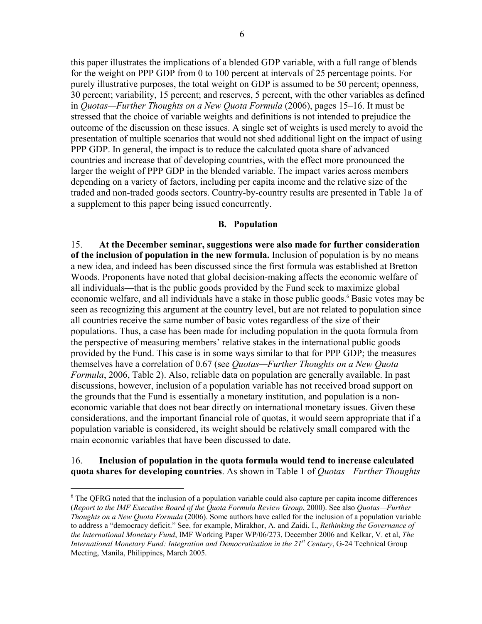this paper illustrates the implications of a blended GDP variable, with a full range of blends for the weight on PPP GDP from 0 to 100 percent at intervals of 25 percentage points. For purely illustrative purposes, the total weight on GDP is assumed to be 50 percent; openness, 30 percent; variability, 15 percent; and reserves, 5 percent, with the other variables as defined in *Quotas—Further Thoughts on a New Quota Formula* (2006), pages 15–16. It must be stressed that the choice of variable weights and definitions is not intended to prejudice the outcome of the discussion on these issues. A single set of weights is used merely to avoid the presentation of multiple scenarios that would not shed additional light on the impact of using PPP GDP. In general, the impact is to reduce the calculated quota share of advanced countries and increase that of developing countries, with the effect more pronounced the larger the weight of PPP GDP in the blended variable. The impact varies across members depending on a variety of factors, including per capita income and the relative size of the traded and non-traded goods sectors. Country-by-country results are presented in Table 1a of a supplement to this paper being issued concurrently.

#### **B. Population**

15. **At the December seminar, suggestions were also made for further consideration of the inclusion of population in the new formula.** Inclusion of population is by no means a new idea, and indeed has been discussed since the first formula was established at Bretton Woods. Proponents have noted that global decision-making affects the economic welfare of all individuals—that is the public goods provided by the Fund seek to maximize global economic welfare, and all individuals have a stake in those public goods.<sup>6</sup> Basic votes may be seen as recognizing this argument at the country level, but are not related to population since all countries receive the same number of basic votes regardless of the size of their populations. Thus, a case has been made for including population in the quota formula from the perspective of measuring members' relative stakes in the international public goods provided by the Fund. This case is in some ways similar to that for PPP GDP; the measures themselves have a correlation of 0.67 (see *Quotas—Further Thoughts on a New Quota Formula*, 2006, Table 2). Also, reliable data on population are generally available. In past discussions, however, inclusion of a population variable has not received broad support on the grounds that the Fund is essentially a monetary institution, and population is a noneconomic variable that does not bear directly on international monetary issues. Given these considerations, and the important financial role of quotas, it would seem appropriate that if a population variable is considered, its weight should be relatively small compared with the main economic variables that have been discussed to date.

### 16. **Inclusion of population in the quota formula would tend to increase calculated quota shares for developing countries**. As shown in Table 1 of *Quotas—Further Thoughts*

<sup>&</sup>lt;sup>6</sup> The QFRG noted that the inclusion of a population variable could also capture per capita income differences (*Report to the IMF Executive Board of the Quota Formula Review Group*, 2000). See also *Quotas—Further Thoughts on a New Quota Formula* (2006). Some authors have called for the inclusion of a population variable to address a "democracy deficit." See, for example, Mirakhor, A. and Zaidi, I., *Rethinking the Governance of the International Monetary Fund*, IMF Working Paper WP/06/273, December 2006 and Kelkar, V. et al, *The International Monetary Fund: Integration and Democratization in the 21st Century*, G-24 Technical Group Meeting, Manila, Philippines, March 2005.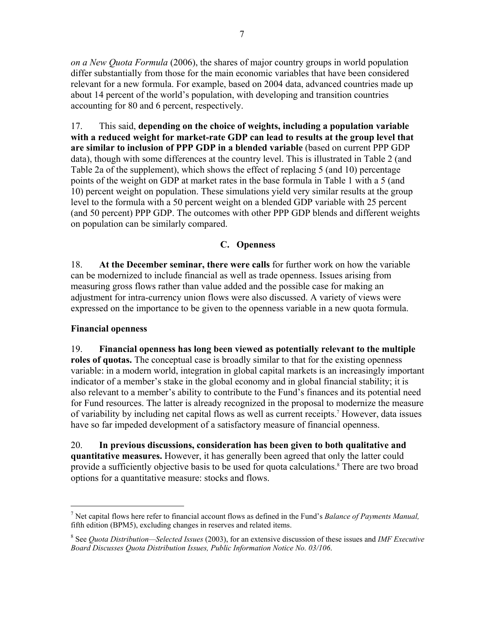*on a New Quota Formula* (2006), the shares of major country groups in world population differ substantially from those for the main economic variables that have been considered relevant for a new formula. For example, based on 2004 data, advanced countries made up about 14 percent of the world's population, with developing and transition countries accounting for 80 and 6 percent, respectively.

17. This said, **depending on the choice of weights, including a population variable with a reduced weight for market-rate GDP can lead to results at the group level that are similar to inclusion of PPP GDP in a blended variable** (based on current PPP GDP data), though with some differences at the country level. This is illustrated in Table 2 (and Table 2a of the supplement), which shows the effect of replacing 5 (and 10) percentage points of the weight on GDP at market rates in the base formula in Table 1 with a 5 (and 10) percent weight on population. These simulations yield very similar results at the group level to the formula with a 50 percent weight on a blended GDP variable with 25 percent (and 50 percent) PPP GDP. The outcomes with other PPP GDP blends and different weights on population can be similarly compared.

# **C. Openness**

18. **At the December seminar, there were calls** for further work on how the variable can be modernized to include financial as well as trade openness. Issues arising from measuring gross flows rather than value added and the possible case for making an adjustment for intra-currency union flows were also discussed. A variety of views were expressed on the importance to be given to the openness variable in a new quota formula.

## **Financial openness**

 $\overline{a}$ 

19. **Financial openness has long been viewed as potentially relevant to the multiple roles of quotas.** The conceptual case is broadly similar to that for the existing openness variable: in a modern world, integration in global capital markets is an increasingly important indicator of a member's stake in the global economy and in global financial stability; it is also relevant to a member's ability to contribute to the Fund's finances and its potential need for Fund resources. The latter is already recognized in the proposal to modernize the measure of variability by including net capital flows as well as current receipts.<sup>7</sup> However, data issues have so far impeded development of a satisfactory measure of financial openness.

20. **In previous discussions, consideration has been given to both qualitative and quantitative measures.** However, it has generally been agreed that only the latter could provide a sufficiently objective basis to be used for quota calculations.<sup>8</sup> There are two broad options for a quantitative measure: stocks and flows.

<sup>7</sup> Net capital flows here refer to financial account flows as defined in the Fund's *Balance of Payments Manual,*  fifth edition (BPM5), excluding changes in reserves and related items.

<sup>8</sup> See *Quota Distribution—Selected Issues* (2003), for an extensive discussion of these issues and *IMF Executive Board Discusses Quota Distribution Issues, Public Information Notice No. 03/106*.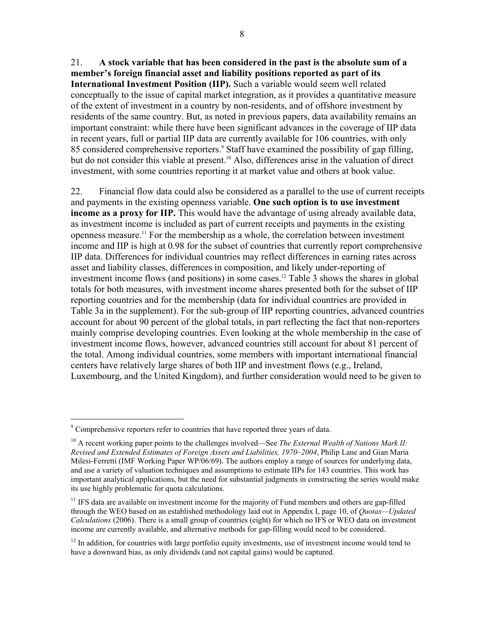21. **A stock variable that has been considered in the past is the absolute sum of a member's foreign financial asset and liability positions reported as part of its International Investment Position (IIP).** Such a variable would seem well related conceptually to the issue of capital market integration, as it provides a quantitative measure of the extent of investment in a country by non-residents, and of offshore investment by residents of the same country. But, as noted in previous papers, data availability remains an important constraint: while there have been significant advances in the coverage of IIP data in recent years, full or partial IIP data are currently available for 106 countries, with only 85 considered comprehensive reporters.<sup>9</sup> Staff have examined the possibility of gap filling, but do not consider this viable at present.<sup>10</sup> Also, differences arise in the valuation of direct investment, with some countries reporting it at market value and others at book value.

22. Financial flow data could also be considered as a parallel to the use of current receipts and payments in the existing openness variable. **One such option is to use investment income as a proxy for IIP.** This would have the advantage of using already available data, as investment income is included as part of current receipts and payments in the existing openness measure.11 For the membership as a whole, the correlation between investment income and IIP is high at 0.98 for the subset of countries that currently report comprehensive IIP data. Differences for individual countries may reflect differences in earning rates across asset and liability classes, differences in composition, and likely under-reporting of investment income flows (and positions) in some cases.12 Table 3 shows the shares in global totals for both measures, with investment income shares presented both for the subset of IIP reporting countries and for the membership (data for individual countries are provided in Table 3a in the supplement). For the sub-group of IIP reporting countries, advanced countries account for about 90 percent of the global totals, in part reflecting the fact that non-reporters mainly comprise developing countries. Even looking at the whole membership in the case of investment income flows, however, advanced countries still account for about 81 percent of the total. Among individual countries, some members with important international financial centers have relatively large shares of both IIP and investment flows (e.g., Ireland, Luxembourg, and the United Kingdom), and further consideration would need to be given to

 $9^9$  Comprehensive reporters refer to countries that have reported three years of data.

<sup>&</sup>lt;sup>10</sup> A recent working paper points to the challenges involved—See *The External Wealth of Nations Mark II: Revised and Extended Estimates of Foreign Assets and Liabilities, 1970–2004*, Philip Lane and Gian Maria Milesi-Ferretti (IMF Working Paper WP/06/69). The authors employ a range of sources for underlying data, and use a variety of valuation techniques and assumptions to estimate IIPs for 143 countries. This work has important analytical applications, but the need for substantial judgments in constructing the series would make its use highly problematic for quota calculations.

 $11$  IFS data are available on investment income for the majority of Fund members and others are gap-filled through the WEO based on an established methodology laid out in Appendix I, page 10, of *Quotas—Updated Calculations* (2006). There is a small group of countries (eight) for which no IFS or WEO data on investment income are currently available, and alternative methods for gap-filling would need to be considered.

<sup>&</sup>lt;sup>12</sup> In addition, for countries with large portfolio equity investments, use of investment income would tend to have a downward bias, as only dividends (and not capital gains) would be captured.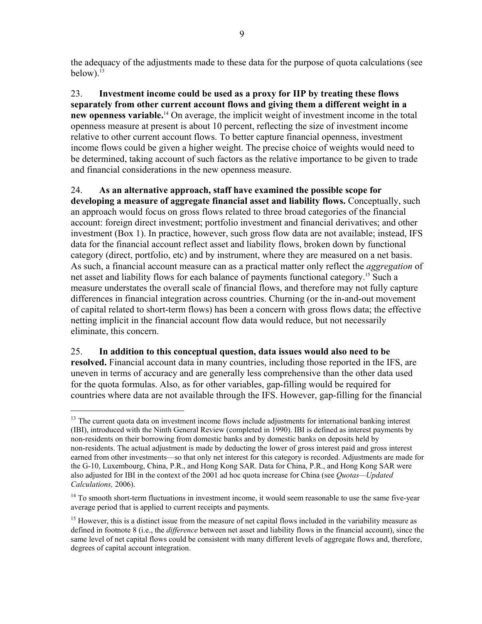the adequacy of the adjustments made to these data for the purpose of quota calculations (see below). $13$ 

23. **Investment income could be used as a proxy for IIP by treating these flows separately from other current account flows and giving them a different weight in a new openness variable.**14 On average, the implicit weight of investment income in the total openness measure at present is about 10 percent, reflecting the size of investment income relative to other current account flows. To better capture financial openness, investment income flows could be given a higher weight. The precise choice of weights would need to be determined, taking account of such factors as the relative importance to be given to trade and financial considerations in the new openness measure.

24. **As an alternative approach, staff have examined the possible scope for developing a measure of aggregate financial asset and liability flows.** Conceptually, such an approach would focus on gross flows related to three broad categories of the financial account: foreign direct investment; portfolio investment and financial derivatives; and other investment (Box 1). In practice, however, such gross flow data are not available; instead, IFS data for the financial account reflect asset and liability flows, broken down by functional category (direct, portfolio, etc) and by instrument, where they are measured on a net basis. As such, a financial account measure can as a practical matter only reflect the *aggregation* of net asset and liability flows for each balance of payments functional category.<sup>15</sup> Such a measure understates the overall scale of financial flows, and therefore may not fully capture differences in financial integration across countries. Churning (or the in-and-out movement of capital related to short-term flows) has been a concern with gross flows data; the effective netting implicit in the financial account flow data would reduce, but not necessarily eliminate, this concern.

25. **In addition to this conceptual question, data issues would also need to be resolved.** Financial account data in many countries, including those reported in the IFS, are uneven in terms of accuracy and are generally less comprehensive than the other data used for the quota formulas. Also, as for other variables, gap-filling would be required for countries where data are not available through the IFS. However, gap-filling for the financial

<sup>&</sup>lt;sup>13</sup> The current quota data on investment income flows include adjustments for international banking interest (IBI), introduced with the Ninth General Review (completed in 1990). IBI is defined as interest payments by non-residents on their borrowing from domestic banks and by domestic banks on deposits held by non-residents. The actual adjustment is made by deducting the lower of gross interest paid and gross interest earned from other investments—so that only net interest for this category is recorded. Adjustments are made for the G-10, Luxembourg, China, P.R., and Hong Kong SAR. Data for China, P.R., and Hong Kong SAR were also adjusted for IBI in the context of the 2001 ad hoc quota increase for China (see *Quotas—Updated Calculations,* 2006).

<sup>&</sup>lt;sup>14</sup> To smooth short-term fluctuations in investment income, it would seem reasonable to use the same five-year average period that is applied to current receipts and payments.

<sup>&</sup>lt;sup>15</sup> However, this is a distinct issue from the measure of net capital flows included in the variability measure as defined in footnote 8 (i.e., the *difference* between net asset and liability flows in the financial account), since the same level of net capital flows could be consistent with many different levels of aggregate flows and, therefore, degrees of capital account integration.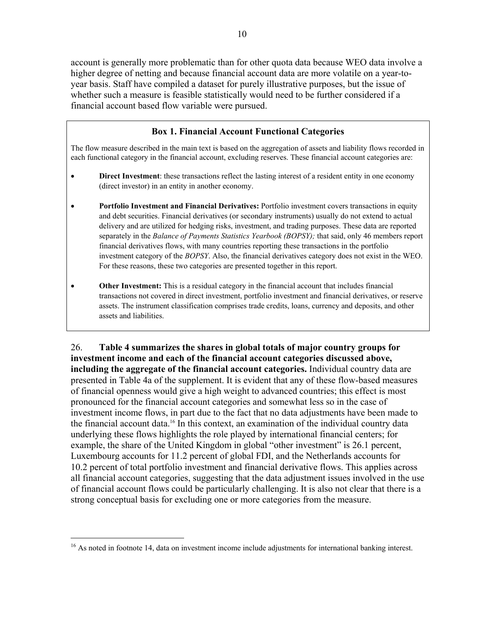account is generally more problematic than for other quota data because WEO data involve a higher degree of netting and because financial account data are more volatile on a year-toyear basis. Staff have compiled a dataset for purely illustrative purposes, but the issue of whether such a measure is feasible statistically would need to be further considered if a financial account based flow variable were pursued.

### **Box 1. Financial Account Functional Categories**

The flow measure described in the main text is based on the aggregation of assets and liability flows recorded in each functional category in the financial account, excluding reserves. These financial account categories are:

- **Direct Investment**: these transactions reflect the lasting interest of a resident entity in one economy (direct investor) in an entity in another economy.
- **Portfolio Investment and Financial Derivatives:** Portfolio investment covers transactions in equity and debt securities. Financial derivatives (or secondary instruments) usually do not extend to actual delivery and are utilized for hedging risks, investment, and trading purposes. These data are reported separately in the *Balance of Payments Statistics Yearbook (BOPSY);* that said, only 46 members report financial derivatives flows, with many countries reporting these transactions in the portfolio investment category of the *BOPSY*. Also, the financial derivatives category does not exist in the WEO. For these reasons, these two categories are presented together in this report.
- **Other Investment:** This is a residual category in the financial account that includes financial transactions not covered in direct investment, portfolio investment and financial derivatives, or reserve assets. The instrument classification comprises trade credits, loans, currency and deposits, and other assets and liabilities.

26. **Table 4 summarizes the shares in global totals of major country groups for investment income and each of the financial account categories discussed above, including the aggregate of the financial account categories.** Individual country data are presented in Table 4a of the supplement. It is evident that any of these flow-based measures of financial openness would give a high weight to advanced countries; this effect is most pronounced for the financial account categories and somewhat less so in the case of investment income flows, in part due to the fact that no data adjustments have been made to the financial account data.16 In this context, an examination of the individual country data underlying these flows highlights the role played by international financial centers; for example, the share of the United Kingdom in global "other investment" is 26.1 percent, Luxembourg accounts for 11.2 percent of global FDI, and the Netherlands accounts for 10.2 percent of total portfolio investment and financial derivative flows. This applies across all financial account categories, suggesting that the data adjustment issues involved in the use of financial account flows could be particularly challenging. It is also not clear that there is a strong conceptual basis for excluding one or more categories from the measure.

<sup>&</sup>lt;sup>16</sup> As noted in footnote 14, data on investment income include adjustments for international banking interest.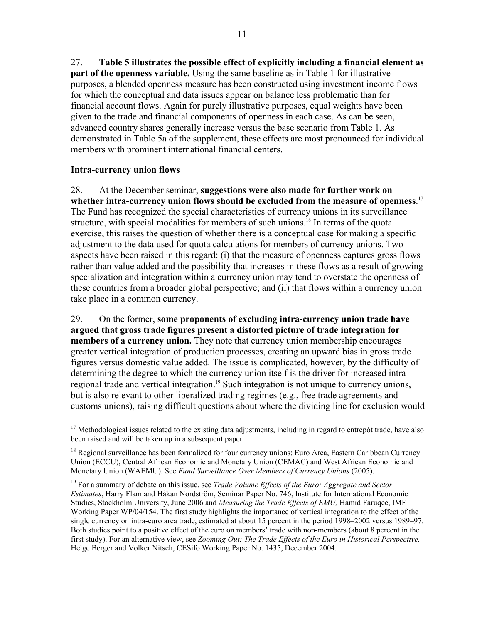27. **Table 5 illustrates the possible effect of explicitly including a financial element as part of the openness variable.** Using the same baseline as in Table 1 for illustrative purposes, a blended openness measure has been constructed using investment income flows for which the conceptual and data issues appear on balance less problematic than for financial account flows. Again for purely illustrative purposes, equal weights have been given to the trade and financial components of openness in each case. As can be seen, advanced country shares generally increase versus the base scenario from Table 1. As demonstrated in Table 5a of the supplement, these effects are most pronounced for individual members with prominent international financial centers.

#### **Intra-currency union flows**

 $\overline{a}$ 

28. At the December seminar, **suggestions were also made for further work on whether intra-currency union flows should be excluded from the measure of openness**. 17 The Fund has recognized the special characteristics of currency unions in its surveillance structure, with special modalities for members of such unions.<sup>18</sup> In terms of the quota exercise, this raises the question of whether there is a conceptual case for making a specific adjustment to the data used for quota calculations for members of currency unions. Two aspects have been raised in this regard: (i) that the measure of openness captures gross flows rather than value added and the possibility that increases in these flows as a result of growing specialization and integration within a currency union may tend to overstate the openness of these countries from a broader global perspective; and (ii) that flows within a currency union take place in a common currency.

29. On the former, **some proponents of excluding intra-currency union trade have argued that gross trade figures present a distorted picture of trade integration for members of a currency union.** They note that currency union membership encourages greater vertical integration of production processes, creating an upward bias in gross trade figures versus domestic value added. The issue is complicated, however, by the difficulty of determining the degree to which the currency union itself is the driver for increased intraregional trade and vertical integration.<sup>19</sup> Such integration is not unique to currency unions, but is also relevant to other liberalized trading regimes (e.g., free trade agreements and customs unions), raising difficult questions about where the dividing line for exclusion would

<sup>&</sup>lt;sup>17</sup> Methodological issues related to the existing data adjustments, including in regard to entrepôt trade, have also been raised and will be taken up in a subsequent paper.

<sup>&</sup>lt;sup>18</sup> Regional surveillance has been formalized for four currency unions: Euro Area, Eastern Caribbean Currency Union (ECCU), Central African Economic and Monetary Union (CEMAC) and West African Economic and Monetary Union (WAEMU). See *Fund Surveillance Over Members of Currency Unions* (2005).

<sup>19</sup> For a summary of debate on this issue, see *Trade Volume Effects of the Euro: Aggregate and Sector Estimates*, Harry Flam and Håkan Nordström, Seminar Paper No. 746, Institute for International Economic Studies, Stockholm University, June 2006 and *Measuring the Trade Effects of EMU,* Hamid Faruqee, IMF Working Paper WP/04/154. The first study highlights the importance of vertical integration to the effect of the single currency on intra-euro area trade, estimated at about 15 percent in the period 1998–2002 versus 1989–97. Both studies point to a positive effect of the euro on members' trade with non-members (about 8 percent in the first study). For an alternative view, see *Zooming Out: The Trade Effects of the Euro in Historical Perspective,* Helge Berger and Volker Nitsch, CESifo Working Paper No. 1435, December 2004.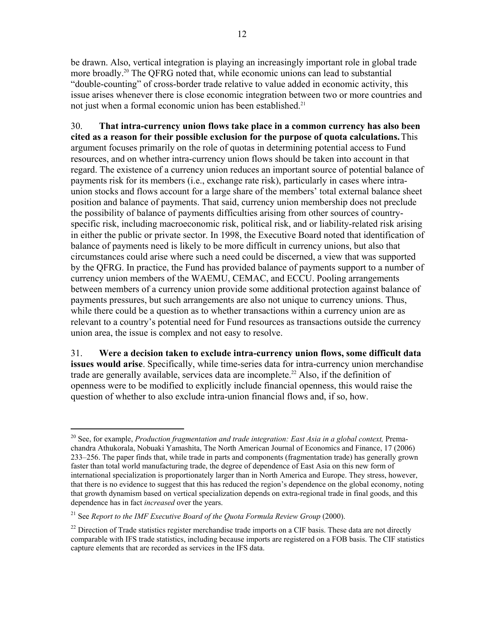be drawn. Also, vertical integration is playing an increasingly important role in global trade more broadly.20 The QFRG noted that, while economic unions can lead to substantial "double-counting" of cross-border trade relative to value added in economic activity, this issue arises whenever there is close economic integration between two or more countries and not just when a formal economic union has been established.<sup>21</sup>

30. **That intra-currency union flows take place in a common currency has also been cited as a reason for their possible exclusion for the purpose of quota calculations.**This argument focuses primarily on the role of quotas in determining potential access to Fund resources, and on whether intra-currency union flows should be taken into account in that regard. The existence of a currency union reduces an important source of potential balance of payments risk for its members (i.e., exchange rate risk), particularly in cases where intraunion stocks and flows account for a large share of the members' total external balance sheet position and balance of payments. That said, currency union membership does not preclude the possibility of balance of payments difficulties arising from other sources of countryspecific risk, including macroeconomic risk, political risk, and or liability-related risk arising in either the public or private sector. In 1998, the Executive Board noted that identification of balance of payments need is likely to be more difficult in currency unions, but also that circumstances could arise where such a need could be discerned, a view that was supported by the QFRG. In practice, the Fund has provided balance of payments support to a number of currency union members of the WAEMU, CEMAC, and ECCU. Pooling arrangements between members of a currency union provide some additional protection against balance of payments pressures, but such arrangements are also not unique to currency unions. Thus, while there could be a question as to whether transactions within a currency union are as relevant to a country's potential need for Fund resources as transactions outside the currency union area, the issue is complex and not easy to resolve.

31. **Were a decision taken to exclude intra-currency union flows, some difficult data issues would arise**. Specifically, while time-series data for intra-currency union merchandise trade are generally available, services data are incomplete.<sup>22</sup> Also, if the definition of openness were to be modified to explicitly include financial openness, this would raise the question of whether to also exclude intra-union financial flows and, if so, how.

<sup>&</sup>lt;sup>20</sup> See, for example, *Production fragmentation and trade integration: East Asia in a global context*, Premachandra Athukorala, Nobuaki Yamashita, The North American Journal of Economics and Finance, 17 (2006) 233–256. The paper finds that, while trade in parts and components (fragmentation trade) has generally grown faster than total world manufacturing trade, the degree of dependence of East Asia on this new form of international specialization is proportionately larger than in North America and Europe. They stress, however, that there is no evidence to suggest that this has reduced the region's dependence on the global economy, noting that growth dynamism based on vertical specialization depends on extra-regional trade in final goods, and this dependence has in fact *increased* over the years.

<sup>21</sup> See *Report to the IMF Executive Board of the Quota Formula Review Group* (2000).

<sup>&</sup>lt;sup>22</sup> Direction of Trade statistics register merchandise trade imports on a CIF basis. These data are not directly comparable with IFS trade statistics, including because imports are registered on a FOB basis. The CIF statistics capture elements that are recorded as services in the IFS data.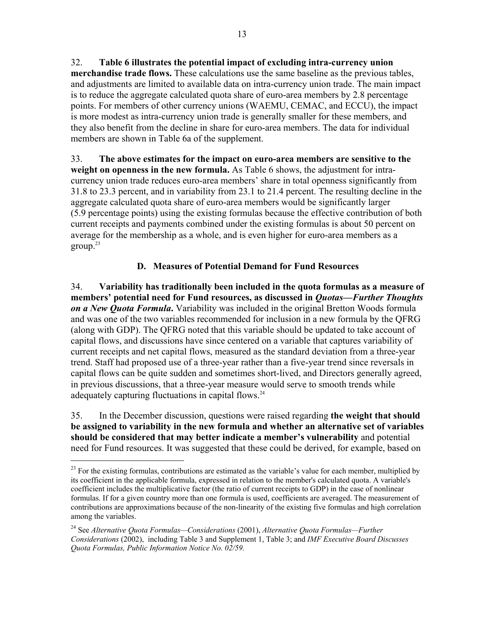32. **Table 6 illustrates the potential impact of excluding intra-currency union merchandise trade flows.** These calculations use the same baseline as the previous tables, and adjustments are limited to available data on intra-currency union trade. The main impact is to reduce the aggregate calculated quota share of euro-area members by 2.8 percentage points. For members of other currency unions (WAEMU, CEMAC, and ECCU), the impact is more modest as intra-currency union trade is generally smaller for these members, and they also benefit from the decline in share for euro-area members. The data for individual members are shown in Table 6a of the supplement.

33. **The above estimates for the impact on euro-area members are sensitive to the weight on openness in the new formula.** As Table 6 shows, the adjustment for intracurrency union trade reduces euro-area members' share in total openness significantly from 31.8 to 23.3 percent, and in variability from 23.1 to 21.4 percent. The resulting decline in the aggregate calculated quota share of euro-area members would be significantly larger (5.9 percentage points) using the existing formulas because the effective contribution of both current receipts and payments combined under the existing formulas is about 50 percent on average for the membership as a whole, and is even higher for euro-area members as a  $\text{group}^{\,23}$ 

# **D. Measures of Potential Demand for Fund Resources**

34. **Variability has traditionally been included in the quota formulas as a measure of members' potential need for Fund resources, as discussed in** *Quotas—Further Thoughts on a New Quota Formula***.** Variability was included in the original Bretton Woods formula and was one of the two variables recommended for inclusion in a new formula by the QFRG (along with GDP). The QFRG noted that this variable should be updated to take account of capital flows, and discussions have since centered on a variable that captures variability of current receipts and net capital flows, measured as the standard deviation from a three-year trend. Staff had proposed use of a three-year rather than a five-year trend since reversals in capital flows can be quite sudden and sometimes short-lived, and Directors generally agreed, in previous discussions, that a three-year measure would serve to smooth trends while adequately capturing fluctuations in capital flows.<sup>24</sup>

35. In the December discussion, questions were raised regarding **the weight that should be assigned to variability in the new formula and whether an alternative set of variables should be considered that may better indicate a member's vulnerability** and potential need for Fund resources. It was suggested that these could be derived, for example, based on

1

 $^{23}$  For the existing formulas, contributions are estimated as the variable's value for each member, multiplied by its coefficient in the applicable formula, expressed in relation to the member's calculated quota. A variable's coefficient includes the multiplicative factor (the ratio of current receipts to GDP) in the case of nonlinear formulas. If for a given country more than one formula is used, coefficients are averaged. The measurement of contributions are approximations because of the non-linearity of the existing five formulas and high correlation among the variables.

<sup>24</sup> See *Alternative Quota Formulas—Considerations* (2001), *Alternative Quota Formulas—Further Considerations* (2002), including Table 3 and Supplement 1, Table 3; and *IMF Executive Board Discusses Quota Formulas, Public Information Notice No. 02/59.*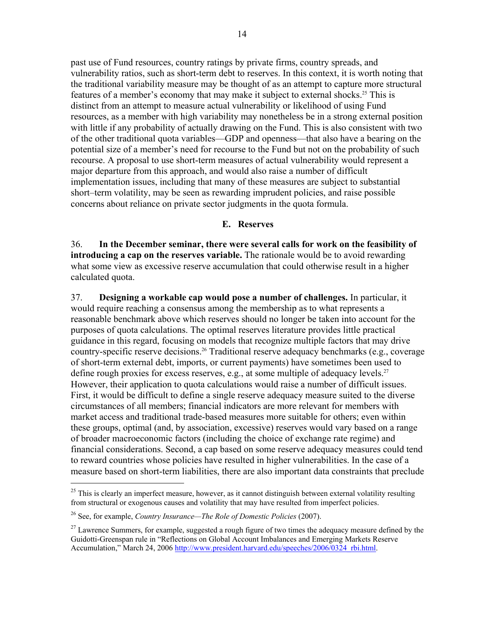past use of Fund resources, country ratings by private firms, country spreads, and vulnerability ratios, such as short-term debt to reserves. In this context, it is worth noting that the traditional variability measure may be thought of as an attempt to capture more structural features of a member's economy that may make it subject to external shocks.<sup>25</sup> This is distinct from an attempt to measure actual vulnerability or likelihood of using Fund resources, as a member with high variability may nonetheless be in a strong external position with little if any probability of actually drawing on the Fund. This is also consistent with two of the other traditional quota variables—GDP and openness—that also have a bearing on the potential size of a member's need for recourse to the Fund but not on the probability of such recourse. A proposal to use short-term measures of actual vulnerability would represent a major departure from this approach, and would also raise a number of difficult implementation issues, including that many of these measures are subject to substantial short–term volatility, may be seen as rewarding imprudent policies, and raise possible concerns about reliance on private sector judgments in the quota formula.

#### **E. Reserves**

36. **In the December seminar, there were several calls for work on the feasibility of introducing a cap on the reserves variable.** The rationale would be to avoid rewarding what some view as excessive reserve accumulation that could otherwise result in a higher calculated quota.

37. **Designing a workable cap would pose a number of challenges.** In particular, it would require reaching a consensus among the membership as to what represents a reasonable benchmark above which reserves should no longer be taken into account for the purposes of quota calculations. The optimal reserves literature provides little practical guidance in this regard, focusing on models that recognize multiple factors that may drive country-specific reserve decisions.<sup>26</sup> Traditional reserve adequacy benchmarks (e.g., coverage of short-term external debt, imports, or current payments) have sometimes been used to define rough proxies for excess reserves, e.g., at some multiple of adequacy levels.<sup>27</sup> However, their application to quota calculations would raise a number of difficult issues. First, it would be difficult to define a single reserve adequacy measure suited to the diverse circumstances of all members; financial indicators are more relevant for members with market access and traditional trade-based measures more suitable for others; even within these groups, optimal (and, by association, excessive) reserves would vary based on a range of broader macroeconomic factors (including the choice of exchange rate regime) and financial considerations. Second, a cap based on some reserve adequacy measures could tend to reward countries whose policies have resulted in higher vulnerabilities. In the case of a measure based on short-term liabilities, there are also important data constraints that preclude

1

 $^{25}$  This is clearly an imperfect measure, however, as it cannot distinguish between external volatility resulting from structural or exogenous causes and volatility that may have resulted from imperfect policies.

<sup>26</sup> See, for example, *Country Insurance—The Role of Domestic Policies* (2007).

 $^{27}$  Lawrence Summers, for example, suggested a rough figure of two times the adequacy measure defined by the Guidotti-Greenspan rule in "Reflections on Global Account Imbalances and Emerging Markets Reserve Accumulation," March 24, 2006 http://www.president.harvard.edu/speeches/2006/0324\_rbi.html.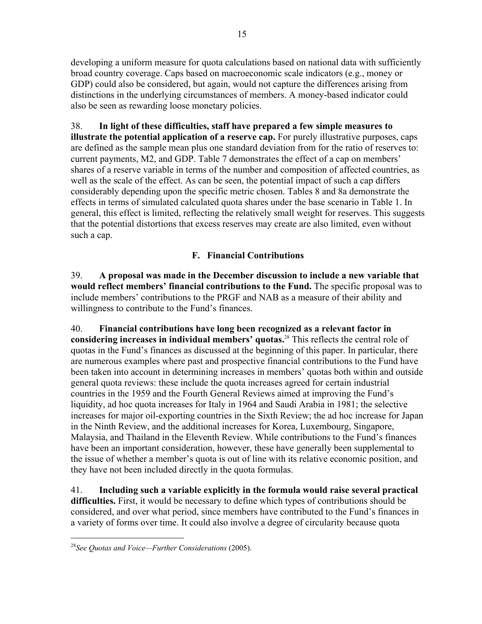developing a uniform measure for quota calculations based on national data with sufficiently broad country coverage. Caps based on macroeconomic scale indicators (e.g., money or GDP) could also be considered, but again, would not capture the differences arising from distinctions in the underlying circumstances of members. A money-based indicator could also be seen as rewarding loose monetary policies.

38. **In light of these difficulties, staff have prepared a few simple measures to illustrate the potential application of a reserve cap.** For purely illustrative purposes, caps are defined as the sample mean plus one standard deviation from for the ratio of reserves to: current payments, M2, and GDP. Table 7 demonstrates the effect of a cap on members' shares of a reserve variable in terms of the number and composition of affected countries, as well as the scale of the effect. As can be seen, the potential impact of such a cap differs considerably depending upon the specific metric chosen. Tables 8 and 8a demonstrate the effects in terms of simulated calculated quota shares under the base scenario in Table 1. In general, this effect is limited, reflecting the relatively small weight for reserves. This suggests that the potential distortions that excess reserves may create are also limited, even without such a cap.

# **F. Financial Contributions**

39. **A proposal was made in the December discussion to include a new variable that would reflect members' financial contributions to the Fund.** The specific proposal was to include members' contributions to the PRGF and NAB as a measure of their ability and willingness to contribute to the Fund's finances.

40. **Financial contributions have long been recognized as a relevant factor in considering increases in individual members' quotas.**28 This reflects the central role of quotas in the Fund's finances as discussed at the beginning of this paper. In particular, there are numerous examples where past and prospective financial contributions to the Fund have been taken into account in determining increases in members' quotas both within and outside general quota reviews: these include the quota increases agreed for certain industrial countries in the 1959 and the Fourth General Reviews aimed at improving the Fund's liquidity, ad hoc quota increases for Italy in 1964 and Saudi Arabia in 1981; the selective increases for major oil-exporting countries in the Sixth Review; the ad hoc increase for Japan in the Ninth Review, and the additional increases for Korea, Luxembourg, Singapore, Malaysia, and Thailand in the Eleventh Review. While contributions to the Fund's finances have been an important consideration, however, these have generally been supplemental to the issue of whether a member's quota is out of line with its relative economic position, and they have not been included directly in the quota formulas.

41. **Including such a variable explicitly in the formula would raise several practical difficulties.** First, it would be necessary to define which types of contributions should be considered, and over what period, since members have contributed to the Fund's finances in a variety of forms over time. It could also involve a degree of circularity because quota

<sup>28</sup>*See Quotas and Voice—Further Considerations* (2005).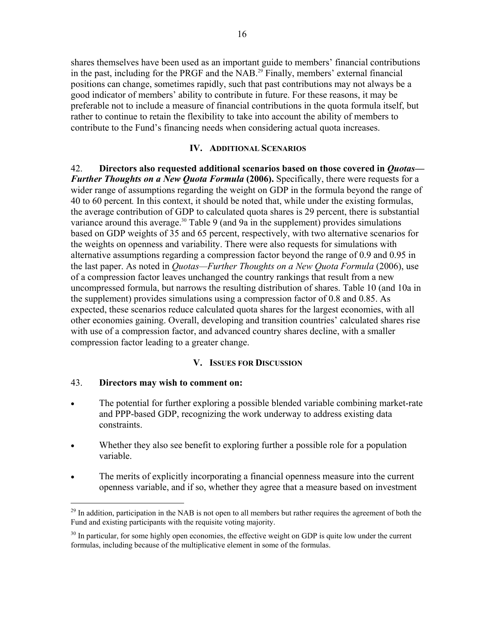shares themselves have been used as an important guide to members' financial contributions in the past, including for the PRGF and the NAB.<sup>29</sup> Finally, members' external financial positions can change, sometimes rapidly, such that past contributions may not always be a good indicator of members' ability to contribute in future. For these reasons, it may be preferable not to include a measure of financial contributions in the quota formula itself, but rather to continue to retain the flexibility to take into account the ability of members to contribute to the Fund's financing needs when considering actual quota increases.

#### **IV. ADDITIONAL SCENARIOS**

42. **Directors also requested additional scenarios based on those covered in** *Quotas— Further Thoughts on a New Quota Formula* (2006). Specifically, there were requests for a wider range of assumptions regarding the weight on GDP in the formula beyond the range of 40 to 60 percent*.* In this context, it should be noted that, while under the existing formulas, the average contribution of GDP to calculated quota shares is 29 percent, there is substantial variance around this average.<sup>30</sup> Table 9 (and 9a in the supplement) provides simulations based on GDP weights of 35 and 65 percent, respectively, with two alternative scenarios for the weights on openness and variability. There were also requests for simulations with alternative assumptions regarding a compression factor beyond the range of 0.9 and 0.95 in the last paper. As noted in *Quotas—Further Thoughts on a New Quota Formula* (2006), use of a compression factor leaves unchanged the country rankings that result from a new uncompressed formula, but narrows the resulting distribution of shares. Table 10 (and 10a in the supplement) provides simulations using a compression factor of 0.8 and 0.85. As expected, these scenarios reduce calculated quota shares for the largest economies, with all other economies gaining. Overall, developing and transition countries' calculated shares rise with use of a compression factor, and advanced country shares decline, with a smaller compression factor leading to a greater change.

#### **V. ISSUES FOR DISCUSSION**

#### 43. **Directors may wish to comment on:**

- The potential for further exploring a possible blended variable combining market-rate and PPP-based GDP, recognizing the work underway to address existing data constraints.
- Whether they also see benefit to exploring further a possible role for a population variable.
- The merits of explicitly incorporating a financial openness measure into the current openness variable, and if so, whether they agree that a measure based on investment

 $^{29}$  In addition, participation in the NAB is not open to all members but rather requires the agreement of both the Fund and existing participants with the requisite voting majority.

 $30$  In particular, for some highly open economies, the effective weight on GDP is quite low under the current formulas, including because of the multiplicative element in some of the formulas.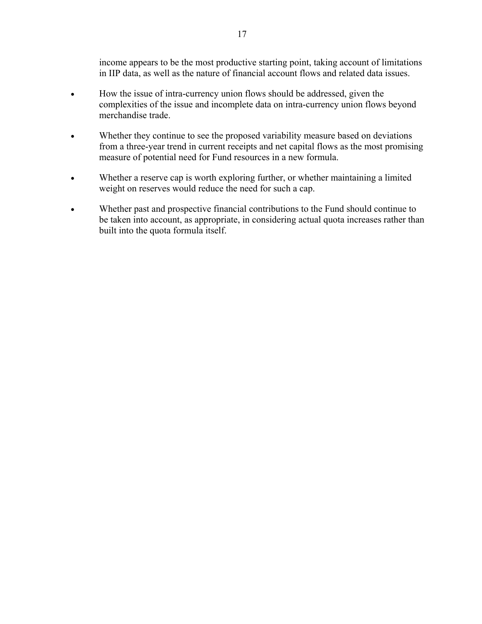income appears to be the most productive starting point, taking account of limitations in IIP data, as well as the nature of financial account flows and related data issues.

- How the issue of intra-currency union flows should be addressed, given the complexities of the issue and incomplete data on intra-currency union flows beyond merchandise trade.
- Whether they continue to see the proposed variability measure based on deviations from a three-year trend in current receipts and net capital flows as the most promising measure of potential need for Fund resources in a new formula.
- Whether a reserve cap is worth exploring further, or whether maintaining a limited weight on reserves would reduce the need for such a cap.
- Whether past and prospective financial contributions to the Fund should continue to be taken into account, as appropriate, in considering actual quota increases rather than built into the quota formula itself.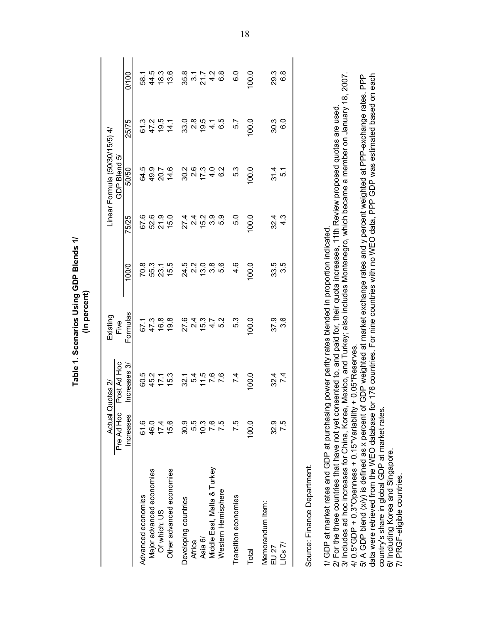|                                                                                                                                                                                                                                                                                  |            | Actual Quotas 2/                                      | (In percent)<br>Existing |                  |                  | Linear Formula (50/30/15/5) 4/ |                  |                  |
|----------------------------------------------------------------------------------------------------------------------------------------------------------------------------------------------------------------------------------------------------------------------------------|------------|-------------------------------------------------------|--------------------------|------------------|------------------|--------------------------------|------------------|------------------|
|                                                                                                                                                                                                                                                                                  | Pre Ad Hoc | Post Ad Hoc                                           | Five                     |                  |                  | GDP Blend 5/                   |                  |                  |
|                                                                                                                                                                                                                                                                                  | Increases  | Increases 3/                                          | Formulas                 | 100/0            | 75/25            | 50/50                          | 25/75            | 0/100            |
| Advanced economies                                                                                                                                                                                                                                                               | 61.6       | 60.5                                                  | 67.1                     | 70.8             | 67.6             | 64.5                           | 61.3             | 58.1             |
| Major advanced economies                                                                                                                                                                                                                                                         | 46.0       | 45.2                                                  | 47.3                     | 55.3             | 52.6             | 49.9                           | 47.2             | 44.5             |
| Of which: US                                                                                                                                                                                                                                                                     | 17.4       | 17.1                                                  | 16.8                     | 23.1             | 21.9             | 20.7                           | 19.5             | 18.3             |
| Other advanced economies                                                                                                                                                                                                                                                         | 15.6       | 15.3                                                  | 19.8                     | 15.5             | 15.0             | 14.6                           | 14.1             | 13.6             |
| Developing countries                                                                                                                                                                                                                                                             | 30.9       |                                                       | 27.6                     | 24.5             | 27.4             | 30.2                           | 33.0             | 35.8             |
| Africa                                                                                                                                                                                                                                                                           | 5.5        | $32.1$<br>$5.4$                                       | 2.4                      | 2.2              | 2.4              | $2.6$                          | 2.8              | $3.7$<br>21.7    |
| Asia 6/                                                                                                                                                                                                                                                                          | 10.3       | 11.5                                                  | 15.3                     | 13.0             | 15.2             | 17.3                           | 19.5             |                  |
| Middle East, Malta & Turkey                                                                                                                                                                                                                                                      | 7.6        | 7.6                                                   | $4.7$<br>5.2             | $3.\overline{8}$ | 3.9              | $4.0$<br>6.2                   | $\frac{4}{6}$ .5 | 4.2              |
| Western Hemisphere                                                                                                                                                                                                                                                               | 7.5        | 7.6                                                   |                          | 5.6              | 5.9              |                                |                  | ္ထိ              |
| Transition economies                                                                                                                                                                                                                                                             | 7.5        | 7.4                                                   | 5.3                      | 4.6              | 5.0              | 5.3                            | 5.7              | 6.0              |
| Total                                                                                                                                                                                                                                                                            | 100.0      | 100.0                                                 | 100.0                    | 100.0            | 100.0            | 100.0                          | 100.0            | 100.0            |
| Memorandum Item:                                                                                                                                                                                                                                                                 |            |                                                       |                          |                  |                  |                                |                  |                  |
| EU <sub>27</sub>                                                                                                                                                                                                                                                                 | 32.9       | 32.4                                                  | 37.9                     | 33.5             | 32.4             | 31.4                           | 30.3             | 29.3             |
| LICS 7I                                                                                                                                                                                                                                                                          | 7.5        | 7.4                                                   | 3.6                      | 3.5              | $4.\overline{3}$ | 5.1                            | 6.0              | $6.\overline{8}$ |
| Source: Finance Department.                                                                                                                                                                                                                                                      |            |                                                       |                          |                  |                  |                                |                  |                  |
| 2/ For the three countries that have not yet consented to, and paid for, their quota increases, 11th Review proposed quotas are used.<br>3/ Includes ad hoc increases for China, Korea, Mexico, and Turkey; also includes Montene<br>1/ GDP at market rates and GDP at purchasin |            | g power parity rates blended in proportion indicated. |                          |                  |                  |                                |                  |                  |
| 4/0.5*GDP + 0.3*Openness + 0.15*Variability + 0.05*Reserves                                                                                                                                                                                                                      |            |                                                       |                          |                  |                  |                                |                  |                  |
| data were retrieved from the WEO database for 176 countries. For nine countries with no WEO data, PPP GDP was estimated based on each<br>5/ A GDP blend (x/y) is defined as x percent of GDP weighted at market exchange rates and y percent weighted at PPP-exchange rates.     |            |                                                       |                          |                  |                  |                                |                  | PP<br>P          |
| country's share in global GDP at market rates.                                                                                                                                                                                                                                   |            |                                                       |                          |                  |                  |                                |                  |                  |
| 6/ Including Korea and Singapore.<br>7/ PRGF-eligible countries.                                                                                                                                                                                                                 |            |                                                       |                          |                  |                  |                                |                  |                  |

Table 1. Scenarios Using GDP Blends 1/ (In percent)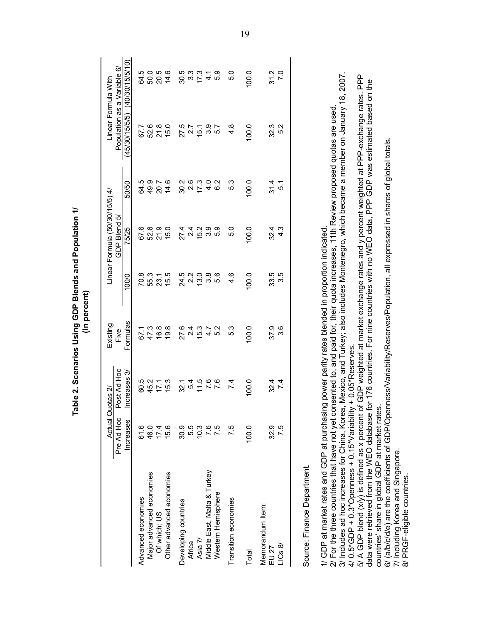|                                                                                                                                                                                                                                                                                                                                                                              |                  |                                | able 2. Scenarios Using GDP Blends and Population 1/<br>(In percent) |                                          |                                                |                      |                                                                                        |                          |
|------------------------------------------------------------------------------------------------------------------------------------------------------------------------------------------------------------------------------------------------------------------------------------------------------------------------------------------------------------------------------|------------------|--------------------------------|----------------------------------------------------------------------|------------------------------------------|------------------------------------------------|----------------------|----------------------------------------------------------------------------------------|--------------------------|
|                                                                                                                                                                                                                                                                                                                                                                              | Pre Ad Hoc       | Post Ad Hoc<br>Actual Quotas 2 | Existing<br>Five                                                     |                                          | Linear Formula (50/30/15/5) 4/<br>GDP Blend 5, |                      | Population as a Variable                                                               | 6<br>Linear Formula With |
|                                                                                                                                                                                                                                                                                                                                                                              | <b>Increases</b> | Increases 3/                   | Formulas                                                             | 100/0                                    | 75/25                                          | 50/50                | (45/30/15/5/5)                                                                         | (40/30/15/5/10)          |
|                                                                                                                                                                                                                                                                                                                                                                              |                  |                                |                                                                      |                                          |                                                |                      |                                                                                        |                          |
| Advanced economies                                                                                                                                                                                                                                                                                                                                                           | 61.6             | 60.5<br>45.2                   | 67.1<br>47.3                                                         |                                          | 67.6                                           | 64.5                 | 67.7                                                                                   | 64.5                     |
| Major advanced economies                                                                                                                                                                                                                                                                                                                                                     | 46.0             |                                |                                                                      | 0<br>0 10 10 10<br>0 10 11 10<br>1 10 11 | 52.6                                           | 49.9                 | 52.6                                                                                   | 50.0                     |
| Of which: US                                                                                                                                                                                                                                                                                                                                                                 | 17.4             | 17.1                           | 16.8                                                                 |                                          | 21.9                                           | 20.7                 | 21.8                                                                                   | 20.5                     |
| Other advanced economies                                                                                                                                                                                                                                                                                                                                                     | 15.6             | 15.3                           | 19.8                                                                 |                                          | 15.0                                           | 14.6                 | 15.0                                                                                   | 14.6                     |
| Developing countries                                                                                                                                                                                                                                                                                                                                                         | 30.9             | 32.1                           | 27.6                                                                 |                                          |                                                |                      |                                                                                        | 30.5                     |
| Africa                                                                                                                                                                                                                                                                                                                                                                       | 5.5              | 5.4                            | 2.4                                                                  | 24.2.0<br>2.2.0<br>2.4.0                 | $27.4$<br>2.4                                  | 30.4<br>30.4<br>30.4 | 27.5<br>2.7                                                                            | $3.\overline{3}$         |
| Asia 7/                                                                                                                                                                                                                                                                                                                                                                      | 10.3             | 11.5                           | 15.3                                                                 |                                          | 15.2                                           |                      | 15.1                                                                                   | 17.3                     |
| Middle East, Malta & Turkey                                                                                                                                                                                                                                                                                                                                                  | 7.6              |                                | 4.7                                                                  | 3.8                                      | ဝ ဝ<br>၁ ဝ                                     | $4.0$<br>$6.2$       | 3.9                                                                                    | $\frac{1}{4}$            |
| Western Hemisphere                                                                                                                                                                                                                                                                                                                                                           | 7.5              | 7.6                            | 5.2                                                                  | ნ.<br>ნ                                  |                                                |                      | 5.7                                                                                    | 5.9                      |
| Transition economies                                                                                                                                                                                                                                                                                                                                                         | 7.5              | 7.4                            | 5.3                                                                  | 4.6                                      | 5.0                                            | 5.3                  | $4.\overline{8}$                                                                       | 5.0                      |
| Total                                                                                                                                                                                                                                                                                                                                                                        | 100.0            | 0.00                           | 100.0                                                                | 100.0                                    | 100.0                                          | 100.0                | 100.0                                                                                  | 100.0                    |
| Memorandum Item:                                                                                                                                                                                                                                                                                                                                                             |                  |                                |                                                                      |                                          |                                                |                      |                                                                                        |                          |
| EU <sub>27</sub>                                                                                                                                                                                                                                                                                                                                                             | 32.9             | 32.4                           | 37.9                                                                 |                                          | 32.4                                           | $\frac{4}{31.4}$     |                                                                                        | 31.2                     |
| LICs8                                                                                                                                                                                                                                                                                                                                                                        | 7.5              | 7.4                            | 3.6                                                                  | 33.5<br>33.6                             | 4.3                                            | 5.1                  | 32.3<br>5.2                                                                            | 7.0                      |
| Source: Finance Department.                                                                                                                                                                                                                                                                                                                                                  |                  |                                |                                                                      |                                          |                                                |                      |                                                                                        |                          |
| 3/ Includes ad hoc increases for China, Korea, Mexico, and Turkey; also includes Montenegro, which became a member on January 18,<br>2/ For the three countries that have not yet consented to, and paid for, their quota increases, 11th Review proposed quotas are used<br>1/ GDP at market rates and GDP at purchasing power parity rates blended in proportion indicated |                  |                                |                                                                      |                                          |                                                |                      |                                                                                        | 2007.                    |
| data were retrieved from the WEO database for 176 countries. For nine countries with no WEO data, PPP GDP was estimated based on the<br>4/ $0.5$ *GDP + 0.3*Openness + 0.15*Variability + 0.05*Reserves<br>5/ A GDP blend (x/y) is defined as x percent                                                                                                                      |                  |                                |                                                                      |                                          |                                                |                      | of GDP weighted at market exchange rates and y percent weighted at PPP-exchange rates. | PPP                      |
| 6/ (a/b/c/d/e) are the coefficients of GDP/Openness/Variability/Reserves/Population, all expressed in shares of global totals<br>countries' share in global GDP at market rates.<br>7/ Including Korea and Singapore.                                                                                                                                                        |                  |                                |                                                                      |                                          |                                                |                      |                                                                                        |                          |
| PRGF-eligible countries.<br>$\frac{1}{\infty}$                                                                                                                                                                                                                                                                                                                               |                  |                                |                                                                      |                                          |                                                |                      |                                                                                        |                          |

Table 2. Scenarios Using GDP Blends and Population 1/ (In percent)

19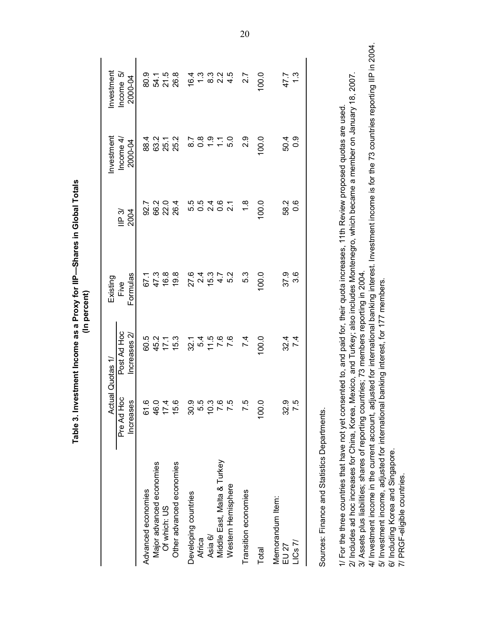|                                                                                                                                                                                                                                                   |                                   | Quotas 1/                 |                              |                        |                                    |                                        |
|---------------------------------------------------------------------------------------------------------------------------------------------------------------------------------------------------------------------------------------------------|-----------------------------------|---------------------------|------------------------------|------------------------|------------------------------------|----------------------------------------|
|                                                                                                                                                                                                                                                   | Actual<br>Pre Ad Hoc<br>Increases | Post Ad Hoc<br>ncreases 2 | Formulas<br>Existing<br>Five | $\mathsf{IP}3$<br>2004 | Investment<br>Income 4,<br>2000-04 | Investment<br>ry.<br>2000-04<br>Income |
| Advanced economies                                                                                                                                                                                                                                | 61.6                              | 60.5                      | 67.1                         | 92.7                   | 88.4                               | 80.9                                   |
| Major advanced economies                                                                                                                                                                                                                          | 46.0                              | 45.2                      | 47.3                         | 66.2                   | 63.2                               | 54.1                                   |
| Of which: US                                                                                                                                                                                                                                      | 17.4                              | 17.1                      | 16.8                         | 22.0                   | 25.1                               | 21.5                                   |
| Other advanced economies                                                                                                                                                                                                                          | 15.6                              | 15.3                      | 19.8                         | 26.4                   | 25.2                               | 26.8                                   |
| Developing countries                                                                                                                                                                                                                              | 30.9                              | 32.1                      | 27.6                         |                        | 8.7                                | 16.4                                   |
| Africa                                                                                                                                                                                                                                            | 5.5                               | 5.4                       | 2.4                          |                        | $\frac{8}{2}$                      | $1.\overline{3}$                       |
| Asia 6/                                                                                                                                                                                                                                           | 10.3                              | $7.5$<br>7.6              | 15.3                         |                        | $\ddot{ }$ .                       | $8.\overline{3}$                       |
| Middle East, Malta & Turkey                                                                                                                                                                                                                       | 7.6                               |                           | 4.7                          | 0.6                    | $\frac{1}{1}$                      | 2.2                                    |
| Western Hemisphere                                                                                                                                                                                                                                | 7.5                               | 7.6                       | 5.2                          | $\overline{2.1}$       | 5.0                                | 4.5                                    |
| Transition economies                                                                                                                                                                                                                              | 7.5                               | 7.4                       | 5.3                          | 1.8                    | 2.9                                | 2.7                                    |
| Total                                                                                                                                                                                                                                             | 100.0                             | 100.0                     | 100.0                        | 100.0                  | 100.0                              | 100.0                                  |
| Memorandum Item:                                                                                                                                                                                                                                  |                                   |                           |                              |                        |                                    |                                        |
| EU 27                                                                                                                                                                                                                                             | 32.9<br>7.5                       | 32.4<br>7.4               | 37.9                         | 58.2                   | 50.4                               | 47.7                                   |
| $LICS$ $7/$                                                                                                                                                                                                                                       |                                   |                           | 3.6                          | $0.\overline{6}$       | 0.0                                | 1.3                                    |
| Sources: Finance and Statistics Departments.                                                                                                                                                                                                      |                                   |                           |                              |                        |                                    |                                        |
| 1/ For the three countries that have not yet consented to, and paid for, their quota increases, 11th Review proposed quotas are used                                                                                                              |                                   |                           |                              |                        |                                    |                                        |
| 2/ Includes ad hoc increases for China, Korea, Mexico, and Turkey; also includes Montenegro, which became a member on January 18, 2007.<br>3/ Assets plus liabilities; shares of reporting countries; 73 members reporting in 2004.               |                                   |                           |                              |                        |                                    |                                        |
| 4/ Investment income in the current account, adjusted for international banking interest. Investment income is for the 73 countries reporting IIP in 2004.<br>5/ Investment income, adjusted for international banking interest, for 177 members. |                                   |                           |                              |                        |                                    |                                        |
| 6/ Including Korea and Singapore.                                                                                                                                                                                                                 |                                   |                           |                              |                        |                                    |                                        |
| 7/ PRGF-eligible countries.                                                                                                                                                                                                                       |                                   |                           |                              |                        |                                    |                                        |

Table 3. Investment Income as a Proxy for IIP-Shares in Global Totals (In percent)

20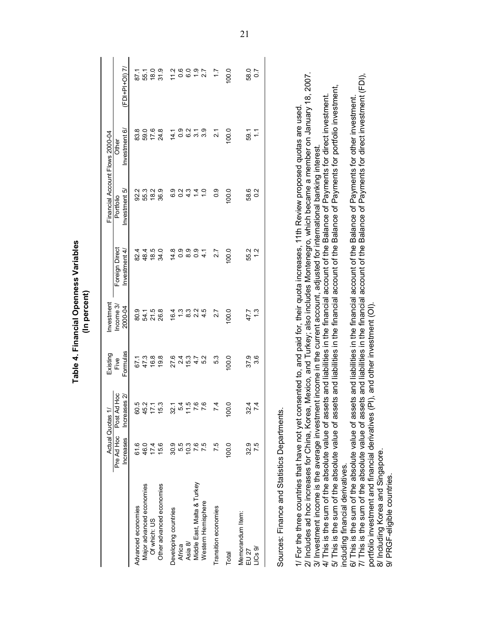|                                                                                                                                                                                                                                                                                                                                                                                                                                                                                                                                                                                                                                                                                                                                                                                                                                                                        |                                | Actual Quotas 1/                            | Existing                       | Investment                                |                                                                |                           | Financial Account Flows 2000-04                                                                                                                                                                                                                                                                                                                                                                              |                        |
|------------------------------------------------------------------------------------------------------------------------------------------------------------------------------------------------------------------------------------------------------------------------------------------------------------------------------------------------------------------------------------------------------------------------------------------------------------------------------------------------------------------------------------------------------------------------------------------------------------------------------------------------------------------------------------------------------------------------------------------------------------------------------------------------------------------------------------------------------------------------|--------------------------------|---------------------------------------------|--------------------------------|-------------------------------------------|----------------------------------------------------------------|---------------------------|--------------------------------------------------------------------------------------------------------------------------------------------------------------------------------------------------------------------------------------------------------------------------------------------------------------------------------------------------------------------------------------------------------------|------------------------|
|                                                                                                                                                                                                                                                                                                                                                                                                                                                                                                                                                                                                                                                                                                                                                                                                                                                                        | Pre Ad Hoc<br><b>Increases</b> | Post Ad Hoc<br>$\overline{2}$<br>Increas    | Formulas<br>Five               | Income 3/<br>2000-04                      | Foreign Direct<br>Investment 4/                                | Investment 5<br>Portfolio | Investment 6/<br>Other                                                                                                                                                                                                                                                                                                                                                                                       | (FDI+PI+OI) 7/         |
| Advanced economies                                                                                                                                                                                                                                                                                                                                                                                                                                                                                                                                                                                                                                                                                                                                                                                                                                                     | 61.6                           |                                             | 67.1                           | 80.9                                      | 82.4                                                           |                           | 83.8                                                                                                                                                                                                                                                                                                                                                                                                         | 87.1                   |
| Major advanced economies                                                                                                                                                                                                                                                                                                                                                                                                                                                                                                                                                                                                                                                                                                                                                                                                                                               | 46.0                           |                                             | 47.3                           | 54.1                                      | 48.4                                                           | 92.3<br>55.3              | 59.0                                                                                                                                                                                                                                                                                                                                                                                                         | 55.1                   |
| Of which: US                                                                                                                                                                                                                                                                                                                                                                                                                                                                                                                                                                                                                                                                                                                                                                                                                                                           | 17.4                           |                                             | 16.8                           |                                           | 18.5                                                           |                           |                                                                                                                                                                                                                                                                                                                                                                                                              | 18.0                   |
| Other advanced economies                                                                                                                                                                                                                                                                                                                                                                                                                                                                                                                                                                                                                                                                                                                                                                                                                                               | 15.6                           | 5<br>0 5 7 7 9<br>0 4 7 9                   | 19.8                           | 21.5<br>26.8                              | 34.0                                                           | $18.9$<br>$36.9$          | $17.6$<br>24.8                                                                                                                                                                                                                                                                                                                                                                                               | 31.9                   |
| Developing countries                                                                                                                                                                                                                                                                                                                                                                                                                                                                                                                                                                                                                                                                                                                                                                                                                                                   | 30.9                           | ↽.<br>$\mathcal{S}$                         | 27.6                           |                                           |                                                                |                           | 14.1                                                                                                                                                                                                                                                                                                                                                                                                         |                        |
| Africa                                                                                                                                                                                                                                                                                                                                                                                                                                                                                                                                                                                                                                                                                                                                                                                                                                                                 | 5.5                            | ιΩ                                          | 2.4                            |                                           |                                                                |                           |                                                                                                                                                                                                                                                                                                                                                                                                              |                        |
| Asia 8/                                                                                                                                                                                                                                                                                                                                                                                                                                                                                                                                                                                                                                                                                                                                                                                                                                                                | 10.3                           | 4000<br>$\tilde{r}$                         | 15.3                           | $6 - 8$ $4$<br>$6 - 8$ $9$ $9$ $4$<br>$9$ | $\overset{\mathtt{a}}{\underbrace{\mathtt{a}}\circ\circ\circ}$ | 0<br>0 0 4<br>0 0 4       | 0.0700                                                                                                                                                                                                                                                                                                                                                                                                       | $7000007$<br>$7000007$ |
| Middle East, Malta & Turkey                                                                                                                                                                                                                                                                                                                                                                                                                                                                                                                                                                                                                                                                                                                                                                                                                                            | 7.6                            |                                             |                                |                                           |                                                                | $\ddot{4}$                |                                                                                                                                                                                                                                                                                                                                                                                                              |                        |
| Western Hemisphere                                                                                                                                                                                                                                                                                                                                                                                                                                                                                                                                                                                                                                                                                                                                                                                                                                                     | 75                             |                                             | $4.7$<br>5.2                   |                                           | 4.1                                                            | $\frac{0}{\tau}$          |                                                                                                                                                                                                                                                                                                                                                                                                              |                        |
| Transition economies                                                                                                                                                                                                                                                                                                                                                                                                                                                                                                                                                                                                                                                                                                                                                                                                                                                   | 7.5                            | 4                                           | 5.3                            | 2.7                                       | 2.7                                                            | 0.9                       | $\overline{21}$                                                                                                                                                                                                                                                                                                                                                                                              | $\ddot{ }$ :           |
| Total                                                                                                                                                                                                                                                                                                                                                                                                                                                                                                                                                                                                                                                                                                                                                                                                                                                                  | 100.0                          | Q<br>$\overline{100}$                       | 100.0                          | 100.0                                     | 100.0                                                          | 100.0                     | 100.0                                                                                                                                                                                                                                                                                                                                                                                                        | 100.0                  |
| Memorandum Item:<br>LICs9/<br>EU 27                                                                                                                                                                                                                                                                                                                                                                                                                                                                                                                                                                                                                                                                                                                                                                                                                                    | 32.9<br>7.5                    | 4<br>$\overline{4}$<br>32<br>$\overline{ }$ | 3.6<br>37.9                    | $\frac{3}{2}$<br>47.7                     | 55.2<br>1 2                                                    | 58.6<br>0.2               | Ξ<br>59.1                                                                                                                                                                                                                                                                                                                                                                                                    | 58.0<br>0.7            |
| 2/ Includes ad hoc increases for China, Korea, Mexico, and Turkey; also includes Montenegro, which became a member on January 18,<br>1/ For the three countries that have not yet consented to, and paid for, their quota increases, 11th Review proposed quotas are used<br>3/ Investment income is the average investment income in the current account, adjusted for international banking interest<br>Sources: Finance and Statistics Departments.<br>This is the sum of the absolute value of ass<br>This is the sum of the absolute value of ass<br>6/ This is the sum of the absolute value of ass<br>7/ This is the sum of the absolute value of ass<br>portfolio investment and financial derivatives (<br>8/ Including Korea and Singapore.<br>including financial derivatives.<br>PRGF-eligible countries.<br>$\delta$<br>$\overrightarrow{4}$<br>$\vec{p}$ |                                |                                             | PI), and other investment (OI) |                                           |                                                                |                           | ets and liabilities in the financial account of the Balance of Payments for direct investment (FDI),<br>ets and liabilities in the financial account of the Balance of Payments for portfolio investment,<br>ets and liabilities in the financial account of the Balance of Payments for direct investment.<br>ets and liabilities in the financial account of the Balance of Payments for other investment. | 2007.                  |

Table 4. Financial Openness Variables (In percent)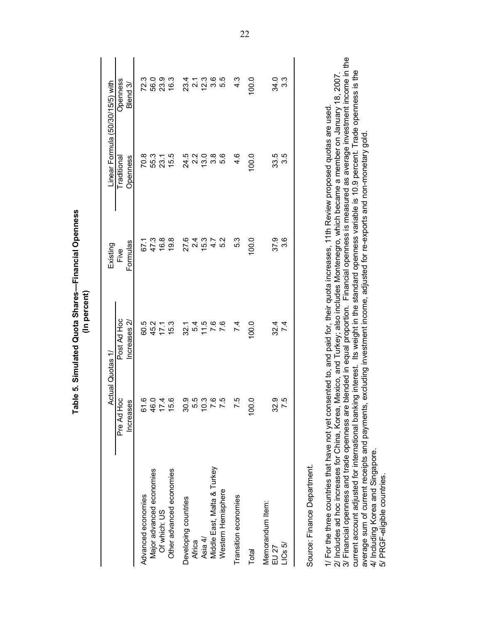|                                                                                                                                                                                                                                                                                                                                                                                                                                                                                                                                                                                                                                                                                                                                                                                    | Actual Quotas 1                                                             |               | Existing | Linear Formula (50/30/15/5) with |                     |
|------------------------------------------------------------------------------------------------------------------------------------------------------------------------------------------------------------------------------------------------------------------------------------------------------------------------------------------------------------------------------------------------------------------------------------------------------------------------------------------------------------------------------------------------------------------------------------------------------------------------------------------------------------------------------------------------------------------------------------------------------------------------------------|-----------------------------------------------------------------------------|---------------|----------|----------------------------------|---------------------|
|                                                                                                                                                                                                                                                                                                                                                                                                                                                                                                                                                                                                                                                                                                                                                                                    | Pre Ad Hoc                                                                  | Post Ad Hoc   | Five     | Traditional                      | <b>Openness</b>     |
|                                                                                                                                                                                                                                                                                                                                                                                                                                                                                                                                                                                                                                                                                                                                                                                    | ës<br>Increas                                                               | ncreases 2    | Formulas | Openness                         | Blend 3/            |
| Advanced economies                                                                                                                                                                                                                                                                                                                                                                                                                                                                                                                                                                                                                                                                                                                                                                 | 61.6                                                                        | 60.5          | 67.1     | 70.8                             | 72.3                |
| Major advanced economies                                                                                                                                                                                                                                                                                                                                                                                                                                                                                                                                                                                                                                                                                                                                                           | 46.0                                                                        |               | 47.3     | 55.3                             | 56.0                |
| Of which: US                                                                                                                                                                                                                                                                                                                                                                                                                                                                                                                                                                                                                                                                                                                                                                       | 17.4                                                                        | 45.2<br>17.1  | 16.8     | 23.1                             | 23.9                |
| Other advanced economies                                                                                                                                                                                                                                                                                                                                                                                                                                                                                                                                                                                                                                                                                                                                                           | 5.6                                                                         | 15.3          | 19.8     | 15.5                             | 16.3                |
| Developing countries                                                                                                                                                                                                                                                                                                                                                                                                                                                                                                                                                                                                                                                                                                                                                               | 30.9                                                                        | 32.1          | 27.6     | 24.5                             | 23.4                |
| Africa                                                                                                                                                                                                                                                                                                                                                                                                                                                                                                                                                                                                                                                                                                                                                                             |                                                                             | 5.4           | 2.4      | 2.2                              | $\overline{21}$     |
| Asia 4/                                                                                                                                                                                                                                                                                                                                                                                                                                                                                                                                                                                                                                                                                                                                                                            | 5<br>5<br>5<br>5<br>5<br>5<br>5<br>7<br>5<br>5<br>5<br>5<br>2<br>5<br>2<br> | 11.5          | 15.3     | ဂံ ဗံ ဗံ<br>(၁ မံ ဗံ             | 2<br>2 3 3<br>2 3 4 |
| Middle East, Malta & Turkey                                                                                                                                                                                                                                                                                                                                                                                                                                                                                                                                                                                                                                                                                                                                                        |                                                                             | 7.6           | 4.7      |                                  |                     |
| Western Hemisphere                                                                                                                                                                                                                                                                                                                                                                                                                                                                                                                                                                                                                                                                                                                                                                 |                                                                             | 7.6           | 5.2      |                                  |                     |
| Transition economies                                                                                                                                                                                                                                                                                                                                                                                                                                                                                                                                                                                                                                                                                                                                                               | 7.5                                                                         | 7.4           | 5.3      | 4.6                              | $4.\overline{3}$    |
| Total                                                                                                                                                                                                                                                                                                                                                                                                                                                                                                                                                                                                                                                                                                                                                                              | $\frac{0}{2}$<br>Ş                                                          | 100.0         | 100.0    | 100.0                            | 100.0               |
| Memorandum Item:<br>EU 27                                                                                                                                                                                                                                                                                                                                                                                                                                                                                                                                                                                                                                                                                                                                                          | 32.9                                                                        |               | 37.9     | 33.5                             | 34.0                |
| LICs5/                                                                                                                                                                                                                                                                                                                                                                                                                                                                                                                                                                                                                                                                                                                                                                             | 7.5                                                                         | $32.4$<br>7.4 | 3.6      | 3.5                              | 3.3                 |
| Source: Finance Department.                                                                                                                                                                                                                                                                                                                                                                                                                                                                                                                                                                                                                                                                                                                                                        |                                                                             |               |          |                                  |                     |
| 3/ Financial openness and trade openness are blended in equal proportion. Financial openness is measured as average investment income in the<br>current account adjusted for international banking interest. Its weight in the standard openness variable is 10.9 percent. Trade openness is the<br>2/ Includes ad hoc increases for China, Korea, Mexico, and Turkey; also includes Montenegro, which became a member on January 18, 2007<br>1/ For the three countries that have not yet consented to, and paid for, their quota increases, 11th Review proposed quotas are used<br>average sum of current receipts and payments, excluding investment income, adjusted for re-exports and non-monetary gold<br>4/ Including Korea and Singapore.<br>5/ PRGF-eligible countries. |                                                                             |               |          |                                  |                     |

Table 5. Simulated Quota Shares-Financial Openness (In percent)

<u>22</u>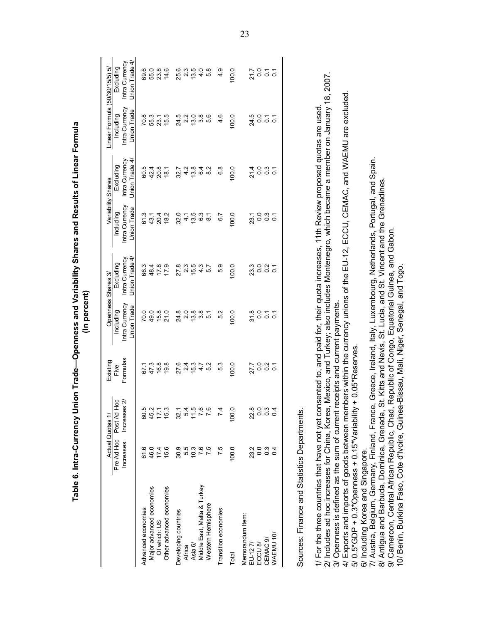Table 6. Intra-Currency Union Trade-Openness and Variability Shares and Results of Linear Formula (In percent)

|                                                                                                                                                                                                                                                                                                                                                                                                                                                                                                                                                |                                       | Actual Quotas 1/                                            | Existing                           |                                                   | Openness Shares 3/                                                                                 |                                                   | Variability Shares                           | Linear Formula (50/30/15/5)                | ιò                                            |
|------------------------------------------------------------------------------------------------------------------------------------------------------------------------------------------------------------------------------------------------------------------------------------------------------------------------------------------------------------------------------------------------------------------------------------------------------------------------------------------------------------------------------------------------|---------------------------------------|-------------------------------------------------------------|------------------------------------|---------------------------------------------------|----------------------------------------------------------------------------------------------------|---------------------------------------------------|----------------------------------------------|--------------------------------------------|-----------------------------------------------|
|                                                                                                                                                                                                                                                                                                                                                                                                                                                                                                                                                | Pre Ad Hoc<br>Increases               | Рос<br>Increases 2/<br>Post Ad                              | Formulas<br>Five                   | Intra Currency<br>Union Trade<br><b>Including</b> | Union Trade 4/<br>Intra Currency<br>Excluding                                                      | Intra Currency<br>Union Trade<br>Including        | Intra Currency<br>Union Trade 4<br>Excluding | Intra Currency<br>Union Trade<br>Including | Union Trade 4/<br>Intra Currency<br>Excluding |
| Major advanced economies<br>Other advanced economies<br>Advanced economies<br>Of which: US                                                                                                                                                                                                                                                                                                                                                                                                                                                     | 15.6<br>61.6<br>46.0<br>17.4          | 45.                                                         | 16.8<br>19.8<br>47.3<br>67.1       | 49.0<br>15.8<br>21.0<br>70.0                      | 66.3<br>48.4<br>17.8<br>17.9                                                                       | 61.3<br>20.4<br>18.2<br>43.1                      | 60.5<br>42.4<br>20.8<br>18.1                 | 0.071<br>0.0910<br>0.091                   | 69.0<br>55.0<br>23.8<br>14.6                  |
| Middle East, Malta & Turkey<br>Western Hemisphere<br>Developing countries<br>Asia 6/<br>Africa                                                                                                                                                                                                                                                                                                                                                                                                                                                 | $30.9$<br>$5.5$<br>10.3<br>7.6<br>7.5 | 4000<br>32.1<br>$\alpha \leq r$                             | 27.6<br>$24$<br>15.3<br>5.2<br>4.7 |                                                   | 27 21 5 4 5<br>27 26 4 57                                                                          | 13.5<br>32.0<br>6.3<br>$\overline{8}$<br>4.1      | 13.8<br>$64$<br>$8.2$<br>32.7<br>4.2         | 5<br>6 7 9 8 9<br>5 9 9 9 9                |                                               |
| Transition economies                                                                                                                                                                                                                                                                                                                                                                                                                                                                                                                           | 7.5                                   | 4<br>Ϋ́,                                                    | 5.3                                | 5.2                                               | 5.9                                                                                                | 6.7                                               | 6.8                                          | 4.6                                        | 4.9                                           |
| Total                                                                                                                                                                                                                                                                                                                                                                                                                                                                                                                                          | 100.0                                 | $\circ$<br>100                                              | 100.0                              | 100.0                                             | 100.0                                                                                              | 100.0                                             | 100.0                                        | 100.0                                      | 100.0                                         |
| Memorandum Item:<br>WAEMU 10/<br>CEMAC <sub>9</sub><br>ECCU 8/<br>EU-127                                                                                                                                                                                                                                                                                                                                                                                                                                                                       | 23.0<br>0.0<br>$0.\overline{4}$       | $\infty$ $\infty$<br>$\omega$ 4<br>ଧି<br>$\circ$<br>$\circ$ | 0.070000<br>27.7                   | $31.8$<br>0.0<br>$\overline{0}$ : $\overline{0}$  | $3000 - 0$                                                                                         | 0.0<br>$0.\overline{3}$<br>23.1<br>$\overline{c}$ | 0.0<br>0.7<br>21.4                           | 24.5<br>0.0<br>$\overline{c}$ 5            | 0.0<br>21.7<br>$\frac{7}{0}$ $\frac{7}{0}$    |
| Sources: Finance and Statistics Departments                                                                                                                                                                                                                                                                                                                                                                                                                                                                                                    |                                       |                                                             |                                    |                                                   |                                                                                                    |                                                   |                                              |                                            |                                               |
| 2/ Includes ad hoc increases for China, Korea, Mexico, and Turkey; also includes Montenegro, which became a member on January 18, 2007.<br>4/ Exports and imports of goods between members within the currency unions of the EU-12, ECCU, CEMAC, and WAEMU are excluded<br>1/ For the three countries that have not yet consented to, and paid for, their quota increases, 11th Review proposed quotas are used<br>3/ Openness is defined as the sum of current receipts and current payments<br>$5/0.5$ *GDP + 0.3*Openness + 0.15*Variabilit |                                       |                                                             | $ty + 0.05*$ Reserves.             |                                                   |                                                                                                    |                                                   |                                              |                                            |                                               |
| 7/ Austria, Belgium, Germany, Finland, France, Greece, Ireland, Italy, Luxembourg, Netherlands, Portugal, and Spain.<br>10/ Benin, Burkina Faso, Cote d'Ivoire, Guinea-Bissau, Mali, Niger, Senegal, and Togo<br>9/ Cameroon, Central African Republic, Chad, Republic of Congo,<br>8/ Antigua and Barbuda, Dominica, Grenada<br>6/ Including Korea and Singapore.                                                                                                                                                                             |                                       |                                                             |                                    |                                                   | St. Kitts and Nevis, St. Lucia, and St. Vincent and the Grenadines<br>Equatorial Guinea, and Gabon |                                                   |                                              |                                            |                                               |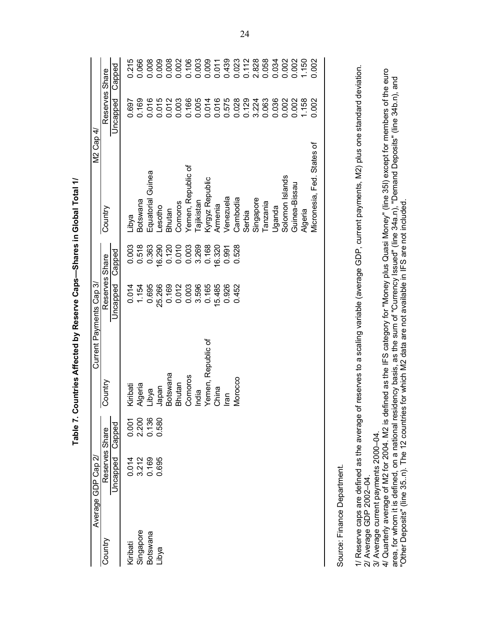|           | Average GDP Cap 2 <sub>'</sub>                                 |        |                    | Current Payments Cap 3/ |        | M2 Cap 4.                                                                                                                                                                                                                       |                |        |
|-----------|----------------------------------------------------------------|--------|--------------------|-------------------------|--------|---------------------------------------------------------------------------------------------------------------------------------------------------------------------------------------------------------------------------------|----------------|--------|
| Country   | Reserves Share                                                 |        | Country            | Reserves Share          |        | Country                                                                                                                                                                                                                         | Reserves Share |        |
|           | Uncapped                                                       | Capped |                    | Uncapped                | Capped |                                                                                                                                                                                                                                 | Uncapped       | Capped |
| Kiribati  | 0.014                                                          | 0.001  | Kiribati           | 0.014                   | 0.003  | Libya                                                                                                                                                                                                                           | 0.697          | 0.215  |
| Singapore | 3.212                                                          | 2.200  | Algeria            | 1.154                   | 0.518  | Botswana                                                                                                                                                                                                                        | 0.169          | 0.066  |
| Botswana  | 0.169                                                          | 0.136  | Libya              | 0.695                   | 0.363  | Equatorial Guinea                                                                                                                                                                                                               | 0.016          | 0.008  |
| Libya     | 0.695                                                          | 0.580  | Japan              | 25.266                  | 16.290 | Lesotho                                                                                                                                                                                                                         | 0.015          | 0.009  |
|           |                                                                |        | Botswana           | 0.169                   | 0.120  | Bhutan                                                                                                                                                                                                                          | 0.012          | 0.008  |
|           |                                                                |        | Bhutan             | 0.012                   | 0.010  | Comoros                                                                                                                                                                                                                         | 0.003          | 0.002  |
|           |                                                                |        | Comoros            | 0.003                   | 0.003  | Yemen, Republic of                                                                                                                                                                                                              | 0.166          | 0.106  |
|           |                                                                |        | India              | 3.596                   | 3.269  | Tajikistan                                                                                                                                                                                                                      | 0.005          | 0.003  |
|           |                                                                |        | Yemen, Republic of | 0.165                   | 0.168  | Kyrgyz Republic                                                                                                                                                                                                                 | 0.014          | 0.009  |
|           |                                                                |        | China              | 15.485                  | 16.320 | Armenia                                                                                                                                                                                                                         | 0.016          | 0.011  |
|           |                                                                |        | mal                | 0.926                   | 0.991  | Venezuela                                                                                                                                                                                                                       | 0.575          | 0.439  |
|           |                                                                |        | Morocco            | 0.452                   | 0.528  | Cambodia                                                                                                                                                                                                                        | 0.028          | 0.023  |
|           |                                                                |        |                    |                         |        | Serbia                                                                                                                                                                                                                          | 0.129          | 0.112  |
|           |                                                                |        |                    |                         |        | Singapore                                                                                                                                                                                                                       | 3.224          | 2.828  |
|           |                                                                |        |                    |                         |        | Tanzania                                                                                                                                                                                                                        | 0.063          | 0.058  |
|           |                                                                |        |                    |                         |        | Uganda                                                                                                                                                                                                                          | 0.036          | 0.034  |
|           |                                                                |        |                    |                         |        | Solomon Islands                                                                                                                                                                                                                 | 0.002          | 0.002  |
|           |                                                                |        |                    |                         |        | Guinea-Bissau                                                                                                                                                                                                                   | 0.002          | 0.002  |
|           |                                                                |        |                    |                         |        | Algeria                                                                                                                                                                                                                         | 1.158          | 1.150  |
|           |                                                                |        |                    |                         |        | Micronesia, Fed. States of                                                                                                                                                                                                      | 0.002          | 0.002  |
|           |                                                                |        |                    |                         |        |                                                                                                                                                                                                                                 |                |        |
|           | Source: Finance Department.                                    |        |                    |                         |        |                                                                                                                                                                                                                                 |                |        |
|           | 1/ Reserve caps are defined as the average                     |        |                    |                         |        | of reserves to a scaling variable (average GDP, current payments, M2) plus one standard deviation.                                                                                                                              |                |        |
|           | 3/ Average current payments 2000-04<br>2/ Average GDP 2002-04. |        |                    |                         |        |                                                                                                                                                                                                                                 |                |        |
|           | 4/ Quarterly average of M2 for 2004. M2 is d                   |        |                    |                         |        | efined as the IFS category for "Money plus Quasi Money" (line 35I) except for members of the euro                                                                                                                               |                |        |
|           |                                                                |        |                    |                         |        | area, for whom it is defined, on a national residency basis, as the sum of "Currency Issued" (line 34a.n), "Demand Deposits" (line 34b.n), and<br>"Other Deposits" (line 35n). The 12 countries for which M2 data are not avail |                |        |
|           |                                                                |        |                    |                         |        |                                                                                                                                                                                                                                 |                |        |

Table 7. Countries Affected by Reserve Caps-Shares in Global Total 1/ **Table 7. Countries Affected by Reserve Caps—Shares in Global Total 1/**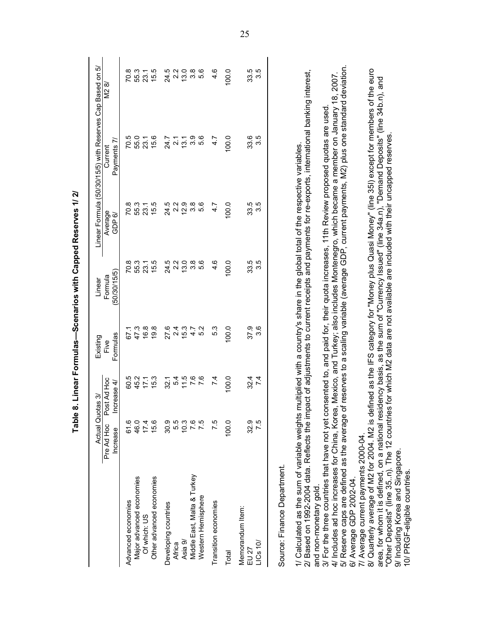|                                                                                                                                                                                                                                                                                                                                                                                                     | Actual Quot                   | as 3/                                | Existing         | Linear                                |                   | Linear Formula (50/30/15/5) with Reserves Cap Based on 5/ |                                        |
|-----------------------------------------------------------------------------------------------------------------------------------------------------------------------------------------------------------------------------------------------------------------------------------------------------------------------------------------------------------------------------------------------------|-------------------------------|--------------------------------------|------------------|---------------------------------------|-------------------|-----------------------------------------------------------|----------------------------------------|
|                                                                                                                                                                                                                                                                                                                                                                                                     | Pre Ad Hoc<br>Increase        | Post Ad Hoc<br>crease 4/<br>$\equiv$ | Formulas<br>Five | (50/30/15/5)<br>Formula               | Average<br>GDP 6/ | Payments 7/<br>Current                                    | N2 8/                                  |
| Advanced economies                                                                                                                                                                                                                                                                                                                                                                                  | 61.6                          |                                      | 67.1             | 70.8                                  | 70.8              | 70.5                                                      |                                        |
| Major advanced economies                                                                                                                                                                                                                                                                                                                                                                            | 46.0                          | 60.5<br>45.2                         | 47.3             |                                       | 55.3              | 55.0                                                      | 70.8<br>55.3                           |
| Of which: US                                                                                                                                                                                                                                                                                                                                                                                        | 17.4                          | 17.1                                 | 16.8             | 55.3<br>23.1                          | 23.1              | 23.1                                                      | 23.1                                   |
| Other advanced economies                                                                                                                                                                                                                                                                                                                                                                            | 15.6                          | 15.3                                 | 19.8             | 15.5                                  | 15.5              | 15.6                                                      | 15.5                                   |
| Developing countries                                                                                                                                                                                                                                                                                                                                                                                |                               | 32.1                                 | 27.6             |                                       | 24.5              | 24.7                                                      |                                        |
| Africa                                                                                                                                                                                                                                                                                                                                                                                              |                               | 5.4                                  | 2.4              |                                       | 2.2               | $\overline{2}$ .1                                         | 24.5<br>2.2                            |
| Asia 9/                                                                                                                                                                                                                                                                                                                                                                                             |                               |                                      | 15.3             | co co co co<br>A co co co<br>Co co co | 12.9              | 13.1                                                      |                                        |
| Middle East, Malta & Turkey                                                                                                                                                                                                                                                                                                                                                                         |                               | $77.6$<br>7.6                        | 4.7              |                                       | $3.\overline{8}$  | 3.9                                                       | (၁)<br>(၁)<br>(၁)<br>(၁)<br>(၁)<br>(၁) |
| Western Hemisphere                                                                                                                                                                                                                                                                                                                                                                                  | 8<br>8 10 10 10<br>8 10 10 10 |                                      | 5.2              |                                       | 5.6               | 5.6                                                       |                                        |
| Transition economies                                                                                                                                                                                                                                                                                                                                                                                | 7.5                           | 7.4                                  | 5.3              | 4.6                                   | 4.7               | 4.7                                                       | 4.6                                    |
| Total                                                                                                                                                                                                                                                                                                                                                                                               | 100.0                         | 100.0                                | 100.0            | 100.0                                 | 100.0             | 100.0                                                     | 100.0                                  |
| Memorandum Item:                                                                                                                                                                                                                                                                                                                                                                                    |                               |                                      |                  |                                       |                   |                                                           |                                        |
| LICS 10V<br>EU 27                                                                                                                                                                                                                                                                                                                                                                                   | 7.5<br>32.9                   | 7.4<br>32.4                          | 3.6<br>37.9      | 33.5<br>3.5                           | 33.5<br>3.5       | 33.6<br>3.5                                               | 33.5<br>3.5                            |
| Source: Finance Department.                                                                                                                                                                                                                                                                                                                                                                         |                               |                                      |                  |                                       |                   |                                                           |                                        |
| 2/ Based on 1992-2004 data. Reflects the impact of adjustments to current receipts and payments for re-exports, international banking interest,<br>1/ Calculated as the sum of variable weights multiplied with a country's share in the global total of the respective variables.                                                                                                                  |                               |                                      |                  |                                       |                   |                                                           |                                        |
| and non-monetary gold.                                                                                                                                                                                                                                                                                                                                                                              |                               |                                      |                  |                                       |                   |                                                           |                                        |
| 4/ Includes ad hoc increases for China, Korea, Mexico, and Turkey; also includes Montenegro, which became a member on January 18, 2007.<br>5/ Reserve caps are defined as the average of reserves to a scaling variable (average<br>3/ For the three countries that have not yet consented to, and paid for, their quota increases, 11th Review proposed quotas are used<br>6/ Average GDP 2002-04. |                               |                                      |                  |                                       |                   |                                                           |                                        |
| 8/ Quarterly average of M2 for 2004. M2 is defined as the IFS category for "Money plus Quasi Money" (line 35l) except for members of the euro<br>area, for whom it is defined, on a national residency basis, as the sum of "Currency Issued" (line 34a.n), "Demand Deposits" (line 34b.n), and<br>7/ Average current payments 2000-04                                                              |                               |                                      |                  |                                       |                   |                                                           |                                        |
| "Other Deposits" (line 35n). The 12 countries for which M2 data are not available are included with their uncapped reserves<br>9/ Including Korea and Singapore.<br>10/ PRGF-eligible countries                                                                                                                                                                                                     |                               |                                      |                  |                                       |                   |                                                           |                                        |

Table 8. Linear Formulas-Scenarios with Capped Reserves 1/2/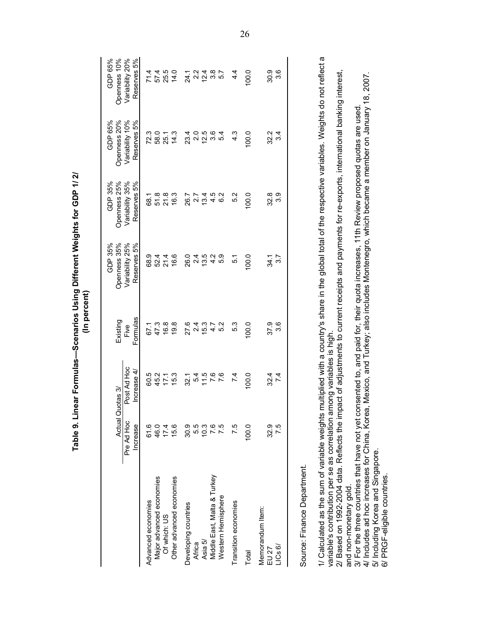|                             |                        |                                   | (In percent)     | Table 9. Linear Formulas—Scenarios Using Different Weights for GDP 1/2/ |                                |                                |                                |
|-----------------------------|------------------------|-----------------------------------|------------------|-------------------------------------------------------------------------|--------------------------------|--------------------------------|--------------------------------|
|                             |                        | Actual Quotas 3/                  | Existing         | Openness 35%<br>GDP 35%                                                 | Openness 25%<br>GDP 35%        | Openness 20%<br>GDP 65%        | GDP 65%<br>Openness 10%        |
|                             | Pre Ad Hoc<br>Increase | Post Ad Hoc<br>Increase 4         | Formulas<br>Five | Variability 25%<br>Reserves 5%                                          | Variability 35%<br>Reserves 5% | Variability 10%<br>Reserves 5% | Variability 20%<br>Reserves 5% |
| Advanced economies          | 61.6                   | 60.5                              | 67.1             | 68.9                                                                    | 68.1                           | 72.3                           | 71.4                           |
| Major advanced economies    | 46.0                   | 45.2                              | 47.3             | 52.4                                                                    | 51.8                           | 58.0                           | 57.4                           |
| Of which: US                | 17.4                   | 17.1                              | 16.8             |                                                                         | $21.8$<br>16.3                 | 25.1                           | 25.5<br>14.0                   |
| Other advanced economies    | 15.6                   | 15.3                              | 19.8             | 21.4<br>16.6                                                            |                                | 14.3                           |                                |
| Developing countries        | 30.9                   | 32.1                              | 27.6             | 26.0                                                                    | 26.7                           | 23.4                           |                                |
| Africa                      | 5.5                    |                                   |                  | 24                                                                      |                                |                                | 24.7<br>24.74<br>24.74         |
| Asia 5/                     | 10.3                   |                                   | 21<br>21<br>21   | 13.5                                                                    | $\frac{27}{13.4}$              | 2.5<br>2.5                     |                                |
| Middle East, Malta & Turkey |                        | 5 1 1 0<br>5 1 1 0 0<br>5 1 1 0 0 | $\frac{4}{7}$    | 4.2                                                                     | 4.5                            | 3.54<br>5.4                    | 3.7<br>5.7                     |
| Western Hemisphere          |                        |                                   | 5.2              | 5.9                                                                     | 6.2                            |                                |                                |
| Transition economies        | 7.5                    | 7.4                               | 5.3              | $\overline{5}$ .                                                        | 5.2                            | $4.\overline{3}$               | $4\cdot$                       |
| Total                       | 100.0                  | 0.01                              | 100.0            | 100.0                                                                   | 100.0                          | 100.0                          | 100.0                          |
| Memorandum Item:            |                        |                                   |                  |                                                                         |                                |                                |                                |
| EU 27                       | 32.9                   | 32 4<br>7 4                       | 37.9             | 34.1                                                                    | 32.8                           | 32.2                           | 30.9                           |
| LICs 6/                     | 7.5                    |                                   | 3.6              | $\frac{27}{3}$                                                          | 3.9                            | 3.4                            | 3.6                            |
|                             |                        |                                   |                  |                                                                         |                                |                                |                                |

Table 9. Linear Formulas-Scenarios Using Different Weights for GDP 1/2/ (In percent)

Source: Finance Department.<br>1/ Calculated as the sum of variable weights multiplied with a country's share in the global total of the respective variables. Weights do not reflect a<br>variable's contribution per se as correla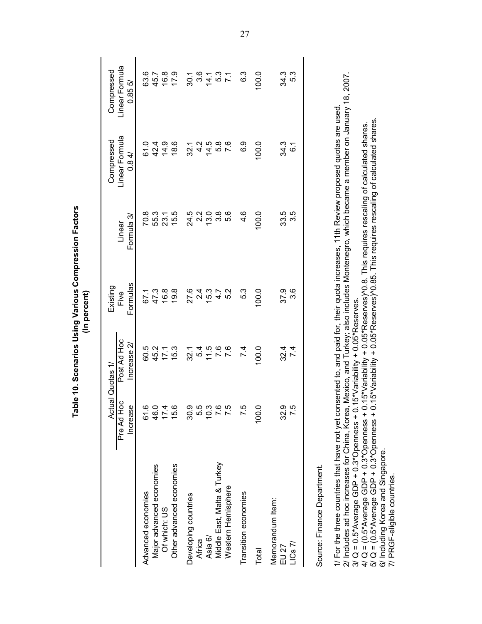|                                                                                                                                                                                                                                                                                                                                                                                       |                        |                            | (In percent)     |                      |                                                                                                                                                                                                                                                                                                    |                         |
|---------------------------------------------------------------------------------------------------------------------------------------------------------------------------------------------------------------------------------------------------------------------------------------------------------------------------------------------------------------------------------------|------------------------|----------------------------|------------------|----------------------|----------------------------------------------------------------------------------------------------------------------------------------------------------------------------------------------------------------------------------------------------------------------------------------------------|-------------------------|
|                                                                                                                                                                                                                                                                                                                                                                                       |                        | Actual Quotas 1/           | Existing         |                      | Compressed                                                                                                                                                                                                                                                                                         | Compressed              |
|                                                                                                                                                                                                                                                                                                                                                                                       | Pre Ad Hoc<br>Increase | Post Ad Hoc<br>Increase 2/ | Formulas<br>Five | Formula 3/<br>Linear | Linear Formula<br>0.84/                                                                                                                                                                                                                                                                            | Linear Formula<br>0.855 |
| Advanced economies                                                                                                                                                                                                                                                                                                                                                                    |                        | 60.5                       | 67.1             | 70.8                 | 61.0                                                                                                                                                                                                                                                                                               | 63.6                    |
| Major advanced economies                                                                                                                                                                                                                                                                                                                                                              |                        |                            | 47.3             | 55.3                 | 42.4                                                                                                                                                                                                                                                                                               | 45.7                    |
| Of which: US                                                                                                                                                                                                                                                                                                                                                                          |                        | 45.2<br>17.1               | 16.8             | 23.1                 | 14.9                                                                                                                                                                                                                                                                                               | 16.8                    |
| Other advanced economies                                                                                                                                                                                                                                                                                                                                                              |                        | 15.3                       | 19.8             | 15.5                 | 18.6                                                                                                                                                                                                                                                                                               | 17.9                    |
| Developing countries                                                                                                                                                                                                                                                                                                                                                                  |                        | 32.1                       | 27.6             | 24.5                 | 32.1                                                                                                                                                                                                                                                                                               | 30.1                    |
| Africa                                                                                                                                                                                                                                                                                                                                                                                |                        | 5.4                        | 2.4              | $2.\overline{2}$     | $4.\overline{2}$                                                                                                                                                                                                                                                                                   |                         |
| Asia 6/                                                                                                                                                                                                                                                                                                                                                                               |                        | 11.5                       | 15.3             | 13.0                 | 14.5                                                                                                                                                                                                                                                                                               | $3.6$<br>$14.1$         |
| Middle East, Malta & Turkey                                                                                                                                                                                                                                                                                                                                                           |                        | $7.6$<br>7.6               | 4.7              | 3.8                  | 5.8                                                                                                                                                                                                                                                                                                | 5.3                     |
| Western Hemisphere                                                                                                                                                                                                                                                                                                                                                                    |                        |                            | 5.2              | 5.6                  | 7.6                                                                                                                                                                                                                                                                                                |                         |
| Transition economies                                                                                                                                                                                                                                                                                                                                                                  | 7.5                    | 7.4                        | 5.3              | 4.6                  | 6.9                                                                                                                                                                                                                                                                                                | 6.3                     |
| Total                                                                                                                                                                                                                                                                                                                                                                                 | 100.0                  | 100.0                      | 100.0            | 100.0                | 100.0                                                                                                                                                                                                                                                                                              | 100.0                   |
| Memorandum Item:<br>EU 27                                                                                                                                                                                                                                                                                                                                                             | 32.9                   | 32.4                       | 37.9             | 33.5                 | 34.3                                                                                                                                                                                                                                                                                               | 34.3                    |
| $LICS$ $7/$                                                                                                                                                                                                                                                                                                                                                                           | 7.5                    | 7.4                        | 3.6              | 3.5                  | $\overline{6}$                                                                                                                                                                                                                                                                                     | 5.3                     |
| Source: Finance Department.                                                                                                                                                                                                                                                                                                                                                           |                        |                            |                  |                      |                                                                                                                                                                                                                                                                                                    |                         |
| 1/ For the three countries that have not yet consented to, and paid for, their quota increases, 11th Review proposed quotas are used<br>3/ Q = 0.5*Average GDP + 0.3*Openness + 0.15*Variability + 0.05*Reserves.<br>2/ Includes ad hoc increases for China, Korea,<br>$4/$ Q = (0.5*Average GDP + 0.3*Openness +<br>$5/\text{Q} = (0.5^*\text{Average GDP} + 0.3^*\text{Openness} +$ |                        |                            |                  |                      | Mexico, and Turkey; also includes Montenegro, which became a member on January 18, 2007.<br>0.15*Variability + 0.05*Reserves) <sup>1</sup> 0.85. This requires rescaling of calculated shares<br>0.15*Variability + 0.05*Reserves) <sup>1</sup> 0.8. This requires rescaling of calculated shares. |                         |
| 6/ Including Korea and Singapore.<br>7/ PRGF-eligible countries.                                                                                                                                                                                                                                                                                                                      |                        |                            |                  |                      |                                                                                                                                                                                                                                                                                                    |                         |

Table 10. Scenarios Using Various Compression Factors (In percent)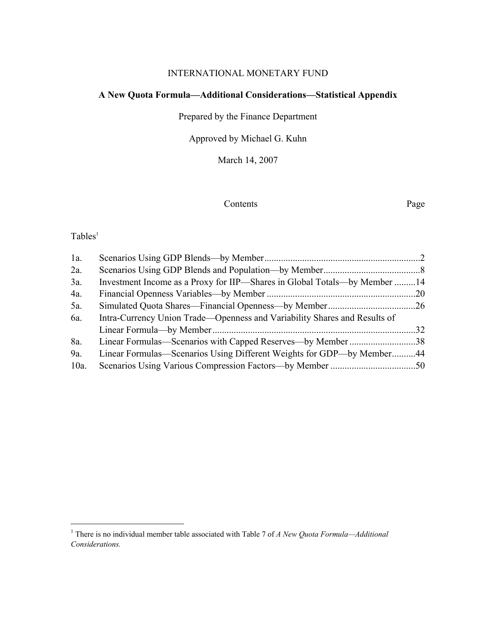#### INTERNATIONAL MONETARY FUND

### **A New Quota Formula—Additional Considerations—Statistical Appendix**

Prepared by the Finance Department

Approved by Michael G. Kuhn

March 14, 2007

#### Contents Page

## $Tables<sup>1</sup>$

| $1a$ .  |                                                                           |  |
|---------|---------------------------------------------------------------------------|--|
| 2a.     |                                                                           |  |
| 3a.     | Investment Income as a Proxy for IIP—Shares in Global Totals—by Member 14 |  |
| 4a.     |                                                                           |  |
| $5a$ .  |                                                                           |  |
| 6a.     | Intra-Currency Union Trade—Openness and Variability Shares and Results of |  |
|         |                                                                           |  |
| 8a.     | Linear Formulas—Scenarios with Capped Reserves—by Member 38               |  |
| 9a.     | Linear Formulas—Scenarios Using Different Weights for GDP—by Member44     |  |
| $10a$ . |                                                                           |  |

<sup>&</sup>lt;sup>1</sup> There is no individual member table associated with Table 7 of *A New Quota Formula—Additional Considerations.*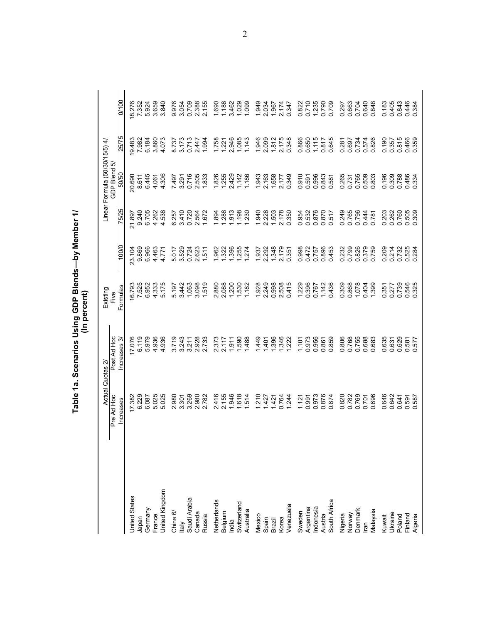|                       |                               |                       | (In percent)     |                |                |                                                |                 |                         |
|-----------------------|-------------------------------|-----------------------|------------------|----------------|----------------|------------------------------------------------|-----------------|-------------------------|
|                       | Actual Quotas 2<br>Pre Ad Hoc | Post Ad Hoc           | Existing<br>Five |                |                | Linear Formula (50/30/15/5) 4/<br>GDP Blend 5/ |                 |                         |
|                       | Increases                     | Increases 3/          | Formulas         | 100/0          | 75/25          | 50/50                                          | 25/75           | 0/100                   |
| <b>United States</b>  | 17.382<br>6.229               | 17.076                | 6.793<br>7.525   | 23.104         | 21.897         | 20.690                                         | I9.483<br>7.982 |                         |
| Iapan                 |                               |                       |                  | 9.869          | 9.240          | 8.611                                          |                 | 8.276<br>7.352          |
| Germany               | 6.087                         | 979<br>ιo             | 6.952            | 6.966          | 6.705          | 6.445                                          | 6.184           | 924<br>ιö.              |
| France                | 025<br>ທ່                     | 936<br>4              | 4.333            | 4.463          | 4.262          | 4.061                                          | 3.860           | 3.659                   |
| <b>Jnited Kingdom</b> | 025<br>່ທ່                    | 936<br>4              | 5.175            | 4.771          | 538<br>4       | 306<br>4                                       | 4.073           | 840<br>ത്               |
| China 6/              | 980<br>Ν.                     | 719<br>ຕ່             | 5.197            | 5.017          | -257<br>6      | 7497                                           |                 |                         |
| <b>d</b>              | 3.301                         | 3.243                 | 3.442            | 3.529          | 3.410          | 3.291                                          | 8.737<br>3.173  | 9.976<br>3.054          |
| Saudi Arabia          | 3.269                         | 3.211                 | 1.063            | 0.724          | 0.720          | 0.716                                          | 0.713           | 0.709                   |
| Canada                | 2.980<br>2.782                | 2.928                 | 3.098            | 2.623          | 2.564          | 2.505                                          | 2.447           | 2.388<br>2.155          |
| Russia                |                               |                       | 1.519            | 1.511          | 1.672          | 1.833                                          | 1.994           |                         |
| Netherlands           | 416<br>$\mathbf{N}$           | 373<br>$\overline{N}$ | 880<br>2.        | 1.962          | 1.894          | 1.826                                          | 1.758           | 1.690                   |
| Belgium               | 2.155                         | 2.117                 | 2.088            | 1.322          | 1.288          | 1.255                                          | 1.221           | 1.188                   |
| India                 | 1.946                         | $-911$                | 1.200            | 1.396          | 1.913          | 2.429                                          | 2.946           | 3.462                   |
| Switzerland           | 1.618                         | 590                   | 1.530            | 1.255          | 1,198          | 1.142                                          | 1.085           | 1.029                   |
| Australia             | 1.514                         | 488                   | 1.182            | 1.274          | 1.230          | 1.186                                          | 1.143           | 1.099                   |
| Mexico                | 1.210                         | 449                   | 1.928            | 1.937          | 1.940          | 1.943                                          | 1.946           | 1.949                   |
|                       | 1.427                         | 401                   | 2.249            | 2.292          | 2.228          | 2.163                                          | 2.099           | 2.034                   |
| Spain<br>Brazil       | 1.421                         | .396                  | 0.998            | 1.348          | 1.503          | 1.658                                          | 1.812           | 1.967                   |
| Korea                 | 0.764                         | 1.346                 | 2.508            | 2179           | 2.178          | 2.177                                          | 2.175           | 2.174                   |
| /enezuela             | 1.244                         | 1.222                 | 0.415            | 0.351          | 0.350          | 0.349                                          | 0.348           | 0.347                   |
| Sweden                | 1.121                         | 1.101                 | 1.229            | 0.998          | 0.954          | 910<br>$\circ$                                 | 0.866           | 0.822                   |
| Argentina             | 0.991                         | 0.973                 | 0.396            | 0.472<br>0.757 | 0.532<br>0.876 |                                                | 0.650           | 0.710                   |
|                       | 0.973                         | 0.956                 | 0.767            |                |                | 0.591<br>0.996                                 | 1.115           | 1.235                   |
| Indonesia<br>Austria  | 0.876                         | 0.861                 | 1.142            | 0.896          | 0.870          | 0.843                                          | 0.817           | 0.790                   |
| South Africa          | 0.874                         | 0.859                 | 0.436            | 0.453          | 0.517          | 581<br>$\circ$                                 | 0.645           | 0.709                   |
|                       | 0.820                         | 0.806                 | 0.309            | 0.232          | 0.249          | 265<br>ö                                       | 0.281           | 0.297                   |
| Nigeria<br>Norway     | 0.782                         | 0.768                 | 0.868            | 0.799          | 0.765          | 0.731                                          | 0.697           |                         |
| Jenmark               | 0.769                         | 0.755                 | 1.078            | 0.826          | 0.796          | 0.765                                          | 0.734           | 0.663<br>0.704<br>0.640 |
| lian                  | 0.701                         | 0.688                 | 0.404            | 0.379          | 0.444          | 0.509<br>0.803                                 | 0.574           |                         |
| Nalaysia              | 696<br>ö                      | 0.683                 | 1.399            | 0.759          | 0.781          |                                                | 0.826           | 848<br>$\circ$          |
| Kuwait                | 0.646                         | 0.635                 | 351<br>ö         | 0.209          | 0.203          | 0.196                                          | 0.190           | 0.183                   |
| Ukraine               | 0.642                         | 0.631                 | 0.277            | 0.214          | 0.262          | 0.309                                          | 0.357           | 0.405                   |
| Poland                | 0.641                         | 0.629                 | 0.739            | 0.732          | 0.760          | 0.788                                          | 0.815           | 0.384<br>0.384<br>0.384 |
| Finland               | 0.591                         | 0.581<br>0.577        | 0.546            | 0.525<br>0.284 | 0.505          | 0.334                                          | 0.466<br>0.359  |                         |
| Algeria               | 0.587                         |                       | 325              |                | 0.309          |                                                |                 |                         |

2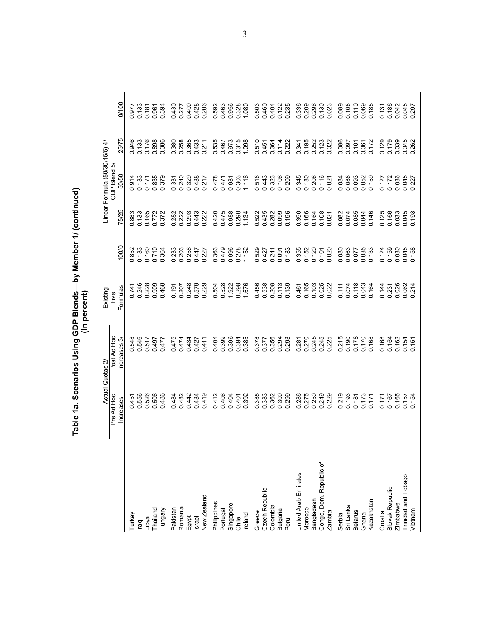| New Zealand<br>Philippines<br>Singapore<br>Romania<br>Pakistan<br>Thailand<br>Portugal<br>Hungary<br>Ireland<br>Turkey<br>Egypt<br>Libya<br>Chile<br><b>Israel</b><br>raq | Actual                         | Quotas 2                      | Existing         |                       |                      | Linear Formula (50/30/15/5) 4/ |                           |                         |
|---------------------------------------------------------------------------------------------------------------------------------------------------------------------------|--------------------------------|-------------------------------|------------------|-----------------------|----------------------|--------------------------------|---------------------------|-------------------------|
|                                                                                                                                                                           | Pre Ad Hoc<br><b>Increases</b> | Post Ad Hoc<br>Increases 3/   | Formulas<br>Five | 100/0                 | 75/25                | GDP Blend 5/<br>50/50          | 25/75                     | 0/100                   |
|                                                                                                                                                                           |                                |                               |                  |                       |                      |                                |                           |                         |
|                                                                                                                                                                           | 0.451<br>0.556                 | 546<br>88<br>00               | 0.246<br>0.741   | 0.852<br>0.133<br>852 | 0.883<br>0.133       | 0.914<br>0.133                 | 0.946<br>0.133            | 0.133<br>977<br>ö       |
|                                                                                                                                                                           | 526<br>$\circ$                 | 0.517                         | 0.228            | 0.160                 | 0.165                | 0.171                          | 0.176                     | 0.181                   |
|                                                                                                                                                                           |                                | 497<br>$\circ$                | 0.909            | 0.710                 | 0.772                | 0.835                          |                           |                         |
|                                                                                                                                                                           | 0.506<br>0.486                 | 477<br>ö                      | 0.468            | 0.364                 | 372<br>ö             | 0.379                          | 0.898<br>0.386            | 394<br>0.394<br>0.394   |
|                                                                                                                                                                           | 0.484                          | $\frac{4}{7}$<br>ö            | 0.191            | 0.233                 | 282<br>ö             | 0.331                          | 0.380                     | 0.430                   |
|                                                                                                                                                                           | 0.482                          | 0.474                         | 0.207            | 0.203                 | 222<br>$\dot{\circ}$ | 0.240                          |                           |                         |
|                                                                                                                                                                           | 0.442                          | 0.434                         | 248<br>$\circ$   | 0.258                 | 293<br>$\dot{\circ}$ | 0.329                          | 0.258<br>0.365<br>0.0.211 | 0.277<br>0.400          |
|                                                                                                                                                                           | 0.434                          | 0.427                         | 579<br>$\circ$   | 0.447                 | 0.443                | 0.438                          |                           | 0.428                   |
|                                                                                                                                                                           | 0.419                          | 0.411                         | 0.229            | 0.227                 | 0.222                | 0.217                          |                           | 0.206                   |
|                                                                                                                                                                           | 0412                           | 404<br>ö                      | 0.504            | 0.363                 | 0.420                | 0.478                          | 0.535                     | 0.592                   |
|                                                                                                                                                                           | 0.406                          | 0.399                         | 0.528            | 0.479                 |                      | 0.471                          |                           | 0.463                   |
|                                                                                                                                                                           | 0.404                          | 0.394<br>0.394<br>0.385       | 1922<br>0.298    | 0.996                 | 0.475<br>0.988       | 0.981                          | 0.467<br>0.973            | 0.966<br>0.328          |
|                                                                                                                                                                           | 0.401                          |                               |                  | 0.278                 | 0.290                | 0.303                          | 0.315                     |                         |
|                                                                                                                                                                           | 0.392                          |                               | 1.676            | 1.152                 | 1.134                | 1.116                          | 1.098                     | 1.080                   |
| Greece                                                                                                                                                                    | 0.385                          | 378<br>ö                      | 0.456            | 0.529                 | 0.522                | 0.516                          | 510<br>ö                  | 0.503                   |
| Czech Republic                                                                                                                                                            | 0.383                          | 377<br>$\circ$                | 0.538            | 0.427                 | 0.435                | 0.443                          |                           | 0.460                   |
| Colombia                                                                                                                                                                  | 0.362                          | 0.356<br>0.294                | 0.208            | 0.241                 | 0.282                | 0.323                          | 0.451<br>0.364<br>0.114   | 0.404                   |
| Bulgaria                                                                                                                                                                  |                                |                               |                  | 0.091                 |                      | 0.106                          |                           | 0.122                   |
| Peru                                                                                                                                                                      | 0.299                          | 293<br>⊖                      | 0.139            | 0.183                 | 0.196                | 0.209                          | 0.222                     | 0.235                   |
| United Arab Emirates                                                                                                                                                      | 0.286                          | 281<br>ö                      | 0.461            | 0.355                 | 0.350                | 0.345                          | 0.341                     | 0.336                   |
| Morocco                                                                                                                                                                   | 0.275                          | 270<br>$\circ$                | 0.165            | 0.152                 | 0.166                | 0.180                          |                           | 0.209                   |
| Bangladesh                                                                                                                                                                | 0.250<br>0.249<br>0.229        | 245<br>245<br>$\circ$ $\circ$ | 0.103<br>0.025   | 0.120                 | 0.164                | 0.208<br>0.116                 | 0.195<br>0.252<br>0.123   | 0.296<br>0.130          |
| Congo, Dem. Republic of                                                                                                                                                   |                                |                               |                  | 0.101                 | 0.108                |                                |                           |                         |
| Zambia                                                                                                                                                                    |                                | .225<br>$\dot{\circ}$         | 0.022            | 0.020                 | 0.021                | 0.021                          | 0.022                     | 0.023                   |
| Serbia                                                                                                                                                                    | 0.219                          | 215<br>ö                      | 0.111            | 0.080                 | 0.082                | 0.084                          | 0.086                     | 0.089                   |
| Sri Lanka                                                                                                                                                                 | 0.193                          | 0.190                         | 0.074            | 0.063                 | 0.074                | 0.086                          |                           | 0.108                   |
| <b>Belarus</b>                                                                                                                                                            | 0.187                          | 0.178                         | 0.118            | 0.077                 | 0.085                | 0.093                          | 0.101<br>0.061<br>0.172   | 0.110                   |
| Ghana                                                                                                                                                                     | 0.173                          | 0.170                         | 0.043            | 0.035                 | 0.044                | 0.052                          |                           | 0.069                   |
| Kazakhstan                                                                                                                                                                | 0.171                          | 0.168                         | 0.164            | 0.133                 | 0.146                | 0.159                          |                           | 0.185                   |
| Croatia                                                                                                                                                                   | 0.171                          | 0.168                         | 0.144            | 0.124                 | 0.125                | 0.127                          | 0.129                     | 0.131                   |
| Slovak Republic                                                                                                                                                           | 0.167                          | 0.164                         | 0.231            | 0.159                 | 0.166                | 0.172                          |                           | 0.186                   |
| Zimbabwe                                                                                                                                                                  | 0.165                          | 0.162                         | 0.026            | 0.030                 | 0.033                | 0.036                          |                           |                         |
| <b>Trinidad and Tobago</b><br>Vietnam                                                                                                                                     | 0.157<br>0.154                 | 0.154<br>0.151                | 0.062<br>0.214   | 0.045                 | 0.045                | 0.045                          | 0.039<br>0.045<br>0.262   | 0.042<br>0.045<br>0.297 |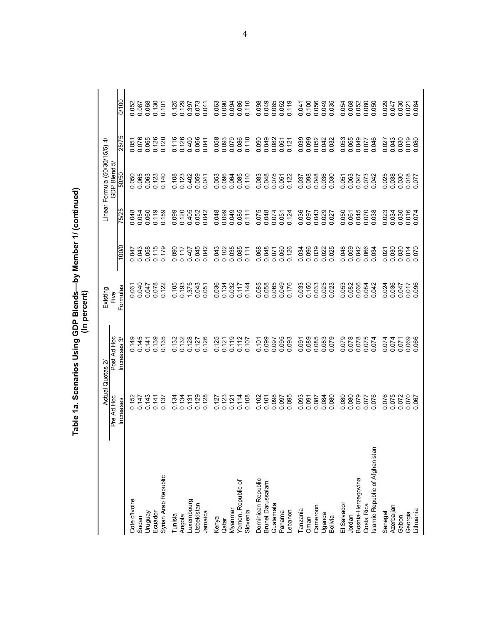|                                              |                                   | Table 1a. Scenarios Using GDP Blends—by Member 1/ (continued) | (In percent)     |                |                         |                                |                                 |                |
|----------------------------------------------|-----------------------------------|---------------------------------------------------------------|------------------|----------------|-------------------------|--------------------------------|---------------------------------|----------------|
|                                              | Actual                            | Quotas 2                                                      | Existing         |                |                         | Linear Formula (50/30/15/5) 4/ |                                 |                |
|                                              | Pre Ad Hoc<br><b>Increases</b>    | Post Ad Hoc<br>Increases 3                                    | Formulas<br>Five | 100/0          | 75/25                   | GDP Blend 5<br>50/50           | 25/75                           | 0/100          |
| Cote d'Ivoire                                |                                   |                                                               |                  | 0.047          |                         |                                |                                 |                |
| Sudan                                        | 0.152<br>0.147                    | 0.145<br>0.145                                                | 0.061<br>0.040   | 0.043          | 0.048<br>0.054          | 0.050<br>0.065                 | 0.051<br>0.076<br>0.08<br>0.126 | 0.052<br>0.087 |
| Venbnun                                      | 0.143                             | 0.141                                                         | 0.047            | 0.058          | 0.060                   | 0.063                          |                                 | 0.068          |
| Ecuador                                      | 0.141                             | 0.139                                                         | 0.078            | 0.115          | 0.119                   | 0.123                          |                                 | 0.130          |
| Syrian Arab Republic                         | 0.137                             | 0.135                                                         | 0.122            | 0.179          | 0.159                   | 0.140                          | 0.120                           | 0.107          |
| Tunisia                                      | 0.134                             | 0.132                                                         | 0.105            | 090<br>ö       | 0.099                   | 0.108                          | 0.116                           | 0.125          |
| Angola                                       | 0.134                             | 0.132                                                         | 0.193            | 0.117          | 0.120                   | 0.123                          | 0.126                           | 0.129          |
| uxembourg                                    | 0.131                             | 0.128                                                         | 1.375            | 0.407          | 0.405                   | 0.402                          | 0.400                           | 0.397          |
| Uzbekistan                                   | 0.129                             | 0.127                                                         | 0.043            | 0.045          | 0.052                   | 0.059                          | 0.066                           | 0.073          |
| Jamaica                                      | 0.128                             | 0.126                                                         | 0.051            | 0.042          | 0.042                   | 0.041                          |                                 | 0.041          |
| Kenya                                        | 0.127                             | 0.125                                                         | 0.036            | 0.043          | 0.048                   | 0.053                          |                                 | 0.063          |
| Qatar                                        | 0.123                             | 0.121                                                         | 0.134            | 0.102          |                         | 0.096                          |                                 | 0.090          |
| Myanmar                                      | 0.121                             | 0.119                                                         | 0.032            | 0.035          | 6 00 0                  | 0.064                          | 0.058<br>COOOO                  | 0.094          |
| Yemen, Republic of                           | 0.114                             | 0.112                                                         | 0.117            | 0.085          | 0.085                   | 0.085                          | 0.086<br>0.110                  | 0.086          |
| Slovenia                                     | 0.108                             | 0.107                                                         | 0.144            | 0.111          | 0.111                   | 0.110                          |                                 | 0.110          |
| Dominican Republic                           | 0.102                             | 0.101                                                         | 0.085            | 0.068          | 0.075                   | 0.083                          | 0.090                           | 0.098          |
| Brunei Darussalam                            | 0.101                             | 0.099                                                         | 0.058            | 0.048          | 0.048<br>0.074          | 0.048                          | 0.049                           | 0.049          |
| Guatemala                                    | 0.098                             | 0.097                                                         | 0.065            | 0.071          |                         | 0.078                          | 0.082<br>0.051                  | 0.085<br>0.052 |
| Panama                                       | 0.097                             | 0.095                                                         | 0.049            | 0.050          | 0.051                   | 0.051                          |                                 |                |
| Lebanon                                      | 0.095                             | 0.093                                                         | 0.176            | 0.126          | 0.124                   | 0.122                          | 0.121                           | 0.119          |
| Tanzania                                     | 0.093                             | 0.091                                                         | 0.033            | 0.034          | 0.036                   | 0.037                          | 0.039                           | 0.041          |
| Oman                                         | 0.091                             | 0.089                                                         | 0.150            | 0.096          | 0.097                   | 0.098                          |                                 | 0.100          |
| Cameroon                                     | 0.087                             | 0.085                                                         | 0.033            | 0.039          | 0.043<br>0.029          | 0.048                          | 0.052<br>0.052<br>0.042         | 0.056<br>0.049 |
| Uganda                                       | 0.084                             | 0.083                                                         | 0.025            | 0.022          |                         |                                |                                 |                |
| Bolivia                                      | 0.080                             | 0.079                                                         | 0.023            | 0.025          | 0.027                   | 0.030                          | 0.032                           | 0.035          |
| El Salvador                                  | 0.080                             | 0.079                                                         | 0.053            | 0.048          | 0.050                   | 0.051                          | 0.053                           | 0.054          |
| Jordan                                       | 0.080                             | 0.078                                                         | 0.082            | 0.059          | 0.061                   | 0.063                          | 0.065                           | 0.068          |
| Bosnia-Herzegovina                           | 0.079                             | 0.078                                                         | 0.066            | 0.042          |                         | 0.047                          | 0.049<br>0.077                  | 0.052<br>0.080 |
| slamic Republic of Afghanistan<br>Costa Rica | 076<br><b>LLO</b><br>$\circ$<br>ö | 0.075<br>0.074                                                | 0.084<br>0.042   | 0.066<br>0.034 | 0.045<br>0.070<br>0.038 | 0.073<br>0.042                 | 0.046                           | 0.050          |
|                                              |                                   | 0.074                                                         |                  | 0.021          |                         |                                |                                 | 0.029          |
| Azerbaijan<br>Senegal                        | 076<br>0.075<br>ö                 | 0.074                                                         | 0.024<br>0.036   | 0.030          | 0.023<br>0.034          | 025<br>0.038<br>ö              | 0.027                           | 0.047          |
| Gabon                                        | 0.072                             | 0.071                                                         | 0.047            | 0.030          | 0.030                   | 0.030                          |                                 | 0.030          |
| Georgia                                      | 0.070                             | 0.069                                                         | 0.017            | 0.014          | 0.016<br>0.074          | 0.018                          | 0.030<br>0.019<br>0.080         | 0.021<br>0.084 |
| Lithuania                                    |                                   |                                                               | 0.096            |                |                         |                                |                                 |                |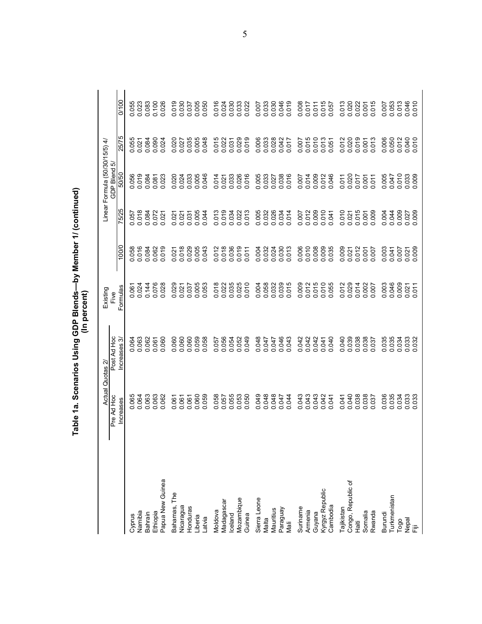|                    | Actual Quotas 2         |                            | Existing         |                     |              | Linear Formula (50/30/15/5) 4/ |                    |                |
|--------------------|-------------------------|----------------------------|------------------|---------------------|--------------|--------------------------------|--------------------|----------------|
|                    | Pre Ad Hoc<br>Increases | Post Ad Hoc<br>Increases 3 | Formulas<br>Five | 100/0               | 75/25        | GDP Blend 5/<br>50/50          | 25/75              | 0/100          |
|                    |                         |                            |                  |                     |              |                                |                    |                |
| Namibia<br>Cyprus  | 0.064                   | 0.064                      | 0.061            | 0.058<br>0.016      | 810.00<br>05 | 0.056<br>0.019<br>0.084        | 0.055              | 0.023<br>.055  |
| Bahrain            | 0.063                   | 0.062                      | 0.144            | 0.084               | 0.084        |                                | 0.021              | 0.083          |
| Ethiopia           | 0.063                   | 0.061                      | 0.076            | 0.062               | 0.072        | 0.081                          | 0.090              | 0.100          |
| Papua New Guinea   | .062<br>ö               | 0.060                      | 0.028            | 019<br>ö            | 0.021        | 0.023                          | 0.024              | 026<br>ö       |
| Bahamas, The       | $\overline{0}$<br>Ö     | .060<br>ö                  | 0.029            | $\overline{0}$<br>Ö | 0.021        | 0.020                          | 0.020              | 019<br>ö       |
| Nicaragua          | 0.061                   | 0.060                      | 0.021            | 0.018               | 0.021        |                                |                    | 0.030          |
| Honduras           | 0.061                   | 0.060                      | 0.037            | 0.029               | 0.031        | 0.024                          | 0.027              | 0.037          |
| Liberia            | 0.060                   | 0.059                      | 0.005            | 0.005               | 0.005        | 0.005                          | 0.005              | 0.005          |
| Latvia             | 0.059                   | 0.058                      | 0.053            | 0.043               | 0.044        | 0.046                          | 0.048              | 0.050          |
| Moldova            | 0.058                   | 0.057                      | 0.018            | 012<br>Ö            | 0.013        | 0.014                          | 0.015              | 016<br>ö       |
| Madagascar         | 0.057                   | 0.056                      | 0.022            | 0.018               | 0.019        |                                | 0.022              | 0.024          |
| celand             | 0.055                   | 0.054                      | 0.035            | 0.036               | 0.034        | 0.021<br>0.033<br>0.026        | 0.031              | 0.030          |
| Mozambique         | 0.053                   | 0.052                      | 0.025            |                     | 0.022        |                                |                    | 0.033          |
| Guinea             | 0.050                   | 0.049                      | 010<br>ö         | 011<br>$\circ$      | 0.013        | 0.016                          | 0.019              | 0.022          |
| Sierra Leone       | 0.049                   | 0.048                      | 0.004            | 0.004               | 0.005        | 0.005                          | 0.006              | 0.007          |
| Malta              | 0.048                   | 0.047                      | 0.058            | 0.032               | 0.032        |                                | 0.033              | 0.033          |
| Mauritius          | 0.048                   | 0.047                      | 0.032            | 0.024               | 0.026        | 0.033<br>0.027<br>0.038        | 0.028              | 0.030          |
| Paraguay           | 0.047                   | 0.046                      |                  |                     | 0.034        |                                | 0.042<br>0.017     | 0.046          |
| Naii               | 0.044                   | 0.043                      | 0.015            | 0.013               | 0.014        | 0.016                          |                    | 0.019          |
| Suriname           | 0.043                   | 0.042                      | 0.009            | 0.006               | 0.007        | 0.007                          | 0.007              | 0.008          |
| Armenia            | 0.043                   | 0.042                      | 0.012            | 0.010               | 0.012        | 0.014                          | 0.015              | 0.017          |
| Guyana             | 0.043                   | 0.042                      | 0.015<br>0.010   |                     | 0.009        | 0.009<br>0.012                 |                    | 0.011          |
| Kyrgyz Republic    | 0.042                   | 0.041                      |                  | 0.008               | 0.010        |                                | 0.013              | 0.015          |
| Cambodia           | 0.041                   | 0.040                      | 0.055            | 0.035               | 0.041        | .046<br>$\ddot{\circ}$         | 0.051              | 0.057          |
| <b>Tajikistan</b>  | 0.041                   | 0.040                      | 012<br>ö         | 0.009               | 0.010        |                                | 0.012              | 013<br>ö       |
| Congo, Republic of | 0.040                   | 0.039                      | 0.029            | 0.021               | 0.021        | 0.011                          | 0.020              | 0.020          |
| 這                  | 0.038                   | 0.038                      | 0.014            | 0.012               | 0.015        | 0.001                          | 0.019              | 0.022          |
| Somalia            | 0.038                   | 0.038                      | 0.002            | 0.007               | 0.009        |                                | $0.001$<br>$0.013$ | 0.001          |
| Rwanda             | 0.037                   | 0.037                      | 0.007            |                     |              | 0.011                          |                    | 015<br>⊖       |
| Burundi            | 0.036                   | 035<br>$\circ$             | 0.003            | 0.003               | 0.004        | 0.005<br>0.047                 | 0.006              | 0.063          |
| Turkmenistan       | 0.035                   | 0.035                      |                  | 0.041               | 0.044        |                                | 0.050              |                |
| Togo               | 0.034                   | 0.034                      | 0.009            | 0.007               | 0.009        | 0.010                          | 0.012              | 0.013          |
| nepal<br>Fiji      | 0.033                   | 0.033                      | $0.021$<br>0.011 | 0.021               | 0.027        | 0.033                          | 0.010              | 0.046<br>0.010 |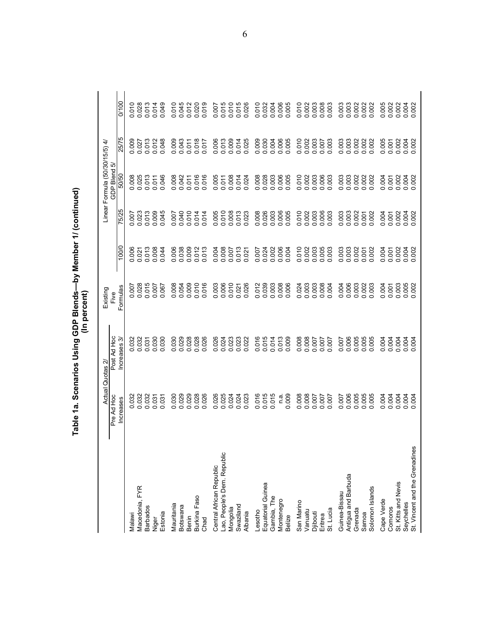| 0.023<br>ö<br><b>Actual Quotas 2</b><br>0.029<br>0.028<br>0.026<br>0.026<br>0.024<br>0.024<br>0.024<br>0.023<br>0.029<br>0.032<br>0.032<br>0.032<br>030<br>Pre Ad Hoc<br>0.031<br>031<br><b>Increases</b><br>$\mathbf{c}$<br>ö<br>Lao, People's Dem. Republic<br>Central African Republic<br>Macedonia, FYR<br>Burkina Faso<br>Mauritania<br>Swaziland<br>Botswana<br><b>Barbados</b><br>Mongolia<br>Albania<br>Estonia<br>Malawi<br>Benin<br>Chad<br>Niger |                            |                               |                |                         |                                |                         |                           |
|-------------------------------------------------------------------------------------------------------------------------------------------------------------------------------------------------------------------------------------------------------------------------------------------------------------------------------------------------------------------------------------------------------------------------------------------------------------|----------------------------|-------------------------------|----------------|-------------------------|--------------------------------|-------------------------|---------------------------|
|                                                                                                                                                                                                                                                                                                                                                                                                                                                             |                            | Existing                      |                |                         | Linear Formula (50/30/15/5) 4/ |                         |                           |
|                                                                                                                                                                                                                                                                                                                                                                                                                                                             | Post Ad Hoc<br>Increases 3 | Formulas<br>Five              | 100/0          | 75/25                   | GDP Blend 5/<br>50/50          | 25/75                   | 0/100                     |
|                                                                                                                                                                                                                                                                                                                                                                                                                                                             |                            |                               | 006            |                         | 008                            |                         |                           |
|                                                                                                                                                                                                                                                                                                                                                                                                                                                             | 0.032<br>0.032             | 0.007                         | 0.006          | 0.007<br>0.023<br>0.013 | 025<br>000                     | 0.009                   | 0.010<br>0.028<br>0.013   |
|                                                                                                                                                                                                                                                                                                                                                                                                                                                             | 0.031                      | 0.015                         | 0.013          |                         | 013                            | 0.013                   |                           |
|                                                                                                                                                                                                                                                                                                                                                                                                                                                             | 0.030                      | 0.007                         | 0.008          | 0.009                   | 0.011<br>0.046                 | 0.012                   | 0.014<br>0.049            |
|                                                                                                                                                                                                                                                                                                                                                                                                                                                             | 030                        | 0.067                         | 044<br>ö       | 0.045                   |                                |                         |                           |
|                                                                                                                                                                                                                                                                                                                                                                                                                                                             | 030                        | 0.008                         | 006<br>ö       | 0.007                   | 008<br>ö                       | 0.009                   | 010<br>ö                  |
|                                                                                                                                                                                                                                                                                                                                                                                                                                                             | 0.029                      | 0.054                         | 0.038          | 0.040                   | 0.042                          | 0.043                   | 0.045<br>0.012            |
|                                                                                                                                                                                                                                                                                                                                                                                                                                                             | 0.028                      | 0.009                         | 0.009          | 0.010                   | 0.011                          |                         |                           |
|                                                                                                                                                                                                                                                                                                                                                                                                                                                             | 0.028                      | 0.010                         | 0.012          | 0.014                   | 016<br>$\circ$                 | 0.018                   | 0.020                     |
|                                                                                                                                                                                                                                                                                                                                                                                                                                                             | 0.026                      | 0.016                         | 0.013          | 0.014                   | 0.016                          | 0.017                   | 0.019                     |
|                                                                                                                                                                                                                                                                                                                                                                                                                                                             | 0.026                      | 0.003                         | 0.004          | 0.005                   | 0.005                          | 0.006                   | 0.007                     |
|                                                                                                                                                                                                                                                                                                                                                                                                                                                             | 0.024                      | $0.006$<br>$0.010$<br>$0.021$ | 0.008          | 0.010                   | 0.011                          | 0.013<br>0.009<br>0.014 | 0.015<br>0.010<br>0.015   |
|                                                                                                                                                                                                                                                                                                                                                                                                                                                             |                            |                               | 0.007          | 0.008                   | 0.008                          |                         |                           |
|                                                                                                                                                                                                                                                                                                                                                                                                                                                             |                            |                               | 0.013          |                         |                                |                         |                           |
|                                                                                                                                                                                                                                                                                                                                                                                                                                                             | 0.022                      | 0.026                         | 0.021          | 0.023                   | 0.024                          | 0.025                   | 0.026                     |
| 0.016<br>Lesotho                                                                                                                                                                                                                                                                                                                                                                                                                                            | 0.016                      | 0.012                         | 0.007          | 0.008                   | 0.008                          | 0.009                   | 0.010                     |
| 0.015<br>Equatorial Guinea                                                                                                                                                                                                                                                                                                                                                                                                                                  | 0.015                      | 0.039                         | 0.024          | 0.026                   | 0.028                          | 0.030                   | 0.032                     |
| 0.015<br>Gambia, The                                                                                                                                                                                                                                                                                                                                                                                                                                        | 0.014                      |                               | 0.002          | 0.003                   | 0.003                          |                         | 0.004                     |
| $\frac{a}{c}$<br>Montenegro                                                                                                                                                                                                                                                                                                                                                                                                                                 | 0.013                      | $0.003$<br>$0.006$            | 0.006          | 0.006                   |                                | 0.004<br>0.006<br>0.005 |                           |
| 0.009<br>Belize                                                                                                                                                                                                                                                                                                                                                                                                                                             | 0.009                      |                               | 0.004          | 0.005                   | 0.005                          |                         | 0.005                     |
| 0.008<br>San Marino                                                                                                                                                                                                                                                                                                                                                                                                                                         | 0.008                      | 0.024                         | 0.010          | 0.010                   | 0.010                          | 0.010<br>0.002          | 0.010                     |
| 0.008<br>Vanuatu                                                                                                                                                                                                                                                                                                                                                                                                                                            | 0.008                      | 0.003                         | 0.002          |                         | 0.002                          |                         |                           |
| Djibouti                                                                                                                                                                                                                                                                                                                                                                                                                                                    | 0.007                      |                               | 0.003          | 0.003                   |                                |                         |                           |
| 2000<br>2000<br>2000<br>Eritrea                                                                                                                                                                                                                                                                                                                                                                                                                             | 70000                      | 0.003<br>0.008<br>0.004       | 0.005          | 0.006                   | 0.003<br>0.006<br>0.003        | 0.003<br>TOO 0<br>O.OO3 | 0.003<br>0.003<br>0.003   |
| St. Lucia                                                                                                                                                                                                                                                                                                                                                                                                                                                   |                            |                               |                |                         |                                |                         |                           |
| ö<br>0.007<br>Guinea-Bissau                                                                                                                                                                                                                                                                                                                                                                                                                                 | 007                        | 0.004                         | 0.003          | 0.003                   | 0.003                          | 0.003                   | 0.003                     |
| Antigua and Barbuda                                                                                                                                                                                                                                                                                                                                                                                                                                         | 0.006                      |                               | 0.003          |                         |                                |                         |                           |
| Grenada                                                                                                                                                                                                                                                                                                                                                                                                                                                     | 0.005                      |                               | 0.002          | 0.002                   |                                |                         |                           |
| 0.005<br>0.005<br>0.005<br>Solomon Islands<br>Samoa                                                                                                                                                                                                                                                                                                                                                                                                         | 0.005                      | 0.003<br>0.003                | 0.002<br>0.001 | 0.001                   | 0.002<br>0.002                 | 0.002<br>0.002<br>0.002 | 0.002<br>0.002<br>0.002   |
|                                                                                                                                                                                                                                                                                                                                                                                                                                                             |                            |                               |                |                         |                                |                         |                           |
| 0.004<br>0.004<br>Cape Verde<br>Comoros                                                                                                                                                                                                                                                                                                                                                                                                                     | 0.004<br>0.004             | 0.001                         | 0.004<br>0.001 | 0.001                   | 0.001                          | $0.005$<br>$0.007$      |                           |
| 0.004<br>St. Kitts and Nevis                                                                                                                                                                                                                                                                                                                                                                                                                                | 0.004                      | 0.003                         | 0.002          | 0.002                   | 0.002                          | 0.002                   |                           |
| 0.004<br>0.004<br>St. Vincent and the Grenadines<br>Seychelles                                                                                                                                                                                                                                                                                                                                                                                              | 0.004<br>0.004             | 0.005                         | 0.004          | 0.004                   | 0.004                          | 0.004                   | 888888<br>888888<br>88888 |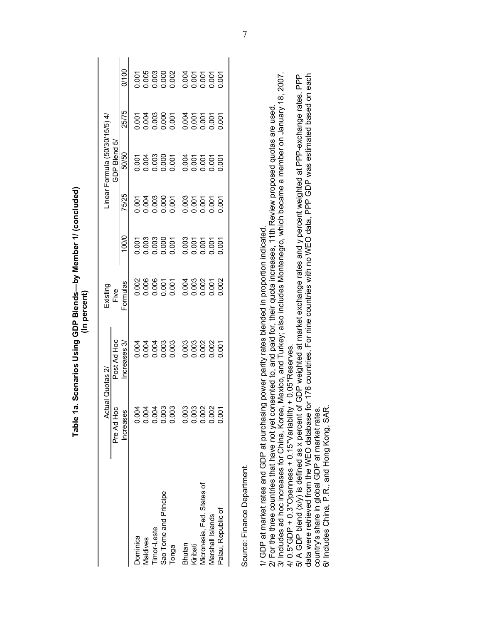|                                                                                                                                                                                                                                          |            | Table 1a. Scenarios Using GDP Blends—by Member 1/ (concluded)                              | (In percent) |       |       |                                |       |       |
|------------------------------------------------------------------------------------------------------------------------------------------------------------------------------------------------------------------------------------------|------------|--------------------------------------------------------------------------------------------|--------------|-------|-------|--------------------------------|-------|-------|
|                                                                                                                                                                                                                                          |            | Actual Quotas 2/                                                                           | Existing     |       |       | Linear Formula (50/30/15/5) 4/ |       |       |
|                                                                                                                                                                                                                                          | Pre Ad Hoc | Post Ad Hoc                                                                                | Fiye         |       |       | GDP Blend 5,                   |       |       |
|                                                                                                                                                                                                                                          | Increases  | Increases 3                                                                                | Formulas     | 100/0 | 75/25 | 50/50                          | 25/75 | 0/100 |
| Dominica                                                                                                                                                                                                                                 | 0.004      | 0.004                                                                                      | 0.002        | 0.001 | 0.001 | 0.001                          | 0.001 | 0.001 |
| Maldives                                                                                                                                                                                                                                 | 0.004      | 0.004                                                                                      | 0.006        | 0.003 | 0.004 | 0.004                          | 0.004 | 0.005 |
| Timor-Leste                                                                                                                                                                                                                              | 0.004      | 0.004                                                                                      | 0.006        | 0.003 | 0.003 | 0.003                          | 0.003 | 0.003 |
| Sao Tome and Principe                                                                                                                                                                                                                    | 0.003      | 0.003                                                                                      | 0.001        | 0.000 | 0.000 | 0.000                          | 0.000 | 0.000 |
| Tonga                                                                                                                                                                                                                                    | 0.003      | 0.003                                                                                      | 0.001        | 0.001 | 0.001 | 0.001                          | 0.001 | 0.002 |
| Bhutan                                                                                                                                                                                                                                   | 0.003      | 0.003                                                                                      | 0.004        | 0.003 | 0.003 | 0.004                          | 0.004 | 0.004 |
| Kiribati                                                                                                                                                                                                                                 | 0.003      | 0.003                                                                                      | 0.003        | 0.001 | 0.001 | 0.001                          | 0.001 | 0.001 |
| Micronesia, Fed. States of                                                                                                                                                                                                               | 0.002      | 0.002                                                                                      | 0.002        | 0.001 | 0.001 | 0.007                          | 0.001 | 0.001 |
| Marshall Islands                                                                                                                                                                                                                         | 0.002      | 0.002                                                                                      | 0.001        | 0.001 | 0.001 | 0.001                          | 0.001 | 0.001 |
| Palau, Republic of                                                                                                                                                                                                                       | 0.001      | 0.001                                                                                      | 0.002        | 0.001 | 0.007 | 0.001                          | 0.001 | 0.001 |
| Source: Finance Department.                                                                                                                                                                                                              |            |                                                                                            |              |       |       |                                |       |       |
| 2/ For the three countries that have not yet consented to, and paid for, their quota increases, 11th Review proposed quotas are used<br>1/ GDP at market rates and GDP at purchasing power parity rates blended in proportion indicated. |            |                                                                                            |              |       |       |                                |       |       |
| 3/ Includes ad hoc increases for China, Korea, Mexico, and Turkey; also includes Montenegro, which became a member on January 18, 2007<br>4/ 0.5*GDP + 0.3*Openness + 0.15*Variability + 0.05*Reserves.                                  |            |                                                                                            |              |       |       |                                |       |       |
| 5/ A GDP blend (x/y) is defined as x percent of GDP weighted at market exchange rates and y percent weighted at PPP-exchange rates. PPP<br>data were retrieved from the WEO database t                                                   |            | or 176 countries. For nine countries with no WEO data, PPP GDP was estimated based on each |              |       |       |                                |       |       |
| country's share in global GDP at market rates.<br>6/ Includes China, P.R., and Hong Kong, SAR                                                                                                                                            |            |                                                                                            |              |       |       |                                |       |       |
|                                                                                                                                                                                                                                          |            |                                                                                            |              |       |       |                                |       |       |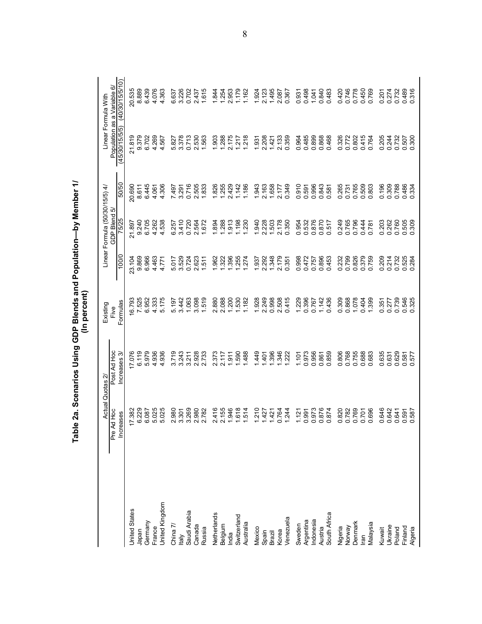|                                      | Actual Quotas 2             |                            | Existing         |                | Linear Formula (50/30/15/5) 4/ |                | Linear Formula With                           |                 |
|--------------------------------------|-----------------------------|----------------------------|------------------|----------------|--------------------------------|----------------|-----------------------------------------------|-----------------|
|                                      | d Hoc<br>Increases<br>Pre A | Post Ad Hoc<br>Increases 3 | Formulas<br>Five | 100/0          | GDP Blend 5/<br>75/25          | 50/50          | Population as a Variable 6/<br>(45/30/15/5/5) | (40/30/15/5/10) |
| <b>United States</b>                 | 17.382                      | 7.076                      | 16.793           | 23,104         | 21.897                         | 20.690         | 21.819                                        | 20.535          |
| Iapan                                | 6.229                       | 6.119                      | 7.525            | 9.869          | 9.240                          | 8.611          | 9.379                                         | 8.889           |
| Germany                              | 6.087                       | 5.979                      | 6.952            | 6.966          | 6.705                          | 6.445          | 6.702                                         | 6.439           |
| France                               | 5.025                       | 4.936                      | 4.333            | 4.463          | 4.262                          | 4.061          | 4.269                                         | 4.076           |
| <b>Jnited Kingdom</b>                | 5.025                       | 4.936                      | 5.175            | 4.771          | 4.538                          | 4.306          | 4.567                                         | 4.363           |
|                                      | 980<br>$\overline{N}$       | 3.719                      | 5.197            | 5.017          | 6.257                          | 7497           | 5.827                                         | 6.637           |
| China 7/<br>Italy                    | 3.301                       | 3.243                      | 3.442            | 3.529          | 3.410                          | 3.291          | 3.378                                         | 3.226           |
| Saudi Arabia                         | 3.269                       | 3.211                      | 1.063            | 0.724          | 0.720                          | 0.716          | 0.713                                         | 0.702           |
| Canada                               | 980<br>$\mathbf{a}$         | 2.928                      | 3.098            | 2.623          | 2.564                          | 2.505          | 2.530                                         | 2437            |
| Russia                               | 2.782                       | 2.733                      | 1.519            | .511           | 1.672                          | 1.833          | 1.563                                         | 1.615           |
| Netherlands                          | 416<br>$\mathbf{\Omega}$    | 2373                       | 2.880            | .962           | 894                            | 1.826          | 1.903                                         | 1.844           |
|                                      | 2.155                       | 2.117                      | 2.088            | 322            | 288                            | 1.255          | 1.288                                         | 1.254           |
| Belgium<br>India                     | 1.946                       | 1.911                      | 1.200            | 396            | 913                            | 2.429          | 2.175                                         | 2.953           |
| Switzerland                          | 1.514                       | 1.590                      | 1.530            | .255           | 1.198                          | 1.142          | 1.217                                         | 1.179           |
| Australia                            |                             | 488                        | 1,182            | 274            | 1.230                          | 1.186          | 1.218                                         | 1.162           |
| Mexico                               | 1.210                       | 449                        | 1.928            | 1.937          | 1.940                          | 1.943          | 1.931                                         | 1.924           |
|                                      | 1.427                       | 401                        | 2.249            | 2.292          | 2.228                          | 2.163          | 2.208                                         | 2.123           |
| Spain<br>Brazil<br>Korea             | 1.421                       | 1.396                      | 0.998            | 1.348          | 1.503                          | 1.658          | 1.421                                         | 1.495           |
|                                      | 0.764                       | 1.346                      | 2.508            | 2.179          | 2.178                          | 2.177          | 2.133                                         | 2.087           |
| Venezuela                            | 1.244                       | 1.222                      | 0.415            | 0.351          | 0.350                          | 0.349          | 0.359                                         | 0.367           |
| Sweden                               | 1.121                       | 1.101                      | 1.229            | 0.998          | 0.954                          | 0.910          | 0.964                                         | 0.931           |
| Argentina                            | 0.991                       | 0.973                      | 0.396            | 0.472          | 0.532                          | 0.591          | 0.485                                         | 0.498           |
| Indonesia<br>Austria<br>South Africa | 0.973                       | 0.956                      | 0.767            | 0.757          | 0.876                          | 0.996          | 0.899                                         | 1.041           |
|                                      | 0.876                       | 0.861                      | 1.142            | 0.896          | 0.870                          | 0.843          | 0.868                                         | 0.840           |
|                                      | 0.874                       | 0.859                      | 0.436            | 0.453          | 0.517                          | 0.581          | 0.468                                         | 0.483           |
| Nigeria<br>Norway                    | 0.820                       | 0.806                      | 0.309            | 0.232          | 0.249                          | 0.265          | 0.326                                         | 0.420           |
|                                      | 0.782                       | 0.768                      | 0.868            | 0.799          | 0.765                          | 0.731          | 0.772                                         | 0.746           |
| Denmark                              | 0.769                       | 0.755                      | 1.078            | 0.826          | 0.796                          | 0.765          | 0.802                                         | 0.778           |
| lran                                 | 0.701                       | 0.688                      | 0.404            | 0.379          | 0.444                          | 0.509          | 0.415                                         | 0.450           |
| Malaysia                             | 0.696                       | 0.683                      | 1.399            | 0.759          | 0.781                          | 0.803          | 0.764                                         | 0.769           |
| Kuwait                               | 0.646                       | 635<br>ö                   | 0.351            | 0.209          | 0.203                          | 0.196          | 0.205                                         | 0.201           |
| Ukraine                              | 0.642                       | 0.631                      | 0.277            | 0.214          | 0.262                          | 0.309          | 0.244                                         | 0.274           |
| Poland                               | 0.641                       | 0.629                      | 0.739            | 0.732          | 0.760                          | 0.788          | 0.732                                         | 0.732           |
| Finland<br>Algeria                   | 0.587<br>0.591              | 0.581<br>0.577             | 0.546<br>0.325   | 0.525<br>0.284 | 0.505<br>0.309                 | 0.486<br>0.334 | 0.300<br>0.507                                | 0.489<br>0.316  |

Table 2a. Scenarios Using GDP Blends and Population—by Member 1/<br>(In percent)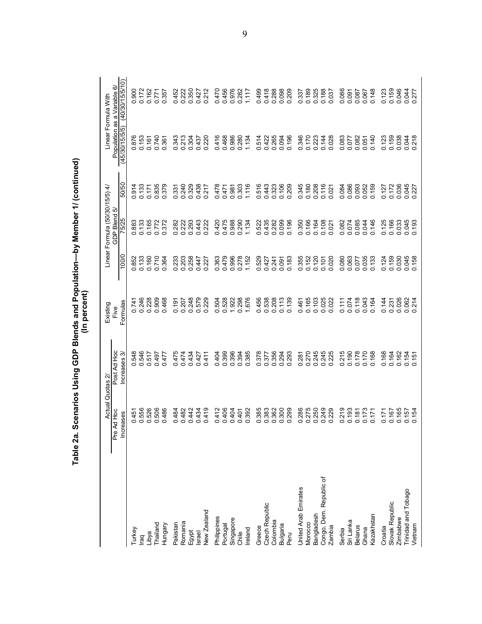|                                | Actual Quotas 2                  |                  | (In percent)<br>Existing |                        | Linear Formula (50/30/15/5) 4/  |                         | Linear Formula With                                    |                                       |
|--------------------------------|----------------------------------|------------------|--------------------------|------------------------|---------------------------------|-------------------------|--------------------------------------------------------|---------------------------------------|
|                                | Ad Hoc<br>Pre                    | Post Ad Hoc<br>ო | Formulas<br>Five         | 100/0                  | ιò<br>GDP Blend<br><b>75/25</b> | 50/50                   | Population as a Variable<br>(45/30/15/5/5) (40/30/15/5 | (40/30/15/5/10)<br>⊙                  |
|                                | Increases                        | Increases        |                          |                        |                                 |                         |                                                        |                                       |
| Turkey                         | 0.451                            | 0.548            | 0.741                    | 852<br>ö               | 0.883                           | 0.914<br>0.133<br>0.171 | 876<br>ö                                               | 0.900                                 |
| <u>lad</u>                     |                                  |                  |                          | 0.133                  | 0.133                           |                         |                                                        |                                       |
| Libya                          | 0.556<br>0.526<br>0.506          | 0.546<br>0.517   | 0.246<br>0.228           | 0.160                  | 0.165                           |                         | 0.153<br>0.161<br>0.740                                | 0.172<br>0.162                        |
| Thailand                       |                                  | 0.497            | 0.909                    | 0.710                  | 0.772                           | 0.835                   |                                                        | 0.771                                 |
| Hungary                        | 0.486                            | 0.477            | 0.468                    | 364<br>ö               | 0.372                           | 379<br>ö                | 0.361                                                  | 0.357                                 |
| Pakistan                       | 484<br>$\circ$                   | 0.475            | 0.191                    | 233<br>ö               | 0.282                           | 331<br>$\circ$          | 343<br>$\circ$                                         | 0.452                                 |
| Romania                        | 0.482                            | 0.474            | 0.207                    | 203<br>$\circ$         | 0.222                           |                         | 213<br>$\dot{\circ}$                                   | 0.222                                 |
| Egypt                          | 0.434<br>0.434                   | 0.434            | 0.248                    | 258                    | 0.293                           | 0.240<br>0.329<br>0.438 | 0.304<br>0.437                                         | 0.350<br>0.427                        |
| Israel                         |                                  | 0.427            | 0.579                    | 447<br>$\circ$ $\circ$ | 0.443                           |                         |                                                        |                                       |
| New Zealand                    | 0.419                            | 0.411            | 0.229                    | 227<br>$\dot{\circ}$   | 0.222                           | 0.217                   | 0.220                                                  | 0.212                                 |
| Philippines                    | 0.412                            | 0.404            | 0.504                    | 363<br>$\circ$         | 0.420                           | 0478                    | 416<br>Ö                                               | 0.470                                 |
| Portugal                       | 0.406                            | 0.399            | 0.528                    | 0.479                  | 0.475                           | 0.471                   | 0.468                                                  | 0.456                                 |
| Singapore                      | 0.404<br>0.407<br>0.392          | 0.394            | 1.922                    | 0.996                  | 0.988                           | 0.981                   | 0.986                                                  | 0.976                                 |
| Chile                          |                                  |                  | 0.298                    |                        | 0.290                           |                         | 0.280                                                  | 0.282                                 |
| Ireland                        |                                  | 0.385            | 676                      | 1.152                  | 1.134                           | 1.116                   | 1.134                                                  | 1.117                                 |
| Greece                         |                                  | 0.378            | 456<br>ö                 | 529<br>ö               | 0.522                           | 516<br>ö                | 514<br>ö                                               | 0.499                                 |
| Czech Republic                 |                                  | 0.377            | 0.538                    | 0.427                  | 0.435                           | 0.443                   | 0.422                                                  |                                       |
| Colombia                       | 88<br>8888<br>00000<br>00000     | 0.356<br>0.294   | 0.208                    | 0.241                  | 0.282                           | 0.323                   | 0.265                                                  | 0.418<br>0.288<br>0.098               |
| Bulgaria                       |                                  |                  |                          | 0.091                  | 0.099                           |                         | 0.094                                                  |                                       |
| Peru                           |                                  | 0.293            | 0.139                    | 0.183                  | 0.196                           | 0.209                   | 0.196                                                  | 0.209                                 |
| United Arab Emirates           |                                  |                  | 0.461                    | 0.355                  | 0.350                           | 0.345                   | 0.346                                                  | 0.337                                 |
| Morocco                        |                                  | 0.281<br>0.270   | 0.165                    | 0.152                  | 0.166                           | 0.180                   | 0.170                                                  |                                       |
| Bangladesh                     | 88<br>8275038<br>000000<br>00000 | 0.245<br>0.245   | 0.103                    | 0.120                  | 0.164                           | 0.208                   | 0.223                                                  | 0.189<br>0.325<br>0.188               |
| Congo, Dem. Republic of        |                                  |                  | 0.025                    | 0.101                  | 0.108                           |                         | 0.144                                                  |                                       |
| Zambia                         |                                  | 0.225            | 0.022                    | 0.020                  | 0.021                           | 0.021                   | 0.028                                                  | 0.037                                 |
| Serbia                         | 0.219                            | 0.215            | 0.111                    | 0.080                  | 0.082                           | 0.084                   | 0.083                                                  |                                       |
| Sri Lanka                      |                                  | 0.190            | 0.074                    | 0.063                  | 0.074                           |                         | 0.077                                                  |                                       |
| <b>Belarus</b>                 | 0.181                            | 0.178            | 0.118                    | 0.077                  | 0.085                           |                         | 0.082                                                  |                                       |
| Ghana                          | 0.173                            | 0.170            | 0.043                    | 035<br>$\dot{\circ}$   | 0.044                           | 0.093<br>0.052<br>0.159 | 0.051                                                  | 85<br>280<br>280<br>281<br>280<br>280 |
| Kazakhstan                     | 0.171                            | 0.168            | 0.164                    | 0.133                  | 0.146                           |                         | 0.140                                                  |                                       |
| Croatia                        | 0.171                            | 0.168            | 0.144                    | 0.124                  | 0.125                           | 0.127<br>0.172          | 0.123                                                  | 0.123                                 |
| Slovak Republic                | 0.167                            | 0.164            | 0.231                    | 0.159                  | 0.166                           |                         | 0.159                                                  |                                       |
| Zimbabwe                       | 0.165                            | 0.162            | 0.026                    | 0.030                  | 0.033                           | 0.036                   | 0.038                                                  | 0.046                                 |
| Trinidad and Tobago<br>Vietnam | 0.157<br>0.157                   | $0.154$<br>0.151 | 214<br>0.062             | 0.045<br>0.158         | 0.045                           | 0.045                   | 0.218                                                  | 0.277<br>0.277                        |
|                                |                                  |                  |                          |                        |                                 |                         |                                                        |                                       |

Table 2a. Scenarios Using GDP Blends and Population--by Member 1/ (continued)<br>(In percent)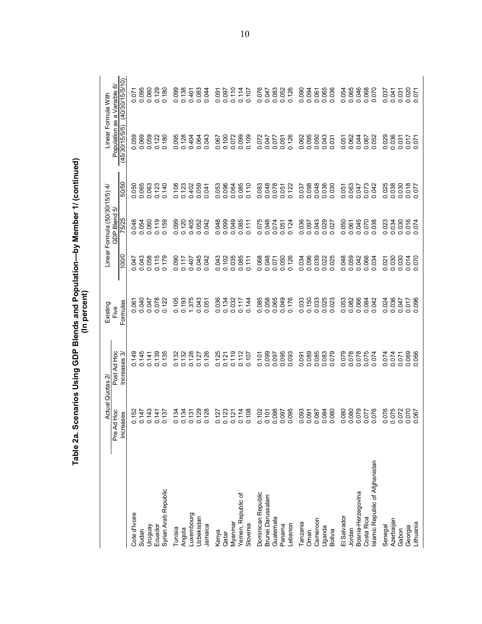|                                | Actual                                   | Quotas 2                      | (In percent)<br>Existing |                | Linear Formula (50/30/15/5) 4/ |                | Linear Formula With                           |                      |
|--------------------------------|------------------------------------------|-------------------------------|--------------------------|----------------|--------------------------------|----------------|-----------------------------------------------|----------------------|
|                                | <b>Hoc</b><br><b>Increases</b><br>Pre Ad | Post Ad Hoc<br>ଟ<br>Increases | Formulas<br>Five         | 100/0          | GDP Blend 5/<br>75/25          | 50/50          | Population as a Variable<br>ஒ<br>(45/30/15/5) | (40/30/15/5/10)<br>6 |
| Cote d'Ivoire                  | 0.152                                    | 0.149                         | 0.061                    | 0.047          | 0.048                          | 0.050          | 0.059                                         | 0.071                |
| Sudan                          | 0.147                                    | 0.145                         | 0.040                    | 0.043          | 0.054                          | 0.065          | 0.069                                         | 0.095                |
| Venônun                        | 0.143                                    | 0.141                         | 0.047                    | 0.058          | 0.060                          | 0.063          | 0.059                                         | 0.060                |
| Ecuador                        | 0.141                                    | 0.139                         | 0.078                    | 0.115          | 0.119                          | 0.123          | 0.122                                         | 0.129                |
| Syrian Arab Republic           | 0.137                                    | 0.135                         | 0.122                    | 0.179          | 0.159                          | 0.140          | 0.180                                         | 0.180                |
| Tunisia                        | 0.134                                    | 0.132                         | 0.105                    | 0.090          | 0.099                          | 0.108          | 0.095                                         | 0.099                |
| Angola                         | 0.134                                    | 0.132                         | 0.193                    | 0.117          | 0.120                          | 0.123          | 0.128                                         | 0.138                |
| uxembourg                      | 0.131                                    | 0.128                         | 1.375                    | 0.407          | 0.405                          | 0.402          | 0.404                                         | 0.401                |
| Uzbekistan                     | 0.129                                    | 0.127                         | 0.043                    | 0.045          | 0.052                          | 0.059          | 0.064                                         | 0.083                |
| Jamaica                        | 0.128                                    | 0.126                         | 0.051                    | 0.042          | 0.042                          | 0.041          | 0.043                                         | 0.044                |
| Kenya                          | 0.127                                    | 0.125                         | 0.036                    | 0.043          | 0.048                          | 0.053          | 0.067                                         | 0.091                |
| Qatar                          | 0.123                                    | 0.121                         | 0.134                    | 0.102          | 0.099                          | 0.096          | 0.100                                         | 0.097                |
| Myanmar                        | 0.121                                    | 0.119                         | 0.032                    | 0.035          | 0.049                          | 0.064          | 0.072                                         | 0.110                |
| Yemen, Republic of             | 0.114                                    | 0.112                         | 0.117                    | 0.085          | 0.085                          |                | 0.099                                         | 0.114                |
| Slovenia                       | 0.108                                    | 0.107                         | 0.144                    | 0.111          | 0.111                          | 0.110          | 0.109                                         | 0.107                |
| Dominican Republic             | 0.102                                    | 0.101                         | 0.085                    | 0.068          | 0.075                          | 0.083          | 0.072                                         | 0.076                |
| Brunei Darussalam              | 0.101                                    | 0.099                         | 0.058                    | 0.048          | 0.048                          | 0.048          | 0.047                                         | 0.047                |
| Guatemala                      |                                          | 0.097                         | 0.065                    | 0.071          | 0.074                          | 0.078          | 0.077                                         | 0.083                |
| Panama                         | 380.0<br>260.0<br>260.0                  | 0.095                         | 0.049                    | 0.050          | 0.051                          |                | 0.051                                         | 0.052                |
| ebanon                         |                                          | 0.093                         | 0.176                    | 0.126          | 0.124                          | 0.122          | 0.126                                         | 0.126                |
| Tanzania                       | 0.093<br>0.091                           | 0.091                         | 0.033                    | 0.034          | 0.036                          | 0.037          | 0.062                                         | 0.090                |
| Oman                           |                                          | 0.089                         | 0.150                    | 0.096          | 0.097                          | 0.098          | 0.095                                         | 0.094                |
| Cameroon                       | 0.084                                    | 0.085<br>0.083                | 0.033                    | 0.039          | 0.043                          | 0.048<br>0.036 | 0.050                                         | 0.061                |
| Uganda                         |                                          |                               | 0.025                    | 0.022          |                                |                | 0.043                                         | 0.065                |
| <b>Bolivia</b>                 | 0.080                                    | 0.079                         | 0.023                    |                | 0.027                          | 0.030          | 0.031                                         | 0.036                |
| El Salvador                    | 0.080                                    | 0.079<br>0.078                | 0.053                    | 0.048          | 0.050                          | 0.051          | 0.051                                         | 0.054                |
| Jordan                         |                                          |                               | 0.082                    | 0.059          | 0.061                          | 0.063          | 0.062                                         | 0.065                |
| Bosnia-Herzegovina             |                                          | 0.078                         | 0.066                    | 0.042          | 0.045                          | 0.047          | 0.044                                         | 0.046                |
| Costa Rica                     | 92010<br>22010<br>82010                  |                               | 0.084                    | 0.066          |                                | 0.073          | 0.067                                         | 0.068                |
| slamic Republic of Afghanistan |                                          | 0.074                         | 0.042                    | 0.034          | 0.038                          |                | 0.052                                         | 0.070                |
| Senegal                        | 0.076                                    | 0.074<br>PZ0.0                | 0.024                    | 0.021          | 0.023                          | 0.025          | 0.029                                         | 0.037                |
| Azerbaijan<br>Gabon            |                                          | 0.071                         | 0.036<br>0.047           | 0.030<br>0.030 | 0.030                          | 0.038<br>0.030 | 0.031                                         | 0.031<br>0.041       |
| Georgia                        |                                          |                               | 0.017                    |                |                                |                |                                               |                      |
| Lithuania                      | 0.072<br>0.070<br>0.067                  | 0.069                         | 0.096                    | 0.014          | 0.016<br>0.074                 | 0.018          | 14000                                         | 0.020                |

Table 2a. Scenarios Using GDP Blends and Population--by Member 1/ (continued)<br>(In percent)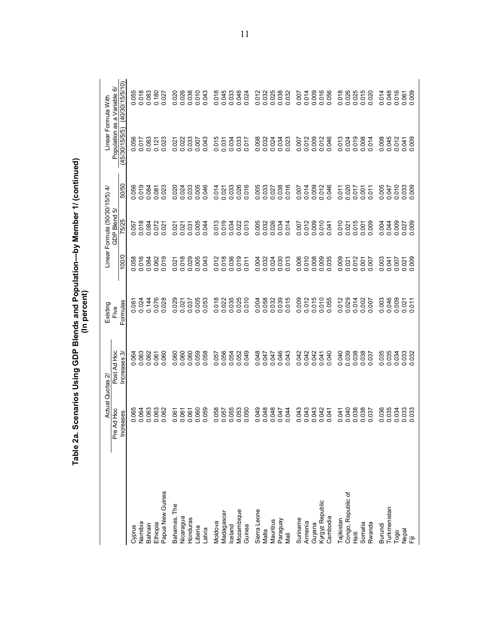|                             | Actual<br>Pre Ad Hoc | Post Ad Hoc<br>Quotas 2 | Existing<br>Five |                | Linear Formula (50/30/15/5) 4/<br>GDP Blend 5 |                                  | Population as a Variable<br>Linear Formula With | ⊙              |
|-----------------------------|----------------------|-------------------------|------------------|----------------|-----------------------------------------------|----------------------------------|-------------------------------------------------|----------------|
|                             | eases<br>$rac{1}{2}$ | Increases 3             | Formulas         | 100/0          | 5/25                                          | 50/50                            | ൭<br>(45/30/15/5/                               | 40/30/15/5/10) |
| Cyprus                      | 0.065                | 0.064                   | 0.061            | 0.058          | 0.057                                         | 0.056                            | 0.056                                           | 0.055          |
| Namibia                     | 0.064                | 0.063                   | 0.024            | 0.016          | 0.018                                         | 0.019                            | 0.017                                           | 0.018          |
| Bahrain                     | 0.063                | 0.062                   | 0.144            | 0.084          | 0.084                                         | 0.084                            | 0.083                                           | 0.083          |
| Ethiopia                    | 0.063                | 0.061                   | 0.076            | 0.062          | 0.072                                         | 0.081                            | 0.121                                           | 0.180          |
| Papua New Guinea            | 0.062                | .060<br>ö               | 0.028            | 0.019          | 0.021                                         | 0.023                            | 0.023                                           | 0.027          |
| Bahamas, The                | 0.061                | 060<br>ö                | 029<br>ö         | 0.021          | 0.021                                         | 0.020                            | 0.021                                           | 0.020          |
| Nicaragua                   | 0.061                | 0.060                   | 0.021            | 0.018          | 0.021                                         | 0.024                            | 0.022                                           | 0.026          |
| Honduras                    | 0.061                | 0.060                   | 0.037            | 0.029          | 0.031                                         | 0.033                            | 0.033                                           | 0.038          |
| Liberia                     | 0.060                | 0.059                   | 0.005            | 0.005          | 0.005                                         | 0.005                            | 0.007                                           | 0.010          |
| Latvia                      | 0.059                | 0.058                   | 0.053            | 0.043          | 0.044                                         | 0.046                            | 0.043                                           | 0.043          |
| Moldova                     | 0.058                | 0.057                   | 0.018            | 0.012          | 013<br>ö                                      | 0.014                            | 0.015                                           | 0.018          |
| Madagascar                  | 0.057                | 0.056                   | 0.022            | 0.018          | 0.019                                         | 0.021                            | 0.031                                           | 0.045          |
| Iceland                     | 0.055                | 0.054                   | 0.035            | 0.036          | 0.034                                         | 0.033                            | 0.034                                           | 0.033          |
| Mozambique                  |                      | 0.052                   | 0.025            | 0.019          | 0.022                                         | 0.026                            | 0.033                                           | 0.048          |
| Guinea                      | 0.050                | 049<br>ö                | 010<br>Ö         | 511<br>ö       | 0.013                                         | 0.016                            | 0.017                                           | 0.024          |
| Sierra Leone                | 049<br>ö             | .048<br>ö               | 0.004            | 0.004          | 0.005                                         | 0.005                            | 0.008                                           |                |
| Malta                       | 0.048                | 0.047                   | 0.058            | 0.032          | 0.032                                         | 0.033                            | 0.032                                           | 0.012<br>0.032 |
| Mauritius                   | 0.048                | 0.047                   | 0.032            | 0.024          | 0.026                                         | 0.027                            | 0.024                                           | 0.025<br>0.038 |
|                             | 0.047                | 0.046                   | 0.039            | 0.030          | 0.034                                         | 0.038                            | 0.034                                           |                |
| Paraguay<br>Mali            | 0.044                | 0.043                   | 0.015            | 0.013          | 0.014                                         | 0.016                            | 0.023                                           | 0.032          |
| Suriname                    | 0.043                | 0.042                   | 0.009            | 0.006          | 0.007                                         | 0.007                            | 0.007                                           | 0.007          |
| Armenia                     | 0.043                | 0.042                   | 0.012            | 0.010          | 0.012                                         | 0.014                            | 0.012                                           | 0.014          |
| Guyana                      | 0.043                | 0.042                   | 0.015            | 0.008          | 0.009                                         | 0.009                            | 0.009                                           | 0.009          |
|                             | 0.042                | 0.041                   |                  | 0.009          | 0.010                                         | 0.012                            | 0.012                                           | 0.016          |
| Kyrgyz Republic<br>Cambodia | 0.041                | 040<br>ö                | 0.055            | 0.035          | 0.041                                         | 0.046                            | 0.046                                           | 0.056          |
| Tajikistan                  | .041<br>ö            | 040                     | 012<br>$\circ$   | 009<br>ö       | 0.010                                         | 0.011                            | 0.013                                           | 0.018          |
| Congo, Republic of          | 0.040                | 0.039                   | 0.029            | 0.021          | 0.021                                         |                                  | 0.024                                           |                |
| Haiti                       | 0.038                | 0.038                   | 0.014            | 0.012          | 0.015                                         | 0.017                            | 0.019                                           | 0.025          |
| Somalia                     | 0.038                | 0.038                   | 0.002            | 0.001          | 0.001                                         | 0.001                            | 0.008                                           | 0.015          |
| Rwanda                      |                      | 037                     | .007<br>ö        | <b>100</b>     | 0.009                                         | $\overline{C}$<br>$\ddot{\circ}$ | 0.014                                           | 0.020          |
| Burundi                     | 0.035                | .035                    | 0.003            | .003           | 0.004                                         | 0.005<br>0.047                   | 0.008                                           | 0.014<br>0.048 |
| Turkmenistan                |                      | 0.035                   |                  | 0.041          | 0.044                                         |                                  | 0.045                                           |                |
| Togo                        | 0.034                | 0.034                   | 0.009            | 0.007          | 0.009                                         | 0.010                            | 0.012                                           | 0.016          |
| pa<br>iii                   | 0.033                | 0.033<br>0.032          | 0.011<br>0.021   | 0.009<br>0.021 | 0.009<br>0.027                                | 0.033                            | 0.009<br>0.041                                  | 0.061          |

Table 2a. Scenarios Using GDP Blends and Population--by Member 1/ (continued)<br>(In percent)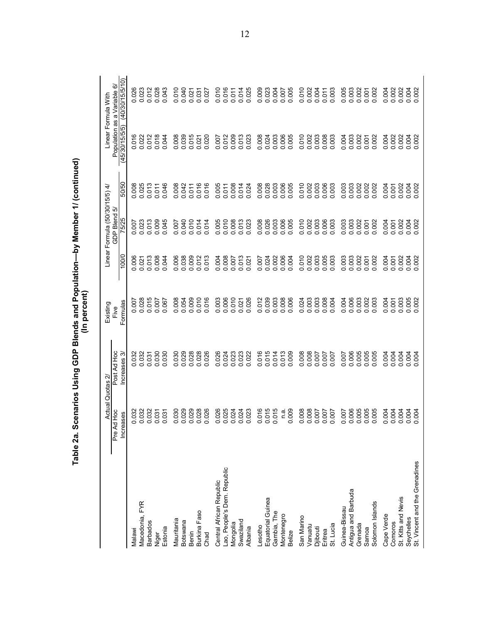|                                         | Actual Quotas 2                        |                               | (In percent)<br>Existing |                          | Linear Formula (50/30/15/5) 4/ |                | Linear Formula With                                    |                     |
|-----------------------------------------|----------------------------------------|-------------------------------|--------------------------|--------------------------|--------------------------------|----------------|--------------------------------------------------------|---------------------|
|                                         | H <sub>oc</sub><br>Increases<br>Pre Ad | Post Ad Hoc<br>ო<br>Increases | Formulas<br>Five         | 100/0                    | GDP Blend 5/<br>5/25           | 50/50          | Population as a Variable<br>(45/30/15/5/5) (40/30/15/5 | (40/30/15/510)<br>ତ |
| Malawi                                  | 0.032                                  |                               | 0.007                    | 0.006                    |                                | 0.008          | 0.016                                                  | 0.026               |
| Macedonia, FYR                          | 0.032                                  | 0.032<br>0.037<br>0.031       | 0.028                    | 0.021                    | $0.023$<br>$0.073$<br>$0.009$  | 0.025          | 0.022                                                  | 0.023               |
| <b>Barbados</b>                         | 0.032                                  |                               | 0.015                    | 013<br>$\circ$           |                                | 0.013          | 0.012                                                  | 0.012               |
| Niger                                   | 0.031                                  | 0.030                         | 0.007                    | 0.008                    |                                | 0.011          | 0.018                                                  | 0.028               |
| Estonia                                 | 0.031                                  | 030<br>ö                      | 0.067                    | 0.044                    | 0.045                          | 0.046          | 0.044                                                  | 0.043               |
| Mauritania                              | 0.030                                  | 0.030                         | 0.008                    | 0.006                    | 0.007                          | 0.008          | 0.008                                                  | 0.010               |
| <b>Botswana</b>                         | 0.029                                  | 0.029                         | 0.054                    | 0.038                    | 0.040                          | 0.042          | 0.039                                                  | 0.040               |
| <b>Benin</b>                            | 0.029                                  | 0.028                         | 0.009                    | 0.009                    | 0.010                          | 0.011          | 0.015                                                  | 0.021               |
| Burkina Faso<br>Chad                    | 0.028<br>0.026                         | 0.028<br>0.026                | 0.010<br>0.016           | 0.013                    | 0.014<br>0.014                 | 0.016<br>0.016 | 0.020<br>0.021                                         | 0.031<br>0.027      |
|                                         |                                        |                               |                          |                          |                                |                |                                                        |                     |
| Central African Republic                | 0.026                                  | 0.026                         | 0.003                    | 0.004                    | 0.005                          | 0.005          | 0.007                                                  | 0.010               |
| Lao, People's Dem. Republic<br>Mongolia | 0.025<br>0.024                         | 0.023<br>0.023<br>0.023       | 0.006<br>0.010           | 0.008<br>0.007           | 0.010                          | 0.008<br>0.011 | 0.012                                                  | 0.016<br>0.011      |
| Swaziland                               | 0.024                                  |                               | 0.021                    | 0.013                    | 0.008                          | 0.014          | 0.009                                                  | 0.014               |
| Albania                                 | 0.023                                  | 022<br>$\dot{\circ}$          | 0.026                    | 0.021                    | 0.023                          | 0.024          | 0.023                                                  | 0.025               |
| Lesotho                                 | 0.016                                  | 0.016                         | 0.012                    | 0.007                    | 0.008                          | 0.008          | 0.008                                                  | 0.009               |
| Equatorial Guinea                       | 0.015                                  | 0.015                         |                          | 0.024                    | 0.026                          | 0.028          | 0.024                                                  | 0.023               |
| Gambia, The                             | 0.015                                  | 0.014                         | 0.039                    | 0.002                    | 0.003                          | 0.003          | 0.003                                                  | 0.004               |
| Montenegro                              | n a                                    |                               | 0.008                    | 0.006                    | 0.006                          | 0.006          | 0.006                                                  | 0.007               |
| <b>Belize</b>                           | 0.009                                  | 0.009                         | 0.006                    | 0.004                    | 0.005                          | 0.005          | 0.005                                                  | 0.005               |
| San Marino                              | 0.008                                  | 0.008                         | 0.024                    | 0.010                    | 0.010                          | 0.010          | 0.010                                                  | 0.010               |
| Vanuatu                                 | 0.008                                  | 0.008                         | 0.003                    | 0.002                    | 0.002                          | 0.002          | 0.002                                                  | 0.002               |
| Djibouti                                | 0.007                                  | 70000                         | 0.003                    | 0.003                    | 0.003                          | 0.003          | 0.003                                                  | 0.004               |
| Eritrea                                 | 0.007                                  |                               | 0.008                    | 0.005                    | 0.006                          | 0.006          | 0.008                                                  | 0.011               |
| St. Lucia                               | 0.007                                  | 0.007                         | 0.004                    | 0.003                    | 0.003                          | 0.003          | 0.003                                                  | 0.003               |
| Guinea-Bissau                           | 0.007                                  | 0.007                         | 0.004                    | .003<br>ö                | 0.003                          | 0.003          | 0.004                                                  | 0.005               |
| Antigua and Barbuda                     | 0.006                                  | 0.006                         | 0.006                    | 0.003                    | 0.003                          | 0.003          | 0.003                                                  | 0.003               |
| Grenada<br>Samoa                        | 0.005<br>0.005                         | 0.005                         | 0.003<br>0.002           | .002<br>0.001<br>$\circ$ | 0.002<br>0.001                 | 0.002<br>0.002 | 0.002<br>0.001                                         | 0.002<br>0.001      |
| Solomon Islands                         | 0.005                                  | 0.005                         | 0.003                    | 002<br>$\circ$           | 0.002                          | 0.002          | 0.002                                                  | 0.002               |
| Cape Verde                              | 0.004                                  | 0.004                         | 0.004                    | 004<br>ö                 | 0.004                          | 0.004          | 0.004                                                  | 0.004               |
| Comoros                                 | 0.004                                  | 0.004                         | 0.001                    | 0.001                    | 0.001                          | 0.001          | 0.002                                                  | 0.002               |
| St. Kitts and Nevis                     | 0.004                                  | 0.004                         | 0.003                    | 0.002                    | 0.002                          | 0.002          | 0.002                                                  | 0.002               |
| Seychelles                              | 0.004                                  | 0.004                         | 0.005                    | 0.004                    | 0.004                          | 0.002          | 0.004                                                  | 0.004               |
| St. Vincent and the Grenadines          |                                        | 0.004                         |                          |                          |                                |                |                                                        | 0.002               |

Table 2a. Scenarios Using GDP Blends and Population--by Member 1/ (continued)<br>(In percent)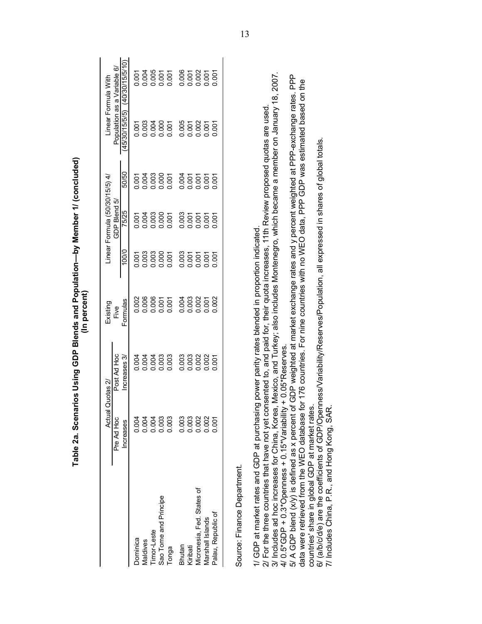|                                                                                                                                                                                                                                                                                  |            | Table 2a. Scenarios Using GDP Blends and Population—by Member 1/ (concluded)               | (In percent)     |       |                                |       |                                               |                 |
|----------------------------------------------------------------------------------------------------------------------------------------------------------------------------------------------------------------------------------------------------------------------------------|------------|--------------------------------------------------------------------------------------------|------------------|-------|--------------------------------|-------|-----------------------------------------------|-----------------|
|                                                                                                                                                                                                                                                                                  | Actual     | Quotas 2                                                                                   | Existing         |       | Linear Formula (50/30/15/5) 4/ |       | Linear Formula With                           |                 |
|                                                                                                                                                                                                                                                                                  | Pre Ad Hoc | Post Ad Hoc<br>Increases 3/                                                                | Formulas<br>Five | 100/0 | GDP Blend 5/<br>75/25          | 50/50 | Population as a Variable 6/<br>(45/30/15/5/5) | (40/30/15/5/10) |
|                                                                                                                                                                                                                                                                                  | Increases  |                                                                                            |                  |       |                                |       |                                               |                 |
| Dominica                                                                                                                                                                                                                                                                         | 0.004      | 0.004                                                                                      | 0.002            | 0.001 | 0.001                          | 0.001 | 0.001                                         | 0.001           |
| Maldives                                                                                                                                                                                                                                                                         | 0.004      | 0.004                                                                                      | 0.006            | 0.003 | 0.004                          | 0.004 | 0.003                                         | 0.004           |
| Timor-Leste                                                                                                                                                                                                                                                                      | 0.004      | 0.004                                                                                      | 0.006            | 0.003 | 0.003                          | 0.003 | 0.004                                         | 0.005           |
| Sao Tome and Principe                                                                                                                                                                                                                                                            | 0.003      | 0.003                                                                                      | 0.001            | 0.000 | 0.000                          | 0.000 | 0.000                                         | 0.001           |
| Tonga                                                                                                                                                                                                                                                                            | 0.003      | 0.003                                                                                      | 0.001            | 0.001 | 0.001                          | 0.001 | 0.001                                         | 0.001           |
| Bhutan                                                                                                                                                                                                                                                                           | 0.003      | 0.003                                                                                      | 0.004            | 0.003 | 0.003                          | 0.004 | 0.005                                         | 0.006           |
| Kiribati                                                                                                                                                                                                                                                                         | 0.003      | 0.003                                                                                      | 0.003            | 0.001 | 0.001                          | 0.001 | 0.001                                         | 0.001           |
| Micronesia, Fed. States of                                                                                                                                                                                                                                                       | 0.002      | 0.002                                                                                      | 0.002            | 0.001 | 0.001                          | 0.001 | 0.002                                         | 0.002           |
| Marshall Islands                                                                                                                                                                                                                                                                 | 0.002      | 0.002                                                                                      | 0.001            | 0.001 | 0.001                          | 0.001 | 0.001                                         | 0.001           |
| Palau, Republic of                                                                                                                                                                                                                                                               | 0.001      | 0.001                                                                                      | 0.002            | 0.001 | 0.001                          | 0.001 | 0.001                                         | 0.001           |
| Source: Finance Department.                                                                                                                                                                                                                                                      |            |                                                                                            |                  |       |                                |       |                                               |                 |
| 1/ GDP at market rates and GDP at purchasing power parity rates blended in proportion indicated                                                                                                                                                                                  |            |                                                                                            |                  |       |                                |       |                                               |                 |
| 3/ Includes ad hoc increases for China, Korea, Mexico, and Turkey; also includes Montenegro, which became a member on January 18, 2007.<br>2/ For the three countries that have not yet consented to, and paid for, their quota increases, 11th Review proposed quotas are used. |            |                                                                                            |                  |       |                                |       |                                               |                 |
| 4/0.5*GDP + 0.3*Openness + 0.15*Variability + 0.05*Reserves                                                                                                                                                                                                                      |            |                                                                                            |                  |       |                                |       |                                               |                 |
| 5/ A GDP blend (x/y) is defined as x percent of GDP weighted at market exchange rates and y percent weighted at PPP-exchange rates. PPP<br>data were retrieved from the WEO database                                                                                             |            | for 176 countries. For nine countries with no WEO data, PPP GDP was estimated based on the |                  |       |                                |       |                                               |                 |
| countries' share in global GDP at market rates.                                                                                                                                                                                                                                  |            |                                                                                            |                  |       |                                |       |                                               |                 |
| 6/ (a/b/c/d/e) are the coefficients of GDP/Openness/Variability/Reserves/Population, all expressed in shares of global totals.<br>7/ Includes China, P.R., and Hong Kong, SAR                                                                                                    |            |                                                                                            |                  |       |                                |       |                                               |                 |

Table 2a. Scenarios Using GDP Blends and Population-by Member 1/ (concluded) (In percent)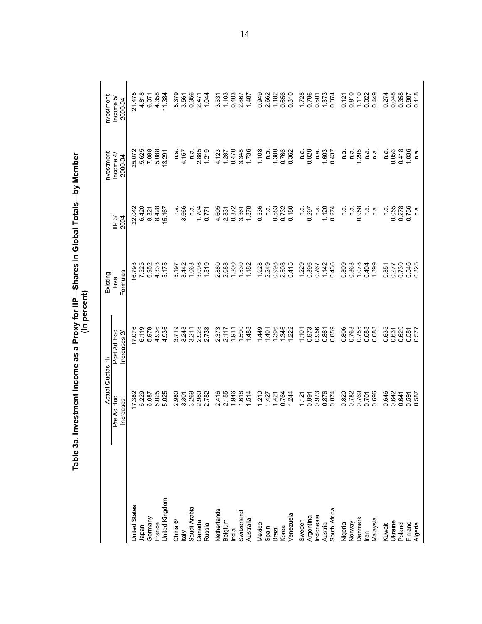|                         | <b>Actual Quotas</b>           | $\Rightarrow$              | Existing         |                        | Investment                | Investment          |
|-------------------------|--------------------------------|----------------------------|------------------|------------------------|---------------------------|---------------------|
|                         | Pre Ad Hoc<br>Increases        | Post Ad Hoc<br>Increases 2 | Formulas<br>Five | $\mathsf{IP}3$<br>2004 | Income 4/<br>2000-04      | Income 5<br>2000-04 |
| <b>United States</b>    | 17.382                         | 17.076                     | 16.793           | 22.042                 | 25.072                    | 21475               |
| Japan                   | 6.229                          | 6.119                      | 7.525            | 6.420                  | 5.625                     | 4.818               |
| Germany                 | 6.087                          | 5.979                      | 6.952            | 8.821                  | 7.088                     | 6.071               |
| France                  | 5.025                          | 4.936                      | 4.333            | 8.428                  | 5.088                     | 4.358               |
| United Kingdom          | 5.025                          | 4.936                      | 5.175            | 15.167                 | 13.291                    | 11.384              |
| China 6/                | 980<br>$\overline{\mathsf{N}}$ | 3.719                      | 5.197            | π.<br>⊂                | π.<br>⊂                   | 5.379               |
| Italy                   | 3.301                          | 3.243                      | 3.442            | 3.666                  | 4.157                     | 3.561               |
| Saudi Arabia            | 3.269                          | 3.211                      | 1.063            | ື່<br>⊂                | ດ.<br>C                   | 0.356               |
| Canada                  | 2.980                          | 2.928                      | 3.098            | 1.704                  | 2.885                     | 2.471               |
| Russia                  | 2.782                          | 2.733                      | 1.519            | 0.771                  | 1.219                     | 1.044               |
| Netherlands             | 2.416                          | 2.373                      | 2.880            | 4.605                  | 4.123                     | 3.531               |
| Belgium                 | 2.155                          | 2.117                      | 2.088            | 2.831                  | 1.287                     | 1,103               |
| India                   | 1.946                          | 1.911                      | 1.200            | 0.372                  | 0.470                     | 0.403               |
| Switzerland             | 1.618                          | 1.590                      | 1.530            | 3.361                  | 3.348                     | 2.867               |
| Australia               | 514                            | 488                        | 1,182            | 1.378                  | 1.736                     | 1.487               |
| Mexico                  | 1.210                          | 1.449                      | 1.928            | 0.536                  | 1.108                     | 0.949               |
| Spain                   | 1.427                          | $-401$                     | 2.249            | n.ai                   | ື່<br>ດ                   | 2.662               |
| Brazil                  | 1.421                          | 1.396                      | 0.998            | 0.583                  | 1.380                     | 1.182               |
| Korea                   | 0.764                          | 1.346                      | 2.508            | 0.732                  | 0.766                     | 0.656               |
| Venezuela               | 1.244                          | 1.222                      | 0.415            | 0.180                  | 0.362                     | 0.310               |
| Sweden                  | 1,121                          | 1.101                      | 1.229            | n.a                    | ື່<br>⊂                   | 1.728               |
| Argentina               | 0.991                          | 0.973                      | 0.396            | 0.297                  | 0.929                     | 0.796               |
| Indonesia               | 0.973                          | 0.956                      | 0.767            | n.a.                   | n.a.                      | 0.501               |
|                         | 0.876                          | 0.861                      | 1.142            | 1.120                  | 1.603                     | 1.373               |
| Austria<br>South Africa | 874<br>$\circ$                 | 0.859                      | 0.436            | 0.274                  | 0.437                     | 0.374               |
| Nigeria<br>Norway       | 0.820                          | 0.806                      | 0.309            | ີດ.<br>⊏               | ດ.<br>⊏                   | 0.121               |
|                         | 0.782                          | 0.768                      | 0.868            | $\frac{a}{c}$          | ດ.<br>⊏                   | 0.810               |
| Denmark                 | 0.769                          | 0.755                      | 1.078            | 0.958                  | 295                       | 1.110               |
| lran                    | 0.701                          | 0.688                      | 0.404            | $\frac{a}{c}$          | n.a                       | 0.022               |
| Malaysia                | 696<br>ö                       | 0.683                      | 1.399            | ື່<br>⊏                | n.a                       | 0.449               |
| Kuwait                  | 646<br>ö                       | 0.635                      | 0.351            | n a                    | n a                       | 0.274               |
| Ukraine                 | <b>S42</b><br>$\circ$          | 0.631                      | 0.277            | 0.055                  | 0.056                     | 0.048               |
| Poland                  | 0.641                          | 0.629                      | 0.739            | 0.278                  | 0.418                     | 0.358               |
| Finland<br>Algeria      | 591<br>ခဲ့ ခ                   | 0.581<br>0.577             | 0.546            | 0.736                  | 1.036                     | 0.887               |
|                         | 587                            | 577                        | 0.325            | n.a                    | $\overline{\mathfrak{a}}$ | 0.118               |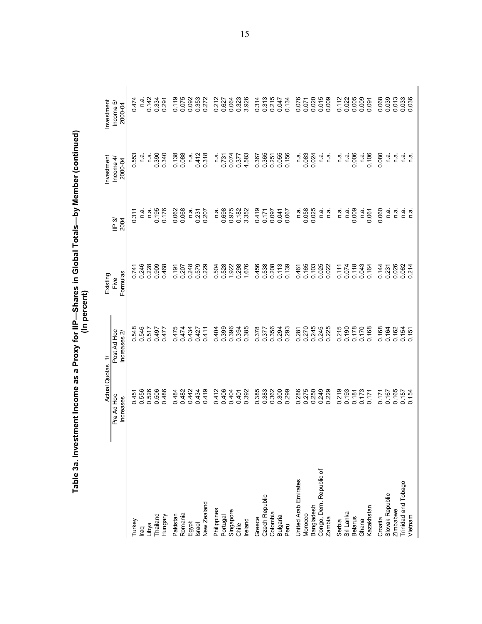|                                | Table 3a. Investment Income as a Proxy for IIP—Shares in Global Totals—by Member (continued) |                            | (In percent)                 |                         |                                      |                                    |
|--------------------------------|----------------------------------------------------------------------------------------------|----------------------------|------------------------------|-------------------------|--------------------------------------|------------------------------------|
|                                | Actual Quotas 1<br>Pre Ad Hoc<br>Increases                                                   | Post Ad Hoc<br>Increases 2 | Formulas<br>Existing<br>Five | 2004<br>$\mathbb{P}$ 3/ | Investment<br>Income $4/$<br>2000-04 | Investment<br>Income 5/<br>2000-04 |
|                                |                                                                                              |                            | 0.741                        | 0.311                   | 553<br>ö                             | 0.47                               |
| Turkey                         | 0.451<br>0.556                                                                               | 0.548<br>0.546             | 0.246                        |                         |                                      |                                    |
| laq                            |                                                                                              |                            |                              | n.ã                     | e.¤                                  | نه<br>C                            |
| Libya                          | 0.526                                                                                        | 0.517                      | 0.228                        | n.a.                    | n.a                                  | 0.142                              |
| Thailand                       | 0.506                                                                                        | 0.497                      | 0.909                        | 0.195                   | 0.390                                | 0.334                              |
| Hungary                        | 0.486                                                                                        | 0.477                      | 0.468                        | 0.176                   | 0.340                                | 0.291                              |
| Pakistan                       | 484<br>$\circ$                                                                               | 0.475                      | 0.191                        |                         | 0.138                                |                                    |
| Romania                        | 0.482                                                                                        | 0.474                      | 0.207                        | 0.062<br>0.068          | 0.088                                | 0.119<br>0.075                     |
| Egypt                          | 0.442                                                                                        | 0.434                      | 0.248                        | n.ai                    | n.a                                  | 0.092                              |
| <b>Israel</b>                  | 0.434                                                                                        | 0.427                      | 0.579                        | 0.231                   | 0.412                                | 0.353                              |
| New Zealand                    | 0.419                                                                                        | 0.411                      | 0.229                        | 0.207                   | 0.318                                | 0.272                              |
| Philippines                    | 0.412                                                                                        |                            | 504<br>ö                     | ت<br>C                  | n.a                                  | 0.212                              |
| Portugal                       | 0.406                                                                                        | 0.399                      | 0.528                        | 0.698                   | 0.731                                | 0.627                              |
| Singapore                      | 0.404                                                                                        | 0.396                      |                              | 0.975                   | 0.074                                | 0.064                              |
| Chile                          | 0.401<br>0.392                                                                               | 0.394                      | 1.922<br>0.298               | 0.182<br>3.352          | 0.377                                | 0.323<br>3.926                     |
| Ireland                        |                                                                                              | 0.385                      | 1.676                        |                         | 4.583                                |                                    |
| Greece                         |                                                                                              |                            | 0.456                        |                         |                                      |                                    |
| Czech Republic                 | 0.385<br>0.383                                                                               | 0.378<br>0.377             | 0.538                        | 0.419<br>0.171          | 0.367<br>0.365                       | 0.314                              |
| Colombia                       | 0.362                                                                                        | 0.356                      | 0.208                        | 0.097                   | 0.251                                | 0.215                              |
| <b>Bulgaria</b>                |                                                                                              | 0.294                      |                              | 0.041<br>0.067          | 0.055<br>0.156                       |                                    |
| Peru                           | 0.300<br>0.299                                                                               |                            | $0.113$<br>$0.139$           |                         |                                      | 0.047<br>0.134                     |
| United Arab Emirates           |                                                                                              | 0.281                      | 0.461                        | ີ່<br>⊂                 | n.ai                                 | 0.076                              |
| Morocco                        | 0.286<br>0.275                                                                               | 0.270                      | 0.165                        | 0.058                   | 0.083                                | 0.071                              |
| Bangladesh                     | 0.250                                                                                        | 0.245                      | 0.103                        | 0.025                   | 0.024                                | 0.020                              |
| Congo, Dem. Republic of        | 0.249                                                                                        | 0.245<br>0.225             | 0.025                        | n.a.                    | n.ai                                 | 0.015                              |
| Zambia                         | 0.229                                                                                        |                            |                              | نه<br>C                 | n.a                                  | 0.009                              |
| Serbia                         | 0.219                                                                                        | 215<br>ö                   |                              | ີດ.<br>⊏                | n.a                                  | 0.112                              |
| Sri Lanka                      | 0.193                                                                                        | 0.190                      | 0.111<br>0.074               | n.a                     | n.a                                  | 0.022                              |
| <b>Belarus</b>                 | 0.181                                                                                        | 0.178                      | 0.118<br>0.043               | 0.009                   | 0.006                                | 0.005                              |
| Ghana                          | 0.173                                                                                        | 0.170                      |                              | n.ai                    | n.a                                  | 0.009                              |
| Kazakhstan                     | 0.171                                                                                        | 0.168                      | 0.164                        | 0.061                   | 0.106                                | 0.091                              |
| Croatia                        | 0.171                                                                                        | 0.168                      | 0.144                        | 0.060                   | 0.080                                | 0.068                              |
| Slovak Republic                | 0.167                                                                                        | 0.164                      | 0.231                        | n.a                     | n.a                                  |                                    |
| Zimbabwe                       | 0.165                                                                                        | 0.162                      | 0.026                        | n.ai                    | n.ai                                 | 0.013                              |
| Trinidad and Tobago<br>Vietnam | 0.157<br>0.154                                                                               | $0.154$<br>$0.151$         | 0.062<br>0.214               | aiai<br>⊏ ⊏             | aiai<br>⊏ ⊏                          | 0.033                              |
|                                |                                                                                              |                            |                              |                         |                                      |                                    |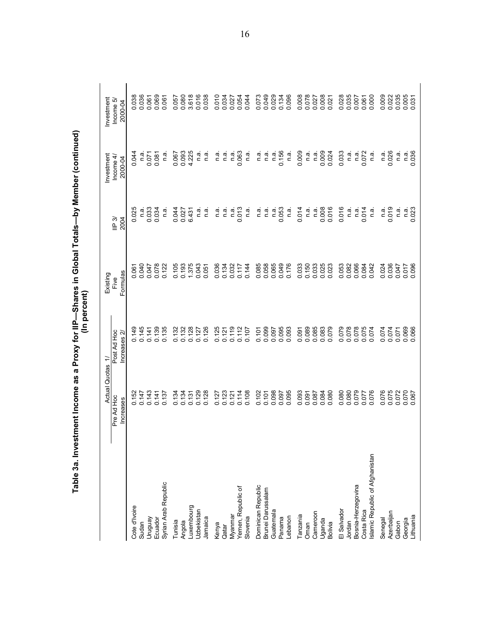|                                 | <b>Actual Quotas</b>    | ÷                           | Existing         |                        | Investment            | Investment           |
|---------------------------------|-------------------------|-----------------------------|------------------|------------------------|-----------------------|----------------------|
|                                 | Pre Ad Hoc<br>Increases | Post Ad Hoc<br>Increases 2/ | Formulas<br>Five | $\mathsf{IP}3$<br>2004 | Income $4$<br>2000-04 | Income 5,<br>2000-04 |
| Cote d'Ivoire                   | 0.152                   | 0.149                       | 0.061            | 0.025                  | 0.044                 | 0.038                |
| Sudan                           | 0.147                   | 0.145                       | 0.040            | n.ai                   | n.a                   | 0.036                |
| Venônin                         | 0.143                   | 0.141                       | 0.047            | 0.033                  | 0.071                 | 0.061                |
| Ecuador                         | 0.141                   | 0.139                       | 0.078            | 0.034                  | 0.081                 | 0.069                |
| Syrian Arab Republic            | 0.137                   | 0.135                       | 0.122            | ື່<br>⊂                | ື່ດ<br>⊂              | 0.061                |
| Tunisia                         | 0.134                   | 0.132                       | 0.105            | 0.044                  | 0.067                 | 0.057                |
| Angola                          | 0.134                   | 0.132                       | 0.193            | 0.027                  | 0.093                 | 0.080                |
| Luxembourg                      | 0.131                   | 0.128                       | 1.375            | 6.431                  | 4.225                 | 3.618                |
| Uzbekistan                      | 0.129                   | 0.127                       | 0.043            | ີດ.<br>⊏               | ີ ແ<br>ເ              | 0.016                |
| Jamaica                         | 0.128                   | 0.126                       | 0.051            | ີດ.<br>⊏               | ີດ.<br>ລ              | 0.038                |
| Kenya                           | 0.127                   | 0.125                       | 0.036            | ີດ.<br>⊏               | ີດ.<br>⊏              | 0.010                |
| Qatar                           | 0.123                   | 0.121                       | 0.134            | ີ ສ<br>ເ               | n.a                   | 0.034                |
| Myanmar                         | 0.121                   | 0.119                       | 0.032            | n.ª                    | بة<br>C               | 0.027                |
| Yemen, Republic of              | 0.114                   | 0.112                       | 0.117            | 0.013                  | 0.063                 | 0.054                |
| Slovenia                        | 0.108                   | 0.107                       | 0.144            | ື່<br>⊂                | ີຕ.<br>ສ              | 0.044                |
| Dominican Republic              | 0.102                   | 0.101                       | 0.085            | ີດ.<br>⊏               | ີດ.<br>⊏              | 0.073                |
| Brunei Darussalam               | 0.101                   | 0.099                       | 0.058            | n.a                    | n.ä                   | 0.049                |
| Guatemala                       | 0.098                   | 0.097                       | 0.065            | n.a                    | n.a                   | 0.029                |
| Panama                          | 0.097                   | 0.095                       | 0.049            | 0.053                  | 0.156                 | 0.134                |
| Lebanon                         | 0.095                   | 0.093                       | 0.176            | n.ai                   | ີ ຕ.                  | 0.096                |
| Tanzania                        | 0.093                   | 0.091                       | 0.033            | 0.014                  | 0.009                 | 0.008                |
| Oman                            | 0.091                   | 0.089                       | 0.150            | ດ.<br>⊏                | ດ.<br>⊏               | 0.078                |
| Cameroon                        | 0.087                   | 0.085                       | 0.033            | n.a                    | <u>ດີ</u>             | 0.027                |
| Uganda                          | 0.084                   | 0.083                       | 0.025            | 0.008                  | 0.009                 | 0.008                |
| <b>Bolivia</b>                  | 0.080                   | 0.079                       | 0.023            | 0.016                  | 0.024                 | 0.021                |
| El Salvador                     | 0.080                   | 0.079                       | 0.053            | 0.016                  | 0.033                 | 0.028                |
| Jordan                          | 0.080                   | 0.078                       | 0.082            | ີ້ ຕ.                  | ີຕ.<br>ສ              | 0.035                |
| Bosnia-Herzegovina              | 0.079                   | 0.078                       | 0.066            | ີ ສ<br>ເ               | ີຕ.<br>ສ              | 0.007                |
| Costa Rica                      | 0.077                   | 0.075                       | 0.084            | 0.014                  | 0.072                 | 0.061                |
| Islamic Republic of Afghanistan | 0.076                   | 0.074                       | 0.042            | ື່<br>⊂                | ື່<br>⊂               | 0.000                |
| Senegal                         | 0.076                   | 0.074                       | 0.024            | n.ai                   | n.a                   | 0.009                |
| Azerbaijan                      | 0.075                   | 0.074                       | 0.036            | 0.019                  | 0.026                 | 0.022                |
| Gabon                           | 0.072                   | 0.071                       | 0.047            | ີ້ ຕ.                  | n.a                   | 0.035                |
| Lithuania<br>Georgia            | 0.070<br>0.067          | 0.069<br>0.066              | 0.017<br>0.096   | 0.023<br>ີ a<br>⊏      | 0.036<br>ດ.<br>C      | 0.005<br>0.031       |
|                                 |                         |                             |                  |                        |                       |                      |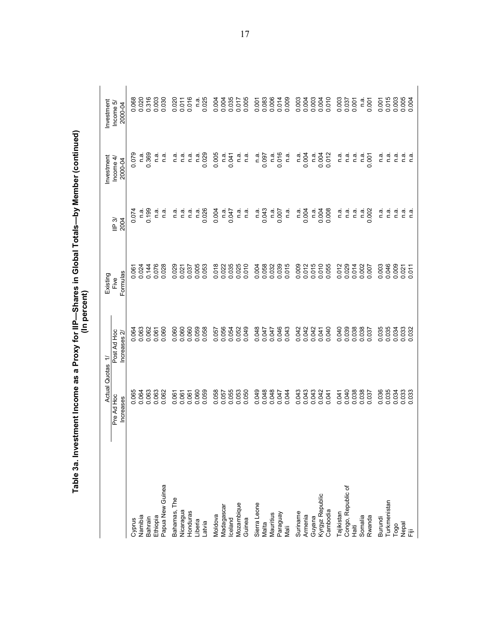|                    |                                   | (In percent)                               |                              |                           |                                    |                                   |
|--------------------|-----------------------------------|--------------------------------------------|------------------------------|---------------------------|------------------------------------|-----------------------------------|
|                    | Actual<br>Pre Ad Hoc<br>Increases | Post Ad Hoc<br>Increases $2r$<br>Quotas 1/ | Formulas<br>Existing<br>Five | IP 3/<br><b>2004</b>      | Investment<br>Income 4/<br>2000-04 | Investment<br>Income 5<br>2000-04 |
| Cyprus             | 0.065                             | 0.064                                      | $0.06^{\circ}$               | 0.074                     | 0.079                              | 0.068                             |
| Namibia            | 0.064                             | 0.063                                      | 0.024                        | n.a                       | n.a                                | 0.020                             |
| Bahrain            | 0.063                             | 0.062                                      | 0.144                        | 0.199                     | 0.369                              | 0.316                             |
| Ethiopia           | 0.063                             | 0.061                                      | 0.076                        | n.a                       | ີດ.<br>⊏                           | 0.003                             |
| Papua New Guinea   | 0.062                             | 0.060                                      | 0.028                        | $\overline{\mathfrak{a}}$ | n.ai                               | 0.030                             |
| Bahamas, The       | 0.061                             | 0.060                                      | 0.029                        | n.a                       | n.a                                | 0.020                             |
| Nicaragua          | 0.061                             | 0.060                                      | 0.021                        | n.ã                       | ີດ.<br>⊏                           | 0.011                             |
| Honduras           | 0.061                             | 0.060                                      | 0.037                        | n.a                       | n.a                                | 0.016                             |
| Liberia            | 0.060                             | 0.059                                      | 0.005                        | n.a                       | n.ai                               | ີດ.<br>⊏                          |
| Latvia             | 0.059                             | 0.058                                      | 0.053                        | 0.026                     | 0.029                              | 0.025                             |
| Moldova            | 0.058                             | 0.057                                      | 0.018                        | 0.004                     | 0.005                              | 0.004                             |
| Madagascar         | 0.057                             | 0.056                                      | 0.022                        | n.a                       | n.a                                | 0.004                             |
| Iceland            | 0.055                             | 0.054                                      | 0.035                        | 0.047                     | 0.041                              | 0.035                             |
| Mozambique         | 0.053                             | 0.052                                      | 0.025                        | e.⊓                       | ີດ.<br>⊏                           | 0.017                             |
| Guinea             | 0.050                             | 0.049                                      | 0.010                        | n.a                       | <u>ດີ</u>                          | 0.005                             |
| Sierra Leone       | 0.049                             | 0.048                                      | 0.004                        | n.a                       | n.ai                               | 0.001                             |
| Malta              | 0.048                             | 0.047                                      | 0.058                        | 0.043                     | 0.097                              | 0.083                             |
| Mauritius          | 0.048                             | 0.047                                      | 0.032                        | n.a                       | <u>ດີ</u>                          | 0.006                             |
| Paraguay<br>Mali   | 0.047                             | 0.046                                      | 0.039                        | 0.007                     | 0.016                              | 0.014                             |
|                    | 0.044                             | 0.043                                      | 0.015                        | n.a                       | ີດ.<br>⊏                           | 0.009                             |
| Suriname           | 0.043                             | 0.042                                      | 0.009                        | n.a                       | n.ä                                | 0.003                             |
| Amenia             | 0.043                             | 0.042                                      | 0.012                        | 0.004                     | 0.004                              | 0.004                             |
| Guyana             | 0.043                             | 0.042                                      | 0.015                        | n.a                       | n.a                                | 0.003                             |
| Kyrgyz Republic    | 0.042                             | 0.041                                      | 0.010                        | 0.004                     | 0.004                              | 0.004                             |
| Cambodia           | 0.041                             | 0.040                                      | 0.055                        | 0.008                     | 0.012                              | 0.010                             |
| Tajikistan         | 0.041                             | 0.040                                      | 0.012                        | n.a                       | ີຕ.<br>⊏                           | 0.003                             |
| Congo, Republic of | 0.040                             | 0.039                                      | 0.029                        | n.a                       | نه<br>C                            | 0.037                             |
| 清<br>上             | 0.038                             | 0.038                                      | 0.014                        | n.ai                      | ີດ.<br>⊏                           | 0.001                             |
| Somalia            | 0.038                             | 0.038                                      | 0.002                        | .<br>م                    | n.ai                               | n.a                               |
| Rwanda             | 0.037                             | 0.037                                      | 0.007                        | 0.002                     | 0.001                              | 0.001                             |
| Burundi            | 0.036                             | 0.035                                      | 0.003                        | m.a                       | ີດ.<br>⊂                           | 0.001                             |
| Turkmenistan       | 0.035                             |                                            | 0.046                        | n.a                       | n.a                                | 0.015                             |
| Togo               | 0.034                             | 0.034                                      | 0.009                        | n.a                       | n.ai                               | 0.003                             |
| nepal<br>Fiji      | 0.033                             | 0.033<br>0.032                             | 0.011<br>0.021               | n.a<br>n.a                | n.a<br>ີ<br>ລ                      | 0.005<br>0.004                    |
|                    |                                   |                                            |                              |                           |                                    |                                   |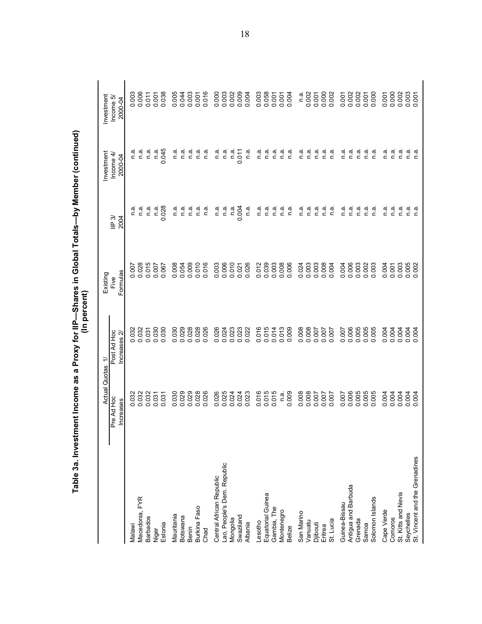|                                | Actual                         | $\div$<br>Quotas           | Existing                |                             | Investment          | Investment              |
|--------------------------------|--------------------------------|----------------------------|-------------------------|-----------------------------|---------------------|-------------------------|
|                                | Pre Ad Hoc<br><b>Increases</b> | Post Ad Hoc<br>Increases 2 | Formulas<br>Five        | $\mathsf{IP}3$<br>2004      | Income 4<br>2000-04 | Income 5<br>2000-04     |
| Malawi                         |                                | 032                        |                         | n a                         | n.a                 |                         |
| Macedonia, FYR                 | 0.032<br>0.032<br>0.032        | 0.032<br>0.032             | 0.007<br>0.028<br>0.015 | ີ<br>ຕ.ສ                    | n.a                 | 0.003<br>0.006<br>0.011 |
| <b>Barbados</b>                |                                | 0.031                      |                         | n.a                         | n.a                 |                         |
| Niger                          | 0.031                          | 0.030                      | 0.007                   | n.a                         | n.a                 | 0.001                   |
| Estonia                        | 0.031                          | 0.030                      | 0.067                   | 0.028                       | 0.045               |                         |
| Mauritania                     | 0.030                          | 0.030                      | 0.008                   | n.ai                        | n.ai                |                         |
| Botswana                       |                                | 0.029                      | 0.054                   | n.a                         | n.a                 | 0.005<br>0.044<br>0.003 |
| Benin                          | 0.029                          | 0.028                      | 0.009                   | n.a                         | n.a                 |                         |
| Burkina Faso                   | 0.028                          | 0.028                      | 0.010                   | n.a                         | n a                 | 0.001                   |
| Chad                           |                                | 0.026                      | 0.016                   | n.a                         | n a                 |                         |
| Central African Republic       | 0.026                          | 0.026                      | 0.003                   | ື່ດ<br>⊏                    | n.a                 | 0.000<br>0.003<br>0.002 |
| Lao, People's Dem. Republic    | 0.025                          | 0.024                      | 0.006                   | n.ai                        | n.a                 |                         |
| Mongolia                       |                                | 0.023                      | 0.010                   | n.a                         | n.a                 |                         |
| Swaziland                      | 0.024                          | 0.023                      | 0.021                   | 0.004                       | 0.011               | 0.004                   |
| Albania                        |                                |                            | 0.026                   | n.a                         | n.a                 |                         |
| Lesotho                        | 0.016                          | 0.016                      | 0.012                   | n.a                         | n.a                 | 0.003<br>0.058<br>0.001 |
| Equatorial Guinea              | 0.015<br>0.015                 | 0.015                      | 0.039                   | n.a                         | n.a                 |                         |
| Gambia, The                    |                                | 0.014                      | 0.003                   | $\tilde{a}$                 | n a                 |                         |
| Montenegro                     | n.a.                           | 0.013                      | 0.008                   | n.a                         | n.a                 | 0.004                   |
| <b>Belize</b>                  | 0.009                          |                            | 0.006                   | ີ<br>ດ                      | n.a                 |                         |
| San Marino                     | 0.008                          |                            | 0.024                   | n a                         | n a                 | n a                     |
| Vanuatu                        | 0.008                          | 0.008<br>0.008<br>0.007    | 0.003                   | n.a                         | n.a                 | 0.002                   |
| Djibouti                       |                                |                            |                         | $\frac{a}{2}$               | n.a                 |                         |
| Eritrea                        | 700.0                          | 700.0                      | 0.008                   | n.a                         | n.a                 | 0.000                   |
| St. Lucia                      |                                |                            | 0.004                   | n.ai                        | n.a                 |                         |
| Guinea-Bissau                  | 0.007                          | 0.007                      | 0.004                   | $\frac{a}{2}$               | $\overline{a}$      |                         |
| Antigua and Barbuda            | 0.005                          | 0.005                      | 0.006                   | $\frac{a}{2}$ $\frac{a}{2}$ | n a                 | 0.002<br>0.002<br>0.002 |
| Grenada                        |                                |                            | 0.003                   |                             | n.a                 |                         |
| Samoa                          | 0.005                          | 0.005                      | 0.002                   | n.a                         | n.a                 | 0.001                   |
| Solomon Islands                |                                | 0.005                      | 0.003                   | n.a                         | n.a                 |                         |
| Cape Verde                     | 004<br>$\circ$                 | 0.004                      | 0.004                   | n.a                         | n.a                 | 0.002<br>0.002          |
| Comoros                        | 0.004                          | 0.004                      | 0.001                   | n.a                         | n.a                 |                         |
| St. Kitts and Nevis            |                                | 0.004                      | 0.003                   | n a                         | n a                 |                         |
| Seychelles                     | 0.004                          | 0.004                      | 0.005                   | n a                         | n a                 | 0.003                   |
| St. Vincent and the Grenadines |                                |                            |                         | ື້ ດ                        | n.a                 |                         |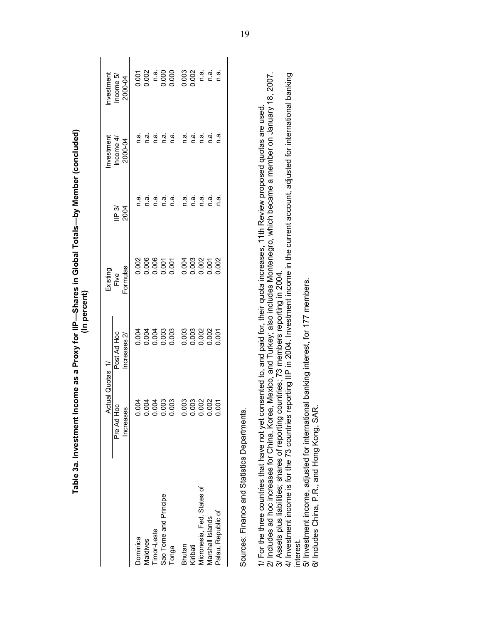|                                                                                                                                                                                                                                                                                 | Actual Quotas 1/                         |                              | Existing           |                | Investment           | Investment           |
|---------------------------------------------------------------------------------------------------------------------------------------------------------------------------------------------------------------------------------------------------------------------------------|------------------------------------------|------------------------------|--------------------|----------------|----------------------|----------------------|
|                                                                                                                                                                                                                                                                                 | $\overline{Q}$<br>Pre Ad Ho<br>Increases | Post Ad Hoc<br>Increases $2$ | Formulas<br>Fi∨e   | 2004<br>ll⊨ 3⁄ | Income 4,<br>2000-04 | Income 5,<br>2000-04 |
| Dominica                                                                                                                                                                                                                                                                        | <b>РОО</b><br>ŏ                          | 0.004                        | 0.002              | n.ai           | n.a.                 | 0.001                |
| Maldives                                                                                                                                                                                                                                                                        |                                          | 0.004                        |                    | ี<br>ด.        | n.a.                 | 0.002                |
| Timor-Leste                                                                                                                                                                                                                                                                     | <u>है</u> है<br>555                      | 0.004                        |                    | n.ai           | n.a.                 | n.a                  |
| Sao Tome and Principe                                                                                                                                                                                                                                                           | coo                                      | 0.003                        | $88850$<br>$00000$ | n.a.           | n.a.                 | 0.000                |
| Tonga                                                                                                                                                                                                                                                                           | 0.003                                    |                              |                    | n.ai           | n.a.                 |                      |
| Bhutan                                                                                                                                                                                                                                                                          | 003<br>ŏ                                 | 0.003                        | 0.004              | n.a.           | n.a.                 | 0.003                |
| Kiribati                                                                                                                                                                                                                                                                        | $\overline{\mathrm{SO}}$                 | 0.003                        | 0.003              | n.a            | n.a.                 | 0.002                |
| Micronesia, Fed. States of                                                                                                                                                                                                                                                      | 002<br>5 5 5                             | 0.002                        | 0.002              | n.a.           | n.a.                 | n.a.                 |
| Marshall Islands                                                                                                                                                                                                                                                                | $\overline{0}$                           | 0.002                        | 0.001              | n.a.           | n.a.                 | n.a.                 |
| Palau, Republic of                                                                                                                                                                                                                                                              | 0.001                                    | 0.001                        | 0.002              | ದ<br>ವ         | n.ai                 | n.ai                 |
| Sources: Finance and Statistics Departments.                                                                                                                                                                                                                                    |                                          |                              |                    |                |                      |                      |
| 2/ Includes ad hoc increases for China, Korea, Mexico, and Turkey; also includes Montenegro, which became a member on January 18, 2007.<br>1/ For the three countries that have not yet consented to, and paid for, their quota increases, 11th Review proposed quotas are used |                                          |                              |                    |                |                      |                      |
| 4/ Investment income is for the 73 countries reporting IIP in 2004. Investment income in the current account, adjusted for international banking<br>3/ Assets plus liabilities; shares of reporting countries; 73 members reporting in 2004<br>interest.                        |                                          |                              |                    |                |                      |                      |
| 5/ Investment income, adjusted for international banking interest, for 177 members.<br>6/ Includes China, P.R., and Hong Kong, SAR                                                                                                                                              |                                          |                              |                    |                |                      |                      |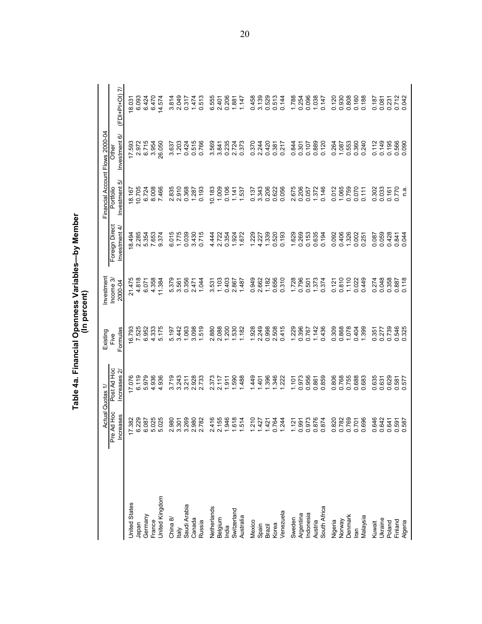|                                                       |                        |                                       |                  | (In percent)         | Table 4a. Financial Openness Variables—by Member |                            |                                 |                 |
|-------------------------------------------------------|------------------------|---------------------------------------|------------------|----------------------|--------------------------------------------------|----------------------------|---------------------------------|-----------------|
|                                                       |                        | Actual Quotas 1/                      | Existing         | Investment           |                                                  |                            | Financial Account Flows 2000-04 |                 |
|                                                       | Pre Ad Hoc<br>ncreases | Post Ad Hoc<br>Increases <sub>2</sub> | Formulas<br>Five | Income 3,<br>2000-04 | Foreign Direct<br>Investment 4/                  | Investment 5/<br>Portfolio | Investment 6/<br>Other          | $(FDI+PI+OI)$ 7 |
| <b>United States</b>                                  | 17.382                 | 17.076                                | 6.793            | 21.475               | 8.494                                            | 18.167                     |                                 | 18.03           |
|                                                       | 6.229                  | 6.119                                 | 7.525            | 4.818                | 2.285                                            | 10.705                     | 17.593<br>2.972                 | 6.093           |
|                                                       | 6.087                  | 5.979                                 | 6.952            | 6.071                | 5.354                                            | 6.724                      | 6.715                           | 6.424           |
|                                                       | 5.025                  | 4.936                                 | 4.333            | 4.358                | 7.653                                            | 8.008                      | 3.954                           | 6.470           |
| Japan<br>Germany<br>France<br>United Kingdom          | 5.025                  | 936<br>4                              | 5.175            | 11.384               | 9.374                                            | 7.466                      | 26.050                          | 4.574           |
|                                                       | 2.980                  |                                       | 5.197            | 5.379                | 6.015                                            | 2.835                      | 3.637                           | 814<br>ω.       |
|                                                       | 3.301                  | 3.719<br>3.243                        | 3.442            | 3.561                | 1.775                                            | 2.910                      | 1.203                           | 2.049           |
|                                                       | 3.269<br>2.980         | 3.211<br>2.928<br>2.733               | 1.063            | 0.356                | 0.039                                            | 0.368                      | 0.424                           | 0.317           |
|                                                       |                        |                                       | 3.098            | 2.471                | 3.430                                            | 1.287                      | 0.515                           | 1.474           |
| China 8/<br>Italy<br>Saudi Arabia<br>Canada<br>Russia | 2.782                  |                                       | 1.519            | 1.044                | 0.715                                            | 0.193                      | 0.766                           | 0.513           |
|                                                       | 2.416                  | 373<br>$\mathbf{a}$                   | 2.880            | 3.531                | 4.444                                            | 10.183                     | 3.569                           | 6.555           |
|                                                       | 2.155                  | 2.117                                 | 2.088            | 1.103                | 2.722                                            | 1.009                      | 3.841                           | 2.401           |
| Netherlands<br>Belgium<br>India<br>Switzerland        | 1.946                  | 1.911                                 | 1.200            | 0.403                | 0.354                                            | 0.106                      | 0.235                           | 0.206           |
|                                                       | 1.618                  | 1.590                                 | 1.530            | 2.867                | 1.924                                            | 1.141                      | 2.724                           | 1.881           |
| Australia                                             | .514                   | <b>488</b>                            | 1.182            | 1.487                | 1.672                                            | 1.537                      | 0.373                           | 1.147           |
| Mexico                                                | 1.210                  | 1.449                                 | 1.928            | 0.949                | 1.229                                            | 0.137                      | 0.370                           | 0.458           |
|                                                       | 1427                   | 1.401                                 | 2.249            | 2.662                | 4.227                                            | 3.343                      | 2.244                           | 3.139           |
| Spain<br>Brazil<br>Korea                              | 1.421                  | 1.396                                 | 0.998            | 1.182                | 1.339                                            | 0.206                      | 0.420                           | 0.529           |
|                                                       | 0.764                  | 1.346                                 | 2.508            | 0.656                | 0.520                                            | 0.622                      | 0.381                           | 0.513           |
| /enezuela                                             | 1.244                  | 1.222                                 | 0.415            | 0.310                | 0.193                                            | 0.056                      | 0.217                           | 0.144           |
| Sweden                                                | 1.121                  | 1.101                                 | 1.229            | 1.728                | 1.629                                            | 2.675                      | 0.844                           | 1.788           |
|                                                       | 0.991                  | 0.973                                 | 0.396            | 0.796                | 0.269                                            | 0.206                      | 0.301                           | 0.254           |
|                                                       | 0.973                  | 0.956                                 | 0.767            | 0.501                | 0.153                                            | 0.057                      | 0.107                           | 0.096           |
|                                                       | 0.876                  | 0.861                                 | 1.142            | 1.373                | 0.635                                            | 1.372                      | 0.889                           | 1.038           |
| Argentina<br>Indonesia<br>Austria<br>South Africa     | 0.874                  | 0.859                                 | 0.436            | 0.374                | 0.194                                            | 0.146                      | 0.120                           | 0.147           |
| Nigeria<br>Norway<br>Denmark<br>Iran                  | 0.820                  | 806<br>ö                              | 0.309            | 0.121                | 0.092                                            | 0.012                      | 0.264                           | 0.120           |
|                                                       | 0.782                  | 0.768                                 | 0.868            | 0.810                | 0.406                                            | 1.065                      | 1.087                           | 0.930           |
|                                                       | 0.769                  | 0.755<br>0.688                        | 1.078            | 1.110                | 1.326                                            | 0.759                      | 0.553                           | 0.808           |
|                                                       | 0.701                  |                                       | 0.404            | 0.022                | 0.002                                            | 0.070                      | 0.360                           | 0.160           |
| Malaysia                                              | 0.696                  | 0.683                                 | 1.399            | 0.449                | 0.257                                            | 0.111                      | 0.240                           | 0.188           |
|                                                       | 0.646                  | 635<br>ö                              | 0.351            | 0.274                | 0.087                                            | 302<br>ö                   | 0.112                           | 0.187           |
|                                                       | 0.642                  | 0.631                                 | 0.277            | 0.048                | 0.059                                            | 0.033                      | 0.149                           | 0.081           |
|                                                       | 0.641                  | 0.629                                 | 0.739            | 0.358                | 0.428                                            | 0.161                      | 0.195                           | 0.231           |
| Kuwait<br>Ukraine<br>Poland<br>Finland<br>Algeria     | 0.591<br>0.587         | 577<br>$-581$<br>ö                    | 0.546<br>0.325   | 0.118<br>0.887       | 0.841<br>0.044                                   | 0.770<br>ດ.<br>⊏           | 0.566<br>0.090                  | 0.712<br>0.042  |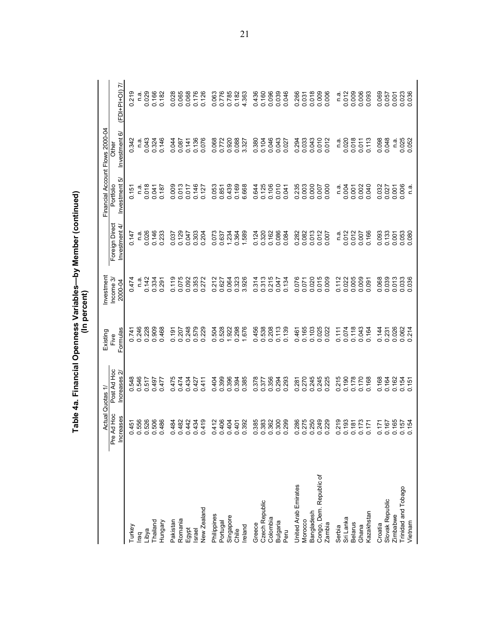|                            |                         |                                       |                  | (In percent)         | Table 4a. Financial Openness Variables—by Member (continued) |                            |                                 |                         |
|----------------------------|-------------------------|---------------------------------------|------------------|----------------------|--------------------------------------------------------------|----------------------------|---------------------------------|-------------------------|
|                            | Actual                  | Quotas                                | Existing         | Investment           |                                                              |                            | Financial Account Flows 2000-04 |                         |
|                            | Pre Ad Hoc<br>Increases | Post Ad Hoc<br>Increases <sub>2</sub> | Formulas<br>Five | Income 3/<br>2000-04 | Foreign Direct<br>Investment 4/                              | Investment 5/<br>Portfolio | Investment 6/<br>Other          | $(FDI+PI+OI)$ 7/        |
| Turkey                     | 0.451                   |                                       | 0.741            | 0474                 | 0.147                                                        | 0.157                      | 0.342                           | 219                     |
| raq                        | 0.556<br>0.526          | 546<br>546<br>517<br>000              | 0.246            |                      | n.ai                                                         |                            |                                 | n.ai                    |
| Libya                      |                         |                                       | 0.228            | 0.142                | 0.026                                                        | 0.018                      | 0.043                           | 0.029                   |
| Thailand                   | 506<br>$\circ$          | 0.497                                 | 0.909            | 0.334                | 0.146                                                        | 0.041                      | 0.324                           | 0.166                   |
| Hungary                    | 0.486                   | 477<br>ö                              | 0.468            | 291                  | 0.233                                                        | 0.187                      | 0.146                           | 0.182                   |
| Pakistan                   | 0.484                   | 0.475                                 | 0.191            | 0.119                | 0.037                                                        | 0.009                      | 0.044                           | 0.028                   |
| Romania                    |                         | 0.474                                 | 0.207            | 0.075                | 0.129                                                        | 0.013                      | 0.087                           | 0.065                   |
| Egypt                      | 0.482<br>0.442          | 0.434                                 | 0.248            | 0.092                | 0.047                                                        | 0.017                      | 0.141                           | 0.068                   |
| Israel                     | 0.434                   | 0.427                                 | 0.579            | 0.353                | 0.303                                                        | 0.146                      | 0.136                           | 0.176                   |
| New Zealand                | 0.419                   | $-411$<br>ö                           | 0.229            | 272<br>$\circ$       | 0.204                                                        | 0.127                      | 0.076                           | 0.126                   |
| Philippines                | 0.412                   | 0.404                                 | 0.504            | 0.212                | 0.073                                                        | 0.053                      | 0.068                           | 0.063                   |
| Portugal                   | 0.406                   |                                       | 0.528            | 0.627                | 0.637                                                        | 0.851                      | 0.772                           | 0.776                   |
| Singapore                  | 0.404                   | 0.396<br>0.396<br>0.394               | 1.922            | 0.064                | 1.234                                                        | 0.439                      | 0.920                           | 0.785                   |
| Chile                      | 0.401                   |                                       | 0.298            | 0.323<br>3.926       | 0.364                                                        | 0.169                      | 0.088                           | 0.182                   |
| Ireland                    | 0.392                   | 385<br>○                              | 1.676            |                      | 1.589                                                        | 6.668                      | 3.327                           | 4.363                   |
| Greece                     | 0.385                   | 0.378                                 | 0.456            | 314<br>ö             | 0.124                                                        | 0.644                      | 0.380                           | 0436                    |
| Czech Republic             | 0.383                   | 577<br>$\circ$                        | 0.538            | 0.313                | 0.320                                                        | 0.125                      | 0.104                           | 0.160                   |
| Colombia                   | 0.362<br>0.300<br>0.299 | 0.356<br>0.294                        | 0.208            | 0.215                | 0.162                                                        | 0.106                      | 0.046                           | 0.039                   |
| Bulgaria                   |                         |                                       | 0.113            | 0.047                | 0.086                                                        | 0.010                      | 0.043                           |                         |
| Peru                       |                         | 293<br>○                              | 0.139            | 0.134                | 0.084                                                        | 0.041                      | 0.027                           | 0.046                   |
| United Arab Emirates       |                         | .281<br>ö                             | 0.461            | 0.076                | 0.282                                                        | 0.235                      | 0.294                           | 0.266                   |
| Morocco                    | 0.286<br>0.275          | .270<br>$\circ$                       | 0.165            | 0.071                | 0.082                                                        | 0.003                      | 0.033                           |                         |
| Bangladesh                 | 0.250                   | 0.245<br>0.245                        | 0.103<br>0.025   | 0.020<br>0.015       | 0.013                                                        | 0.000                      | 0.043                           | 0.031<br>0.018<br>0.009 |
| Congo, Dem. Republic of    | 0.249                   |                                       |                  |                      |                                                              |                            | 0.010                           |                         |
| Zambia                     | 0.229                   | .225<br>ö                             | 0.022            | 0.009                | 0.007                                                        | 000<br>ö                   | 0.012                           | 0.006                   |
| Serbia                     | 0.219<br>0.193          | 215<br>ö                              | 0.111            | 0.112                | ດ.<br>⊏                                                      | $\frac{a}{c}$              | ີດ.<br>⊏                        | ີ່<br>⊂                 |
| Sri Lanka                  |                         | 0.190                                 | 0.074            | 0.022                | 0.012                                                        | 004<br>ö                   | 0.020                           | 0.012                   |
| <b>Belarus</b>             | 0.181<br>0.173          | 0.178                                 | 0.118            | 0.005                | 0.012                                                        | 0.001                      | 0.018                           | 0.008                   |
| Kazakhstan<br>Ghana        | 0.171                   | 0.170<br>0.168                        | 0.164<br>0.043   | 0.009<br>0.091       | 0.166                                                        | 0.040                      | 0.113<br>0.011                  | 0.093                   |
|                            |                         |                                       |                  |                      | 0.093                                                        |                            |                                 |                         |
| Slovak Republic<br>Croatia | 0.167<br>0.171          | 0.168<br>0.164                        | 0.144<br>0.231   | 0.068<br>0.039       | 0.133                                                        | 0.032<br>0.027             | 0.098<br>0.048                  | 0.069<br>50.0           |
| Zimbabwe                   | 0.165                   | 0.162                                 | 0.026            | 0.013                | 0.001                                                        | 0.001                      | $\frac{a}{2}$                   | 0.001                   |
| Trinidad and Tobago        |                         |                                       | 0.062            |                      |                                                              | 0.006                      |                                 |                         |
| Vietnam                    | 0.157<br>0.154          | $0.154$<br>0.151                      | 0.214            | 0.033                | 0.053<br>0.080                                               | $\overline{a}$             | 0.025                           | 0.023                   |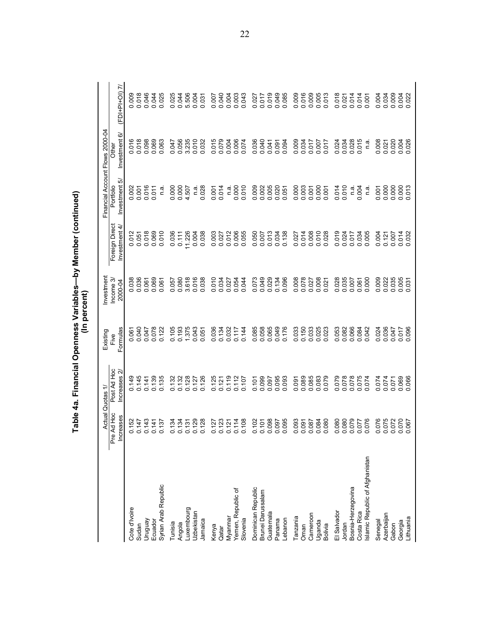|                                |                         |                                       |                         | (In percent)        | Table 4a. Financial Openness Variables—by Member (continued) |                              |                                 |                |
|--------------------------------|-------------------------|---------------------------------------|-------------------------|---------------------|--------------------------------------------------------------|------------------------------|---------------------------------|----------------|
|                                |                         | Actual Quotas 1/                      | Existing                | Investment          |                                                              |                              | Financial Account Flows 2000-04 |                |
|                                | Pre Ad Hoc<br>Increases | Post Ad Hoc<br>Increases <sub>2</sub> | Formulas<br>Five        | Income 3<br>2000-04 | Foreign Direct<br>Investment 4/                              | ā<br>Investment<br>Portfolio | ଡ<br>Investment<br><b>Other</b> | (FDI+PI+01)7/  |
| Cote d'Ivoire                  | 0.152                   | 0.149                                 |                         |                     |                                                              | 0.002                        |                                 | 800            |
| Sudan                          | 0.147                   | 0.145                                 | 0.061<br>0.040<br>0.047 | 0.038               | 0.012<br>0.051                                               | 0.001                        | 0.016                           | 0.018          |
| Venbnun                        | .143                    | 0.141                                 |                         | 0.061               | 0.018                                                        | 0.016                        | 0.098                           | 0.046          |
| Ecuador                        | 0.141                   | 0.139                                 | 0.078                   | 0.069               | 0.069                                                        | 0.011                        | 0.069                           | 0.044          |
| Syrian Arab Republic           | 0.137                   | 0.135                                 | 0.122                   | 0.061               | 0.010                                                        | n.a                          | 0.063                           | 0.025          |
| Tunisia                        | 0.134                   | 0.132                                 | 0.105                   | 0.057               | 0.036                                                        | 0.000                        | 0.047                           | 0.025          |
| Angola                         | 0.134                   | 0.132                                 | 0.193                   | 0.080               | 0.111                                                        | 0.000                        | 0.056                           | 0.044          |
| uxembourg                      | 0.131                   | 0.128                                 | 1.375                   | 3.618               | 11.226                                                       | 4.507                        | 3.235                           | 5.506          |
| Uzbekistan                     | 0.129                   | 0.127                                 | 0.043                   | 0.016               | 0.004                                                        | n.a                          | 0.010                           | 0.004          |
| Jamaica                        | 0.128                   | 0.126                                 | 0.051                   | 0.038               | 0.038                                                        | 0.028                        | 0.032                           | 0.031          |
| Kenya                          | 0.127                   | 0.125                                 | 0.036                   | 0.010               | 0.003                                                        | 0.001                        | 0.015                           | 0.007          |
| Qatar                          | 0.123                   | 0.121                                 | 0.134                   | 0.034               | 0.027                                                        | 0.014                        | 0.079                           | 0.040          |
| Myanmar                        | 0.121                   | 0.119                                 | 0.032                   | 0.027               | 0.012                                                        | n.a                          | 0.004                           | 0.004          |
| Yemen, Republic of             | 114                     | 0.112                                 | 0.117                   | 0.054               | 0.006                                                        | 0.000                        |                                 | 0.003          |
| Slovenia                       | 0.108                   | 0.107                                 | 0.144                   | 0.044               | 0.055                                                        | 0.010                        | 0.074                           | 0.043          |
| Dominican Republic             | 102                     | 0.101                                 | 0.085                   | 0.073               |                                                              | 0.009                        | 0.036                           | 0.027          |
| Brunei Darussalam              | 0.101                   | 0.099                                 | 0.058                   | 0.049               | 0.050                                                        | 0.002                        | 0.040                           | 0.017          |
| Guatemala                      | 0.098                   | 0.097                                 | 0.065                   | 0.029               | 0.013                                                        | 0.005                        | 0.041                           | 0.019          |
| Panama                         | <b>L60</b>              | 0.095                                 | 0.049                   | 0.134               | 0.034                                                        | 0.020                        | 0.094                           | 0.049          |
| Lebanon                        | 0.095                   |                                       | 0.176                   |                     |                                                              | 0.051                        |                                 | 0.085          |
| Tanzania                       | .093                    | 0.091                                 | 0.033                   | 0.008               | 0.027                                                        |                              | 0.009                           | 0.009          |
| Oman                           | 0.091                   | 0.089                                 | 0.150                   | 0.078               | 0.014                                                        | 0.003                        | 0.034                           | 0.016          |
| Cameroon                       | 0.087                   | 0.085                                 | 0.033                   | 0.027               | 0.008<br>0.010<br>0.028                                      | 0.001                        | 0.017                           | 0.009          |
| Uganda                         | 084                     | 0.083                                 | 0.025                   | 0.008               |                                                              | 0.000                        | 140000                          | 0.005          |
| Bolivia                        | 080                     | 079<br>$\circ$                        |                         |                     |                                                              | 0.001                        |                                 | 0.013          |
| El Salvador                    | 080                     | 0.079                                 |                         | 0.028               | 0.019<br>0.024                                               | 0.014                        | 0.024                           | 0.018          |
| Jordan                         | 080                     | 0.078                                 | 0.053<br>0.082          | 0.035               |                                                              | 0.010                        | 0.034                           | 0.021          |
| Bosnia-Herzegovina             | 079                     | 0.078                                 | 0.066                   | 0.007               | 0.017                                                        | n.a.                         | 0.028                           | 0.014          |
| Costa Rica                     | 077                     | 0.075                                 | 0.084                   | 0.061               | 0.034                                                        | 0.004                        | 0.015                           | 0.014          |
| slamic Republic of Afghanistan | 076                     | 074<br>$\circ$                        | <b>CRO</b>              |                     | 0.005                                                        | n.a                          | ດ.<br>⊂                         | 0.001          |
| Senegal                        | 076                     | 074<br>ö                              | 0.036<br>024<br>o       | 0.009<br>0.022      | 0.004                                                        | 0.001                        | 0.008                           | 0.004          |
| Azerbaijan<br>Gabon            | 075<br>072              | 0.074<br>0.071                        | 0.047                   | 0.035               | 0.007<br>0.121                                               | 0.000                        | 0.021                           | 0.009<br>0.034 |
| Georgia                        | 070                     | 0.069                                 | 0.017                   | 0.005               | 0.014<br>0.032                                               | 0.000                        | 0.004                           | 0.004          |
| ithuania                       | 067                     | 0.066                                 | 0.096                   | 0.031               |                                                              | 0.013                        |                                 |                |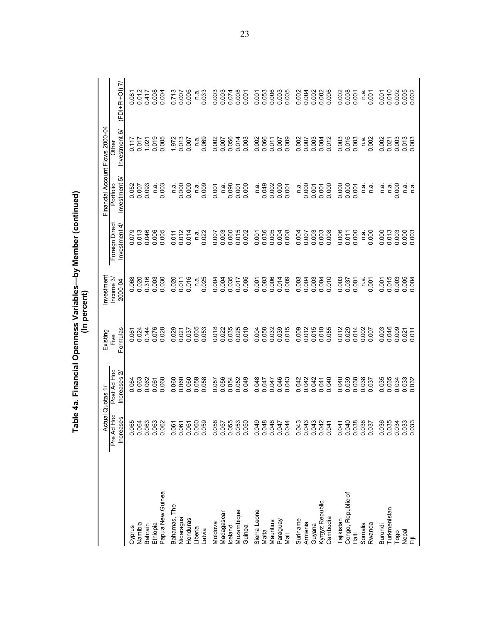|                    |                                          | Table 4a. Financial Openness Variables—by Member (continued) |                  | (In percent)         |                                 |                            |                                 |                   |
|--------------------|------------------------------------------|--------------------------------------------------------------|------------------|----------------------|---------------------------------|----------------------------|---------------------------------|-------------------|
|                    | ⋖                                        | ctual Quotas 1/                                              | Existing         | Investment           |                                 |                            | Financial Account Flows 2000-04 |                   |
|                    | $\frac{8}{1}$<br>ses<br>Pre Ad<br>Increa | Post Ad Hoc<br>Increases 2                                   | Formulas<br>Five | Income 3/<br>2000-04 | Foreign Direct<br>Investment 4/ | Investment 5/<br>Portfolio | Investment 6/<br>Other          | $(FDI+PDI+OI)$ 7/ |
| Cyprus             | 0.065<br>0.064                           | 0.064                                                        | 0.06             | 0.068<br>0.020       | 0.079                           | 0.052                      | 2117<br>2117                    | 0.087<br>0.012    |
| Namibia            |                                          |                                                              | 0.024            |                      | 0.013                           | 0.007                      |                                 | 012               |
| Bahrain            | 0.063                                    | 0.062                                                        | 0.144            | 0.316                | 0.046                           | 0.093                      | 1.021                           | 0.417             |
| Ethiopia           | 0.063                                    | 0.061                                                        | 0.076            | 0.003                | 0.006                           | ື່⊂                        | 0.019                           | 0.008             |
| Papua New Guinea   | 0.062                                    | 0.060                                                        | 0.028            | 0.030                | 0.005                           | 0.003                      | 0.005                           | 0.004             |
| Bahamas, The       |                                          | 0.060                                                        | 0.029            | 0.020                | 0.011                           | n.a                        | 1.972                           | 0.713             |
| Nicaragua          | 0.061<br>0.061<br>0.000                  | 0.060                                                        | 0.021            | 0.011                | 0.012                           | 0.000                      | 0.013                           | 0.007             |
| Honduras           |                                          | 0.060                                                        | 0.037            | 0.016                | 0.014                           | 0.000                      | 0.007                           |                   |
| Liberia            |                                          | 0.059                                                        | 0.005            | n.a                  | n.a                             | ື່ ⊂                       | ດ.<br>⊏                         | ື່ດ<br>⊏          |
| Latvia             | 0.059                                    | 0.058                                                        | 0.053            | 0.025                | 0.022                           | 0.009                      | 0.069                           | 0.033             |
| Moldova            | 0.058                                    | 0.057                                                        | 0.018            | 0.004                | 0.007                           | 0.001                      | 0.002                           | 0.003             |
| Madagascar         | 0.057                                    | 0.056                                                        | 0.022            | 0.004                | 0.003                           | ື່<br>⊂                    | 0.007                           | 0.003             |
| celand             | 0.055                                    | 0.054                                                        | 0.035            | 0.035                | 0.060                           | 0.098                      | 0.056                           | 0.074             |
| Mozambique         | 0.053                                    | 0.052                                                        | 0.025            | 0.017                | 0.015                           | 0.001                      | 0.014                           | 0.008             |
| Guinea             | 0.050                                    | 0.049                                                        | 0.010            | 0.005                | 0.002                           | 0.000                      | 0.003                           | 0.001             |
| Sierra Leone       | 0.049                                    | 0.048                                                        | 0.004            | 0.001                | 0.001                           | n.a                        | 0.002                           | 0.001             |
| Malta              | 0.048                                    | 0.047                                                        | 0.058            | 0.083                | 0.036                           | 0.049                      | 0.066                           |                   |
| Mauritius          | 0.048                                    | 0.047                                                        | 0.032            | 0.006                | 0.005                           | 0.002                      | 0.011                           | 0.053             |
| Paraguay           | 0.047                                    | 0.046                                                        | 0.039            | 0.014                | 0.004                           | 0.000                      | 0.007                           | 0.003             |
| Mali               | 0.044                                    | 0.043                                                        | 0.015            | 0.009                | 0.008                           | 0.001                      | 0.009                           | 0.005             |
| Suriname           | 0.043                                    | 0.042                                                        | 0.009            | 0.003                | 0.004                           | n.ai                       | 0.002                           | 0.002             |
| Armenia            | 0.043                                    | 0.042                                                        | 0.012            | 0.004                | 0.007                           | 0.000                      | 0.007                           | 0.004             |
| Guyana             | 0.043                                    | 0.042                                                        | 0.015            | 0.003                | 0.003                           | 0.001                      | 0.003                           | 0.002             |
| Kyrgyz Republic    | 0.042                                    | 0.041                                                        |                  | 0.004                | 0.003                           | 0.001                      | 0.004                           |                   |
| Cambodia           | 0.041                                    | 0.040                                                        | 0.055            | 0.010                | 0.008                           | 0.000                      | 0.012                           | 0.006             |
| Tajikistan         | 0.041                                    | 0.040                                                        | .012             | 0.003                | 0.006                           | 0.000                      | 0.003                           | 0.002             |
| Congo, Republic of | 0.040                                    | 0.039                                                        | 0.012<br>0.029   | 0.037                | 0.011                           | 0.000                      | 0.016                           | 0.008             |
| Haiti              | 0.038                                    | 0.038                                                        | 0.014            | 0.001                | 0.000                           | 0.001                      | 0.003                           | 0.001             |
| Somalia            | 0.038                                    | 0.038                                                        | 0.002            | n.a                  | n.a                             | ດ.<br>⊏                    | n.a.                            | n.a.              |
| Rwanda             |                                          | 0.037                                                        | 0.007            | 0.001                | 0.000                           | n.a                        | 0.002                           | 0.001             |
| Burundi            | 0.036                                    | 0.035                                                        | 0.003<br>0.046   | 0.001                | 0.000                           | ື່<br>⊂                    | 0.002                           | 0.001             |
| Turkmenistan       | 0.035                                    | 0.035                                                        |                  | 0.015                | 0.013                           | 0.000<br>n a               | 0.003<br>0.021                  | 0.010             |
| Nepal<br>Togo      | 0.034                                    | 0.034<br>0.033                                               | 0.009<br>0.021   | 0.003                | 0.003                           | $\frac{a}{2}$              |                                 | 0.002             |
| 這                  | 0.033                                    | 0.032                                                        | 0.011            | 0.005                | 0.003                           | ia<br>C                    | 0.013                           | 0.005             |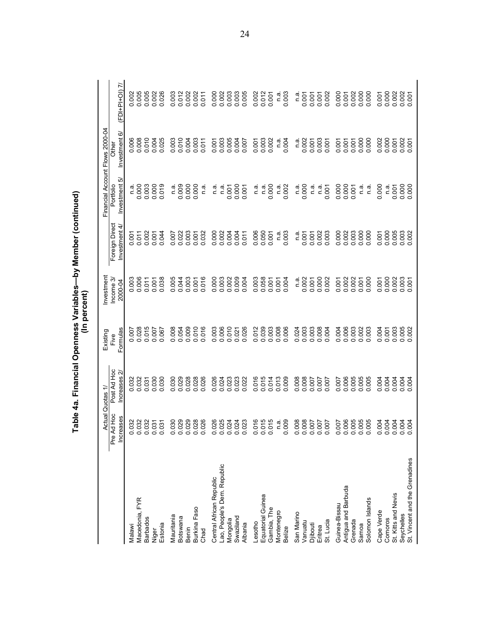|                                |                             |                            |                                                                 | (In percent)            | Table 4a. Financial Openness Variables—by Member (continued) |                            |                                 |                  |
|--------------------------------|-----------------------------|----------------------------|-----------------------------------------------------------------|-------------------------|--------------------------------------------------------------|----------------------------|---------------------------------|------------------|
|                                | Actual                      | Quotas 1.                  | Existing                                                        | Investment              |                                                              |                            | Financial Account Flows 2000-04 |                  |
|                                | Ad Hoc<br>Increases<br>Pre. | Post Ad Hoc<br>Increases 2 | Formulas<br>Five                                                | Income 3/<br>2000-04    | Foreign Direct<br>Investment 4/                              | Investment 5/<br>Portfolio | Investment 6/<br>Other          | $(FDI+PI+OI)$ 7/ |
| Malawi                         | 0.032                       |                            |                                                                 |                         |                                                              | n.a                        | 006                             |                  |
| Macedonia, FYR                 | 0.032                       | 0.032<br>0.032             | 0.007<br>0.028<br>0.015                                         | 0.003<br>0.006<br>0.011 | 0.002<br>0.002                                               | 0.000                      | 008                             | 0.005            |
| <b>Barbados</b>                | 0.032                       | 0.031                      |                                                                 |                         |                                                              | 0.003                      | 0.010                           | 0.005            |
| Niger                          | 0.031                       | 0.030                      | 790.00                                                          | 0.001                   | 0.001                                                        | 0.000                      | 004<br>$\ddot{\circ}$           | 0.002            |
| Estonia                        | 0.031                       | 030<br>$\ddot{\circ}$      |                                                                 | 0.038                   | 044                                                          | 0.019                      | 0.025                           | 0.026            |
| Mauritania                     | 0.030                       | 030<br>ö                   | 008<br>ö                                                        | .005<br>ö               | 0.007                                                        | n.a                        | 003<br>ö                        | 0.003            |
| Botswana                       | 0.029                       | 0.029                      | 0.054                                                           | 0.044                   | 0.022                                                        | 0.009                      | 0.010                           | 0.012            |
| Benin                          |                             | 0.028                      |                                                                 | 0.003                   | 0.003                                                        | 0.000                      | 0.004                           | 0.002            |
| Burkina Faso                   | 0.028                       | 0.028                      | 0.010                                                           | 0.001                   | 0.001                                                        | 0.000                      | 0.003                           | 0.002            |
| Chad                           | 0.026                       | 026<br>ö                   | 0.016                                                           | 0.016                   | 0.032                                                        | n.a                        | 0.011                           | 0.011            |
| Central African Republic       | 0.026                       | 0.026                      | 0.003                                                           | 0.000                   | 0.000                                                        | n.a                        | 0.001                           | 0.000            |
| Lao, People's Dem. Republic    | 0.025                       | 0.024                      |                                                                 | 0.003                   | 0.002                                                        | n.a                        | 0.003                           | 0.002            |
| Mongolia                       | 0.024                       | 0.023                      | 0.006<br>0.010<br>0.021                                         | 0.002                   | 0.004                                                        | 0.001                      | 0.005                           | 0.003            |
| Swaziland                      | 0.024                       | 0.023                      |                                                                 | 0.009                   | 0.004                                                        | 0.000                      | 0.004                           | 0.003            |
| Albania                        | 0.023                       | 022<br>○                   | 0.026                                                           | 0.004                   | 011<br>ö                                                     | 0.001                      | 0.007                           | 0.005            |
| Lesotho                        | 0.016                       | 016<br>ö                   | 012<br>ö                                                        | 0.003                   | 0.006                                                        | n.a                        | 0.001                           | 0.002            |
| Equatorial Guinea              | 0.015                       | 015<br>ö                   |                                                                 | 0.058                   | 0.050                                                        | n.ai                       | 0.003                           | 0.012            |
| Gambia, The                    | 0.015                       | 0.014                      | $\begin{array}{c} 0.039 \\ 0.003 \\ 0.008 \\ 0.006 \end{array}$ | 0.001                   | 0.001                                                        | 0.000                      | 0.002                           | 0.001            |
| Montenegro                     | n.ai                        |                            |                                                                 | 0.001                   | n.a                                                          | n.a.                       | n.a                             | n.a              |
| Belize                         | 0.009                       | 0.009                      |                                                                 | 0.004                   | 0.003                                                        | 0.002                      | 0.004                           | 0.003            |
| San Marino                     | 0.008                       | 0.008                      | 0.024                                                           | ື່ດ.<br>⊏               | ີ່<br>⊂                                                      | n.a.                       | .<br>د                          | ີດ.<br>⊏         |
| Vanuatu                        | 0.008                       |                            |                                                                 | 0.002                   | 0.001                                                        | 0.000                      | 0.002                           | 0.001            |
| Djibouti                       | 0.007                       | 1000<br>1000<br>1000       | 0.003<br>0.003<br>0.008                                         | 0.000                   | 0.001                                                        | n.ai                       | 0.001                           | 0.001            |
| Eritrea                        | 0.007                       |                            |                                                                 |                         |                                                              | n.a                        | 0.003                           | 0.001            |
| St. Lucia                      | 0.007                       | 007<br>$\dot{\circ}$       | 0.004                                                           | 0.002                   | 0.003                                                        | 0.001                      | 0.001                           | 0.002            |
| Guinea-Bissau                  | 0.007                       | 0.007                      | 0.004                                                           | 0.001                   | 0.000                                                        | 0.000                      | 0.001                           | 0.000            |
| Antigua and Barbuda            | 0.006                       | 006<br>$\circ$             | 0.006                                                           | 0.002                   | 0.002                                                        | 0.000                      | 0.001                           | 0.001            |
| Grenada                        | 0.005<br>0.005              | 0.005                      | 0.003                                                           | 0.007                   | 0.003                                                        | 0.001                      | 0.001                           | 0.002            |
| Solomon Islands<br>Samoa       | 0.005                       | 005<br>ö                   | 0.003                                                           | 0.000                   | 000<br>ö                                                     | n.a<br>n.ai                | 0.000<br>0.000                  | 0.000            |
| Cape Verde                     |                             | 004<br>ö                   | 0.004                                                           | 0.001                   | 0.001                                                        | 0.000                      | 0.002                           | 0.001            |
| Comoros                        | 0.004                       | 0.004                      | 0.001                                                           | 0.000                   | 0.000                                                        | n.a                        | 0.000                           | 0.000            |
| St. Kitts and Nevis            | 0.004                       | 0.004                      | 0.003                                                           | 0.002                   | 0.005                                                        | 0.001                      | 0.001                           | 0.002            |
| Seychelles                     | 0.004                       | 0.004                      | 0.005                                                           | 0.003                   | 0.003                                                        | 0.000                      | 0.007                           | 0.002            |
| St. Vincent and the Grenadines |                             |                            |                                                                 |                         |                                                              |                            |                                 | 0.001            |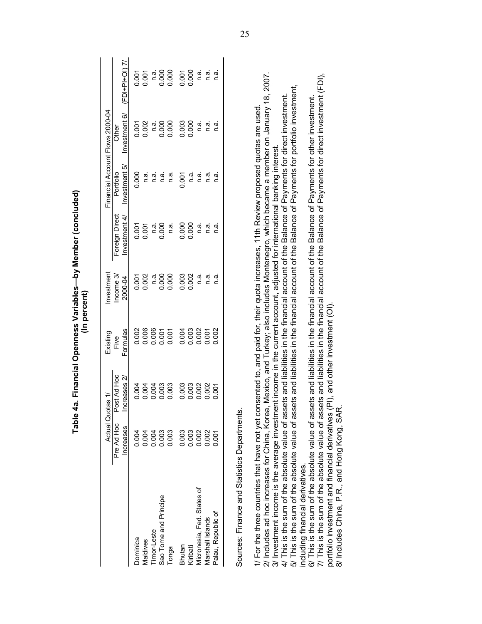|                                                                                                                                                                                                                                                                       | Table                   |                             |                                  | (In percent)         | 4a. Financial Openness Variables—by Member (concluded)                                                |                            |                                 |                  |
|-----------------------------------------------------------------------------------------------------------------------------------------------------------------------------------------------------------------------------------------------------------------------|-------------------------|-----------------------------|----------------------------------|----------------------|-------------------------------------------------------------------------------------------------------|----------------------------|---------------------------------|------------------|
|                                                                                                                                                                                                                                                                       |                         | Actual Quotas 1/            | Existing                         | Investment           |                                                                                                       |                            | Financial Account Flows 2000-04 |                  |
|                                                                                                                                                                                                                                                                       | Pre Ad Hoc<br>Increases | Post Ad Hoc<br>Increases 2/ | Formulas<br>Five                 | Income 3/<br>2000-04 | Foreign Direct<br>Investment 4/                                                                       | Investment 5/<br>Portfolio | Investment 6/<br>Other          | $(FDI+PI+OI)$ 7/ |
| Dominica                                                                                                                                                                                                                                                              | 0.004                   | 0.004                       | 0.002                            | 0.001                | 0.001                                                                                                 | 0.000                      | 0.001                           | 0.001            |
| Maldives                                                                                                                                                                                                                                                              | 0.004                   | 0.004                       | 0.006                            | 0.002                | 0.001                                                                                                 | n.a.                       | 0.002                           | 0.001            |
| Timor-Leste                                                                                                                                                                                                                                                           | 0.004                   |                             | 0.006                            | n.a.                 | ີ.<br>ເ                                                                                               | ี<br>ด.ส.                  | ີດ.<br>⊏                        | ີ່<br>⊂          |
| Sao Tome and Principe                                                                                                                                                                                                                                                 | 0.003                   | 0.003<br>0.003<br>0.003     | 0.001                            | 0.000                | 0.000                                                                                                 | ີ່<br>⊂                    | 0.000                           | 0.000            |
| Tonga                                                                                                                                                                                                                                                                 | 0.003                   |                             | 0.001                            | 0.000                | ີ້<br>ດ                                                                                               | <u>ດ່ີ</u>                 | 0.000                           |                  |
| Bhutan                                                                                                                                                                                                                                                                | 0.003                   | 0.003                       | 0.004                            | 0.003                | 0.000                                                                                                 | 0.001                      | 0.003                           | 0.001            |
| Kiribati                                                                                                                                                                                                                                                              | 0.003                   | 0.003                       | 0.003                            | 0.002                | 0.000                                                                                                 | r.ai                       | 0.000                           | 0.000            |
| Micronesia, Fed. States of                                                                                                                                                                                                                                            | 0.002                   | 0.002                       | 0.002                            | <u>ດ່ີ</u>           | ີດ.<br>⊂                                                                                              | ດ.<br>ຕ.                   | તું<br>⊂                        | rä.              |
| Marshall Islands                                                                                                                                                                                                                                                      | 0.002                   | 0.002                       | 0.001                            | ດ.<br>C              | ີ່<br>ເ                                                                                               | n.a.                       | ີ່<br>ເ                         | <u>ດ່ີ</u>       |
| Palau, Republic of                                                                                                                                                                                                                                                    | 0.001                   | 0.001                       | 0.002                            | ີ້<br>ເ              | ີ່<br>ເ                                                                                               | ີ່<br>ເ                    | ີ່<br>ເຊື່                      | ີ່<br>ເ          |
| Sources: Finance and Statistics Departments                                                                                                                                                                                                                           |                         |                             |                                  |                      |                                                                                                       |                            |                                 |                  |
| 1/ For the three countries that have not yet consented to, and paid for, their quota increases, 11th Review proposed quotas are used                                                                                                                                  |                         |                             |                                  |                      |                                                                                                       |                            |                                 |                  |
| 2/ Includes ad hoc increases for China, Korea, Mexico, and Turkey; also includes Montenegro, which became a member on January 18, 2007.<br>3/ Investment income is the average investment income in the current account, adjusted for international banking interest. |                         |                             |                                  |                      |                                                                                                       |                            |                                 |                  |
| 5/ This is the sum of the absolute value of assets and liabilities in the financial account of the Balance of Payments for portfolio investment,<br>4/ This is the sum of the absolute value of as:                                                                   |                         |                             |                                  |                      | sets and liabilities in the financial account of the Balance of Payments for direct investment.       |                            |                                 |                  |
| including financial derivatives.                                                                                                                                                                                                                                      |                         |                             |                                  |                      |                                                                                                       |                            |                                 |                  |
| 6/ This is the sum of the absolute value of assets and liabilities in the financial account of the Balance of Payments for other investment.                                                                                                                          |                         |                             |                                  |                      |                                                                                                       |                            |                                 |                  |
| 7/ This is the sum of the absolute value of ass                                                                                                                                                                                                                       |                         |                             |                                  |                      | sets and liabilities in the financial account of the Balance of Payments for direct investment (FDI), |                            |                                 |                  |
| 8/ Includes China, P.R., and Hong Kong, SAR<br>portfolio investment and financial derivatives                                                                                                                                                                         |                         |                             | (PI), and other investment (OI). |                      |                                                                                                       |                            |                                 |                  |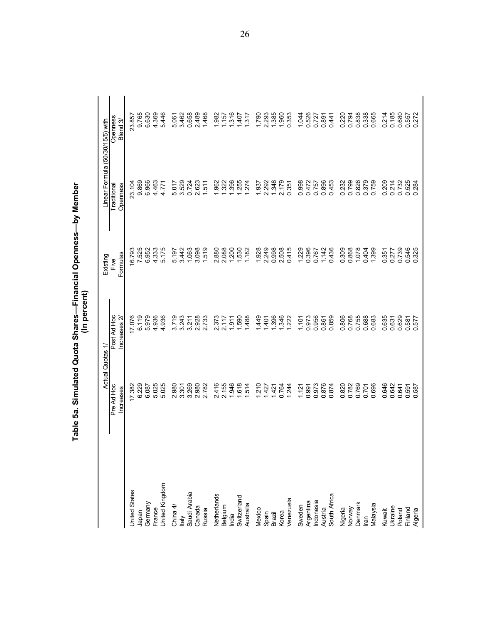|                        | Actual Quotas                  | ≓                          | Existing                      | Linear Formula (50/30/15/5) with |                      |
|------------------------|--------------------------------|----------------------------|-------------------------------|----------------------------------|----------------------|
|                        | Pre Ad Hoc<br>Increases        | Post Ad Hoc<br>Increases 2 | Formulas<br>Five              | Openness<br>Traditional          | Openness<br>Blend 3/ |
| <b>Jnited States</b>   | 17.382<br>6.229                | 17.076                     | 6.793                         |                                  |                      |
| Japan                  |                                | 6.119                      | 7.525                         | 23.104                           | 23.857<br>9.765      |
| Germany                | 6.087                          | 5.979                      | 6.952                         | 6.966                            | 6.630                |
| France                 | 025<br>ம்                      | 4.936                      | 4.333                         | 4.463                            | 4 369<br>5 446       |
| <b>Jnited Kingdom</b>  | 5.025                          | 936<br>$\vec{r}$           | 175<br>ιo                     | 4.771                            |                      |
| China $4/$             | 2.980                          | 3.719                      | 5.197                         | 5.017                            |                      |
| ltaly                  | 3.301                          | 3.243                      | 3.442                         | 3.529                            | 5.061<br>3.462       |
| Saudi Arabia           | 3.269                          | 3.211                      | 1.063                         | 0.724                            | 0.658                |
| Canada                 | 2.980                          | 2.928                      | 3.098                         | 2.623                            | 2.489                |
| Russia                 | 2.782                          |                            | 1.519                         | 1.511                            | 1.468                |
| Netherlands            | 416<br>$\overline{\mathsf{N}}$ |                            |                               | 962                              |                      |
|                        | 2.155                          | 2.373<br>2.117             | 2.880<br>2.088                | 1.322                            | 1.982<br>1.157       |
| Belgium<br>India       | 1.946                          | 1.911                      | 1.200                         | 1.396                            | 1.316                |
| Switzerland            | 1.514                          | 1.590                      | 1.530                         | 255<br>274                       | 1.407                |
| Australia              |                                | .488                       | 1,182                         |                                  | 1.317                |
| Mexico                 | 1.210                          | 449                        | 1.928                         | 1.937                            | 1.790                |
|                        | 1.427                          | $-401$                     | 2.249                         | 2.292                            | 2.293                |
| Spain<br>Brazil        | 1.421                          | 396                        | 0.998                         | 1.348                            | 1.385                |
| Korea                  | 0.764                          | 346                        | 2.508<br>0.415                | 2.179                            | 1.960<br>0.353       |
| Venezuela              | 1.244                          | 222                        | 415                           | 0.351                            |                      |
| Sweden                 | 1.121                          | 1.101                      | 1.229                         | 0.998                            | 1.044                |
| Argentina<br>Indonesia | 0.991                          | 0.973                      | 0.396                         | 0.472                            | 0.526                |
|                        | 0.973                          | 0.956                      | 0.767                         | 0.757                            | 0.727                |
| Austria                | 0.876                          | 0.861<br>0.859             | 1.142                         | 0.896<br>0.453                   | 0.891                |
| South Africa           | 0.874                          |                            | 0436                          |                                  | 0.441                |
| Nigeria<br>Norway      | 0.820                          | 0.806                      | 0.309                         | 0.232                            | 0.220                |
|                        | 0.782                          | 0.768                      | 0.868                         | 0.799                            | 0.838                |
| Denmark                | 0.769                          | 0.755                      | 1.078                         | 0.826                            |                      |
| lran                   | 0.701                          | 0.688                      | 0.404                         | 0.379                            | 0.338<br>0.665       |
| Malaysia               | .696<br>$\circ$                | 0.683                      | 1.399                         | 0.759                            |                      |
| Kuwait                 | 646<br>ö                       | 0.635<br>0.631             | 0.351                         | 209<br>Ö                         | 214<br>ö             |
| <b>Jkraine</b>         | <b>G42</b><br>$\circ$          |                            | 0.277                         | 0.214                            | 0.185                |
| Poland                 | 0.641                          | 0.629                      | 0.739                         | 0.732                            | 0.680                |
| Finland                | 0.591<br>0.587                 | 0.581<br>0.577             | 546<br>325<br>$\circ$ $\circ$ | 525<br>284<br>$\circ$ $\circ$    | 557<br>272<br>00     |
| Algeria                |                                |                            |                               |                                  |                      |

Table 5a. Simulated Quota Shares—Financial Openness—by Member<br>(In percent)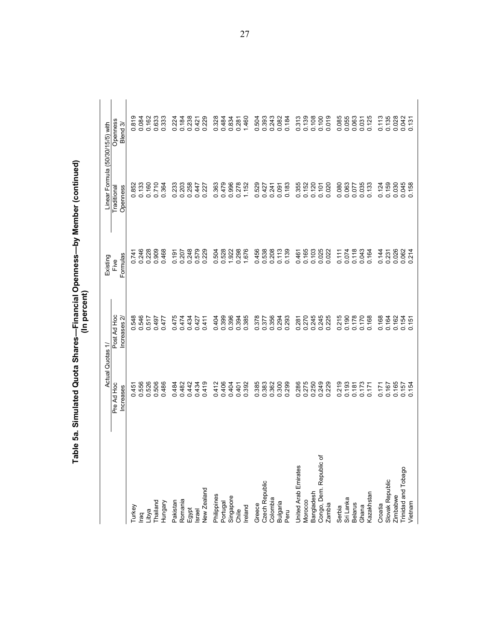|                                | Actual Quotas 1/                         |                               | Existing         | Linear Formula         | (50/30/15/5) with      |  |
|--------------------------------|------------------------------------------|-------------------------------|------------------|------------------------|------------------------|--|
|                                | Pre Ad Hoc<br>Increases                  | Post Ad Hoc<br>Ñ<br>Increases | Formulas<br>Five | Openness<br>Traditiona | Openness<br>ო<br>Blend |  |
| Turkey                         |                                          |                               | 0.741            | 0.852                  | 819<br>ö               |  |
| raq                            |                                          |                               | 0.246            | 0.133                  | 0.084                  |  |
| Libya                          |                                          | 0.548<br>0.546<br>0.517       |                  | 0.160                  | 0.162                  |  |
| Thailand                       | $0.456$<br>$0.566$<br>$0.566$<br>$0.566$ | 0.497                         | 0.228            | 0.710                  | 0.633                  |  |
| Hungary                        | 0.486                                    | 0.477                         | 0.468            | 0.364                  | 0.333                  |  |
| Pakistan                       |                                          | 0.475                         | 0.191            |                        | 0.224                  |  |
| Romania                        | 0.482<br>0.482                           | 0.474                         | 0.207            | 0.233<br>0.203         | 0.184                  |  |
| Egypt                          | 0.442                                    | 0.434                         | 0.248            | 0.258                  | 0.238                  |  |
| Israel                         | 0.419                                    | 0.427                         | 0.579            | 0.447                  | 0.421                  |  |
| New Zealand                    |                                          | 0.411                         | 0.229            | 0.227                  | 0.229                  |  |
| Philippines                    |                                          |                               | 0.504            |                        |                        |  |
| Portugal                       | 0.412<br>0.406                           | 0.399                         | 0.528            | 0.363<br>0.479         | 0.328<br>0.484         |  |
| Singapore                      | 0.404                                    | 0.396<br>0.394<br>0.385       | 1.922            | 0.996<br>0.278         | 0.834                  |  |
| Chile                          | 0.401<br>0.392                           |                               | 0.298            |                        | 0.281                  |  |
| Ireland                        |                                          |                               | 1.676            | 1.152                  | 1.460                  |  |
| Greece                         |                                          |                               |                  |                        |                        |  |
| Czech Republic                 | 0.385<br>0.383                           | 0.378                         | 0.456<br>0.538   | 0.529<br>0.427         | 0.504<br>0.393         |  |
| Colombia                       | 0.362                                    | 0.356                         | 0.208            | 0.241                  | 0.243                  |  |
| Bulgaria                       | 0.300<br>0.299                           | 0.294<br>0.293                | 0.113            | 0.091                  | 0.082<br>0.184         |  |
| Peru                           |                                          |                               |                  | 0.183                  |                        |  |
| United Arab Emirates           | 0.286<br>0.275                           | 0.281<br>0.270                | 0.461            | 0.355                  | 0.313                  |  |
| Morocco                        |                                          |                               | 0.165            | 0.152                  | 0.139                  |  |
| Bangladesh                     | 0.250<br>0.249<br>0.229                  | 0.245<br>0.245<br>0.225       | 0.103            | 0.120                  | 0.108                  |  |
| Congo, Dem. Republic of        |                                          |                               | 0.025            | 0.101                  | 0.100<br>0.019         |  |
| Zambia                         |                                          |                               |                  |                        |                        |  |
| Serbia                         | 0.219                                    |                               |                  |                        |                        |  |
| Sri Lanka                      | 0.193                                    | 0.215<br>0.190                | 0.111<br>0.074   | 0.080<br>0.063         | 0.085<br>0.055         |  |
| <b>Belarus</b>                 | 0.181                                    | 0.178                         | 0.118            | 0.077                  | 0.063                  |  |
| Ghana                          | 0.173                                    | 0.170                         | 0.043            | 0.035                  | 0.031                  |  |
| Kazakhstan                     | 0.171                                    | 0.168                         | 0.164            | 0.133                  | 0.125                  |  |
| Croatia                        | 0.171                                    | 0.168                         | 0.144            | 0.124                  | 0.113                  |  |
| Slovak Republic                | 0.167                                    | 0.164                         | 0.231            | 0.159                  | 0.135                  |  |
| Zimbabwe                       | 0.165                                    | 0.162                         | 0.026            | 0.030                  | 0.028                  |  |
| Trinidad and Tobago<br>Vietnam | $0.157$<br>0.157                         | $0.154$<br>$0.151$            | 0.062<br>0.214   | 0.045<br>0.158         | 0.042<br>0.131         |  |

Table 5a. Simulated Quota Shares—Financial Openness—by Member (continued)<br>(In percent)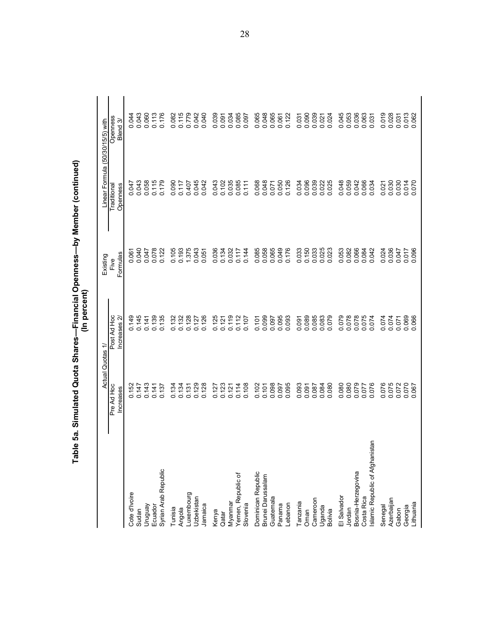|                                     | <b>Actual</b>                  | ≓<br>Quotas                    | Existing         | Linear Formula (50/30/15/5) with |                                |
|-------------------------------------|--------------------------------|--------------------------------|------------------|----------------------------------|--------------------------------|
|                                     | Pre Ad Hoc<br><b>Increases</b> | Post Ad Hoc<br>ncreases 2      | Formulas<br>Five | Openness<br>Traditional          | Openness<br>Blend <sub>3</sub> |
| Cote d'Ivoire                       |                                |                                |                  |                                  | 044                            |
| Sudan                               | 0.152<br>0.147                 | 0.149<br>0.145                 | 0.061            | 0.047<br>0.043                   | 0.043<br>0.043                 |
| Vengnun                             | 0.143                          | 0.141                          | 0.047            | 058<br>$\circ$                   | 0.060                          |
| Ecuador                             | 0.141                          | 0.139                          | 0.078            | 0.115<br>0.179                   | 0.113                          |
| Syrian Arab Republic                | 0.137                          | 0.135                          | 0.122            |                                  | 0.176                          |
| Tunisia                             | 0.134                          | 0.132                          | 0.105            | 090<br>$\circ$                   |                                |
| Angola                              | 0.134                          | 0.132                          | 0.193            | 0.117                            | 0.082<br>0.115                 |
| Luxembourg                          | 0.131                          | 0.128                          | 1.375            | 0.407                            | 0.779                          |
| Uzbekistan                          | 0.129                          | 0.127                          | 0.043            |                                  |                                |
| Jamaica                             | 0.128                          | 0.126                          |                  | 0.045<br>0.042                   | 0.042                          |
| Kenya                               | 0.127                          | 0.125                          | 0.036            |                                  |                                |
| Qatar                               | 0.123                          | 0.121                          | 0.134            |                                  |                                |
| Myanmar                             | 0.121                          | 0.119                          |                  | 0.043<br>0.102<br>0.035          | 0.034<br>0.091<br>0.034        |
| Yemen, Republic of                  | 0.114<br>0.108                 | 0.112<br>0.107                 | 0.117            | 0.085<br>0.111                   | 0.085                          |
| Slovenia                            |                                |                                | 0.144            |                                  |                                |
| Dominican Republic                  | 0.102                          |                                | 0.085            |                                  |                                |
| Brunei Darussalam                   | 0.101<br>0.098                 | 0.101                          | 0.058            | 0.068<br>0.048                   | 0.065<br>0.048<br>0.065        |
| Guatemala                           |                                | 0.095<br>0.095<br>0.093        | 0.065            | 0.071<br>0.050<br>0.126          |                                |
| Panama                              | 0.095                          |                                | 0.176            |                                  | 0.061<br>0.122                 |
| Lebanon                             |                                |                                |                  |                                  |                                |
| Tanzania                            | 0.097                          |                                | 0.033            |                                  |                                |
| Oman                                |                                | 0.091<br>0.089<br>0.085        | 0.150<br>0.033   | 0.034<br>0.096<br>0.039          | 0.039<br>0.039<br>0.039        |
| Cameroon                            | 0.087                          |                                |                  |                                  |                                |
| Uganda                              | 0.084                          | 0.083                          | 0.025            | 0.025                            | 0.024                          |
| Bolivia                             | 0.080                          | 079                            |                  |                                  |                                |
| El Salvador                         | 0.080                          | 079                            | 0.053            | 0.048                            | 0.045<br>0.053<br>0.036        |
| Jordan                              | 0.080                          | 820.0<br>820.0<br>0.078        | 0.082            | 0.059<br>0.042                   |                                |
| Bosnia-Herzegovina                  | 0.079                          |                                | 0.066            |                                  |                                |
| Costa Rica                          | 0.077<br>0.076                 | 0.075<br>0.074                 | 0.084<br>0.042   | 0.066                            | 0.063                          |
| tan<br>Islamic Republic of Afghanis | 076                            |                                |                  |                                  |                                |
| Senegal                             | 076<br>Ö                       | 074<br>0 0                     | 0.024            | $\overline{27}$<br>$\circ$       | 0.019<br>0.028<br>0.031        |
| Azerbaijan                          | 0.075                          | 074                            | 0.036<br>0.047   | 0.030                            |                                |
| Gabon                               | 0.072                          | 0.071                          |                  |                                  |                                |
| Lithuania<br>Georgia                | 0.070                          | 069<br>.066<br>$\circ$ $\circ$ | 0.017            | 0.05<br>$\circ$ $\circ$          | 062<br>062<br>$\circ$ $\circ$  |
|                                     |                                |                                |                  |                                  |                                |

Table 5a. Simulated Quota Shares—Financial Openness—by Member (continued)<br>(In percent)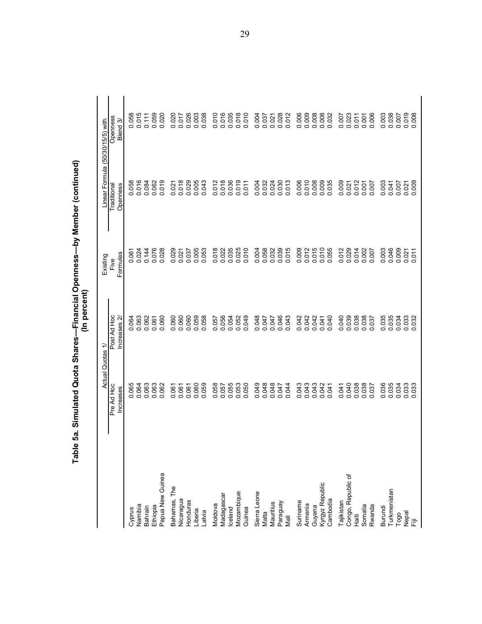|                                  | Actual Quotas           | ₹                                                                 | Existing                                                                  | Linear Formula (50/30/15/5) with |                                                                                             |
|----------------------------------|-------------------------|-------------------------------------------------------------------|---------------------------------------------------------------------------|----------------------------------|---------------------------------------------------------------------------------------------|
|                                  | Pre Ad Hoc<br>Increases | Post Ad Hoc<br>Increases 2                                        | Formulas<br>Five                                                          | Openness<br>Traditional          | Openness<br>Blend <sub>3</sub>                                                              |
| Cyprus                           |                         |                                                                   |                                                                           |                                  | 058                                                                                         |
| Namibia                          | 0.064                   | 0.064                                                             | 0.061<br>0.024                                                            | 88<br>016<br>o o                 | 015<br>o o                                                                                  |
| Bahrain                          | 0.063                   | 0.062                                                             | 0.144                                                                     | 0.084                            | 0.111                                                                                       |
| Ethiopia                         | 0.063                   | 0.061                                                             | 0.076                                                                     | 0.062<br>0.019                   | 0.059                                                                                       |
| Papua New Guinea                 | 0.062                   |                                                                   | 0.028                                                                     | 019                              |                                                                                             |
| Bahamas, The                     | 0.061                   | 0.060                                                             | 0.029                                                                     | 0.021                            | 0.020                                                                                       |
| Nicaragua                        | 0.061                   |                                                                   |                                                                           |                                  |                                                                                             |
| Honduras                         | 0.061                   | 0.060                                                             | 0.037                                                                     | 0.029                            | 0.026                                                                                       |
| Liberia                          | 0.060                   | 0.059                                                             | 0.005                                                                     | 0.005                            | 0.003                                                                                       |
| Latvia                           | 0.059                   |                                                                   |                                                                           |                                  |                                                                                             |
| Moldova                          | 0.058                   |                                                                   |                                                                           |                                  |                                                                                             |
| Madagascar                       | 0.057                   |                                                                   |                                                                           | 0.012                            |                                                                                             |
| Iceland                          |                         |                                                                   |                                                                           |                                  |                                                                                             |
| Mozambique                       | 0.053<br>0.050          |                                                                   | 8<br>000000<br>000000<br>00000                                            | 0.036<br>0.011<br>0.011          | 0<br>0<br>0<br>0<br>0<br>0<br>0<br>0<br>0<br>0<br>0<br>0<br>0<br>0<br>0<br>0<br>0<br>0<br>0 |
| Guinea                           |                         |                                                                   |                                                                           |                                  |                                                                                             |
| Sierra Leone                     | 0.049                   |                                                                   |                                                                           | 0.004<br>0.032                   | 0.004                                                                                       |
| Malta                            | 0.048                   |                                                                   |                                                                           |                                  |                                                                                             |
| Mauritius                        | 0.048                   |                                                                   | $\begin{array}{c} 0.00000 \\ 0.00000 \\ 0.00000 \\ 0.0000 \\ \end{array}$ | 0.024                            | 0.021                                                                                       |
| Paraguay                         | 0.047<br>7<br>0.047     |                                                                   |                                                                           | 0.030<br>0.013                   | 0.028                                                                                       |
| Mali                             |                         |                                                                   |                                                                           |                                  |                                                                                             |
| Suriname                         | 0.043                   |                                                                   |                                                                           |                                  |                                                                                             |
| Armenia                          | 0.043                   |                                                                   |                                                                           |                                  | $0.008$<br>$0.008$                                                                          |
| Guyana                           | 0.043                   |                                                                   |                                                                           |                                  |                                                                                             |
| Kyrgyz Republic<br>Cambodia      | 0.042<br>0.041          | $\begin{array}{c} 248470 \\ 348470 \\ 0 \\ 0 \\ 0 \\ \end{array}$ | 0002<br>0015<br>00000<br>00000                                            | 8608888<br>000000<br>00000       | 0.008<br>032                                                                                |
|                                  |                         |                                                                   |                                                                           |                                  |                                                                                             |
| Congo, Republic of<br>Tajikistan | 0.040<br>0.041          |                                                                   | 0.012<br>0.029                                                            | 0.009<br>0.021                   | 0.007                                                                                       |
| $\frac{1}{2}$                    | 0.038                   | 0.038<br>0.038<br>0.038                                           | 0.014                                                                     | 0.012                            | $0.023$<br>$0.011$                                                                          |
| Somalia                          | 0.038                   | 0.037                                                             | 0.002                                                                     |                                  | 0.001                                                                                       |
| Rwanda                           |                         |                                                                   |                                                                           | 0.007                            | .006                                                                                        |
| Burundi                          | 0.036                   |                                                                   |                                                                           | 0.003                            |                                                                                             |
| Turkmenistan                     | 0.035                   | 0.035<br>0.034<br>0.034                                           | 0.003<br>0.046<br>0.009                                                   | 0.041                            | 0.003<br>0.00<br>0.007                                                                      |
| Togo                             |                         |                                                                   |                                                                           |                                  |                                                                                             |
| nepal<br>iii                     | 0.033                   | 033<br>$\circ$ $\circ$                                            | $0.021$<br>$0.011$                                                        | 000<br>$0.021$<br>0.009          | $\circ$ $\circ$                                                                             |
|                                  |                         |                                                                   |                                                                           |                                  |                                                                                             |

Table 5a. Simulated Quota Shares—Financial Openness—by Member (continued)<br>(In percent)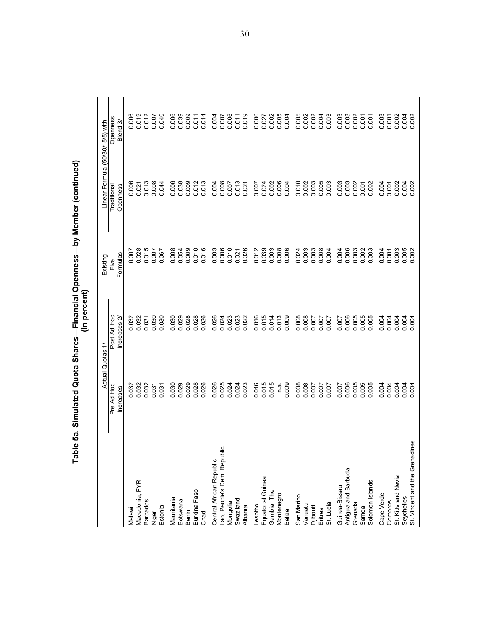|                                              |                               | Actual Quotas 1/           | Existing              | Linear Formula (50/30/15/5) with |                                |
|----------------------------------------------|-------------------------------|----------------------------|-----------------------|----------------------------------|--------------------------------|
|                                              | Pre Ad Hoc<br>Increases       | Post Ad Hoc<br>Increases 2 | Formulas<br>Five      | Openness<br>Traditional          | Openness<br>Blend <sub>3</sub> |
| Malawi                                       |                               |                            |                       |                                  |                                |
| Macedonia, FYR                               | 0.032<br>0.032                | 0.032<br>0.032             | 0.007                 | 0.006                            | 0.019                          |
| <b>Barbados</b>                              | 0.032                         | 0.031                      | 0.015                 | 0.013                            | 0.012                          |
| Niger                                        | 0.031                         | 0.030                      | 0.007                 | 0.008                            | 0.040                          |
| Estonia                                      |                               | 0.030                      | 0.067                 |                                  |                                |
| Mauritania                                   | 0.030                         | 0.030                      | 0.008                 |                                  |                                |
| Botswana                                     | 0.029                         | 0.029                      | 0.054                 | 0.008<br>0.009<br>0.009          | 0.006                          |
| Benin                                        | 0.029                         | 0.028                      | 0.009                 |                                  | 0.009                          |
| Burkina Faso                                 | 0.028                         | 0.028                      | 0.010                 | 0.013                            | 0.011                          |
| Chad                                         |                               | 0.026                      | 016<br>$\ddot{\circ}$ |                                  |                                |
| Central African Republic                     |                               |                            | 0.003                 |                                  |                                |
| ပ<br>Lao, People's Dem. Republi              | 0.026<br>0.025                | 0.024<br>0.024<br>0.023    | 0.006                 | 0.004<br>0.008<br>0.007          | 0.007                          |
| Mongolia                                     | 0.024                         |                            | 0.010                 |                                  | 0.006                          |
| Swaziland                                    | 0.024                         | 0.023                      | 0.021                 | $0.013$<br>$0.021$               | 0.011                          |
| Albania                                      | .023                          | 0.022                      | 0.026                 |                                  |                                |
| Lesotho                                      | 016<br>Õ                      | 0.016                      | 0.012                 | 0.007                            | 0.006                          |
| Equatorial Guinea                            | 0.015                         | 0.015<br>0.014             | 0.039                 | 0.024                            | 0.027                          |
| Gambia, The                                  |                               |                            | 0.003                 | 0.002                            | 0.002                          |
| Montenegro                                   | n a.                          | 0.013                      | 0.008                 | 0.006                            | 0.005                          |
| <b>Belize</b>                                | 009<br>$\circ$                |                            |                       |                                  |                                |
| San Marino                                   | 0.008                         |                            | 0.024                 |                                  | 0.005                          |
| Vanuatu                                      | 0.008                         | 0.008<br>0.008<br>0.007    | 0.003                 | 0.010<br>0.003<br>0.003          | 0.002                          |
| Djibouti                                     |                               |                            |                       |                                  |                                |
| Eritrea                                      | 700.07                        | 700.0                      | 0.008                 | 0.005                            | 0.004                          |
| St. Lucia                                    |                               |                            | 0.004                 |                                  | 0.003                          |
| Guinea-Bissau                                | 0.007                         | 0.007                      | 0.004                 | 0.003                            | 0.003                          |
| Antigua and Barbuda                          | 0.006                         | 0.006                      | 0.006                 | $0.003$<br>$0.007$               | 0.003                          |
| Grenada                                      |                               | 0.005                      | 0.003                 |                                  |                                |
| Samoa                                        | 0.005<br>0.005<br>0.005       | 0.005                      | 0.002                 |                                  | 0.001                          |
| Solomon Islands                              | .005                          | 0.005                      | 0.003                 | 0.002                            | 0.001                          |
| Cape Verde                                   | 004<br>ö                      | 0.004                      | 0.004                 | 0.004                            | 0.003                          |
| Comoros                                      | 0.004                         | 0.004                      | 0.001                 | 0.001                            | 0.001                          |
| St. Kitts and Nevis                          | 0.004                         | 0.004                      | 0.003                 |                                  | 0.002                          |
| St. Vincent and the Grenadines<br>Seychelles | 9 g<br>9 g<br>$\circ$ $\circ$ | 0.004                      | 0.005                 | 0.002<br>0.002                   | 0.002                          |
|                                              |                               |                            |                       |                                  |                                |

Table 5a. Simulated Quota Shares—Financial Openness—by Member (continued)<br>(In percent)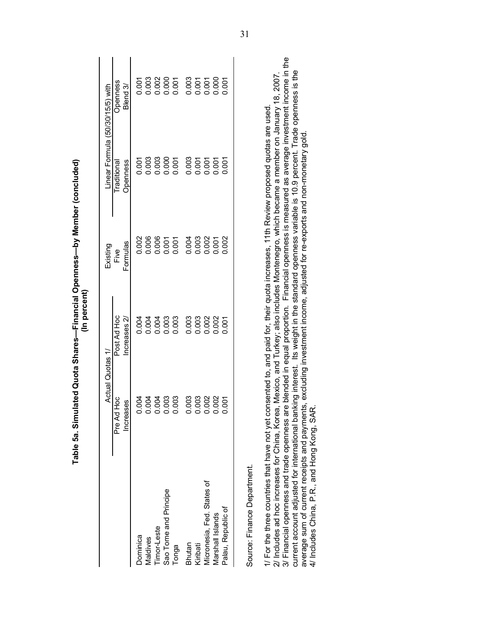|                                                                                                                                                                                                                                                                                                                                                                                                                                                                                                                                                                                                                                                                                              | Table 5a. Simulated Quota Shares—Financial Openness—by Member (concluded) | In percent                    |                                                                                                   |                                  |                      |
|----------------------------------------------------------------------------------------------------------------------------------------------------------------------------------------------------------------------------------------------------------------------------------------------------------------------------------------------------------------------------------------------------------------------------------------------------------------------------------------------------------------------------------------------------------------------------------------------------------------------------------------------------------------------------------------------|---------------------------------------------------------------------------|-------------------------------|---------------------------------------------------------------------------------------------------|----------------------------------|----------------------|
|                                                                                                                                                                                                                                                                                                                                                                                                                                                                                                                                                                                                                                                                                              | Actual Quotas 1/                                                          |                               | Existing                                                                                          | Linear Formula (50/30/15/5) with |                      |
|                                                                                                                                                                                                                                                                                                                                                                                                                                                                                                                                                                                                                                                                                              | oc<br>H<br>Increases<br>Pre Ad I                                          | Post Ad Hoc<br>Increases $2/$ | Formulas<br>Five                                                                                  | Openness<br>Traditional          | Openness<br>Blend 3/ |
| Dominica                                                                                                                                                                                                                                                                                                                                                                                                                                                                                                                                                                                                                                                                                     | 0.004                                                                     | 0.004                         | 0.002                                                                                             | 0.001                            | 0.001                |
| Maldives                                                                                                                                                                                                                                                                                                                                                                                                                                                                                                                                                                                                                                                                                     | 0.004                                                                     | 0.004                         | 0.006                                                                                             | 0.003                            | 0.003                |
| Timor-Leste                                                                                                                                                                                                                                                                                                                                                                                                                                                                                                                                                                                                                                                                                  | 0.004                                                                     | 0.004                         | 0.006                                                                                             | 0.003                            | 0.002                |
| Sao Tome and Principe                                                                                                                                                                                                                                                                                                                                                                                                                                                                                                                                                                                                                                                                        | 0.003                                                                     | 0.003                         | 0.001                                                                                             | 0.000                            | 0.007                |
| Tonga                                                                                                                                                                                                                                                                                                                                                                                                                                                                                                                                                                                                                                                                                        | 0.003                                                                     | 0.003                         | 0.001                                                                                             | 0.001                            |                      |
| Bhutan                                                                                                                                                                                                                                                                                                                                                                                                                                                                                                                                                                                                                                                                                       | 0.003                                                                     | 0.003                         | 0.004                                                                                             | 0.003                            | 0.003                |
| Kiribati                                                                                                                                                                                                                                                                                                                                                                                                                                                                                                                                                                                                                                                                                     |                                                                           | 0.003                         | 0.003                                                                                             | 0.001                            | 0.001                |
| Micronesia, Fed. States of                                                                                                                                                                                                                                                                                                                                                                                                                                                                                                                                                                                                                                                                   | 0.003                                                                     | 0.002                         | 0.002                                                                                             | 0.001                            | 0.001                |
| Marshall Islands                                                                                                                                                                                                                                                                                                                                                                                                                                                                                                                                                                                                                                                                             | 0.002                                                                     | 0.002                         | 0.001                                                                                             | 0.001                            | 0.000                |
| Palau, Republic of                                                                                                                                                                                                                                                                                                                                                                                                                                                                                                                                                                                                                                                                           | 0.001                                                                     | 0.007                         | 0.002                                                                                             | 0.001                            | 0.001                |
| current account adjusted for international banking interest. Its weight in the standard openness variable is 10.9 percent. Trade openness is the<br>2/ Includes ad hoc increases for China, Korea, Mexico, and Turkey; also includes Montenegro, which became a member on January 18, 2007<br>1/ For the three countries that have not yet consented to, and paid for, their quota increases, 11th Review proposed quotas are used<br>average sum of current receipts and payments, excluding investment income, adjusted for re-exports and non-monetary gold<br>4/ Includes China, P.R., and Hong Kong, SAR<br>3/ Financial openness and trade openness are<br>Source: Finance Department. |                                                                           |                               | e blended in equal proportion. Financial openness is measured as average investment income in the |                                  |                      |

Table 5a. Simulated Quota Shares-Financial Openness-by Member (concluded) (In percent)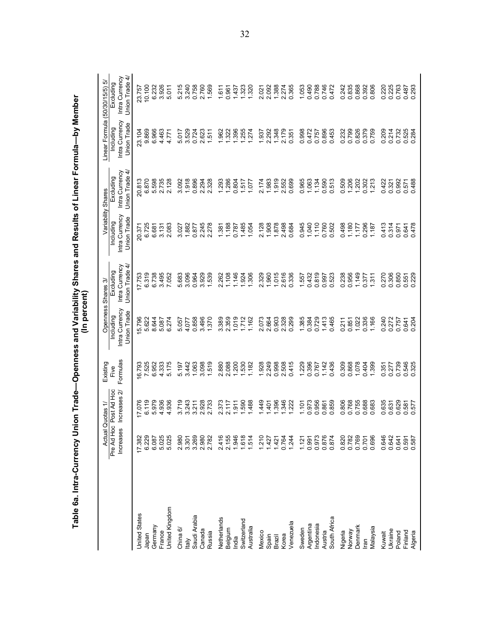|                    | Actual                  | Quotas 1/                  | Existing         | Openness                                   | Shares 3                                        |                                            | Variability Shares                               | Linear Formula (50/30/15/5) 5/             |                                               |
|--------------------|-------------------------|----------------------------|------------------|--------------------------------------------|-------------------------------------------------|--------------------------------------------|--------------------------------------------------|--------------------------------------------|-----------------------------------------------|
|                    | Pre Ad Hoc<br>Increases | Post Ad Hoc<br>ncreases 2/ | Formulas<br>Five | Intra Currency<br>Union Trade<br>Including | Intra Currency<br>₹<br>Union Trade<br>Excluding | Intra Currency<br>Union Trade<br>Including | ने<br>Intra Currency<br>Union Trade<br>Excluding | Intra Currency<br>Union Trade<br>Including | Intra Currency<br>Union Trade 4/<br>Excluding |
| United States      | 17.382                  | 17.076                     |                  | 5.796                                      | 7.753                                           | 20.371                                     | 20.813                                           | 23.104                                     | 23.757                                        |
| Japan              | 6.229                   | 6.119                      | 16.793<br>7.525  | 5.622                                      | 6.319                                           | 6.725                                      | 6.870                                            | 9.869                                      | 10.100                                        |
| Germany            | 6.087                   | 5.979                      | 6.952            | 8.644                                      | 6.738                                           | 6.681                                      | 5.598                                            | 6.966                                      | 6.232                                         |
| France             | 5.025                   | 4.936                      | 4.333            | 5.087                                      | 3.495                                           | 3.131                                      | 2.735                                            | 4.463                                      | 926<br>$\ddot{\circ}$                         |
| United Kingdom     | 5.025                   | 4.936                      | 5.175            | 6.274                                      | 7.052                                           | 2.083                                      | 2.128                                            | 4.771                                      | 5.011                                         |
| China $6/$         | 2.980                   | 3.719                      | 5.197            | 5.057                                      | 5.683                                           | 3.027                                      | 3.092                                            | 5.017                                      | 215<br>ທ່                                     |
| taly               | 3.301                   | 3.243                      | 3.442            | 4.077                                      | 3.096                                           | 1.882                                      | 1.918                                            | 3.529                                      | 3.240                                         |
| Saudi Arabia       | 3.269                   | 3.211                      | 1.063            | 0.858                                      | 0.964                                           | 0.877                                      | 0.896                                            | 0.724                                      | 0.758                                         |
| Canada             | 2.980                   | 2.928                      | 3.098            | 3.496                                      | 3.929                                           | 2.245                                      | 2.294                                            | 2.623                                      | 2.760                                         |
| Russia             | 2.782                   | 2.733                      | 1.519            | 1.370                                      | 1.539                                           | 2.278                                      | 2.328                                            | 1.511                                      | 1.569                                         |
| Netherlands        | 2.416                   | 373<br>۵i                  | 2.880            | 3.389                                      | 2.262                                           | 1.381                                      | 1.293                                            | 1.962                                      | 1.611                                         |
| Belgium            | 2.155                   | 2.117                      | 2.088            | 2.359                                      | 108                                             | 1.188                                      | 1.286                                            | 322                                        | 0.961                                         |
| India              | 1.946                   | $-911$                     | 1.200            | 1.019                                      | 1.146                                           | 0.787                                      | 0.804                                            | 1.396                                      | 1.437                                         |
| Switzerland        | 1.618                   | 1.590                      | 1.530            | 1.712                                      | 1.924                                           | 1.485                                      | 1.517                                            | 1.255                                      | 1.323                                         |
| Australia          | 1.514                   | 488                        | 1.182            | 1.162                                      | 1.306                                           | 1.054                                      | 1.077                                            | 274                                        | 1.320                                         |
| Mexico             | 1.210                   | 449                        | 1.928            | 2.073                                      | 2.329                                           | 2.128                                      | 2.174                                            | 1.937                                      | 2.021                                         |
| Spain              | 1.427                   | $-401$                     | 2.249            | 2.664                                      | 1.960                                           | 1.908                                      | 1.983                                            | 2.292                                      | 2.092                                         |
| Brazil             | 1.421                   | 396                        | 0.998            | 0.903                                      | 1.015                                           | 1.878                                      | 1.919                                            | 1.348                                      | 1.388                                         |
| Korea              | 0.764                   | 1.346<br>1.222             | 2.508            | 2.328                                      | 2.616                                           | 2.498                                      | 2.552                                            | 2.179                                      | 2.274                                         |
| Venezuela          | 1.244                   |                            | 0.415            | 0.299                                      | 0.336                                           | 0.684                                      | 0.699                                            | 0.351                                      | 0.365                                         |
| Sweden             | 1.121                   | 1.101                      | 1.229            | 1.385                                      | 1.557                                           | 0.945                                      | 0.965                                            | 0.998                                      | 1.053                                         |
| Argentina          | 0.991                   | 0.973                      | 0.396            | 0.384                                      | 0.432                                           | 1.040                                      | 1.063                                            | 0.472                                      | 0.490                                         |
| Indonesia          | 0.973                   | 0.956                      | 0.767            | 0.729                                      | 0.819                                           | 1.110                                      | 1.134                                            | 0.757                                      | 0.788                                         |
| Austria            | 0.876                   | 0.861                      | 1.142            | 1.413                                      | 0.997                                           | 0.760                                      | 0.590                                            | 0.896                                      | 0.746                                         |
| South Africa       | 0.874                   | 0.859                      | 0.436            | 0.465                                      | 0.523                                           | 0.502                                      | 513                                              | 0.453                                      | 0.472                                         |
| Nigeria            | 0.820                   | 0.806                      | 0.309            | 0.211                                      | 0.238                                           | 0.498                                      | 509<br>ö                                         | 0.232<br>0.799                             | 0.242                                         |
| Norway             | 0.782                   | 0.768                      | 0.868            | 0.851                                      | 0.956                                           | 1.180                                      | 1.206                                            |                                            | 0.835                                         |
| Denmark            | 0.769                   | 0.755                      | 1.078            | 1.022                                      | 1.149                                           | 1.177                                      | 1.202                                            | 0.826                                      | 0.868                                         |
| Iran               | 0.701                   | 0.688                      | 0.404            | 0.336                                      | 0.377                                           | 0.296                                      | 0.302                                            | 0.379                                      | 0.392<br>0.806                                |
| Malaysia           | 0.696                   | 0.683                      | 1.399            | 1.166                                      | 1.311                                           | 1.187                                      | 213                                              | 0.759                                      |                                               |
| Kuwait             | 0.646                   | 635<br>ö                   | .351<br>ö        | 0.240                                      | 0.270                                           | 0.413                                      | 0.422                                            | 0.214                                      | 0.220                                         |
| <b>Ukraine</b>     | 0.642                   | 0.631                      | 0.277            | 0.272                                      | 0.306                                           | 0.314                                      | 0.321                                            |                                            | 0.225                                         |
| Poland             | 0.641                   | 0.629                      | 0.739            | 0.757                                      | 0.850                                           | 0.971                                      | 0.992                                            | 0.732                                      | 0.763                                         |
| Finland<br>Algeria | 0.591<br>0.587          | 0.577                      | 0.546<br>0.325   | 0.841<br>0.204                             | 0.551<br>0.229                                  | 0.478<br>0.641                             | 0.488<br>0.571                                   | 0.525<br>0.284                             | 0.487<br>0.293                                |
|                    |                         |                            |                  |                                            |                                                 |                                            |                                                  |                                            |                                               |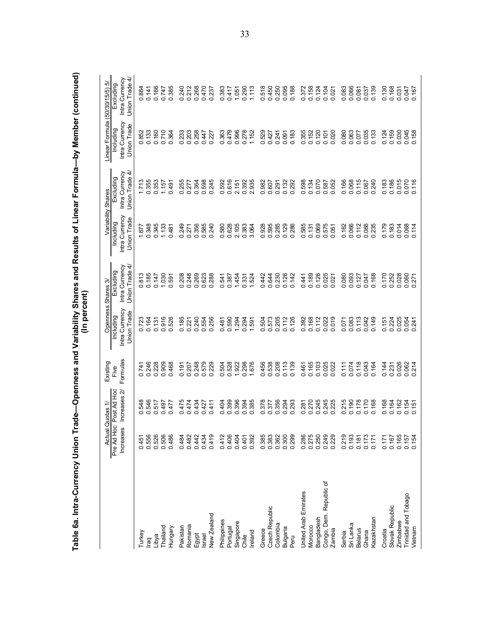|                         | <b>Actual</b>           | Quotas 1/                   | Existing         | (In percent)<br>Openness                   | Shares 3/                                     |                                                   | Variability Shares                              | Linear Formula (50/30/15/5) 5/             |                                               |
|-------------------------|-------------------------|-----------------------------|------------------|--------------------------------------------|-----------------------------------------------|---------------------------------------------------|-------------------------------------------------|--------------------------------------------|-----------------------------------------------|
|                         | Pre Ad Hoc<br>Increases | Post Ad Hoc<br>Increases 2/ | Formulas<br>Five | Intra Currency<br>Union Trade<br>Including | Intra Currency<br>Union Trade 4/<br>Excluding | Intra Currency<br>Union Trade<br><b>Including</b> | Intra Currency<br>4<br>Union Trade<br>Excluding | Intra Currency<br>Union Trade<br>Including | Union Trade 4/<br>Intra Currency<br>Excluding |
|                         |                         |                             |                  |                                            |                                               |                                                   |                                                 |                                            |                                               |
| Turkey                  | 0.451                   | 548                         | 0.741            |                                            | <u>ন্ত</u>                                    | 577                                               | .713                                            |                                            |                                               |
| raq                     | 0.556                   | 546<br>o o o                | 0.246            | 0.723                                      | 0.813<br>0.185                                | 0.348                                             | $\frac{1.713}{0.355}$                           | 0.852<br>0.133                             | 0.884<br>0.141<br>0.166                       |
| Libya                   | 0.526                   | 517                         | 0.228            | 0.131                                      | 0.147                                         | 0.345                                             | 0.353                                           | 0.160                                      |                                               |
| Thailand                | 0.506                   | 0.497                       | 0.909            | 0.916                                      | 1.030                                         | 1.133                                             | 1.157                                           | 0.710                                      |                                               |
| Hungary                 | 0.486                   | 477<br>o                    | 0.468            | 526<br>ö                                   | 0.591                                         | 0.481                                             | 0.491                                           | 364<br>ö                                   | 385<br>0.747<br>0.385                         |
| Pakistan                | 0.484                   | 475<br>o                    | 0.191            |                                            | 208<br>ö                                      | 249<br>ö                                          |                                                 | 233<br>ö                                   |                                               |
| Romania                 | 0.482                   | 0.474                       | 0.207            | 0.185<br>0.221                             | 0.248                                         | 0.271                                             | 0.255<br>0.277                                  | 0.203                                      |                                               |
| Egypt                   | 0.442                   | 0.434                       | 0.248            | 0.240                                      | 0.269                                         | 0.356                                             | 0.364                                           | 0.258                                      | 0<br>2208<br>00000<br>00000                   |
| <b>Israel</b>           | 0.434                   | 0.427                       | 0.579            | 0.554                                      | 0.623                                         | 0.585                                             | 0.598<br>0.245                                  | 0.447                                      |                                               |
| New Zealand             | 0.419                   | 0.411                       | 0.229            | 0.256                                      | 0.288                                         | 0.240                                             | .245                                            | 0.227                                      |                                               |
| Philippines             | 0.412                   |                             | 504<br>ö         |                                            |                                               |                                                   |                                                 | 0.363                                      |                                               |
| Portugal                | 0.406                   | 0.404<br>0.399              | 0.528            | 0.590                                      | 0.541<br>0.387                                | 0.580<br>0.628                                    | 592<br>655<br>0.3935<br>0.3035                  | 0.479                                      | 0.383<br>0.417                                |
| Singapore               | 0.404                   | 0.394                       | 1.922            | 1.294                                      | 1.454                                         | 2.105                                             |                                                 | 0.996                                      | 1.051<br>0.290                                |
| Chile                   | 0.401                   |                             | 0.298            | 294<br>○                                   | 0.331                                         | 0.383                                             |                                                 | 0.278                                      |                                               |
| Ireland                 | 0.392                   | 0.385                       | 1.676            | 1.591                                      | 1.524                                         | 3.064                                             |                                                 | 1.152                                      | 1.113                                         |
| Greece                  | 0.385                   | 0.378                       | 0.456            | 0.504                                      | 0.442                                         | 0.928                                             |                                                 | 0.529                                      | 0.518                                         |
| Czech Republic          | 0.383                   | 0.377                       | 0.538            | 0.573                                      | 0.644                                         |                                                   |                                                 | 0.427                                      |                                               |
| Colombia                | 0.362                   | 0.356<br>0.293<br>0.293     | 0.208            | 0.205<br>0.112<br>0.126                    | 0.230                                         |                                                   | 0.007<br>0.007<br>0.007<br>0.00                 | 0.241<br>0.091<br>0.183                    | 50<br>450<br>0000<br>0000                     |
| Bulgaria                | 0.300                   |                             | 0.113            |                                            | 0.126                                         |                                                   |                                                 |                                            |                                               |
| Peru                    | 0.299                   |                             | 0.139            |                                            | 0.142                                         | 0.595<br>0.285<br>0.0.286<br>0.286                |                                                 |                                            |                                               |
| United Arab Emirates    | 0.286                   | 0.281                       | 0.461            | 392<br>ö                                   | 0.441                                         | 0.585                                             |                                                 | 0.355                                      |                                               |
| Morocco                 | 0.275                   | 0.270                       | 0.165            | 0.168                                      | 0.189                                         | 0.131                                             | 8887<br>2887<br>287<br>2000                     | 0.152                                      | 0.372<br>0.158<br>0.0.021<br>0.000            |
| Bangladesh              | 0.250                   | 0.245                       | 0.103            | 0.112                                      | 0.126                                         | 0.069                                             |                                                 | 0.120                                      |                                               |
| Congo, Dem. Republic of | 0.249                   | 245<br>225<br>ခဲ့ ခ         | 0.025            | 0.022                                      | 0.025                                         | 0.575                                             |                                                 | 0.101                                      |                                               |
| Zambia                  | 0.229                   |                             | 0.022            | 0.019                                      | 0.021                                         | 0.051                                             |                                                 |                                            |                                               |
| Serbia                  | 0.219                   | 215<br>ö                    | 0.111            | 0.071                                      | 0.080                                         | 0.162                                             |                                                 |                                            |                                               |
| Sri Lanka               | 0.193                   | 0.190                       | 0.074            | 0.083                                      | 0.093                                         | 0.066                                             |                                                 | 0.080                                      |                                               |
| Belarus                 | 0.181                   | 0.178                       | 0.118            | 0.113                                      | 0.127                                         | 0.112                                             | 0.166<br>0.067<br>0.000<br>0.000                | 0.077                                      | 88<br>289<br>289<br>289<br>289<br>289         |
| Ghana                   | 0.173                   | 0.170                       | 0.043            | 0.042<br>0.149                             | 0.047                                         | 0.066                                             |                                                 | 0.035                                      |                                               |
| Kazakhstan              | 0.171                   | 0.168                       | 0.164            |                                            | 0.168                                         | 0.235                                             |                                                 |                                            |                                               |
| Croatia                 | 0.171                   | 0.168                       | 0.144            |                                            | 0.170                                         | 0.179                                             |                                                 | 0.124                                      |                                               |
| Slovak Republic         | 0.167                   | 0.164                       | 0.231            | 0.151<br>0.224                             | 0.252                                         | 0.183                                             | 0.188<br>0.050<br>0.000<br>0.000                | 0.159                                      | 0.130<br>160.131<br>0.00.0<br>0.00            |
| Zimbabwe                | 0.165                   | 0.162                       | 0.026            | 0.025                                      | 0.028                                         | 0.014                                             |                                                 | 0.030<br>0.045<br>0.158                    |                                               |
| Trinidad and Tobago     | 0.157<br>0.154          | $0.154$<br>$0.151$          | 0.062<br>0.214   | 0.054                                      | 0.060<br>0.271                                | 0.068                                             |                                                 |                                            |                                               |
| Vietnam                 |                         |                             |                  | $-241$                                     |                                               | 0.114                                             |                                                 |                                            |                                               |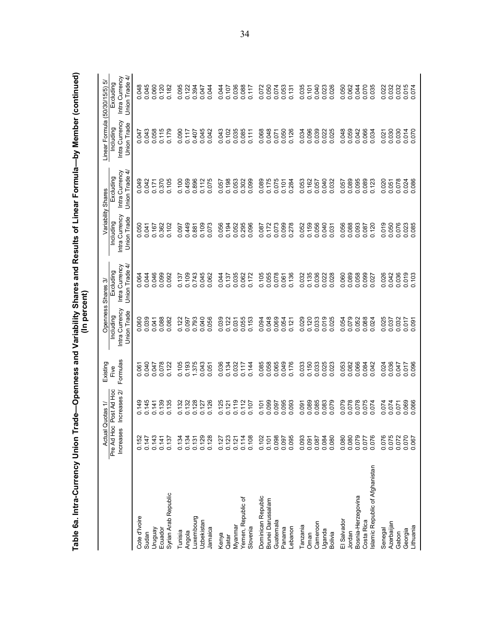|                                  |                         | Actual Quotas 1/              | Existing         | Openness                                   | Shares 3/                                       |                                            | Variability Shares                                     | Linear Formula (50/30/15/5)                       | ro                                            |
|----------------------------------|-------------------------|-------------------------------|------------------|--------------------------------------------|-------------------------------------------------|--------------------------------------------|--------------------------------------------------------|---------------------------------------------------|-----------------------------------------------|
|                                  | Pre Ad Hoc<br>Increases | Post Ad Hoc<br>Increases 2/   | Formulas<br>Five | Intra Currency<br>Union Trade<br>Including | 4<br>Intra Currency<br>Union Trade<br>Excluding | Intra Currency<br>Union Trade<br>Including | 4<br>Intra Currency<br><b>Union Trade</b><br>Excluding | Intra Currency<br>Union Trade<br><b>Including</b> | Intra Currency<br>Union Trade 4/<br>Excluding |
| Cote d'Ivoire                    | 0.152                   | 0.149                         | 0.061            | 0.060                                      |                                                 | 80                                         |                                                        |                                                   |                                               |
| Sudan                            | 0.147                   | 0.145                         | 0.040            | 0.039                                      | 0.044<br>0.044                                  | 641<br>o o                                 | 0.042<br>0.042                                         | 0.047<br>0.043                                    | 0.045<br>0.060<br>0.0.0                       |
| Ven6nu                           | 0.143                   | 0.141                         | 0.047            | 0.041                                      | 0.046                                           | 0.167                                      | 0.171                                                  | 0.058                                             |                                               |
| Ecuador                          | 0.141                   | 0.139                         | 0.078            | 0.088                                      | 0.099                                           | 0.362                                      | 0.370                                                  | 0.115                                             |                                               |
| Syrian Arab Republic             | 0.137                   | 0.135                         | 0.122            | 0.082                                      | 0.092                                           | 0.102                                      | 0.105                                                  | 0.179                                             | 0.182                                         |
| Tunisia                          | 0.134                   | 0.132                         | 0.105            | 0.122                                      | 0.137                                           | 0.097                                      | 0.100                                                  | 0.090                                             | 0.095                                         |
| Angola                           | 0.134                   | 0.132                         | 0.193            | 0.097                                      | 0.109                                           | 0.449                                      | 0.459                                                  | 0.117                                             |                                               |
| Luxembourg                       | 0.131                   | 0.128                         | 1.375            | 0.793                                      | 0.743                                           | 0.881                                      | 0.896<br>0.112                                         | 0.407<br>540.0                                    |                                               |
| Uzbekistan                       | 0.129                   | 0.127                         | 0.043            | 0.040                                      | 0.045                                           | 0.109                                      |                                                        |                                                   |                                               |
| Jamaica                          | 0.128                   | 0.126                         | 0.051            | 0.056                                      | 0.062                                           | 0.073                                      | 0.075                                                  | 0.042                                             |                                               |
| Kenya                            | 0.127                   | 0.125                         | 0.036            | 0.039                                      | 0.044                                           | 0.056                                      | 0.057                                                  | 0.043                                             | 0.044                                         |
| Qatar                            | 0.123                   | 0.121                         | 0.134            | 0.122                                      | 0.137                                           | 0.194<br>0.052                             | 0.198                                                  | 0.102                                             | 0.107<br>0.036<br>0.088<br>0.117              |
| Myanmar                          | 0.121                   | 0.119                         | 0.032            | 0.031                                      | 0.035                                           |                                            |                                                        | 0.035                                             |                                               |
| Yemen, Republic of               | 0.114                   | 0.112                         | 0.117            | 0.055                                      | 0.062<br>0.172                                  | 295<br>$\circ$                             | 0.302                                                  | 0.085                                             |                                               |
| Slovenia                         | 0.108                   | 0.107                         | 0.144            | 0.153                                      |                                                 | 096<br>$\circ$                             |                                                        |                                                   |                                               |
| Dominican Republic               | 0.102                   | 0.101                         | 0.085            | 0.094                                      |                                                 | 0.087                                      |                                                        |                                                   |                                               |
| Brunei Darussalam                | 0.101                   |                               | 0.058            | 0.048                                      | 0.105<br>0.055<br>0.078                         | 0.172                                      | 0.089<br>0.175<br>5710.0                               | 0.068<br>0.048<br>0.071                           |                                               |
| Guatemala                        | 0.098                   | 0.097                         | 0.065            | 0.069                                      |                                                 | 0.073                                      |                                                        |                                                   |                                               |
| Panama                           | 0.097                   | 0.095                         | 0.049            | 0.054                                      | 0.061<br>0.136                                  | 0.099<br>0.278                             | 0.101                                                  | 0.050<br>0.126                                    | 2007<br>0007<br>00000                         |
| -ebanon                          | 0.095                   | 0.093                         | 0.176            | 0.121                                      |                                                 |                                            | 0.284                                                  |                                                   |                                               |
| Tanzania                         | 0.093                   | 0.091                         | 0.033            | 0.029                                      | 0.032                                           | 0.052                                      | 0.053                                                  | 0.034                                             | 0.035                                         |
| Oman                             | 0.091                   | 0.089                         | 0.150            | 0.120                                      | 0.135                                           | 0.159                                      | 0.162                                                  | 0.096                                             |                                               |
| Cameroon                         | 0.087                   | 0.085                         | 0.033            | 0.033                                      |                                                 | 0.056                                      | 0.057<br>0.040                                         | 0.039                                             |                                               |
| Uganda                           | 0.084<br>0.080          | 0.083<br>079<br>$\dot{\circ}$ | 0.025<br>0.023   | 0.019<br>0.025                             | 0.038<br>0.022<br>0.028                         | 0.040<br>0.031                             | 0.032                                                  | 0.025                                             | 0.040<br>0.023<br>0.026                       |
| Bolivia                          |                         |                               |                  |                                            |                                                 |                                            |                                                        |                                                   |                                               |
| El Salvador                      | 0.080                   | 079<br>0.078<br>Ö             | 0.053<br>0.082   | 0.079<br>.054<br>O                         | 0.060                                           | 0.056<br>0.088                             | 0.057                                                  | 0.048                                             |                                               |
| Jordan                           | 0.079                   | 0.078                         | 0.066            | 0.052                                      |                                                 |                                            |                                                        |                                                   |                                               |
| Bosnia-Herzegovina<br>Costa Rica | 0.077                   | 075<br>$\circ$                | 0.084            | 0.088                                      | 0.058<br>0.099                                  | 0.093<br>0.087                             | 0.095<br>0.089                                         | 0.042<br>0.066                                    |                                               |
| Islamic Republic of Afghanistan  | 0.076                   | 074<br>ö                      | 0.042            | 0.024                                      | 0.027                                           | 0.120                                      | 0.123                                                  | 0.034                                             |                                               |
| Senegal                          | 0.076                   | 074<br>ö                      | 0.024            | 0.025                                      | 0.026                                           | 019<br>ö                                   | 0.020                                                  | 0.021                                             |                                               |
| Azerbaijan                       | 0.075                   | 0.074                         | 0.036            | 0.037                                      | 0.042                                           | 0.050                                      | 0.051                                                  | 0.030                                             |                                               |
| Gabon                            |                         | 0.071                         | 0.047            | 0.032                                      | 0.036                                           | 0.076                                      | 0.078                                                  | 0.030                                             |                                               |
| Lithuania<br>Georgia             | 0.072<br>0.070<br>0.067 | 0.069                         | 0.017<br>0.096   | 717<br>.091                                | 0.019                                           | 0.023                                      | 0.024                                                  | 0.014                                             |                                               |
|                                  |                         |                               |                  |                                            |                                                 |                                            |                                                        |                                                   |                                               |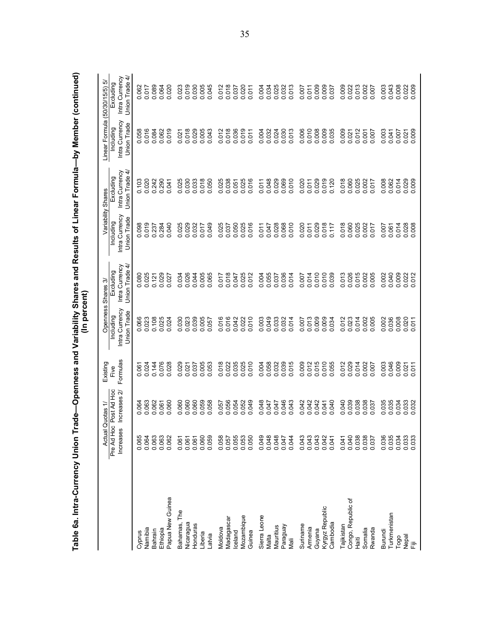| Table 6a. Intra-Currency Union Trade—Openness and Variability Shares and Results of Linear Formula—by Member (continued) |                         |                             |                  | (In percent)                               |                                                 |                                                   |                                                 |                                            |                                               |
|--------------------------------------------------------------------------------------------------------------------------|-------------------------|-----------------------------|------------------|--------------------------------------------|-------------------------------------------------|---------------------------------------------------|-------------------------------------------------|--------------------------------------------|-----------------------------------------------|
|                                                                                                                          |                         | Actual Quotas 1/            | Existing         | Openness                                   | Shares 3/                                       |                                                   | Variability Shares                              | Linear Formula (50/30/15/5)                | ro                                            |
|                                                                                                                          | Pre Ad Hoc<br>Increases | Post Ad Hoc<br>Increases 2/ | Formulas<br>Five | Intra Currency<br>Union Trade<br>Including | 4<br>Intra Currency<br>Union Trade<br>Excluding | Intra Currency<br>Union Trade<br><b>Including</b> | 4<br>Intra Currency<br>Union Trade<br>Excluding | Intra Currency<br>Union Trade<br>Including | Union Trade 4/<br>Intra Currency<br>Excluding |
|                                                                                                                          |                         |                             |                  |                                            |                                                 |                                                   |                                                 |                                            |                                               |
| Cyprus                                                                                                                   | 0.065                   | 064                         | 0.061            | 0.066                                      | 0.080<br>0.025                                  | 098<br>o o                                        | 0.103<br>0.020                                  | 0.058<br>0.016                             | 0.062<br>0.07<br>0.000<br>0.000               |
| Namibia                                                                                                                  | 0.064                   | 063                         | 0.024            | 0.023                                      |                                                 | 019                                               |                                                 |                                            |                                               |
| Bahrain                                                                                                                  | 0.063                   | 062<br>ö                    | 0.144            | 0.108                                      | 0.121                                           | 0.237<br>0.284                                    | 0.242                                           | 0.084<br>0.062                             |                                               |
| Ethiopia                                                                                                                 | 0.063                   | 0.061                       | 0.076            | 0.025                                      | 0.029                                           |                                                   | 0.290                                           |                                            |                                               |
| Papua New Guinea                                                                                                         | 0.062                   | .060<br>$\dot{\circ}$       | 0.028            | 0.024                                      | 0.027                                           | <b>GRO</b><br>ö                                   | 0.041                                           | 0.019                                      | 0.020                                         |
| Bahamas, The                                                                                                             | 0.061                   | 0.060                       | 0.029            | 0.030                                      | 0.034                                           | 0.025                                             | 0.025                                           | 0.021                                      | 0.023                                         |
| Nicaragua                                                                                                                | 0.061                   | 0.060                       | 0.021            | 0.023                                      | 0.026                                           | 0.029                                             | 0.030                                           | 0.018                                      |                                               |
| Hondura                                                                                                                  | 0.061                   | 0.060                       | 0.037            | 0.039                                      |                                                 | 0.032                                             | 0.033                                           |                                            |                                               |
| Liberia                                                                                                                  | 0.060                   | 0.059                       | 0.005            | 0.005                                      | 0.044                                           | 0.017                                             | 0.018                                           | 0.029<br>0.005                             |                                               |
| Latvia                                                                                                                   | 0.059                   | 0.058                       | 0.053            | 0.057                                      | 0.065                                           | 0.049                                             | 0.050                                           | 0.043                                      | 0.019<br>0.030<br>0.045<br>0.045              |
| Moldova                                                                                                                  | 0.058                   | 0.057                       | 0.018            | 0.016                                      | 0.017                                           | 0.025                                             | 0.025                                           | 0.012                                      |                                               |
| Madagascar                                                                                                               | 0.057                   | 0.056                       | 0.022            | 0.016                                      | 0.018                                           |                                                   |                                                 |                                            |                                               |
| celand                                                                                                                   | 0.055                   | 0.054                       | 0.035            | 0.042                                      | 0.047                                           | 0.037                                             | 0.038                                           | 0.018<br>0.036                             | 0.012<br>0.018<br>0.037                       |
| Mozambique                                                                                                               |                         | 0.052                       | 0.025            | 0.022                                      |                                                 | 0.025                                             |                                                 | 0.019                                      | 0.020                                         |
| Guinea                                                                                                                   | 0.053<br>0.050          | <b>GHO</b><br>ö             | 0.010            | 0.010                                      | 0.025                                           | 016<br>ö                                          | 0.025                                           |                                            |                                               |
| Sierra Leone                                                                                                             |                         | .048<br>ö                   | 0.004            | 0.003                                      | 0.004                                           |                                                   |                                                 | 0.004                                      |                                               |
| Malta                                                                                                                    | 0.048                   | 0.047                       | 0.058            | 0.049                                      |                                                 | 0.011<br>0.047<br>0.028                           | 0.011<br>0.048<br>0.029                         | 0.032                                      |                                               |
| Mauritius                                                                                                                | 0.048                   | 0.047                       | 0.032            | 0.033                                      | 0.055<br>0.037                                  |                                                   |                                                 | 0.024                                      |                                               |
| Paraguay                                                                                                                 | 0.047                   | 0.046                       | 0.039            | 0.032                                      | 0.036                                           | 0.068                                             | 0.069                                           | 0.030<br>0.013                             |                                               |
| Nali                                                                                                                     | 0.044                   | 0.043                       | 0.015            | 0.014                                      |                                                 |                                                   | 0.010                                           |                                            |                                               |
| Suriname                                                                                                                 | 0.043                   | 0.042                       | 0.009            | 0.007                                      | 0.007                                           |                                                   | 0.020                                           | 0.006                                      |                                               |
| Armenia                                                                                                                  | 0.043                   | 0.042                       | 0.012            | 0.013                                      | 0.014                                           | 0.020                                             | 0.011                                           | 0.010                                      | 0.007                                         |
| Guyana                                                                                                                   | 0.043<br>0.042<br>0.041 | 0.042                       | 0.015            | 0.009                                      |                                                 | 0.029                                             |                                                 | 0.008<br>0.009<br>0.035                    | 0.009<br>0.009<br>0.037                       |
| Kyrgyz Republic                                                                                                          |                         | 0.041                       | 0.010            | 0.009                                      | 0.010<br>0.010<br>0.039                         |                                                   | 0.029<br>0.019<br>0.120                         |                                            |                                               |
| Cambodia                                                                                                                 |                         | 0.040                       | 0.055            | 0.034                                      |                                                 | 0.117                                             |                                                 |                                            |                                               |
| Tajikistan                                                                                                               | 0.041                   | 040<br>ö                    | 012<br>Õ         | 0.012<br>0.023                             | 013<br>ö                                        | 0.018<br>0.060                                    | 0.018                                           | 0.009<br>0.021                             |                                               |
| ৳<br>Congo, Republic                                                                                                     | 0.040                   | 0.039                       | 0.029            |                                            | 0.026                                           |                                                   |                                                 |                                            |                                               |
| Haiti                                                                                                                    | 0.038                   | 0.038                       | 0.014            | 0.014                                      | 0.015                                           | 0.025                                             | 0.025                                           | 0.012                                      |                                               |
| Rwanda<br>Somalia                                                                                                        | 0.038<br>0.037          | 0.038<br>037<br>○           | 0.002<br>0.007   | 0.002<br>0.005                             | 0.002<br>0.005                                  | 017<br>○                                          | 0.002<br>0.017                                  | 0.007                                      |                                               |
| Burundi                                                                                                                  | 0.036                   | 035<br>ö                    | 0.003            | 0.002                                      | 0.002                                           | 0.007                                             | 0.008                                           | 0.003                                      |                                               |
| Turkmenistan                                                                                                             | 0.035                   | 035<br>$\mathbf{c}$         | 0.046            | 0.036                                      | 0.040                                           | 0.061                                             | 0.062<br>0.014                                  | 0.041                                      |                                               |
| Togo                                                                                                                     | 0.034                   | 034<br>$\mathbf{c}$         | 0.009            | 0.008                                      | 0.009                                           | 014<br>ö                                          |                                                 | 0.007                                      |                                               |
| ea<br>Fiji                                                                                                               | 0.033                   | 0.033                       | 0.021            | 0.020                                      | 0.022                                           | 0.028                                             | 0.029                                           | 0.021                                      |                                               |
|                                                                                                                          |                         |                             | 0.011            |                                            |                                                 |                                                   |                                                 |                                            |                                               |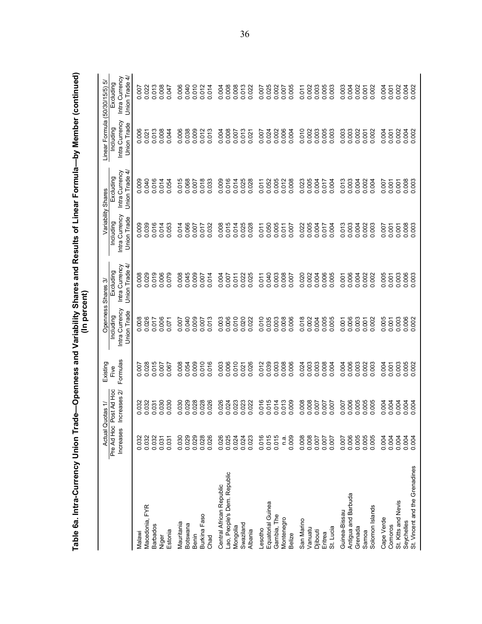| Table 6a. Intra-Currency Union Trade—Openness and Variability Shares and Results of Linear Formula—by Member (continued) |                               |                             |                  | (In percent)                                      |                                                   |                                            |                                                                 |                                            |                                                                              |
|--------------------------------------------------------------------------------------------------------------------------|-------------------------------|-----------------------------|------------------|---------------------------------------------------|---------------------------------------------------|--------------------------------------------|-----------------------------------------------------------------|--------------------------------------------|------------------------------------------------------------------------------|
|                                                                                                                          |                               | Actual Quotas 1/            | Existing         | Openness                                          | Shares 3/                                         |                                            | Variability Shares                                              | Linear Formula (50/30/15/5)                | ro                                                                           |
|                                                                                                                          | Pre Ad Hoc<br>Increases       | Post Ad Hoc<br>Increases 2/ | Formulas<br>Five | Intra Currency<br>Union Trade<br><b>Including</b> | Intra Currency<br><b>Union Trade</b><br>Excluding | Intra Currency<br>Union Trade<br>Including | Intra Currency<br>4<br>Union Trade<br>Excluding                 | Intra Currency<br>Union Trade<br>Including | Union Trade 4/<br>Intra Currency<br>Excluding                                |
|                                                                                                                          |                               |                             |                  |                                                   |                                                   |                                            |                                                                 |                                            |                                                                              |
| Macedonia, FYR<br>Malawi                                                                                                 | 0.032<br>0.032                | 032<br>032                  | 028<br>500       | 008                                               | 0.008                                             | 0.009<br>0.039                             | 0.040                                                           | 0.006                                      |                                                                              |
|                                                                                                                          | 0.032                         | 031<br>$\dot{\circ}$        | 015<br>ö         | 0.017                                             | 019<br>$\ddot{\circ}$                             | 0.016                                      |                                                                 | 0.013                                      |                                                                              |
| <b>Barbados</b>                                                                                                          | 0.031                         | 0.030                       | 0.007            | 0.006                                             | 0.006                                             | 0.014                                      | 0.014                                                           | 0.008                                      |                                                                              |
| Estonia<br>Niger                                                                                                         | 0.031                         | 0.030                       | 0.067            | 071<br>ö                                          | 0.079                                             | 0.053                                      | 0.054                                                           | 0.044                                      | 0022<br>0022<br>00000<br>00000                                               |
| Mauritania                                                                                                               | 0.030                         | 0.030                       | 0.008            | 0.007                                             | 0.008                                             | 0.014                                      | 0.015                                                           | 0.006                                      | 0.006                                                                        |
| Botswana                                                                                                                 | 0.029                         | 0.029                       | 0.054            | 0.040                                             |                                                   | 0.066                                      | 0.068                                                           | 0.038                                      |                                                                              |
| Benin                                                                                                                    | 0.029                         | 0.028                       | 0.009            | 0.009                                             | 0.009<br>0.009<br>0.007                           | 0.007                                      |                                                                 |                                            |                                                                              |
| Burkina Faso                                                                                                             | 0.028                         | 0.028                       | 0.010            | 0.007                                             |                                                   | 0.017                                      |                                                                 | 0.009<br>0.012                             |                                                                              |
| Chad                                                                                                                     | 0.026                         | 0.026                       | 0.016            | 0.013                                             | 0.014                                             | 0.032                                      | 0.007<br>0.018<br>0.033                                         | 0.013                                      | 0.040<br>0.012<br>0.014                                                      |
| Central African Republic                                                                                                 | 0.026                         | 0.026                       | 0.003            | 0.003                                             | 0.004                                             | 0.008                                      | 009<br>$\dot{\circ}$                                            | 0.004                                      |                                                                              |
| Lao, People's Dem. Republic                                                                                              |                               | 0.024                       | 0.006            |                                                   |                                                   |                                            |                                                                 |                                            |                                                                              |
| Mongolia                                                                                                                 | 0.025                         | 0.023                       | 0.010            | 0.006<br>0.010                                    | 0.007                                             | 0.015                                      | 0.016<br>0.014                                                  | 0.008                                      |                                                                              |
| Swaziland                                                                                                                | 0.024                         | 0.023                       | 0.021            | 0.020<br>0.022                                    | 0.025                                             | 0.025                                      | 0.025<br>0.028                                                  | 0.013<br>0.021                             |                                                                              |
| Albania                                                                                                                  | 0.023                         | 0.022                       | .026<br>ö        |                                                   |                                                   |                                            |                                                                 |                                            |                                                                              |
| Lesotho                                                                                                                  |                               |                             | 012<br>ö         |                                                   |                                                   | 0.011                                      |                                                                 | 0.007                                      |                                                                              |
| Equatorial Guinea                                                                                                        | 0.015                         | 0.015                       | 0.039            | 0.010<br>0.035                                    |                                                   | 0.050                                      | 0.011<br>0.052                                                  | 0.024                                      |                                                                              |
| Gambia, The                                                                                                              | 0.015                         | 0.014                       | 0.003            | 0.003                                             |                                                   | 0.005                                      |                                                                 | 0.002                                      |                                                                              |
| Montenegro                                                                                                               | n.a.                          | 0.013                       | 0.008            | 0.008                                             |                                                   | 0.011                                      | 0.005<br>0.012<br>0.008                                         | 0.006                                      | 0028<br>0028<br>00000<br>00000                                               |
| <b>Belize</b>                                                                                                            | 0.009                         | 0.009                       | 0.006            |                                                   |                                                   |                                            |                                                                 |                                            |                                                                              |
| San Marino                                                                                                               | 0.008                         | 0.008                       | 0.024            | 018<br>ö                                          | 0.020                                             | 0.022                                      | 0.023                                                           | 0.010                                      | 0.011                                                                        |
| Vanuatu                                                                                                                  |                               | 0.008                       | 0.003            | 0.002                                             |                                                   | 0.005                                      |                                                                 | 0.002                                      |                                                                              |
| Djibouti                                                                                                                 | 0.007                         | 0.007                       | 0.003            | 0.004                                             |                                                   | 0.004                                      |                                                                 |                                            |                                                                              |
| Eritrea                                                                                                                  | 0.007<br>0.007                | 0.007<br>0.007              | 0.008            | 0.005                                             | 0.005<br>0.006<br>0.005                           | 0.017                                      | 0.004<br>0.017<br>0.004                                         | $0.003$<br>$0.005$<br>$0.003$              | 0.003<br>0.005<br>0.003                                                      |
| St. Lucia                                                                                                                |                               |                             | 0.004            |                                                   |                                                   |                                            |                                                                 |                                            |                                                                              |
| Guinea-Bissau                                                                                                            | 0.007                         | 007<br>ö                    | 004<br>ö         | $\overline{0}$<br>ö                               | 0.001                                             | 0.013                                      |                                                                 | 0.003                                      |                                                                              |
| Antigua and Barbuda                                                                                                      |                               | 0.006                       | 0.006            | 0.006                                             |                                                   |                                            |                                                                 |                                            |                                                                              |
| Grenada<br>Samoa                                                                                                         |                               | 0.005<br>0.005              | 0.003<br>0.002   | 0.003<br>$\overline{5}$<br>○                      | 0.004                                             | 0.004                                      |                                                                 | 0.002<br>0.001                             |                                                                              |
| Solomon Islands                                                                                                          | $0.005$<br>$0.005$<br>$0.005$ | 0.005                       | .003<br>ö        | 002                                               | 0.002                                             | 0.003                                      | $\begin{array}{c} 0.00000 \\ 0.00000 \\ 0.00000 \\ \end{array}$ | 0.002                                      | 0003<br>00002<br>00000<br>00000                                              |
| Cape Verde                                                                                                               | 0.004                         | 0.004                       | 0.004            | 005<br>ö                                          | 0.005                                             | 0.007                                      | 007<br>$\circ$                                                  | 0.004                                      |                                                                              |
| Comoros                                                                                                                  | 0.004                         | 0.004                       | 0.001            | $\overline{5}$                                    | $0.001$<br>$0.003$                                | 0.001                                      | $0.001$<br>$0.001$                                              | 0.001                                      | 8<br>8<br>8<br>8<br>8<br>8<br>8<br>8<br>8<br>8<br>8<br>8<br>8<br>8<br>8<br>8 |
| St. Kitts and Nevis                                                                                                      | 0.004                         | 0.004                       | 0.003            | .003                                              |                                                   | 0.003<br>0.003                             |                                                                 | 0.002                                      |                                                                              |
| Seychelles                                                                                                               | 0.004                         | 0.004                       | 0.005            | 002<br>002                                        | 0.003                                             |                                            | 0.008                                                           | 0.004                                      |                                                                              |
| St. Vincent and the Grenadines                                                                                           |                               |                             |                  |                                                   |                                                   |                                            |                                                                 |                                            |                                                                              |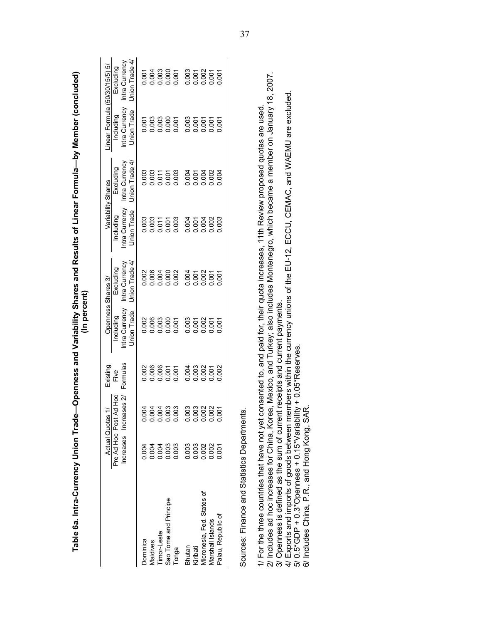| Table 6a. Intra-Currency Union Trade—Openness and Variability Shares and Results of Linear Formula—by Member (concluded)                                                                                                                                                                                                        |                |                                                  |                  | (In percent)                               |                                               |                                            |                                               |                                            |                                               |
|---------------------------------------------------------------------------------------------------------------------------------------------------------------------------------------------------------------------------------------------------------------------------------------------------------------------------------|----------------|--------------------------------------------------|------------------|--------------------------------------------|-----------------------------------------------|--------------------------------------------|-----------------------------------------------|--------------------------------------------|-----------------------------------------------|
|                                                                                                                                                                                                                                                                                                                                 |                | <b>Actual Quotas</b>                             | Existing         |                                            | Openness Shares 3/                            |                                            | Variability Shares                            | Linear Formula (50/30/15/5) 5/             |                                               |
|                                                                                                                                                                                                                                                                                                                                 |                | Pre Ad Hoc Post Ad Hoc<br>Increases Increases 2/ | Formulas<br>Five | Intra Currency<br>Union Trade<br>Including | Union Trade 4/<br>Intra Currency<br>Excluding | Intra Currency<br>Union Trade<br>Including | Union Trade 4/<br>Intra Currency<br>Excluding | Intra Currency<br>Union Trade<br>Including | Union Trade 4/<br>Intra Currency<br>Excluding |
| Dominica                                                                                                                                                                                                                                                                                                                        | 0.004          | 0.004                                            | 0.002            | 0.002                                      | 0.002                                         | 0.003                                      | 0.003                                         | 0.007                                      | 0.007                                         |
| Timor-Leste<br>Maldives                                                                                                                                                                                                                                                                                                         | 0.004<br>0.004 |                                                  | 0.006<br>0.006   | 0.006<br>0.003                             | 0.004                                         | 0.003<br>0.011                             | 0.003<br>0.011                                | 0.003<br>0.003                             | 0.004                                         |
| Sao Tome and Principe                                                                                                                                                                                                                                                                                                           | 0.003          |                                                  |                  | 0.000                                      | 0.002                                         | 0.001                                      | 0.001                                         | 0.000                                      | 0.000<br>0.000                                |
| Tonga                                                                                                                                                                                                                                                                                                                           | 0.003          |                                                  | 0.007<br>0.007   |                                            |                                               | 0.003                                      | 0.003                                         |                                            |                                               |
| Bhutan                                                                                                                                                                                                                                                                                                                          | 0.003          |                                                  | 0.004            | 0.003                                      | 0.004                                         | 0.004                                      | 0.004                                         | 0.003                                      | 0.003                                         |
| Kiribati                                                                                                                                                                                                                                                                                                                        | 0.003          |                                                  | 0.003            | 0.001                                      | 0.001                                         | 0.001                                      | 0.001                                         | 0.001                                      | 0.001                                         |
| Micronesia, Fed. States of                                                                                                                                                                                                                                                                                                      | 0.002          |                                                  | 0.002            | 0.002                                      | 0.007                                         | 0.004                                      | 0.004                                         | 0.001                                      | 0.002                                         |
| Marshall Islands                                                                                                                                                                                                                                                                                                                | 0.002          |                                                  | 0.001            | 0.001                                      |                                               | 0.002                                      | 0.002                                         | 0.001                                      | 0.001                                         |
| Palau, Republic of                                                                                                                                                                                                                                                                                                              | 0.001          | 0.001                                            | 0.002            | 0.001                                      | 0.001                                         | 0.003                                      | 0.004                                         | 0.001                                      | 0.001                                         |
| Sources: Finance and Statistics Departments.                                                                                                                                                                                                                                                                                    |                |                                                  |                  |                                            |                                               |                                            |                                               |                                            |                                               |
| 2/ Includes ad hoc increases for China, Korea, Mexico, and Turkey; also includes Montenegro, which became a member on January 18, 2007.<br>1/ For the three countries that have not yet consented to, and paid for, their quota increases, 11th Review proposed quotas are used<br>3/ Openness is defined as the sum of current |                |                                                  |                  | t receipts and current payments            |                                               |                                            |                                               |                                            |                                               |
| 4/ Exports and imports of goods between members within the currency unions of the EU-12, ECCU, CEMAC, and WAEMU are excluded<br>5/ 0.5*GDP + 0.3*Openness + 0.15*Variability + 0.05*Reserves.<br>6/ Includes China, P.R., and Hong Kong, SAR.                                                                                   |                |                                                  |                  |                                            |                                               |                                            |                                               |                                            |                                               |
|                                                                                                                                                                                                                                                                                                                                 |                |                                                  |                  |                                            |                                               |                                            |                                               |                                            |                                               |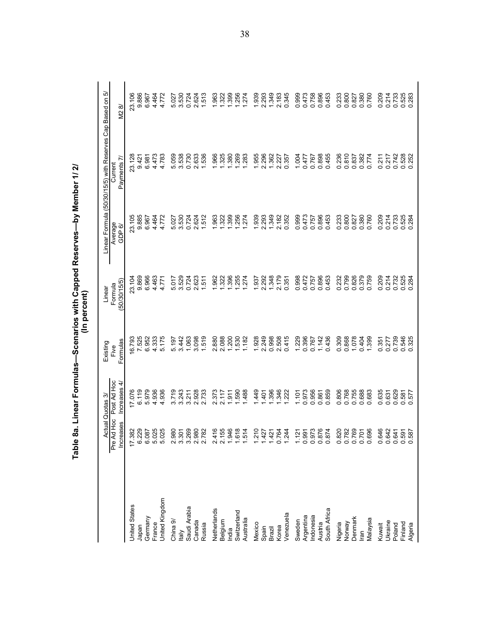|                       |                                                    |                             |                  | (In percent)            | Table 8a. Linear Formulas—Scenarios with Capped Reserves—by Member 1/ 2/ |                                                        |                |
|-----------------------|----------------------------------------------------|-----------------------------|------------------|-------------------------|--------------------------------------------------------------------------|--------------------------------------------------------|----------------|
|                       |                                                    | ctual Quotas 3              | Existing         | Linear                  |                                                                          | Linear Formula (50/30/15/5) with Reserves Cap Based on | ယဲ             |
|                       | Pre Ad Hoc<br>ases<br><b>Increa</b>                | Post Ad Hoc<br>Increases 4/ | Formulas<br>Five | (50/30/15/5)<br>Formula | Average<br>GDP 6/                                                        | Payments 7<br>Current                                  | M2 8/          |
| <b>United States</b>  |                                                    | 17.076                      | 6.793            | 23.104                  | 23,105                                                                   | 23.128                                                 | 23.106         |
| Japan                 | 17.382<br>6.229                                    | 6.119                       | 7.525            | 9.869                   | 9.885                                                                    | 9.421                                                  | 9.886          |
| Germany               |                                                    | 5.979                       | 6.952            | 6.966                   | 6.967                                                                    | 6.981                                                  | 6.967          |
| France                |                                                    | 4.936                       | 4.333            | 4.463                   | 4.464                                                                    | 4.473                                                  | 4.464          |
| <b>Jnited Kingdom</b> | 6.087<br>5.025<br>5.025                            | 4.936                       | 5.175            | 4.771                   | 4.772                                                                    | 4.783                                                  | 4.772          |
| China 9/              | 2.980                                              | 3.719                       | 5.197            | 5.017                   | 5.027                                                                    | 5.059                                                  | 5.027          |
| taly                  |                                                    | 3.243                       | 3.442            | 3.529                   | 3.530                                                                    | 3.538                                                  | 3.530          |
| Saudi Arabia          | 50<br>50<br>30<br>30<br>30<br>20<br>20<br>20<br>20 | 3.211                       | 1.063            | 0.724                   | 0.724                                                                    | 0.730                                                  | 0.724          |
| Canada                |                                                    | 2.928                       | 3.098            | 2.623                   | 2.624                                                                    | 2.633                                                  | 2.624          |
| Russia                |                                                    | 2.733                       | 1.519            | 1.511                   | 1.512                                                                    | 1.536                                                  | 1.513          |
| Netherlands           | 2.416                                              | 2.373                       | 2.880            | 1.962                   | .963                                                                     | 1.966                                                  | 1.963          |
| Belgium               |                                                    | 2.117                       | 2.088            | 322                     | 322                                                                      | 1.325                                                  | 1.322          |
| India                 | 2.155<br>1.946<br>1.514                            | 1.911                       | 1.200            | 1.396                   | 399                                                                      | <b>380</b>                                             | <b>1.399</b>   |
| Switzerland           |                                                    | 1.590                       | 1.530            | 1.255                   | 1.256                                                                    | 1.269                                                  | 1.256          |
| Australia             |                                                    | 1.488                       | 182              | 1.274                   | 1.274                                                                    | 1.283                                                  | 1.274          |
| Mexico                | $1.427$<br>$1.427$<br>$1.427$<br>$1.64$<br>$1.244$ | 449                         | 1.928            | 1.937                   | 1.939                                                                    | 1.955                                                  | 1.939          |
| Spain                 |                                                    | $-401$                      | 2.249            | 2.292                   | 2.293                                                                    | 2.296                                                  | 2.293          |
| Brazil                |                                                    | 1.396                       | 0.998            | 1.348                   | 1.349                                                                    | 1.362                                                  | 1.349          |
| Korea                 |                                                    | 1.346                       | 2.508            | 2.179                   | 2.182                                                                    | 2.227                                                  | 2.183          |
| Venezuela             |                                                    | 1.222                       | 0.415            | 0.351                   | 0.352                                                                    | 0.357                                                  | 0.345          |
| Sweden                |                                                    | 1.101                       | 1.229            | 0.998                   | 0.999                                                                    | 1.004                                                  | 0.999          |
| Argentina             |                                                    | 0.973                       | 0.396            | 0472                    | 0.473                                                                    | 0.477                                                  | 0.473          |
| Indonesia             |                                                    | 0.956                       | 0.767            | 0.757                   | 0.757                                                                    | 0.767                                                  | 0.758          |
| Austria               |                                                    | 0.861                       | 1.142            | 0.896                   | 0.896                                                                    | 0.898                                                  | 0.896          |
| South Africa          |                                                    | 0.859                       | 0.436            | 0.453                   | 0453                                                                     | 0.455                                                  | 0453           |
| Nigeria<br>Norway     | 0.820<br>0.782                                     | 0.806                       | 0.309            | 0.232                   | 0.233                                                                    | 0.236                                                  | 0.233          |
|                       |                                                    | 0.768                       | 0.868            | 0.799                   | 0.800                                                                    | 0.810                                                  | 0.800          |
| Denmark               |                                                    | 0.755                       | 1.078            | 0.826                   | 0.827                                                                    | 0.837                                                  | 0.827          |
| Malaysia<br>lran      | 0.769<br>0.701<br>0.696                            | 0.688<br>0.683              | 1.399<br>0.404   | 0.379<br>0.759          | 0.380<br>0.760                                                           | 0.382<br>0.774                                         | 0.380<br>0.760 |
| Kuwait                | 0.646                                              | 0.635                       | 0.351            | 209<br>Õ                | 0.209                                                                    | 0.211                                                  | 0.209          |
| Ukraine               | 0.642                                              | 0.631                       | 0.277            | 0.214                   | 0.214                                                                    | 0.217                                                  | 0.214          |
| Poland                | 0.641                                              | 0.629                       | 0.739            | 0.732                   | 0.733                                                                    | 0.742                                                  | 0.733          |
| Finland<br>Algeria    | 0.591<br>0.587                                     | 0.581<br>0.577              | 0.546<br>0.325   | 0.525<br>0.284          | 0.525<br>0.284                                                           | 0.528<br>0.252                                         | 0.525<br>0.283 |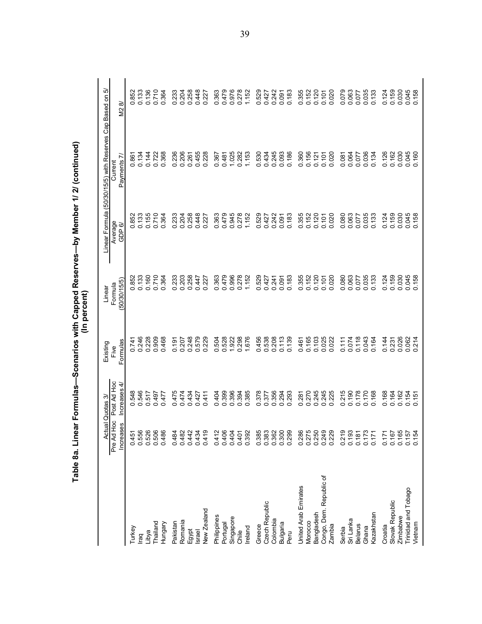|                                |                         | Actual Quotas 3               | Existing             | Linear                  |                   | Linear Formula (50/30/15/5) with Reserves Cap Based on | ιò             |
|--------------------------------|-------------------------|-------------------------------|----------------------|-------------------------|-------------------|--------------------------------------------------------|----------------|
|                                | Pre Ad Hoc<br>Increases | Post Ad Hoc<br>4<br>Increases | Formulas<br>Five     | (50/30/15/5)<br>Formula | Average<br>GDP 6/ | r.<br>Payments<br>Current                              | M28            |
| Turkey                         | 0.451                   |                               | 0.741                | 852                     | 0.852             | 0.86                                                   | 852            |
| raq                            | 0.556                   | 0.548<br>0.546                |                      | 0.133                   | 0.133             | 0.134                                                  | 0.133          |
| Libya                          | 0.526                   | 0.517                         | 0.246<br>0.228       | 0.160                   | 0.155             | 0.144                                                  | 0.136          |
| Thailand                       | 0.506                   | 0.497                         | 909<br>$\circ$       | 0.710                   | 0.710             | 0.722                                                  | 0.710          |
| Hungary                        | 0.486                   | 0.477                         | 0.468                | 0.364                   | 0.364             | 0.368                                                  | 0.364          |
| Pakistan                       | 0.484                   | 0475                          | 0.191                | 0.233                   | 0.233             | 0.236                                                  | 0.233          |
| Romania                        | 0.482                   | 0474                          | 0.207                | 0.203                   | 0.204             | 0.206                                                  | 0.204          |
| Egypt                          | 0.442                   | 0.434                         | 248<br>$\circ$       | 0.258                   | 0.258             | 0.261                                                  | 0.258          |
| <b>Israel</b>                  | 0.434                   | 0.427                         | 579<br>$\circ$       | 0.447                   | 0.448             | 0.455                                                  | 0.448          |
| New Zealand                    | 0.419                   | 0.411                         | 0.229                | 0.227                   | 0.227             | 0.228                                                  | 0.227          |
| Philippines                    | 0.412                   | 0.404                         | 504<br>$\circ$       | 0.363                   | 0.363             | 0.367                                                  | 0.363          |
| Portugal                       | 0.406                   | 0.399                         | 528<br>$\dot{\circ}$ | 0.479                   | 0.479             | 0.481                                                  | 0.479          |
| Singapore                      | 0.404                   | 0.394                         | 1.922                | 0.996                   | 0.945<br>0.278    | 1.025                                                  | 0.976          |
| Chile                          | 0.401                   |                               | 0.298                | 0.278                   |                   | 0.282                                                  | 0.278          |
| Ireland                        | 0.392                   | 385<br>$\circ$                | 1.676                | 1.152                   | 1.152             | 1.153                                                  | 1.152          |
| Greece                         | 0.385                   | 0.378                         | 456<br>$\circ$       | 0.529                   | 0.529             | 0.530                                                  | 0.529          |
| <b>Czech Republic</b>          | 0.383                   | 0.377                         | 538<br>$\circ$       | 0.427                   | 0.427             | 0.434                                                  | 0.427          |
| Colombia                       | 0.362                   | 0.356                         | 0.208                | 0.241                   | 0.242             | 0.245                                                  | 0.242          |
| Bulgaria                       | 0.300                   | 0.294                         |                      | 0.091                   | 0.091             | 0.093                                                  | 0.091          |
| Peru                           | 0.299                   | 0.293                         | 0.139                | 0.183                   | 0.183             | 0.186                                                  | 0.183          |
| United Arab Emirates           | 0.286                   | $-281$<br>ö                   | 0.461                | 0.355                   | 0.355             | 0.360                                                  | 0.355          |
| Morocco                        | 0.275                   | 0.270                         | 0.165                | 0.152                   | 0.152             | 0.156                                                  | 0.152          |
| Bangladesh                     | 0.250                   | 0.245<br>0.245                | 0.103                | 0.120                   | 0.120             | 0.121                                                  | 0.120          |
| Congo, Dem. Republic of        | 0.249                   |                               | 0.025                | 0.101                   | 0.101             | 0.107                                                  | 0.101          |
| Zambia                         | 0.229                   | 0.225                         | 0.022                | 0.020                   | 0.020             | 0.020                                                  | 0.020          |
| Serbia                         | 0.219                   | 215<br>ö                      | 0.111                | 0.080                   | 0.080             | 0.081                                                  | 0.079          |
| Sri Lanka                      | 0.193                   | 0.190                         | 0.074                | 0.063                   | 0.063             | 0.064                                                  | 0.063          |
| <b>Belarus</b>                 | 0.181                   | 0.178                         | 0.118                | 0.077                   | 0.077             | 0.077                                                  | 0.077          |
| Ghana                          | 0.173                   | 0.170                         | 0.043                | 0.035                   | 0.035             | 0.036                                                  | 0.035          |
| Kazakhstan                     | 0.171                   | 0.168                         | 0.164                | 0.133                   |                   | 0.134                                                  | 0.133          |
| Croatia                        | 0.171                   | 0.168                         | 0.144                | 0.124                   | 0.124             | 0.126                                                  | 0.124          |
| Slovak Republic                | 0.167                   | 0.164                         | 0.231                | 0.159                   | 0.159             | 0.162                                                  | 0.159          |
| Zimbabwe                       | 0.165                   | 0.162                         | 0.026                | 0.030                   | 0.030             | 0.030                                                  | 0.030          |
| Trinidad and Tobago<br>Vietnam | 0.154<br>0.157          | 0.151<br>0.151                | 0.062<br>0.214       | 0.045<br>0.158          | 0.045<br>0.158    | 0.045<br>0.160                                         | 0.045<br>0.158 |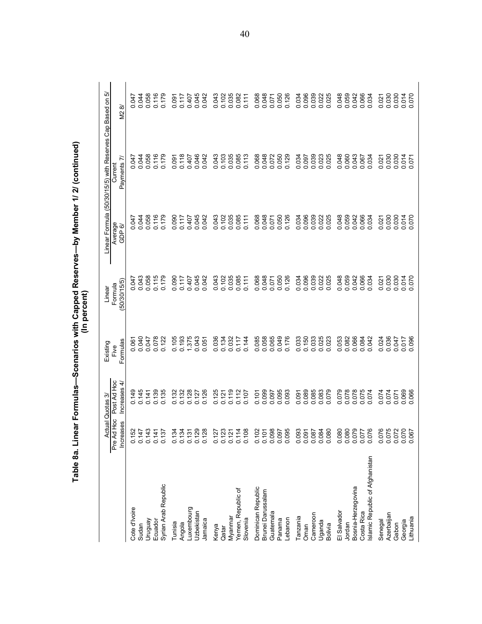| Table 8a. Lin                                 |                                   |                               |                  | (In percent)            | ear Formulas—Scenarios with Capped Reserves—by Member 1/ 2/ (continued) |                                                        |                |
|-----------------------------------------------|-----------------------------------|-------------------------------|------------------|-------------------------|-------------------------------------------------------------------------|--------------------------------------------------------|----------------|
|                                               |                                   | ctual Quotas 3                | Existing         | Linear                  |                                                                         | Linear Formula (50/30/15/5) with Reserves Cap Based on | ιò             |
|                                               | Pre Ad Hoc<br><b>Increases</b>    | Post Ad Hoc<br>4<br>Increases | Formulas<br>Five | (50/30/15/5)<br>Formula | Average<br>GDP 6/                                                       | Payments 7.<br>Current                                 | M2 8/          |
| Cote d'Ivoire                                 | S <sub>2</sub>                    | 0.149                         | 0.061            | 0.047                   | 0.047                                                                   | 547<br>ö                                               | 0.047          |
| Sudan                                         | 47                                | 0.145                         | 0.040            | 0.043                   | 0.044                                                                   | 0.044                                                  |                |
| Venbnun                                       | $\frac{3}{4}$<br>555<br>555       | 0.141                         | 0.047            | 0.058                   | 0.058                                                                   | 0.058                                                  | 0.044          |
| Ecuador                                       | $\frac{4}{5}$<br>$\overline{O}$   | 0.139                         | 0.078            | 0.115                   | 0.116                                                                   | 0.116                                                  | 0.116          |
| Syrian Arab Republic                          | 22<br>$\overline{O}$              | 0.135                         | 0.122            | 0.179                   | 0.179                                                                   | 0.179                                                  | 0.179          |
| Tunisia                                       | $\overline{c}$                    | 0.132                         | 0.105            | 0.090                   | 0.090                                                                   | 0.091                                                  | 0.091          |
| Angola                                        | $\overline{c}$                    | 0.132                         | 0.193            | 0.117                   | 0.117                                                                   | 0.118                                                  | 0.117          |
| Luxembourg                                    | ನೆ ನೆ ನ ನಿ<br>$\overline{c}$      | 0.128                         | 1.375            | 0.407                   | 0.407                                                                   | 0.407                                                  | 0.407<br>0.045 |
| Uzbekistan                                    | $\overline{0}$ .                  | 0.127                         | 0.043            | 0.045                   | 0.045                                                                   | 0.046                                                  |                |
| Jamaica                                       | $\overline{28}$<br>$\overline{O}$ | 0.126                         | 0.051            | 0.042                   | 0.042                                                                   | 0.042                                                  | 0.042          |
| Kenya                                         | $\overline{c}$                    | 0.125                         | 0.036            | 0.043                   | 0.043                                                                   | 0.043                                                  | 0.043          |
| Qatar                                         | $\overline{O}$                    | 0.121                         | 0.134            | 0.102                   | 0.102                                                                   | 0.103                                                  | 0.102          |
| Myanmar                                       | <b>ដនកងន</b>                      | 0.119                         | 0.032            | 0.035                   | 0.035                                                                   | 0.035                                                  | 0.035          |
| Yemen, Republic of                            | $\frac{7}{0}$ $\frac{7}{0}$       | 0.112                         | 0.117            | 0.085                   | 0.085                                                                   | 0.085                                                  |                |
| Slovenia                                      | $\overline{c}$                    | 0.107                         | 0.144            | 0.111                   | 0.111                                                                   | 0.113                                                  | 0.111          |
| Dominican Republic                            | 0.102                             | 0.101                         | 0.085            | 0.068                   | 0.068                                                                   | 0.068                                                  | 0.068          |
| Brunei Darussalam                             | $\delta$<br>$\overline{O}$        | 0.099                         | 0.058            | 0.048                   | 0.048                                                                   | 0.048                                                  | 0.048          |
| Guatemala                                     | 0.098                             | 0.097                         | 0.065            | 0.071                   | 0.071                                                                   | 0.072                                                  | 0.050          |
| Panama                                        |                                   | 0.095                         | 0.049            | 0.050                   | 0.050                                                                   | 0.050                                                  |                |
| Lebanon                                       | 0.095                             | 0.093                         | 0.176            | 0.126                   | 0.126                                                                   | 0.129                                                  | 0.126          |
| Tanzania                                      |                                   | 0.091                         | 0.033            | 0.034                   | 0.034                                                                   | 0.034                                                  | 0.034          |
| Oman                                          |                                   | 0.089                         | 0.150            | 0.096                   | 0.096                                                                   | 0.097                                                  | 0.096          |
| Cameroon                                      |                                   | 0.085                         |                  | 0.039                   | 0.039                                                                   | 0.039                                                  |                |
| Uganda                                        |                                   | 0.083                         | 0.033            | 0.022                   | 0.022                                                                   | 0.023                                                  | 0.039          |
| <b>Bolivia</b>                                |                                   | 0.079                         | 0.023            | 0.025                   | 0.025                                                                   | 0.025                                                  | 0.025          |
| El Salvador                                   | 0.080                             | 079<br>Ö                      | 0.053            | 0.048                   | 0.048                                                                   | 0.048                                                  | 0.048          |
| Jordan                                        | 0.080                             | 0.078                         | 0.082            | 0.059                   | 0.059                                                                   | 0.060                                                  | 0.059          |
| Bosnia-Herzegovina                            |                                   | 0.078                         | 0.066            | 0.042                   | 0.042                                                                   | 0.043                                                  | 0.042<br>0.066 |
| Islamic Republic of Afghanistan<br>Costa Rica | 92010<br>22010<br>22010           | 0.075<br>0.074                | 0.042<br>0.084   | 0.066<br>0.034          | 0.066<br>0.034                                                          | 0.067<br>0.034                                         | 0.034          |
| Senegal                                       | 0.076                             | 0.074                         | 0.024            | 0.021                   | 0.021                                                                   | 0.021                                                  | 0.021          |
| Azerbaijan                                    | 0.075                             | 0.074                         | 0.036            | 0.030                   | 0.030                                                                   | 0.030                                                  | 0.030          |
| Gabon                                         | 0.072                             | 0.071                         | 0.047            | 0.030                   | 0.030                                                                   | 0.030                                                  | 0.030          |
| Lithuania<br>Georgia                          | 0.070<br>0.067                    | 0.069<br>0.066                | 0.017            | 0.014                   | 0.014<br>0.070                                                          | 0.014                                                  | 0.070          |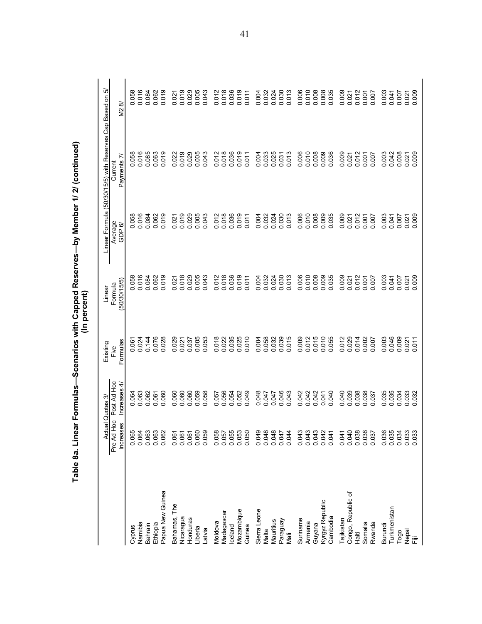|                              |                                  |                            |                         | (In percent)                   | Table 8a. Linear Formulas—Scenarios with Capped Reserves—by Member 1/ 2/ (continued) |                                                        |                         |
|------------------------------|----------------------------------|----------------------------|-------------------------|--------------------------------|--------------------------------------------------------------------------------------|--------------------------------------------------------|-------------------------|
|                              | <b>Actual Quotas</b>             | ကဲ                         | Existing                | Linear                         |                                                                                      | Linear Formula (50/30/15/5) with Reserves Cap Based on | ιò                      |
|                              | BC<br>Hoc<br>Increases<br>Pre Ad | Post Ad Hoc<br>Increases 4 | Formulas<br>Five        | (50/30/15/5)<br>Formula        | Average<br>GDP 6                                                                     | Payments 7<br>Current                                  | M28                     |
| Cyprus                       | 0.065<br>0.064<br>0.063          |                            | 0.061<br>0.024          | 058<br>$\circ$ $\circ$         | 0.058<br>0.016                                                                       | 0.058<br>0.016                                         | 0.058                   |
| Namibia                      |                                  | 0.062<br>0.062             |                         | 016                            |                                                                                      |                                                        |                         |
| Bahrain                      |                                  |                            | 0.144                   | 0.084                          | 0.084                                                                                | 0.085                                                  | 0.084                   |
| Papua New Guinea<br>Ethiopia | 0.063<br>0.062                   | 060<br>0.061<br>ö          | 0.076<br>0.028          | 019<br>0.062<br>ö              | 0.062                                                                                | 0.063                                                  | 0.062                   |
|                              |                                  |                            |                         |                                |                                                                                      |                                                        |                         |
| Bahamas, The<br>Nicaragua    | 0.061<br>0.061                   | 0.060                      | 0.029<br>0.021          | 0.021                          | $-021$<br>Ö                                                                          | 0.019<br>0.022                                         | 0.021                   |
| Honduras                     | 0.061                            | 0.060                      | 0.037                   | 0.018                          | 0.019                                                                                | 0.029                                                  | 0.019                   |
| Liberia                      |                                  | 0.059                      | 0.005                   | 0.005                          | 0.005                                                                                | 0.005                                                  | 0.005                   |
| Latvia                       | 0.060<br>0.059                   | 0.058                      | 053<br>$\circ$          | 0.043                          | 043<br>ö                                                                             | 0.043                                                  | 0.043                   |
| Moldova                      |                                  | 0.057                      | 018<br>$\circ$          | 012<br>Ö                       |                                                                                      | 0.012                                                  |                         |
| Madagascar                   |                                  | 0.056<br>0.054             | 0.022                   | 0.018                          |                                                                                      |                                                        |                         |
| celand                       |                                  |                            | 0.035                   |                                | 0.012<br>0.018<br>0.036                                                              | 0.018<br>0.036                                         | 0.012<br>0.018<br>0.036 |
| Mozambique                   | 887<br>88888<br>88888            | 0.052                      | 0.025                   | 019<br>$\circ$                 | 0.019                                                                                | 0.019                                                  | 0.019                   |
| Guinea                       |                                  | 0.049                      |                         | 0.011                          |                                                                                      | 0.011                                                  | 0.011                   |
| Sierra Leone                 | 0.049                            | 0.048                      | 0.004                   | 0.004                          | 0.004                                                                                | 0.004                                                  | 0.004                   |
| Malta                        |                                  | 0.047                      | 0.058                   | 0.032                          | 0.032                                                                                | 0.033                                                  | 0.032                   |
| Mauritius                    |                                  | 0.047                      | 0.032                   | 0.024                          | 0.024                                                                                | 0.025                                                  | 0.024                   |
| Paraguay                     |                                  | 0.046                      | 0.039                   | 0.030                          | 0.030<br>0.013                                                                       | 0.031                                                  | 0.030                   |
| Mali                         |                                  | 0.043                      | 015                     | 0.013                          |                                                                                      | 0.013                                                  |                         |
| Suriname                     |                                  | 0.042                      | 009<br>ö                | 0.006                          | 006<br>$\circ$                                                                       | 0.006                                                  | 0.006                   |
| Armenia                      |                                  | 0.042                      | 0.015<br>0.015<br>0.010 | 0.010                          | 0.009<br>0.009                                                                       | 0.010                                                  | 0.010<br>0.008<br>0.008 |
| Guyana                       |                                  | 0.042                      |                         | 0.008                          |                                                                                      |                                                        |                         |
| Kyrgyz Republic              |                                  | 0.040<br>0.041             | 055<br>$\circ$          | 035                            | $\circ$                                                                              | 0.009                                                  | 0.035                   |
| Cambodia                     | 0.04                             |                            |                         | Ö                              | 035                                                                                  | 0.036                                                  |                         |
| Tajikistan                   | 0.041                            | 0.040                      | 012<br>ö                | 0.009                          | 0.009                                                                                | 0.009                                                  | 0.009                   |
| Congo, Republic of<br>Haiti  | 0.040<br>0.038<br>0.000<br>0.000 | 0.039<br>0.038             | 0.029<br>014<br>$\circ$ | 012<br>0.021<br>Õ              | 0.012<br>0.021                                                                       | 0.012<br>0.021                                         | 0.012<br>0.021          |
| Somalia                      |                                  | 0.038                      | .002<br>$\circ$         | $\overline{5}$<br>$\mathbf{C}$ | 0.001                                                                                | 0.001                                                  | 0.001                   |
| Rwanda                       |                                  | 037<br>ö                   | 007<br>$\circ$          | 007<br>ö                       | 007<br>ö                                                                             | 0.007                                                  | 0.007                   |
| Burundi                      |                                  | 0.035                      | 003<br>ö                | 0.003                          | 0.003                                                                                | 0.003                                                  | 0.003                   |
| Turkmenistan                 | 0.035<br>0.034<br>0.030<br>0.030 | 0.035                      | 046<br>$\circ$          | 0.041                          | 0.041<br>0.007                                                                       | 0.042                                                  | 0.041<br>140.0          |
| Togo                         |                                  |                            | 0.009                   | 0.007                          |                                                                                      | 0.008                                                  |                         |
| nepal<br>『iii                | 0.033                            | 0.032<br>0.032<br>0.032    | $0.021$<br>0.011        | 0.021                          | 0.021                                                                                | $0.021$<br>$0.009$                                     | 0.021                   |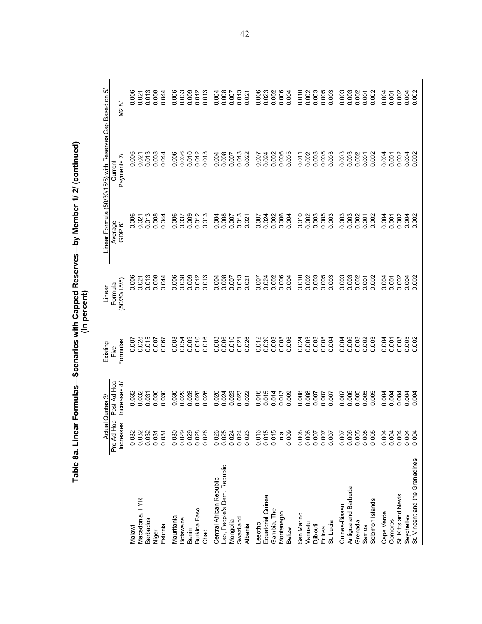|                                   |                                | <b>Actual Quotas 3</b>      | Existing         | Linear                 |                         | Linear Formula (50/30/15/5) with Reserves Cap Based on 5/ |                |
|-----------------------------------|--------------------------------|-----------------------------|------------------|------------------------|-------------------------|-----------------------------------------------------------|----------------|
|                                   | Pre Ad Hoc<br><b>Increases</b> | Post Ad Hoc<br>Increases 4/ | Formulas<br>Five | 50/30/15/5)<br>Formula | Average<br>GDP 6        | Payments 7.<br>Current                                    | M28/           |
| Malawi                            | 0.032                          | 0.032                       | 0.007            | 0.006                  |                         | 0.006                                                     | $\frac{8}{2}$  |
| Macedonia, FYR                    | 0.032                          | 0.032                       | 0.028            | 0.021                  | 0.000<br>0.021<br>0.013 | $0.021$<br>$0.013$                                        | $-021$         |
| <b>Barbados</b>                   | 0.032                          | 0.031                       | 0.015            | 0.013                  |                         |                                                           | 0.013          |
| Estonia<br>Niger                  | 0.031<br>0.031                 | 0.030<br>0.030              | 0.007<br>0.067   | 0.008<br>0.044         | 0.008<br>0.044          | 0.008<br>0.044                                            | 0.008<br>044   |
|                                   |                                |                             |                  |                        |                         |                                                           |                |
| Mauritania                        | 0.030<br>0.029                 | 0.030<br>0.029              | 0.008<br>0.054   | 0.006<br>0.038         | 0.006<br>0.037          | 0.006<br>0.036                                            | 0.006<br>0.033 |
| Botswana<br>Benin                 | 0.029                          | 0.028                       | 0.009            | 0.009                  | 0.009                   | 0.010                                                     | 0.009          |
| Burkina Faso                      | 0.028                          | 0.028                       | 0.010            | 0.012                  | 0.012                   | 0.012                                                     | 0.012          |
| Chad                              | 0.026                          | 0.026                       | 0.016            | 0.013                  | 0.013                   | 0.013                                                     | 0.013          |
| Central African Republic          | 0.026                          | 0.026                       | 0.003            | 0.004                  | 0.004                   | 0.004                                                     | 0.004          |
| Lao, People's Dem. Republic       | 0.025                          | 0.024                       | 0.006            | 0.008                  | 0.008                   | 0.008                                                     | 0.008          |
| Mongolia                          | 0.024                          | 0.023                       | 0.010            | 0.007                  | 0.007                   | 0.007                                                     | 0.007          |
| Swaziland                         | 0.024                          | 0.023                       | 0.021            | 0.013                  | 0.013                   | 0.013                                                     | 0.013          |
| Albania                           | 0.023                          | 0.022                       | 0.026            | 0.021                  | 0.021                   | 0.022                                                     | 0.021          |
| Lesotho                           | 0.016                          | 016<br>ö                    | 0.012            | 0.007                  | 0.007                   | 0.007                                                     | 0.006          |
| Equatorial Guinea                 | 0.015                          | 0.015                       | 0.039            | 0.024                  | 0.024                   | 0.024                                                     | 0.023          |
| Gambia, The                       | 0.015                          | 0.014                       | 0.003            | 0.002                  | 0.002                   | 0.002                                                     | 0.002          |
| Montenegro                        | n.a.                           | 0.013                       | 0.008            | 0.006                  | 0.006                   | 0.006                                                     | 0.006          |
| <b>Belize</b>                     | 0.009                          | 0.009                       | 0.006            | 0.004                  | 0.004                   | 0.005                                                     | 0.004          |
| San Marino                        | 0.008                          | 0.008                       | 0.024            | 0.010                  | 0.010                   | 0.011                                                     | 0.010          |
| Vanuatu                           | 0.008                          | 0.008                       | 0.003            | 0.002                  | 0.002                   | 0.002                                                     | 0.002          |
| Djibouti                          | 0.007                          | 0.007                       | 0.003            | 0.003                  | 0.003                   | 0.003                                                     | 0.003          |
| Eritrea                           | 0.007                          | 0.007                       | 0.008            | 0.005                  | 0.005                   | 0.005                                                     | 0.005          |
| St. Lucia                         | 0.007                          | 0.007                       | 0.004            | 0.003                  | 0.003                   | 0.003                                                     | 0.003          |
| Guinea-Bissau                     | 0.007                          | 0.007                       | 0.004            | 0.003                  | 0.003                   | 0.003                                                     | 0.003          |
| Antigua and Barbuda               | 0.006                          | 0.006                       | 0.006            | 0.003                  | 0.003                   | 0.003                                                     | 0.003          |
| Grenada                           | 0.005                          | 0.005                       | 0.003            | 0.002                  | 0.002                   | 0.002                                                     | 0.002          |
| Solomon Islands<br>Samoa          | 0.005<br>0.005                 | 0.005<br>0.005              | 0.003<br>0.002   | 0.002<br>0.001         | 0.002<br>0.001          | 0.002<br>0.001                                            | 0.002<br>0.001 |
|                                   |                                |                             |                  |                        |                         |                                                           |                |
| Cape Verde                        | 0.004                          | 0.004                       | 0.004            | 0.004                  | 0.004                   | 0.004                                                     | 0.004          |
| Comoros                           | 0.004                          | 0.004                       | 0.001            | 0.001                  | 0.001                   | 0.001                                                     | 0.001          |
| St. Kitts and Nevis<br>Seychelles | 0.004<br>0.004                 | 0.004<br>0.004              | 0.005<br>0.003   | 0.002                  | 0.002                   | 0.002                                                     | 0.002          |
| St. Vincent and the Grenadines    | 0.004                          | 0.004                       | 0.002            | 0.002                  | 0.002                   | 0.004                                                     | 0.002          |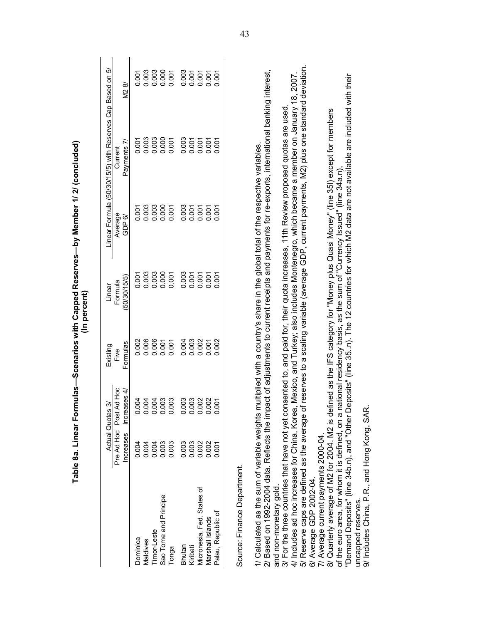|                                                                                                                                                                                                                                                                                    |                  |                                                                              |                  | (In percent)           | Table 8a. Linear Formulas—Scenarios with Capped Reserves—by Member 1/ 2/ (concluded) |                                                                                                   |                |
|------------------------------------------------------------------------------------------------------------------------------------------------------------------------------------------------------------------------------------------------------------------------------------|------------------|------------------------------------------------------------------------------|------------------|------------------------|--------------------------------------------------------------------------------------|---------------------------------------------------------------------------------------------------|----------------|
|                                                                                                                                                                                                                                                                                    |                  | જે<br><b>Actual Quotas</b>                                                   | Existing         | Linear                 |                                                                                      | Linear Formula (50/30/15/5) with Reserves Cap Based on 5/                                         |                |
|                                                                                                                                                                                                                                                                                    | <b>Increases</b> | Pre Ad Hoc Post Ad Hoc<br>Increases 4/                                       | Formulas<br>Five | 50/30/15/5)<br>Formula | Average<br>GDP 6/                                                                    | Payments 7/<br>Current                                                                            | M2 8/          |
| Dominica                                                                                                                                                                                                                                                                           | 0.004            |                                                                              | 0.002            | 0.001                  | 0.001                                                                                | 0.001                                                                                             | 0.001          |
| Maldives                                                                                                                                                                                                                                                                           | 0.004            |                                                                              | 0.006            | 0.003                  | 0.003                                                                                | 0.003                                                                                             | 0.003          |
| Timor-Leste                                                                                                                                                                                                                                                                        | 0.004            |                                                                              | 0.006<br>0.001   | 0.003<br>0.000         | 0.003                                                                                | 0.003                                                                                             | 0.003<br>0.000 |
| Sao Tome and Principe<br>Tonga                                                                                                                                                                                                                                                     | 0.003<br>0.003   | 8<br>8<br>8<br>8<br>8<br>8<br>8<br>8<br>8<br>8<br>8<br>8<br>8<br>8<br>8<br>8 | 0.001            | 0.001                  | 0.000<br>0.001                                                                       | 0.000<br>0.001                                                                                    | 0.001          |
| Bhutan                                                                                                                                                                                                                                                                             | 0.003            |                                                                              | 0.004            | 0.003                  | 0.003                                                                                | 0.003                                                                                             | 0.003          |
| Kiribati                                                                                                                                                                                                                                                                           | 0.003            |                                                                              | 0.003            | 0.001                  | 0.001                                                                                | 0.001                                                                                             | 0.001          |
| Micronesia, Fed. States of                                                                                                                                                                                                                                                         | 0.002            | 00<br>000000<br>000000                                                       | 0.002            | 0.001                  | 0.001                                                                                | 0.001                                                                                             | 0.001          |
| Marshall Islands                                                                                                                                                                                                                                                                   | 0.002            |                                                                              | 0.001            | 0.001                  | 0.001                                                                                | 0.001                                                                                             | 0.001          |
| Palau, Republic of                                                                                                                                                                                                                                                                 | 0.001            |                                                                              | 0.002            | 0.001                  | 0.001                                                                                | 0.001                                                                                             | 0.001          |
| Source: Finance Department.                                                                                                                                                                                                                                                        |                  |                                                                              |                  |                        |                                                                                      |                                                                                                   |                |
| 2/ Based on 1992-2004 data. Reflects the impact of adjustments to current receipts and payments for re-exports, international banking interest,<br>1/ Calculated as the sum of variable weights multiplied with a country's share in the global total of the respective variables. |                  |                                                                              |                  |                        |                                                                                      |                                                                                                   |                |
| and non-monetary gold.                                                                                                                                                                                                                                                             |                  |                                                                              |                  |                        |                                                                                      |                                                                                                   |                |
| 3/ For the three countries that have not yet consented to, and paid for, their quota increases, 11th Review proposed quotas are used.                                                                                                                                              |                  |                                                                              |                  |                        |                                                                                      |                                                                                                   |                |
| 4/ Includes ad hoc increases for China, Korea, Mexico, and Turkey; also includes Montenegro, which became a member on January 18, 2007.<br>5/ Reserve caps are defined as the average of reserves to a scaling variable (average<br>6/ Average GDP 2002-04.                        |                  |                                                                              |                  |                        |                                                                                      |                                                                                                   |                |
| 7/ Average current payments 2000-04.                                                                                                                                                                                                                                               |                  |                                                                              |                  |                        |                                                                                      |                                                                                                   |                |
| 8/ Quarterly average of M2 for 2004. M2 is defined as the IFS category for "Money plus Quasi Money" (line 35l) except for members                                                                                                                                                  |                  |                                                                              |                  |                        |                                                                                      |                                                                                                   |                |
| of the euro area, for whom it is defined, on a national residency basis, as the sum of "Currency Issued" (line 34a.n)<br>"Demand Deposits" (line 34b.n), and "Other D                                                                                                              |                  |                                                                              |                  |                        |                                                                                      | eposits" (line 35n). The 12 countries for which M2 data are not available are included with their |                |
| 9/ Includes China, P.R., and Hong Kong, SAR<br>uncapped reserves.                                                                                                                                                                                                                  |                  |                                                                              |                  |                        |                                                                                      |                                                                                                   |                |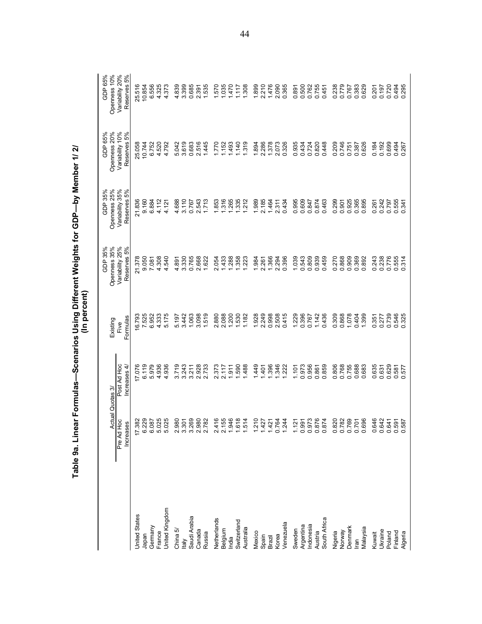|                      | Table 9a. Linear Formalas—Scenarios Using Different Weights for GDP—Dy Member 1/ 2/ |                            | (In percent)        |                                |                                |                                   |                                |
|----------------------|-------------------------------------------------------------------------------------|----------------------------|---------------------|--------------------------------|--------------------------------|-----------------------------------|--------------------------------|
|                      |                                                                                     | Actual Quotas 3/           | Existing            | Openness 35%<br>35%<br>GDP:    | Openness 25%<br>GDP 35%        | Openness 20%<br>65%<br>GDP        | Openness 10%<br>GDP 65%        |
|                      | Pre Ad Hoc<br>89<br>Increas                                                         | Post Ad Hoc<br>Increases 4 | Formulas<br>Five    | Variability 25%<br>Reserves 5% | Variability 35%<br>Reserves 5% | Variability 10%<br>5%<br>Reserves | Variability 20%<br>Reserves 5% |
| <b>Jnited States</b> |                                                                                     | 17.076                     |                     | 21.378                         | 21.836                         | 25.058                            | 25.516                         |
| Japan                | 17.382<br>6.229                                                                     | 6.119                      | 16.793<br>7.525     | 9.050                          | 9.160                          | 10.744                            | 10.854                         |
| Germany              |                                                                                     | 5.979                      | 6.952               | 7.081                          | 6.884                          | 6.752                             | 6.556                          |
| France               | 6.087<br>5.025<br>5.025                                                             | 936<br>4.                  | 4.333               | 4.308                          | 4.112                          | 4.520                             | 4.325                          |
| United Kingdom       |                                                                                     | 4.936                      | 5.175               | 4.540                          | 4.121                          | 4.792                             | 4.373                          |
| China 5/             |                                                                                     | 719<br>6                   | 5.197               | 4.891                          | 4.688                          | 5.042                             | 839<br>4.                      |
| taly                 |                                                                                     | 3.243                      | 3.442               | 3.330                          | 3.110                          | 3.619                             | 3.399                          |
| Saudi Arabia         | 8<br>8 5 8 8 8 8<br>0 6 7 8 8 8<br>0 6 7 8 8 8                                      | 3.211                      | 1.063               | 0.765                          | 0.767                          | 0.683                             | 0.685                          |
| Canada               |                                                                                     | 2.928                      | 3.098               | 2.668                          | 2.543                          | 2.516                             | 2.391                          |
| Russia               |                                                                                     | 2.733                      | 1.519               | 1.622                          | 1.713                          | 1.445                             | 1.535                          |
| Netherlands          |                                                                                     | 373<br>Ń۰                  | 2.880               | 2.054                          | 1.853                          | 1.770                             | 1.570                          |
| Belgium              | $2.456$ $4.556$ $6.54$ $6.54$ $6.54$ $6.54$                                         | 2.117                      | 2.088               | 1.433                          | 1.316                          | 1.152                             | 1.035                          |
| India                |                                                                                     | 1.911                      | 1.200               | 1.288                          | 1.265                          | 1.493                             | 1.470                          |
| Switzerland          |                                                                                     | 1.590                      | 1.530               | 1.358                          | 1.335                          | 1.140                             | 1117                           |
| Australia            |                                                                                     | 1.488                      | 1.182               | 1.223                          | 1.212                          | 1.319                             | 1.308                          |
| Mexico               | 1.210                                                                               | 449                        | 1.928               | 1.984                          | 1.989                          | 1.894                             | 1.899                          |
| Spain                | 1.427                                                                               | 401                        | 2.249               | 2.261                          | 2.185                          | 2.286                             | 2.210                          |
| Brazil               | 1.421                                                                               | 1.396                      | 0.998               | 1.366                          | 1.464                          | 1.378                             | 1.476                          |
| Korea                | 0.764<br>1.244                                                                      | 1.346                      | 508<br>$\mathbf{N}$ | 2.294                          | 2.311                          | 2.073                             | 2.090                          |
| Venezuela            |                                                                                     | 1.222                      | 0.415               | 0.396                          | 0.434                          | 0.326                             | 0.365                          |
| Sweden               | 1.121                                                                               | 1.101                      | 1.229               | 1.039                          | 0.995                          | 0.935                             | 0.891                          |
| Argentina            |                                                                                     | 0.973                      | 0.396               | 0.543                          | 0.609                          | 0.434                             | 0.500                          |
| Indonesia            |                                                                                     | 0.956                      | 0.767               | 0.809                          | 0.847                          | 0.724                             | 0.762                          |
| Austria              |                                                                                     | 0.861                      | 1.142               | 0.939                          | 0.874                          | 0.820                             | 0.755                          |
| South Africa         | 5<br>53<br>53<br>50<br>50<br>50<br>50<br>50                                         | 859<br>ö                   | 0.436               | 0.459                          | 0.463                          | 0.448                             | 0.451                          |
|                      |                                                                                     | 0.806                      | 309<br>ö            | 0.270                          | 0.299                          | 0.209                             | 0.238                          |
| Nigeria<br>Norway    |                                                                                     | 0.768                      | 0.868               | 0.868                          | 0.901                          | 0.746                             | 0.779                          |
| Denmark              |                                                                                     | 0.755                      | 1.078               | 0.909                          | 0.925                          | 0.751                             | 0.767                          |
| Iran                 |                                                                                     | 0.688                      | 0.404               | 0.369                          | 0.365                          | 0.387                             | 0.383<br>0.629                 |
| Malaysia             |                                                                                     | 683<br>ö                   | 399                 | 0.892                          | 0.895                          | 0.626                             |                                |
| Kuwait               |                                                                                     | 635<br>ö                   | 351<br>o o          | 0.243<br>0.238                 | 0.261<br>0.242                 | 0.184                             | 0.201                          |
| Ukraine              |                                                                                     | 0.631                      | 277                 |                                |                                | 0.192                             | 0.197                          |
| Poland               |                                                                                     | 0.629                      | 0.739               | 0.776                          | 0.797                          | 0.699                             | 0.720                          |
| Finland<br>Algeria   |                                                                                     | 0.581<br>0.577             | 0.546<br>0.325      | 0.555<br>0.314                 | 0.555<br>0.341                 | 0.494<br>0.267                    | 0.494<br>0.295                 |
|                      |                                                                                     |                            |                     |                                |                                |                                   |                                |

Table 9a. Linear Formulas—Scenarios Using Different Weights for GDP—by Member 1/2/<br>(In percent)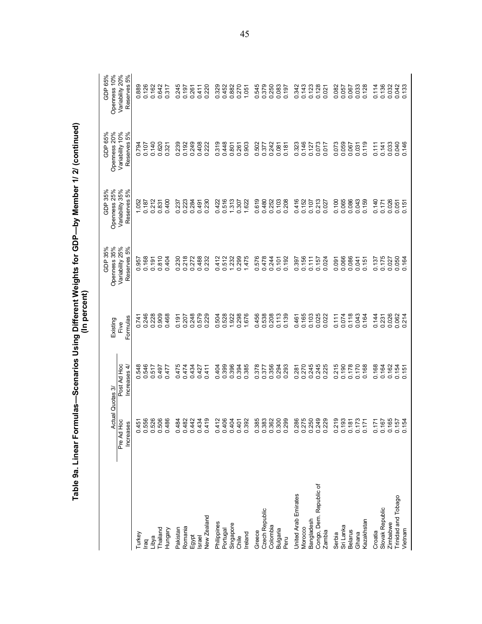|                         |                                               | Actual Quotas 3/           | Existing            | Openness 35%<br>GDP 35%        | Openness 25%<br>GDP 35%        | Openness 20%<br>GDP 65%        | Openness 10%<br>GDP 65%                                        |
|-------------------------|-----------------------------------------------|----------------------------|---------------------|--------------------------------|--------------------------------|--------------------------------|----------------------------------------------------------------|
|                         | Pre Ad Hoc<br>Increases                       | Post Ad Hoc<br>Increases 4 | Formulas<br>Five    | Variability 25%<br>Reserves 5% | Variability 35%<br>Reserves 5% | Variability 10%<br>Reserves 5% | Variability 20%<br>Reserves 5%                                 |
| Turkey                  |                                               | 548                        |                     | 957                            |                                |                                |                                                                |
| raq                     | $5\overline{6}$                               | 546<br>o o                 | 0.741<br>0.246      | 0.168                          | $\frac{1.052}{0.187}$          | 0.107<br>97<br>98              | 0.889<br>0.126                                                 |
| Libya                   | $\tilde{26}$                                  | 517                        | 0.228               | 0.191                          | 0.212                          | 0.140                          |                                                                |
| <b>Trailand</b>         | 506                                           | 0.517<br>715.0             | 0.909               | 0.810                          | 0.831                          | 0.620                          | 0.162<br>0.642                                                 |
| Hungary                 | 88                                            | 0.477                      | 0.468               | 0.404                          | 0.400                          | 0.321                          | 0.317                                                          |
| Pakistan                | 4<br>$\dot{\circ}$                            |                            | 0.191               | 0.230                          | 0.237                          | 0.239                          | 0.245                                                          |
| Romania                 | $\frac{3}{2}$ $\frac{3}{2}$<br>$\overline{a}$ | 0.475<br>0.475             | 0.207               | 0.218                          | 0.223                          | 0.192                          | 0.197                                                          |
| Egypt                   | 0.442<br>0.434                                | 0.434                      | 0.248               | 0.272                          | 0.284                          | 0.249                          | 0.261<br>0.411                                                 |
| Israel                  |                                               | 0.427                      | 579<br>$\mathbf{c}$ | 0.488                          | 0.491                          | 0.408                          |                                                                |
| New Zealand             | 0.419                                         | 0.411                      | 229<br>ö            | 0.232                          | 0.230                          | 0.222                          | 0.220                                                          |
| Philippines             |                                               |                            | 504<br>ö            | 0.412                          | 0.422                          | 0.319                          | 0.329                                                          |
| Portugal                |                                               |                            | 0.528               |                                | 0.516                          | 0.448                          |                                                                |
| Singapore               |                                               |                            | 1.922               | 0.512<br>1.232                 | 1.313                          | 0.801                          | 0.452<br>0.882                                                 |
| Chile                   |                                               |                            | 0.298               | 0.299                          | 0.307                          | 0.261                          | 0.270                                                          |
| Ireland                 |                                               |                            | 1.676               | 1.475                          | 1.622                          | 0.903                          | 1.051                                                          |
| Greece                  |                                               |                            | 0.456               | 0.576                          | 0.619                          | 0.502                          | 0.545                                                          |
| Czech Republic          |                                               | 0.378<br>0.377<br>0.356    | 0.538               | 0.478                          | 0.480                          | 0.377<br>0.242                 |                                                                |
| Colombia                | 88<br>3838<br>0 3 3 3 8<br>0 3 0 3 0          |                            | 0.208               | 0.244                          | 0.252                          |                                | 0.379<br>0.250<br>0.083<br>0.197                               |
| Bulgaria                |                                               | 294<br>၀ ၀                 | 0.113               | 0.101                          | 0.103                          | 0.087                          |                                                                |
| Peru                    |                                               | 293                        | 0.139               | 0.192                          | 0.208                          | 0.181                          |                                                                |
| United Arab Emirates    |                                               |                            | 0.461               | 0.397                          | 0.416                          | 0.323                          | 0.342                                                          |
| Morocco                 |                                               | 0.281<br>0.270<br>0.245    | 0.165               | 0.156                          | 0.152                          | 0.146                          | 0.143<br>0.123                                                 |
| Bangladesh              |                                               |                            | 0.103               | 0.111                          | 0.107                          | 0.127                          |                                                                |
| Congo, Dem. Republic of | 8<br>8 8 9 9 9 9<br>0 9 0 0 0<br>0 0 0 0 0    | 0.245<br>0.225             | 0.025<br>022<br>⊖   | 0.157<br>0.024                 | 0.213<br>0.027                 | 0.073<br>0.017                 | 0.128<br>0.021                                                 |
| Zambia                  |                                               |                            |                     |                                |                                |                                |                                                                |
| Serbia                  | 2193<br>0.193<br>0.0.0.0<br>0.0.0.0           | 0.215<br>0.190             | 0.111               | 0.091                          | 0.100                          | 0.073                          | 82<br>20057<br>20067<br>2000                                   |
| Sri Lanka               |                                               |                            | 0.074               |                                | 0.065                          | 0.059                          |                                                                |
| <b>Belarus</b>          |                                               | 0.178                      | 0.118               | 0.086                          | 0.086                          | 0.067                          |                                                                |
| Ghana                   |                                               | 0.170                      | 0.043               | 0.041                          | 0.043                          | 0.031                          |                                                                |
| Kazakhstan              |                                               | 0.168                      | 0.164               | 0.151                          | 0.159                          | 0.119                          |                                                                |
| Croatia                 | 71                                            | 0.168                      | 0.144               | 0.137                          | 0.140                          | 0.111                          |                                                                |
| Slovak Republic         | 67                                            | 0.164                      | 0.231               | 0.175                          | 0.171                          | 0.141                          |                                                                |
| Zimbabwe                | 65                                            | 0.162                      | 0.026               | 0.027                          | 0.026                          | 0.033                          |                                                                |
| Trinidad and Tobago     | 54<br>54<br>55550                             | 0.154<br>0.151             | 0.062<br>0.214      | 0.050<br>0.164                 | $0.051$<br>$0.151$             | 0.040                          | $\begin{array}{c} 1480 \\ 1500 \\ 0000 \\ 0000 \\ \end{array}$ |
| Vietnam                 |                                               |                            |                     |                                |                                | 0.146                          |                                                                |

Table 9a. Linear Formulas-Scenarios Using Different Weights for GDP-by Member 1/ 2/ (continued) (In percent)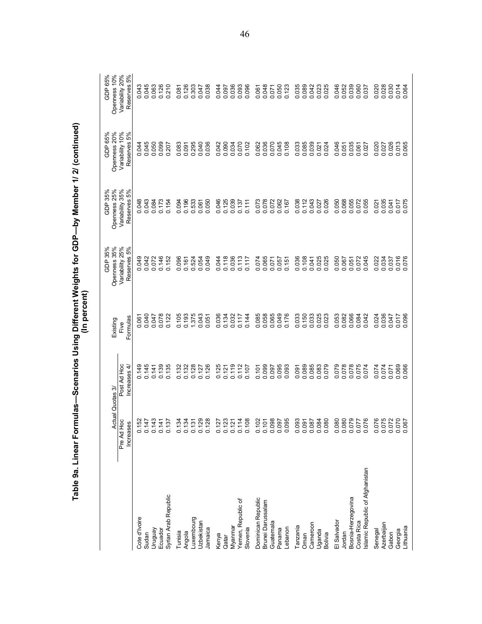| -<br>-<br>-<br>-<br>ļ<br>$\frac{1}{2}$<br>$\frac{1}{2}$<br>יה<br>ספר ה<br>"ה^הוּ   הו |
|---------------------------------------------------------------------------------------|
|---------------------------------------------------------------------------------------|

|                                 |                                   |                             | (In percent)     | Table 9a. Linear Formulas-—Scenarios Using Different Weights for GDP—by Member 1/ 2/ (continued) |                                |                                |                                |
|---------------------------------|-----------------------------------|-----------------------------|------------------|--------------------------------------------------------------------------------------------------|--------------------------------|--------------------------------|--------------------------------|
|                                 |                                   | Actual Quotas 3/            | Existing         | GDP 35%<br>Openness 35%                                                                          | GDP 35%<br>Openness 25%        | GDP 65%<br>Openness 20%        | GDP 65%<br>Openness 10%        |
|                                 | Pre Ad Hoc<br>Increases           | Post Ad Hoc<br>Increases 4/ | Formulas<br>Five | Variability 25%<br>Reserves 5%                                                                   | Variability 35%<br>Reserves 5% | Variability 10%<br>Reserves 5% | Reserves 5%<br>Variability 20% |
| Cote d'Ivoire                   |                                   |                             |                  | 0.049                                                                                            | 0.048                          | 0.044                          | 0.043                          |
| Sudan                           | 0.152<br>0.147<br>0.143           | 0.145<br>0.145              | 0.061            | 0.042                                                                                            | 0.043                          | 0.045                          | 0.045                          |
| Venbnun                         |                                   | 0.141                       | 0.047            | 0.072                                                                                            | 0.084                          | 0.050                          | 0.063                          |
| Ecuador                         | 0.141                             | 0.139                       | 0.078            | 0.146                                                                                            | 0.173                          | 0.099                          | 0.126                          |
| Syrian Arab Republic            | 0.137                             | 0.135                       | 0.122            | 0.152                                                                                            | 0.154                          | 0.207                          | 0.210                          |
| Tunisia                         | 0.134                             | 0.132                       | 0.105            | 096<br>ö                                                                                         | 0.094                          | 0.083                          | 0.081                          |
| Angola                          | 0.134                             | 0.132                       | 0.193            | 0.161                                                                                            | 0.196                          | 0.091                          | 0.126                          |
| Luxembourg                      | 0.131<br>0.129<br>0.128           | 0.128                       | 1.375            | 0.524                                                                                            | 0.533                          | 0.295                          | 0.303                          |
| Uzbekistan                      |                                   | 0.127                       | 0.043            | 0.054                                                                                            | 0.061                          | 0.040                          | 0.047                          |
| Jamaica                         |                                   | 0.126                       | 0.051            | 0.049                                                                                            | 0.050                          | 0.036                          | 0.038                          |
| Kenya                           | 0.127                             | 0.125                       | 0.036            | 0.044                                                                                            | 0.046                          | 0.042                          | 0.044                          |
| Qatar                           | 0.123                             | 0.121                       | 0.134            | 0.118                                                                                            | 0.125                          | 0.090                          | 0.097                          |
| Myanmar                         | 0.121                             | 0.119                       | 0.032            | 0.036                                                                                            | 0.039                          | 0.034                          | 0.036                          |
| Yemen, Republic of              | 0.114                             | 0.112                       | 0.117            | 0.113                                                                                            | 0.137                          | 0.070                          | 0.093                          |
| Slovenia                        | 0.108                             | 0.107                       | 0.144            | 0.117                                                                                            | 0.111                          | 0.102                          | 0.096                          |
| Dominican Republic              |                                   | 0.101                       | 0.085            | 0.074                                                                                            | 0.073                          | 0.062                          | 0.061                          |
| Brunei Darussalam               |                                   | 0.099                       | 0.058            | 0.065                                                                                            | 0.078                          | 0.036                          | 0.048                          |
| Guatemal                        |                                   | 0.097                       | 0.065            | 0.071                                                                                            | 0.072                          | 0.070                          | 0.071                          |
| Panama                          |                                   | 0.095                       | 0.049            | 0.057                                                                                            | 0.062                          | 0.045                          | 0.050                          |
| Lebanon                         |                                   | 0.093                       | 0.176            | 0.151                                                                                            | 0.167                          | 0.108                          | 0.123                          |
| Tanzania                        | 0.093                             | 0.091                       | 0.033            | 0.036                                                                                            | 0.038                          | 0.033                          | 0.035                          |
| Oman                            |                                   | 0.089                       | 0.150            | 0.108                                                                                            | 0.112                          | 0.085                          | 0.089                          |
| Cameroon                        | 0.087                             | 0.085                       | 0.033            | 0.041                                                                                            | 0.043                          | 0.039                          | 0.042                          |
| Uganda<br>Bolivia               | 0.080                             | 0.083<br>0.079              | 0.025<br>0.023   | 0.025<br>0.025                                                                                   | 0.027<br>0.026                 | 0.024<br>0.021                 | 0.023                          |
| El Salvador                     |                                   | 0.079                       | 0.053            | 0.050                                                                                            | 0.050                          | 0.046                          | 0.046                          |
| Jordan                          |                                   | 0.078                       | 0.082            | 0.067                                                                                            | 0.068                          | 0.051                          | 0.052                          |
| Bosnia-Herzegovina              | 920<br>0880<br>00000<br>00000     | 0.078                       | 0.066            | 0.051                                                                                            | 0.055                          | 0.035                          | 0.039                          |
| Costa Rica                      |                                   | 0.075                       | 0.084            | 0.072                                                                                            | 0.072                          | 0.061                          | 0.060                          |
| Islamic Republic of Afghanistan |                                   | 0.074                       | 0.042            | 0.045                                                                                            | 0.055                          | 0.027                          | 0.037                          |
| Senegal                         |                                   | 0.074                       | 0.024            | 0.022                                                                                            | 0.021                          | 0.020                          | 0.020                          |
| Azerbaijan                      |                                   | 0.074                       | 0.036            | 0.034                                                                                            | 0.035                          | 0.027                          | 0.028                          |
| Georgia<br>Gabon                |                                   | 0.069<br>0.071              | 0.047<br>0.017   | 0.037                                                                                            | 0.041<br>0.017                 | 0.026                          |                                |
| Lithuania                       | 76<br>075<br>076<br>00000<br>0000 | 0.066                       | 0.096            | 0.016<br>0.076                                                                                   | 0.075                          | 0.013                          | 0.030<br>0.014<br>0.064        |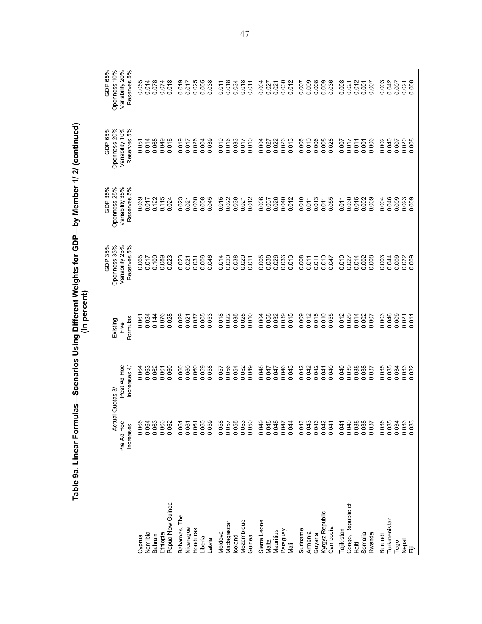|                    | Table 9a. Linear Form           |                            | (In percent)            | ulas—Scenarios Using Different Weights for GDP—by Member 1/ 2/ (continued) |                                |                                |                                |
|--------------------|---------------------------------|----------------------------|-------------------------|----------------------------------------------------------------------------|--------------------------------|--------------------------------|--------------------------------|
|                    | $\overline{\mathbb{Q}}$<br>Actu | Quotas 3/                  | Existing                | GDP 35%<br>Openness 35%                                                    | GDP 35%<br>Openness 25%        | GDP 65%<br>Openness 20%        | GDP 65%<br>Openness 10%        |
|                    | Pre Ad Hoc<br>Increases         | Post Ad Hoc<br>Increases 4 | Formulas<br>Five        | Variability 25%<br>Reserves 5%                                             | Variability 35%<br>Reserves 5% | Variability 10%<br>Reserves 5% | Variability 20%<br>Reserves 5% |
| Cyprus             | 0.065                           |                            |                         |                                                                            |                                |                                |                                |
| Namibia            | 0.064                           | 0.064                      | 0.061                   | 0.065<br>0.017                                                             | 0.069<br>0.017                 | 0.051                          | 0.055<br>0.014                 |
| Bahrain            | 0.063                           | 0.062                      | 0.144                   | 0.109                                                                      | 0.122                          | 0.065                          | 0.078                          |
| Ethiopia           | 0.063                           | 0.061                      | 0.076<br>0.028          | 0.089                                                                      | 0.115                          | 0.049                          | 0.074                          |
| Papua New Guinea   | 0.062                           | 0.060                      |                         | 0.023                                                                      | 0.024                          | 0.016                          | 0.018                          |
| Bahamas, The       | 0.061                           | 060<br>ö                   | 0.029                   | 0.023                                                                      | 0.023                          | 019<br>ö                       | 0.019                          |
| Nicaragua          | 0.061                           | 0.060                      | 0.021                   | 0.021                                                                      | 0.021                          | 0.017                          | 0.017                          |
| Honduras           | 0.061                           | 0.060                      | 0.037                   | 0.031                                                                      | 0.030                          | 0.026                          | 0.025                          |
| Liberia            | 0.060                           | 0.059                      | 0.0053                  | 0.006                                                                      | 0.008                          | 0.004                          | 0.005                          |
| Latvia             | 0.059                           | 0.058                      |                         | 0.046                                                                      | 0.045                          | 0.039                          |                                |
| Moldova            | 0.058                           | 0.057                      | 018<br>ö                | 0.014                                                                      | 0.015                          | 010<br>ö                       | 0.011                          |
| Madagascar         | 0.057                           | 0.056                      | 0.022                   | 0.020                                                                      | 0.022                          | 0.016                          | 0.018                          |
| celand             | 0.055                           | 0.054                      | 0.035                   | 0.038                                                                      | 0.039                          | 0.033                          | 0.034                          |
| Mozambique         | 0.053                           | 0.052                      |                         | 0.020                                                                      | 0.021                          |                                | 0.018                          |
| Guinea             | 0.050                           | 0.049                      | 0.010                   | 0.011                                                                      | 0.012                          | 0.010                          | 0.011                          |
| Sierra Leone       | 0.049                           | 0.048                      | 0.004                   | 0.005                                                                      | 0.006                          | 0.004                          | 0.004                          |
| Malta              | 0.048                           | 0.047                      |                         | 0.038                                                                      | 0.037                          | 0.027                          | 0.027                          |
| Mauritius          | 0.048                           | 0.047                      | 0.058<br>0.032<br>0.039 | 0.026                                                                      | 0.026                          | 0.022                          | 0.021                          |
| Paraguay           | 0.047                           | 0.046                      |                         | 0.036                                                                      | 0.040                          | 0.026                          | 0.030                          |
| Mali               | 0.044                           | 0.043                      | 0.015                   | 0.013                                                                      | 0.012                          | 0.013                          | 0.012                          |
| Suriname           | 0.043                           | 0.042                      | 0.009                   | 0.008                                                                      | 0.010                          | 0.005                          | 0.007                          |
| Armenia            | 0.043                           | 0.042                      | 0.012                   | 0.011                                                                      | 0.011                          | 0.010                          | 0.009                          |
| Guyana             | 0.043                           | 0.042                      | 0.015                   | 0.011                                                                      | 0.013                          | 0.006                          | 0.008                          |
| Kyrgyz Republic    | 0.042                           | 0.041                      | 0.010<br>0.055          | 0.010                                                                      | 0.011                          | 0.008                          | 0.009                          |
| Cambodia           | 0.041                           | 0.040                      |                         | 0.047                                                                      | 0.055                          | 0.028                          | 0.036                          |
| Tajikistan         | 0.041                           | 0.040                      | 0.012                   | 0.010                                                                      | 0.011                          | 0.007                          | 0.008                          |
| Congo, Republic of | 0.040                           | 0.039                      | 0.029                   | 0.027                                                                      | 0.030                          | 0.017                          | 0.021                          |
| ∄ë<br>±            | 0.038                           | 0.038                      | 0.014                   | 0.014                                                                      | 0.015                          | 0.011                          | 0.012                          |
| Somalia            | 0.038                           | 0.038                      | 0.002                   | 0.002                                                                      | 0.002                          | 0.001                          | 0.001                          |
| Rwanda             | 0.037                           | 037<br>$\circ$             |                         | 008<br>ö                                                                   | 0.009                          | 006<br>ö                       | 0.007                          |
| Burundi            | 0.036                           | 035<br>ö                   | 0.003                   | 0.003                                                                      | 0.004                          | 0.002                          | 0.003                          |
| Turkmenistan       | 0.035                           | 0.035                      | 0.046                   | 0.044                                                                      | 0.046                          | 0.040                          | 0.042                          |
| Togo               | 0.034                           | 0.034                      | 0.009                   | 0.009                                                                      | 0.009                          | 0.007                          | 0.007                          |
| Nepal<br>信         | 0.033                           | 0.033                      | $0.021$<br>0.011        | 0.022                                                                      | 0.023                          | 0.020                          | 0.021                          |
|                    |                                 |                            |                         |                                                                            |                                |                                |                                |

47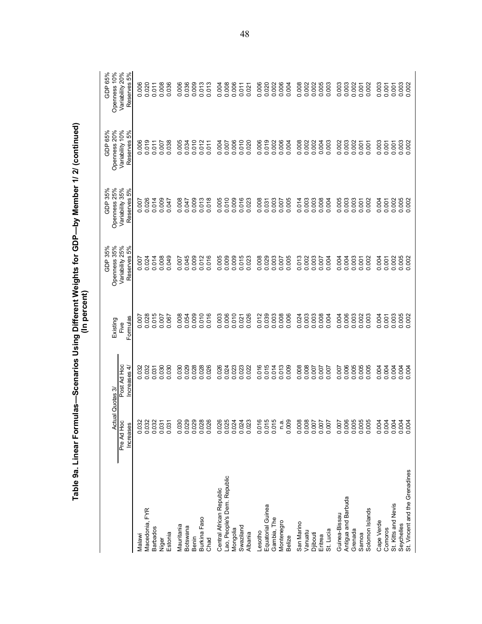| <b>CONDITION</b><br>$\overline{a}$ |  |
|------------------------------------|--|
|                                    |  |
|                                    |  |
| .<br>.                             |  |

|                                |                                |                                  | (In percent)          | Table 9a. Linear Formulas—Scenarios Using Different Weights for GDP—by Member 1/ 2/ (continued) |                                |                                |                                |
|--------------------------------|--------------------------------|----------------------------------|-----------------------|-------------------------------------------------------------------------------------------------|--------------------------------|--------------------------------|--------------------------------|
|                                |                                | Actual Quotas 3/                 | Existing              | Openness 35%<br>GDP 35%                                                                         | Openness 25%<br>GDP 35%        | Openness 20%<br>GDP 65%        | GDP 65%<br>Openness 10%        |
|                                | Pre Ad Hoc<br><b>Increases</b> | Post Ad Hoc<br>Increases 4/      | Formulas<br>Five      | Variability 25%<br>Reserves 5%                                                                  | Variability 35%<br>Reserves 5% | Variability 10%<br>Reserves 5% | Variability 20%<br>Reserves 5% |
|                                |                                |                                  |                       |                                                                                                 |                                |                                |                                |
| Malawi                         |                                |                                  | 0.007                 | 0.024                                                                                           | 0.007                          |                                |                                |
| Macedonia, FYR                 |                                | 0.032<br>0.032                   |                       |                                                                                                 |                                | 0.019                          | 0.006<br>0.020                 |
| <b>Barbados</b>                |                                | 0.031                            | 0.015                 | 0.014                                                                                           | 0.014                          | 0.011                          |                                |
| Niger                          |                                | 030<br>$\ddot{\circ}$            | 0.007                 | 0.008                                                                                           | 0.009                          | 0.007                          |                                |
| Estonia                        | 88885<br>8885<br>00000         | 0.030                            | 0.067                 | 0.049                                                                                           | 0.047                          | 0.038                          | 0.011<br>0.008<br>0.036        |
| Mauritania                     | 0.03                           |                                  | 0.008                 | 500<br>ö                                                                                        | 008<br>ö                       | 0.005                          |                                |
| Botswana                       | 0.02                           | 0.030                            | 0.054                 | 0.045                                                                                           | 0.047                          | 0.034                          |                                |
| Benin                          |                                |                                  |                       | 0.009                                                                                           |                                | 0.010                          | 0.006<br>0.009<br>0.013        |
| Burkina Faso                   | 0.02                           | 0.028                            | 0.009                 | 0.012                                                                                           | 0.009                          | 0.012                          |                                |
| Chad                           | <u>O 0,0,00,00</u><br>0.02     | 0.026                            | 016<br>$\dot{\circ}$  | 0.016                                                                                           | 0.018                          | 0.011                          | 0.013                          |
| Central African Republic       |                                | 0.026                            | 0.003                 | 0.005                                                                                           | 0.005                          | 0.004                          | 0.004                          |
| Lao, People's Dem. Republic    | 0.025<br>0.025<br>0.024        | 0.024                            | 0.006                 | 0.009                                                                                           | 0.010                          | 0.007                          | 0.008                          |
| Mongolia                       |                                |                                  | 0.010                 | 0.009                                                                                           | 0.009                          | 0.006                          |                                |
| Swaziland                      | 0.024                          |                                  | 0.021                 | 0.015                                                                                           | 0.016                          | 0.010                          |                                |
| Albania                        | S<br>0.02                      | 0.023<br>0.023<br>0.022          | 0.026                 | 0.023                                                                                           | 0.023                          | 0.020                          | 0.006<br>0.011<br>0.021        |
| Lesotho                        | 0.0                            |                                  | 0.012                 | 0.008                                                                                           | 0.008                          | 0.006                          |                                |
| Equatorial Guinea              | 0.01                           |                                  | 0.039                 | 0.029                                                                                           | 0.031                          |                                |                                |
| Gambia, The                    | 655<br>0.01                    |                                  | 0.003                 | 0.003                                                                                           | 0.003                          | 0.019<br>0.002                 |                                |
| Montenegro                     |                                |                                  | 0.008                 | 0.007                                                                                           |                                | 0.006                          |                                |
| Belize                         | n.a.<br>0.009                  | 0.014<br>0.014<br>0.000<br>0.000 | 0.006                 | 0.005                                                                                           | 0.005                          | 0.004                          | 888888<br>888888<br>00000      |
| San Marino                     |                                | 0.008                            | 0.024                 | 0.013                                                                                           | 0.014                          | 0.008                          |                                |
| Vanuatu                        |                                |                                  | 0.003                 | 0.002                                                                                           | 0.003                          | 0.002                          | 0.008                          |
| Djibouti                       | 2222<br>00000000<br>000000     | 2000<br>2000<br>2000             | 0.003                 | 0.003                                                                                           | 0.003                          | 0.002                          | 0.003<br>0.003                 |
| Eritrea                        |                                |                                  | 0.008                 | 0.007                                                                                           | 0.008                          | 0.004                          |                                |
| St. Lucia                      |                                |                                  |                       | 0.004                                                                                           | 0.004                          | 0.003                          |                                |
| Guinea-Bissau                  | $\overline{ }$<br>0.00         | 0.006                            | 004<br>ö              | 004<br>ö                                                                                        | 005<br>ö                       | 0.003                          | $0.003$<br>$0.002$<br>$0.007$  |
| Antigua and Barbuda            | ഉ<br>0.00                      |                                  | 0.006                 | 0.004                                                                                           | 0.003                          |                                |                                |
| Grenada                        | 0.00                           | 0.005                            | 0.003                 | 0.003                                                                                           | $0.003$<br>$0.007$             | 0.002<br>0.001                 |                                |
| Solomon Islands<br>Samoa       | ro ro ro<br>0.00<br>0.00       | 0.005                            | .003<br>$\dot{\circ}$ | 0.002<br>0.001                                                                                  | 0.002                          | 0.001                          | 0.002                          |
| Cape Verde                     | 4<br>0.00                      | 0.004                            | 0.004                 | 0.004                                                                                           | 0.004                          | 0.003                          | 0.003                          |
| Comoros                        | 0.004                          |                                  | 0.001                 | 0.001                                                                                           | 0.001                          | 0.001                          |                                |
| St. Kitts and Nevis            | 4<br>0.00                      | 88888                            | 0.003                 | 0.002                                                                                           | 0.002                          | 0.001                          | $0.007$<br>$0.003$<br>$0.002$  |
| Seychelles                     | 0.004                          |                                  | 88<br>$\circ$ $\circ$ | 005<br>002                                                                                      | 005<br>00                      | 0.003                          |                                |
| St. Vincent and the Grenadines |                                |                                  |                       |                                                                                                 | .002                           |                                |                                |

48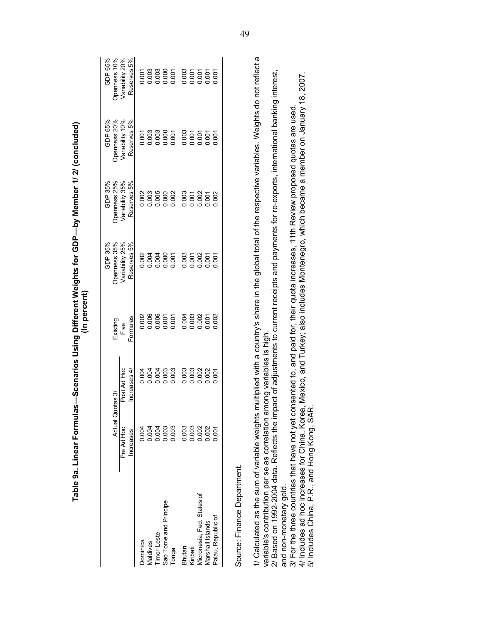|                                                                                                                                                                                       | Actual Quotas 3/       |                             | Existing         | Openness 35%<br>GDP 35%                                                                                     | Openness 25%<br>GDP 35%        | Openness 20%<br>GDP 65%        | Openness 10%<br>GDP 65%        |
|---------------------------------------------------------------------------------------------------------------------------------------------------------------------------------------|------------------------|-----------------------------|------------------|-------------------------------------------------------------------------------------------------------------|--------------------------------|--------------------------------|--------------------------------|
|                                                                                                                                                                                       | Pre Ad Hoc<br>ncreases | Post Ad Hoc<br>Increases 4/ | Formulas<br>Five | Variability 25%<br>Reserves 5%                                                                              | Variability 35%<br>Reserves 5% | Variability 10%<br>Reserves 5% | Reserves 5%<br>Variability 20% |
| Dominica                                                                                                                                                                              | 0.004                  | 0.004                       | 0.002            | 0.002                                                                                                       | 0.002                          | 0.001                          | 0.001                          |
| Maldives                                                                                                                                                                              | 0.004                  | 0.004                       | 0.006            | 0.004                                                                                                       | 0.003                          | 0.003                          | 0.003                          |
| Timor-Leste                                                                                                                                                                           | 0.004                  |                             | 0.006            | 0.004                                                                                                       | 0.005                          | 0.003                          | 0.003                          |
| Sao Tome and Principe                                                                                                                                                                 | 0.003                  | 0.003<br>0.003              | 0.007            | 0.000                                                                                                       | 0.000                          | 0.000                          | 0.000                          |
| Tonga                                                                                                                                                                                 | 0.003                  |                             |                  | 0.001                                                                                                       | 0.002                          | 0.001                          | 0.001                          |
| Bhutan                                                                                                                                                                                | 0.003                  |                             | 0.004            | 0.003                                                                                                       | 0.003                          | 0.003                          | 0.003                          |
| Kiribati                                                                                                                                                                              | 0.003                  |                             | 0.003            | 0.001                                                                                                       | 0.001                          | 0.001                          | 0.001                          |
| Micronesia, Fed States of                                                                                                                                                             |                        |                             | 0.002            | 0.002                                                                                                       |                                | 0.001                          | 0.001                          |
| Marshall Islands                                                                                                                                                                      | 0.002                  |                             | 0.001            | 0.001                                                                                                       | 0.001                          | 0.001                          | 0.001                          |
| Palau, Republic of                                                                                                                                                                    | 0.001                  | 0.001                       | 0.002            | 0.001                                                                                                       | 0.002                          | 0.001                          | 0.001                          |
| Source: Finance Department.                                                                                                                                                           |                        |                             |                  |                                                                                                             |                                |                                |                                |
| variable's contribution per se as correlation ar<br>1/ Calculated as the sum of variable weights                                                                                      |                        | mong variables is high.     |                  | multiplied with a country's share in the global total of the respective variables. Weights do not reflect a |                                |                                |                                |
| 2/ Based on 1992-2004 data. Reflects the impact of adjustments to current receipts and payments for re-exports, international banking interest,<br>and non-monetary gold.             |                        |                             |                  |                                                                                                             |                                |                                |                                |
| 3/ For the three countries that have not yet consented to, and paid for, their quota increases, 11th Review proposed quotas are used                                                  |                        |                             |                  |                                                                                                             |                                |                                |                                |
| 4/ Includes ad hoc increases for China, Korea, Mexico, and Turkey; also includes Montenegro, which became a member on January 18, 2007<br>5/ Includes China, P.R., and Hong Kong, SAF |                        |                             |                  |                                                                                                             |                                |                                |                                |

Table 9a. Linear Formulas-Scenarios Using Different Weights for GDP-by Member 1/2/ (concluded) (In percent)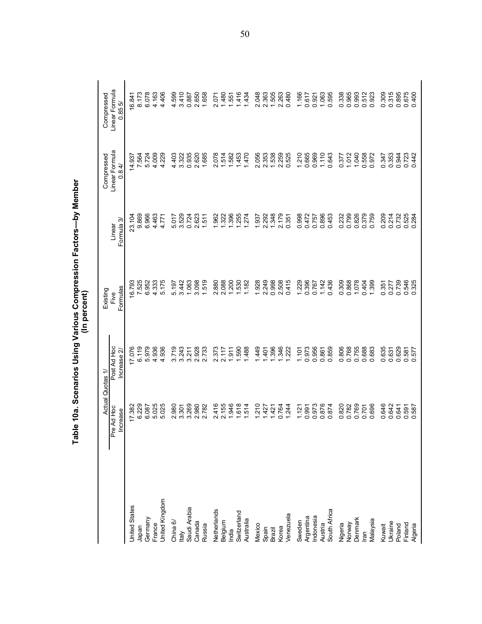|                              | Actual Quotas 1        |                             | Existing<br>(In percent) |                      | Compressed                            |                                       |
|------------------------------|------------------------|-----------------------------|--------------------------|----------------------|---------------------------------------|---------------------------------------|
|                              | Pre Ad Hoc<br>Increase | Post Ad Hoc<br>Increase $2$ | Formulas<br>Five         | Formula 3/<br>Linear | Linear Formula<br>$\overline{4}$<br>ö | Linear Formula<br>Compressed<br>0.855 |
| <b>United States</b>         | 17.382<br>6.229        | 17.076<br>6.119             | 16.793<br>7.525          | 23.104               | 14.937<br>7.564                       | 6.841<br>8.173                        |
| Japan                        |                        |                             |                          | 9.869                |                                       |                                       |
| Germany                      | 6.087                  | 5.979                       | 6.952                    | 6.966                | 5.724                                 | 6.078                                 |
| France                       | 5.025                  | 4.936                       | 4.333                    | 4463                 | 4.009                                 | 4.163                                 |
| <b>Jnited Kingdom</b>        | 5.025                  | 936<br>4                    | 5.175                    | 4.771                | 4.229                                 | 4.406                                 |
| China $6/$                   | 2.980                  | 719<br>ຕ່                   | 5.197                    | 5.017                | 4.403                                 | 4.599                                 |
| $\frac{1}{2}$                | 3.301                  | 3.243                       | 3.442                    | 3.529                | 3.322                                 | 3.410                                 |
| Saudi Arabia                 | 3.269                  | 3.211                       | 1.063                    | 0.724                | 0.935                                 | 0.887                                 |
| Canada                       | 2.980<br>2.782         | 2.928                       | 3.098                    | 2.623                | 2.620                                 | 2.650                                 |
| Russia                       |                        | 2.733                       | 1.519                    | 1.511                | 1.685                                 | 1.658                                 |
|                              | 416<br>$\mathbf{a}$    | 2.373                       | 2.880                    | 1.962                | 2.078                                 | 2.071                                 |
| Netherlands<br>Belgium       | 2.155                  | 2.117                       | 2.088                    | 1.322                | 1.514                                 | 1.480                                 |
| India                        | 1.946                  | 1.911                       | 1.200                    | 1.396                | 1.582                                 | 1.551                                 |
| Switzerland                  | .618                   | 1.590                       | 1.530                    | 1.255                | 1.453                                 | 1.416                                 |
| Australia                    | .514                   | 488                         | 1.182                    | 1.274                | 1.470                                 | 1.434                                 |
| Mexico                       | 210                    | 449                         | 1.928                    | 1.937                | 2.056                                 | 2.048                                 |
| Spain                        | 1.427                  | 401                         | 2.249                    | 2.292                | 2.353                                 | 2.363                                 |
| Brazil                       | 1.421                  | 396                         | 0.998                    | 1.348                | 1.538                                 | 1.505                                 |
| Korea                        | 0.764                  | 346                         | 2.508                    | 2.179                | 2.259                                 | 2.263                                 |
| Venezuela                    | 1.244                  | 222                         | 0.415                    | 0.351                | 0.525                                 | 0.480                                 |
| Sweden                       | 1.121                  | 1.101                       | 1.229                    | 0.998                | 1.210                                 | 1.166                                 |
|                              | 0.991                  | 0.973                       | 0.396                    | 0.472                | 0.665                                 | 0.617                                 |
| Argentina<br>Indonesia       | 0.973                  | 0.956                       | 0.767                    | 0.757                | 0.969                                 | 0.921                                 |
| Austria<br>South Africa      | 0.876                  | 0.861                       | 1.142                    | 0.896                | 1.110                                 | 1.063                                 |
|                              |                        | 0.859                       | 0.436                    | 0.453                | 0.643                                 | 0.595                                 |
|                              | 0.820                  | 0.806                       | 0.309                    | 0.232                | 377<br>ö                              | 0.338                                 |
|                              | 0.782                  | 0.768                       | 0.868                    | 0.799                | 1.012                                 |                                       |
| Nigeria<br>Norway<br>Denmark | 0.769                  | 0.755                       | 1.078                    | 0.826                | 1.040                                 | 0.965<br>0.993                        |
| lran                         | 0.701                  | 0.688                       | 0.404                    | 0.379                | 0.558                                 | 0.512                                 |
| Malaysia                     | 0.696                  | 0.683                       | 1.399                    | 0.759                | 972<br>ö                              | 0.923                                 |
| Kuwait                       | 0.646                  | 0.635                       | 0.351                    | 0.209                | 0.347                                 | 0.309                                 |
| Ukraine                      | 0.642                  | 0.631                       | 0.277                    | 0.214                | 0.353                                 | 0.315                                 |
| Poland                       | 0.641                  | 0.629                       | 0.739                    | 0.732                | 0.944                                 | 0.895<br>0.675<br>0.400               |
|                              | 0.591<br>0.587         | 0.581<br>0.577              | 0.546<br>0.325           | 0.525<br>0.284       | 0.723                                 |                                       |
| Finland<br>Algeria           |                        |                             | 325                      |                      | .442                                  |                                       |

Table 10a. Scenarios Using Various Compression Factors-by Member<br>(In percent)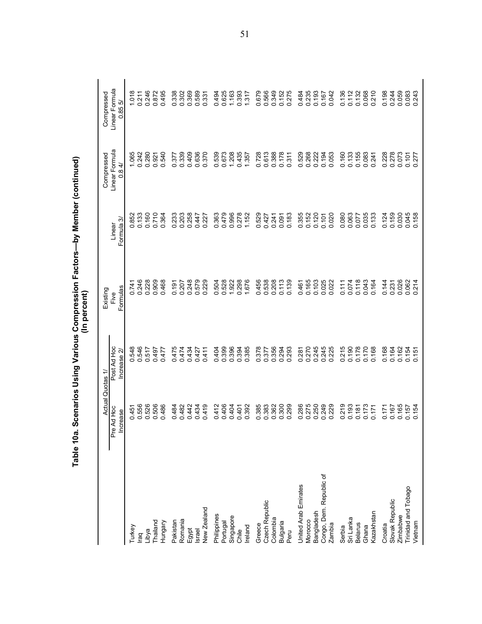|                         |                       |                           | Scenarios Using Various Compression Factors—by Member (continued)<br>(In percent) |                      |                                             |                                                        |
|-------------------------|-----------------------|---------------------------|-----------------------------------------------------------------------------------|----------------------|---------------------------------------------|--------------------------------------------------------|
|                         | Actual                | Quotas 1/                 | Existing                                                                          |                      | Compressed                                  | Compressed                                             |
|                         | Pre Ad Hoc<br>ncrease | Post Ad Hoc<br>Increase 2 | Formulas<br>Five                                                                  | Formula 3/<br>Linear | Linear Formula<br>$\overrightarrow{4}$<br>O | Linear Formula<br>0.855                                |
| Turkey                  |                       |                           |                                                                                   |                      | 1.065                                       |                                                        |
| raq                     | 0.451<br>0.556        | 0548<br>0546              | 0.741<br>0.246                                                                    | 0.852<br>0.133       | 0.242                                       | $\begin{array}{c} 1.018 \\ 0.211 \\ 0.246 \end{array}$ |
| Libya                   | 526<br>$\circ$        | 0.517                     | 0.228                                                                             | 0.160                | 0.280                                       |                                                        |
| Thailand                | 0.506                 | 0.497                     | 0.909                                                                             | 0.710                | 0.921                                       | 0.872                                                  |
| Hungary                 | 486<br>ö              | 0.477                     | 0.468                                                                             | 0.364                | 540<br>ö                                    | 495<br>ö                                               |
| Pakistan                | 0.484                 | 0.475                     | 0.191                                                                             | 0.233                | 377<br>Ö                                    |                                                        |
| Romania                 | 0.482                 | 0.474                     | 0.207                                                                             | 0.203                | 0.339                                       | 0.338                                                  |
| Egypt                   | 0.442                 | 0.434                     | 0.248                                                                             | 0.258                | 0.409                                       | 0.369                                                  |
| <b>Israel</b>           | 0.434                 | 0.427                     | 0.579                                                                             | 0.447                | 0.636                                       | 0.589<br>0.331                                         |
| <b>New Zealand</b>      | 0.419                 | 0.411                     | 229<br>$\circ$                                                                    | 0.227                | 0.370                                       |                                                        |
| Philippines             | 0.412                 | 0.404                     | 504<br>Ö                                                                          | 0.363                | 0.539                                       | 0.494                                                  |
| Portugal                | 0.406                 | 0.399                     | 0.528                                                                             |                      | 0.673                                       | 0.625                                                  |
| Singapore               | 0.404                 | 0.396                     | 1.922                                                                             | 0.479<br>0.996       | 1.208                                       | 1.163                                                  |
| Chile                   | 0.401                 | 0.394<br>0.385            | 0.298                                                                             | 0.278                | 0.435                                       | 0.393                                                  |
| Ireland                 | 0.392                 |                           | 1.676                                                                             | 1.152                | 1.357                                       | 1.317                                                  |
| Greece                  | 0.385                 | 0.378                     | 0.456                                                                             | 0.529                | 0.728                                       | 0.679                                                  |
| Czech Republic          | 0.383                 | 0.377                     | 0.538                                                                             | 0.427                | 0.613                                       | 0.566                                                  |
| Colombia                | 0.362                 | 0.356                     | 0.208                                                                             | 0.241                | 0.388                                       | 0.349                                                  |
| <b>Bulgaria</b>         | 300<br>$\circ$        | 0.294<br>0.293            | 0.113                                                                             | 0.091                | 0.178                                       | 0.152                                                  |
| Peru                    | 0.299                 |                           | 0.139                                                                             | 0.183                | 0.311                                       | 0.275                                                  |
| United Arab Emirates    | 286<br>ö              | 0.281                     | 0.461                                                                             | 0.355                | 0.529                                       | 0.484                                                  |
| Morocco                 | 0.275                 | 0.270                     | 0.165                                                                             | 0.152                | 0.268                                       | 0.235                                                  |
| Bangladesh              | 0.250                 | 0.245                     | 0.103                                                                             | 0.120                | 0.222                                       | 0.193                                                  |
| Congo, Dem. Republic of | 0.249                 | 0.245                     | 0.025                                                                             | 0.101                | 0.194                                       | 0.167                                                  |
| Zambia                  | 0.229                 | 0.225                     | 0.022                                                                             | 0.020                | 0.053                                       | 0.042                                                  |
| Serbia                  | 0.219                 | 0.215                     | 0.111                                                                             | 0.080                | 0.160                                       | 0.136                                                  |
| Sri Lanka               | 0.193                 | 0.190                     | 0.074                                                                             | 0.063                | 0.133                                       | 0.112                                                  |
| Belarus                 | 0.181                 | 0.178                     | 0.118                                                                             | 0.077                | 0.155                                       | 0.132                                                  |
| Ghana                   | 0.173                 | 0.170                     | 0.043                                                                             | 0.035                | 0.083                                       | 0.068<br>0.210                                         |
| Kazakhstan              | 0.171                 | 0.168                     | 0.164                                                                             | 0.133                | 0.241                                       |                                                        |
| Croatia                 | 0.171                 | 0.168                     | 0.144                                                                             | 0.124                | 0.228                                       | 0.198                                                  |
| Slovak Republic         | 0.167                 | 0.164                     | 0.231                                                                             | 0.159                | 0.278                                       | 0.244<br>0.059                                         |
| Zimbabwe                | 0.165                 | 0.162                     | 0.026                                                                             | 0.030                | 0.073                                       |                                                        |
| Trinidad and Tobago     | 0.157                 | 0.154                     | 0.062<br>0.214                                                                    | 0.045<br>0.158       | 0.101                                       | 0.083<br>0.243                                         |
| Vietnam                 | 0.154                 | 0.151                     | 214                                                                               |                      | 277                                         |                                                        |

Table 10a. Scenarios Using Various Compression Factors--by Member (continued)<br>(In percent)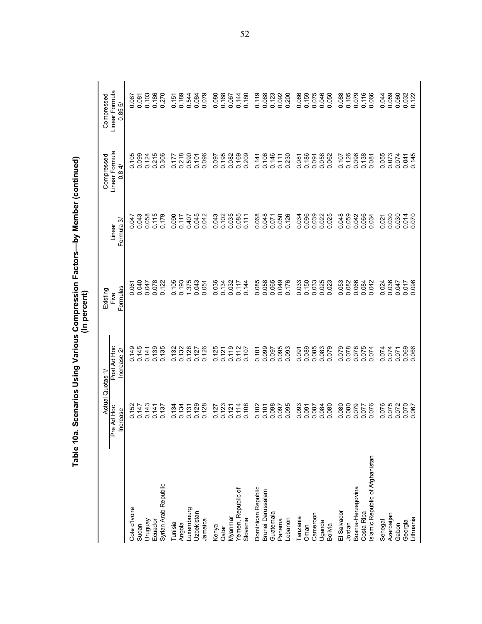|                                |                                         | Quotas 1/                   | Existing<br>(In percent) |                        | Compressed                            | Compressed                       |
|--------------------------------|-----------------------------------------|-----------------------------|--------------------------|------------------------|---------------------------------------|----------------------------------|
|                                | Actual<br>Pre Ad Hoc<br><b>Increase</b> | Post Ad Hoc<br>Increase $2$ | Formulas<br>Five         | ᠻ<br>Formula<br>Linear | Linear Formula<br>$\overline{4}$<br>O | Linear Formula<br>0.855          |
| Cote d'Ivoire                  | 52                                      |                             |                          |                        | 0.105                                 |                                  |
| Sudan                          | 0.147                                   | 0.145<br>0.145              | 0.061<br>0.040           | 0.047<br>140.0         | 0.099                                 | 180.0<br>280.0                   |
| Venônun                        | 0.143                                   | 0.141                       | 0.047                    | 0.058                  | 0.124                                 | 0.103                            |
| Ecuador                        | 0.141                                   | 0.139                       | 0.078                    | 0.115                  | 0.215                                 | 0.186                            |
| Syrian Arab Republic           | 0.137                                   | 0.135                       | 0.122                    | 0.179                  | 0.306                                 | 0.270                            |
| Tunisia                        | 0.134                                   | 0.132                       | 0.105                    | 0.090                  | 0.177                                 | 0.151                            |
| Angola                         | 0.134                                   | 0.132                       | 0.193                    | 0.117                  | 0.218                                 | 0.189                            |
| Luxembourg                     | 0.131                                   | 0.128                       | 1.375                    | 0.407                  | 0.590                                 | 0.544                            |
| Uzbekistan                     | 0.129                                   | 0.127                       | 0.043                    | 0.045                  | 0.101                                 | 0.084<br>0.079                   |
| Jamaica                        | 0.128                                   | 0.126                       | 0.051                    | 0.042                  | 0.096                                 |                                  |
| Kenya                          | 0.127                                   | 0.125                       | 0.036                    | 0.043                  | 0.097                                 | 0.080                            |
| Qatar                          | 0.123                                   | 0.121                       | 0.134                    | 0.102<br>0.035         | 0.195                                 | 0.168<br>0.067                   |
| Myanmar                        | 0.121                                   | 0.119                       | 0.032                    |                        | 0.082                                 |                                  |
| Yemen, Republic of             | 0.114                                   | 0.112                       | 0.117                    | 0.085                  | 0.169                                 | 0.144                            |
| Slovenia                       | 0.108                                   | 0.107                       | 0.144                    |                        | 0.209                                 | 0.180                            |
| Dominican Republic             | 0.102                                   | 0.101                       | 0.085                    | 0.068                  | 0.141                                 | 0.119                            |
| Brunei Darussalam              | 0.101                                   | 0.099                       | 0.058                    |                        | 0.106                                 |                                  |
| Guatemala                      | 0.098                                   | 0.097                       | 0.065                    | 0.048                  | 0.146                                 | 0.088<br>0.123                   |
| Panama                         | 0.097                                   |                             | 0.049                    | 0.050                  | 0.111                                 | 0.092                            |
| Lebanon                        | 0.095                                   | 0.095                       | 0.176                    | 0.126                  | 0.230                                 | 0.200                            |
| Tanzania                       | 0.093                                   | 0.091                       | 0.033                    | 0.034                  | 0.081                                 | 0.066                            |
| Oman                           |                                         | 0.089                       | 0.150                    |                        | 0.186                                 |                                  |
| Cameroon                       |                                         | 0.085                       | 0.033                    |                        | 0.091                                 |                                  |
| Uganda                         | 0.087<br>0.087<br>0.000<br>0.000        | 0.083                       | 0.025                    |                        | 0.058                                 | 0.159<br>0.075<br>0.006<br>0.000 |
| <b>Bolivia</b>                 |                                         | 0.079                       | 0.023                    |                        | 0.062                                 |                                  |
| El Salvador                    | 0.080                                   | 0.079                       | 0.053                    | 0.048                  | 0.107                                 | 0.088                            |
| Jordan                         | 0.080                                   | 0.078                       | 0.082                    | 0.059                  | 0.126                                 |                                  |
| Bosnia-Herzegovina             |                                         | 0.078                       | 0.066                    | 0.042                  | 0.096                                 |                                  |
| Costa Rica                     | 0.077<br>570.0                          | 075<br>$\circ$              | 0.084                    | 0.066<br>0.034         | 0.138                                 | 0.105<br>0.079<br>0.066          |
| slamic Republic of Afghanistan |                                         | 074<br>○                    | 0.042                    |                        | 0.081                                 |                                  |
| Senegal                        | 0.076                                   | 0.074                       | 0.024                    | 0.021                  | 0.055                                 | 0.044                            |
| Azerbaijan                     | 0.075                                   | 0.074                       | 0.036                    | 0.030                  | 0.073                                 | 0.059<br>0.060                   |
| Gabon                          | 0.072                                   | 0.071                       | 0.047                    | 0.030                  | 0.074                                 |                                  |
| Lithuania<br>Georgia           | 0.070                                   | 0.069<br>.066               | 0.096<br>0.017           | 0.014                  | 0.041<br>0.145                        | 0.032<br>0.122                   |
|                                |                                         |                             |                          |                        |                                       |                                  |

Table 10a. Scenarios Using Various Compression Factors-by Member (continued)<br>(In percent)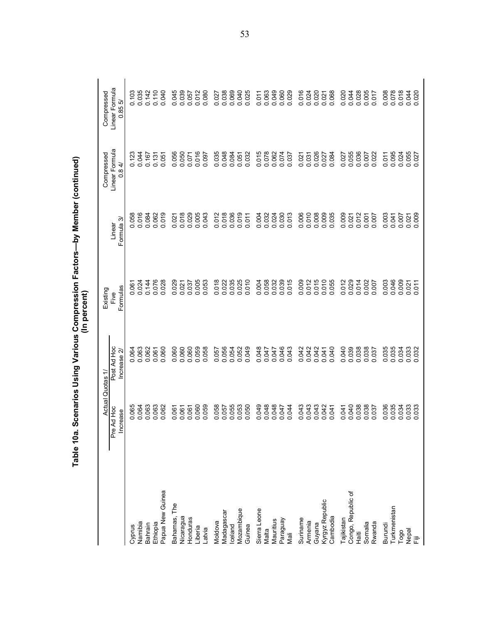|                             | Table 10a                 |                             | Scenarios Using Various Compression Factors—by Member (continued)<br>(In percent) |                         |                                             |                              |
|-----------------------------|---------------------------|-----------------------------|-----------------------------------------------------------------------------------|-------------------------|---------------------------------------------|------------------------------|
|                             | <b>Actual</b>             | Quotas 1.                   | Existing                                                                          |                         | Compressed                                  | Compressed                   |
|                             | e Ad Hoc<br>ncrease<br>ءَ | Post Ad Hoc<br>Increase 2   | Formulas<br>Five                                                                  | Formula 3<br>Linear     | Linear Formula<br>$\overrightarrow{4}$<br>o | Linear Formula<br>ΓQ<br>0.85 |
| Cyprus                      | 0.064                     | 0.064                       | 0.061<br>0.024                                                                    | 0.058<br>0.016          | 0.123                                       | 0.103                        |
| Namibia                     |                           |                             |                                                                                   |                         | 0.044                                       | 0.035                        |
| Bahrain                     | 0.063                     | 0.062                       | 0.144                                                                             | 0.084                   | 0.167                                       | 0.142                        |
| Ethiopia                    | 0.063                     | 0.061                       | 0.076                                                                             | 0.062                   | 0.131                                       | 0.110                        |
| Papua New Guinea            | 0.062                     | 060<br>ö                    | 0.028                                                                             | 0.019                   | 0.051                                       | 0.040                        |
| Bahamas, The                | 0.061                     | 0.060                       | 0.029                                                                             | 0.021                   | 0.056                                       | 0.045                        |
| Nicaragua                   | 0.061                     | 0.060                       | 0.021                                                                             | 0.018                   | 0.050                                       | 0.039                        |
| Honduras                    | 0.061                     | 0.060                       | 0.037                                                                             | 0.029                   | 0.071                                       | 0.057                        |
| Liberia                     | 0.060                     | 0.059                       | 0.005                                                                             | 0.005                   | 0.016                                       | 0.012                        |
| Latvia                      | 0.059                     | 058<br>ö                    | 0.053                                                                             | 0.043                   | 0.097                                       | 0.080                        |
| Moldova                     | 0.058                     | 0.057                       |                                                                                   |                         | 0.035                                       |                              |
| Madagascar                  | 0.057                     | 0.056                       | 0.018<br>0.022                                                                    | 0.012<br>0.018<br>0.036 | 0.048                                       | 0.027                        |
| Iceland                     | 0.055                     | 0.054                       | 0.035                                                                             |                         | 0.084                                       | 0.069                        |
| Mozambique                  | 0.053                     | 0.052                       | 0.025                                                                             | 0.019                   | 0.051                                       | 0.040<br>0.025               |
| Guinea                      | 0.050                     | 049<br>○                    |                                                                                   | 0.011                   | 0.032                                       |                              |
| Sierra Leone                | 0.049                     | 0.048                       | 0.004                                                                             | 0.004                   | 0.015                                       | 0.011                        |
| Malta                       | 0.048                     | 0.047                       | 0.058                                                                             | 0.032                   | 0.078                                       | 0.063                        |
| Mauritius                   | 0.048                     | 0.047                       | 0.032                                                                             | 0.024                   | 0.062                                       | 0.049                        |
| Paraguay                    | 0.047                     | 0.046<br>0.043              | 0.039                                                                             | 0.030                   | 0.074                                       | 0.060                        |
| Mali                        | 0.044                     | .043                        | 015                                                                               | 0.013                   | 0.037                                       |                              |
| Suriname                    | 0.043                     | .042<br>Ö                   | 0.009                                                                             | 0.006                   | 0.021                                       | 0.016                        |
| Armenia                     | 0.043                     | 0.042<br>0.042              | 0.015                                                                             | 0.010                   | 0.031                                       | 0.024                        |
| Guyana                      |                           |                             |                                                                                   |                         | 0.026                                       |                              |
| Kyrgyz Republic<br>Cambodia | 0.042<br>0.041            | 040<br>0.041                | 0.010<br>0.055                                                                    | 0.009<br>0.035          | 0.027                                       | 0.068<br>0.021               |
|                             |                           | ö                           |                                                                                   |                         | 0.084                                       |                              |
| Tajikistan                  | 0.041                     | 0.040                       | 012<br>Ö                                                                          | 0.009                   | 0.027                                       | 0.020                        |
| Congo, Republic of          | 0.040                     | 0.039                       | 0.029                                                                             | 0.021                   | 0.055                                       | 0.044                        |
| Haiti                       | 0.038                     | 0.038                       | 0.014                                                                             | 0.012                   | 0.036                                       | 0.028                        |
| Somalia<br>Rwanda           | 0.038<br>0.037            | .038<br>037<br>$\circ$<br>Õ | 002<br>007<br>$\circ$                                                             | 0.007<br>0.001          | 0.022<br>0.007                              | 0.005<br>0.017               |
| Burundi                     | 0.036                     | 035<br>ö                    | 003<br>$\circ$                                                                    | 0.003                   | 0.011                                       | 0.008                        |
| Turkmenistan                | 0.035                     | 0.035                       | 0.046<br>0.009                                                                    | 0.041                   | 0.095                                       | 0.078                        |
| Togo                        | 0.034                     | 0.034                       |                                                                                   | 0.007                   | 0.024                                       | 0.018                        |
| nepal<br>Fiji               | 0.033                     | .033<br>ဝ ဝ                 | $0.021$<br>0.011                                                                  | 0.021                   | 0.055<br>0.027                              | 0.044                        |
|                             |                           | 032                         |                                                                                   |                         |                                             |                              |

Table 10a. Scenarios Using Various Compression Factors--by Member (continued)<br>(In percent)

53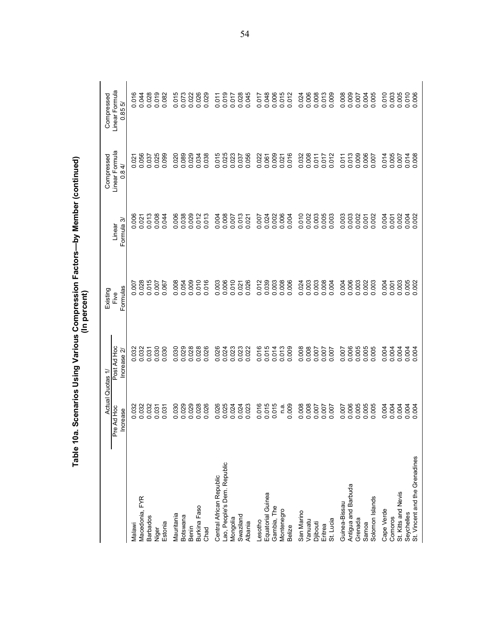| Table 10a.                     |                               |                                         | Scenarios Using Various Compression Factors—by Member (continued)<br>(In percent) |                      |                              |                              |
|--------------------------------|-------------------------------|-----------------------------------------|-----------------------------------------------------------------------------------|----------------------|------------------------------|------------------------------|
|                                | Actual                        | Quotas 1/                               | Existing                                                                          |                      | Compressed<br>Linear Formula | Compressed                   |
|                                | re Ad Hoc<br>Increase<br>p.   | Post Ad Hoc<br>Increase 2               | Formulas<br>Five                                                                  | Formula 3/<br>Linear | $\overline{8}$ 4/<br>O       | Linear Formula<br>r.<br>0.85 |
| Malawi                         |                               | 032                                     |                                                                                   | 0.006                |                              | 016<br>ö                     |
| Macedonia, FYR                 | 0.032<br>0.032<br>0.032       | 032<br>000                              | 0.007                                                                             | 0.021                | 0.021<br>0.056               | 0.044                        |
| <b>Barbados</b>                |                               | 031                                     | 0.015                                                                             | 0.013                | 0.037                        | 0.028                        |
| Niger                          | 0.031<br>031<br>$\dot{\circ}$ | 030<br>030<br>$\dot{\circ}$<br>$\circ$  | 0.007<br>0.067                                                                    | 0.008<br>0.044       | 0.025<br>0.099               | 0.019<br>0.082               |
| Estonia                        |                               |                                         |                                                                                   |                      |                              |                              |
| Mauritania                     | 030<br>$\circ$                | 030<br>Õ                                | 0.008                                                                             | 0.006                | 0.020                        | 0.015                        |
| Botswana                       | 0.029                         | 0.029                                   | 0.054                                                                             | 0.038                | 0.089                        | 0.073                        |
| Benin                          |                               | 0.028                                   |                                                                                   | 0.009                |                              | 0.022                        |
| Burkina Faso                   | 028<br>$\circ$ $\circ$        | 0.028<br>○                              | 0.010<br>0.016                                                                    | 0.012                | 0.034                        | 0.026<br>0.029               |
| Chad                           | .026                          | 026                                     |                                                                                   | 0.013                | 0.038                        |                              |
| Central African Republic       | 0.025<br>0.025<br>0.024       | 026<br>Ö                                | 0.003                                                                             | 0.004                | 0.015                        | 0.011                        |
| Lao, People's Dem. Republic    |                               | 0.024                                   |                                                                                   | 0.008                | 0.025                        | 0.019<br>0.017               |
| Mongolia                       |                               |                                         | 0.006<br>0.010                                                                    | 0.007                | 0.023                        |                              |
| Swaziland                      | 0.024                         | 0.023                                   | 0.021                                                                             | 0.013                | 0.037                        | 0.028<br>0.045               |
| Albania                        |                               |                                         |                                                                                   |                      | 0.056                        |                              |
| Lesotho                        | 016<br>$\circ$                | 016<br>ö                                | 0.012                                                                             | 0.007                | 0.022                        | 0.017                        |
| Equatorial Guinea              | 015<br>015<br>$\circ$ $\circ$ | 015                                     |                                                                                   | 0.024                | 0.061                        | 0.048                        |
| Gambia, The                    |                               | 014<br>$\circ$ $\circ$                  | 0.039                                                                             | 0.002                | 0.009                        |                              |
| Montenegro                     |                               | 013<br>o o                              | 0.008                                                                             | 0.006                | 0.021                        | 0.015                        |
| <b>Belize</b>                  | $\frac{a}{100}$<br>$\circ$    | 000                                     |                                                                                   |                      | 0.016                        |                              |
| San Marino                     |                               | .008<br>ö                               | 0.024                                                                             | 0.010                | 0.032                        | 0.024                        |
| Vanuatu                        | 0.008<br>0.008<br>0.007       | 0.008                                   | 0.003                                                                             | 0.002                | 0.008                        | 0.008                        |
| Djibouti                       |                               |                                         |                                                                                   | 0.003                | 0.011                        |                              |
| Eritrea                        | 70000                         | $-00$<br>007<br>ခဲ့ ခ                   | 0.004                                                                             | 0.005<br>0.003       | 0.017<br>$\circ$             | 0.013                        |
| St. Lucia                      |                               |                                         |                                                                                   |                      | 012                          |                              |
| Guinea-Bissau                  |                               | 007<br>ခဲ့ ခ                            | 0.004                                                                             | 0.003                |                              | 0.008                        |
| Antigua and Barbuda            | 0.007<br>0.006<br>0.005       | .006                                    | 0.006                                                                             | 0.003                | 0.011<br>0.013<br>0.009      | 0.009                        |
| Grenada                        |                               | .005                                    | 0.003                                                                             | 0.002<br>0.001       |                              |                              |
| Solomon Islands<br>Samoa       | 0.005                         | .005<br>.005<br>$\circ$ $\circ$ $\circ$ | 0.003<br>.003                                                                     | 0.002                | 0.006<br>007<br>$\circ$      | .005<br>0.005                |
| Cape Verde                     | 004                           | 004                                     |                                                                                   | 0.004                | 014<br>$\circ$               | 0.010                        |
| Comoros                        | 004<br>000                    | 004<br>o o                              | 0.001                                                                             | 0.001                | 005<br>$\circ$               |                              |
| St. Kitts and Nevis            | 004                           | 004<br>$\mathbf{c}$                     | 0.003                                                                             | 0.002                | 0.007                        | 0.003                        |
| Seychelles                     | 004<br>ခဲ့ ခ                  | 004<br>00                               | 0.005                                                                             | 0.004                | 014<br>$\circ$ $\circ$       | 0.010                        |
| St. Vincent and the Grenadines | 004                           | 004                                     |                                                                                   |                      | .008                         |                              |

Table 10a. Scenarios Using Various Compression Factors--by Member (continued)<br>(In percent)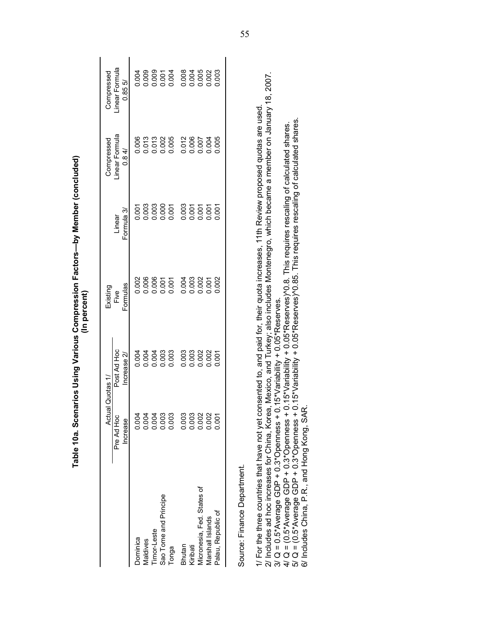| Pre Ad Hoc<br>Increase      | Actual Quotas 1/              | Existing                           |                                                                    | Compressed                       | Compressed                   |
|-----------------------------|-------------------------------|------------------------------------|--------------------------------------------------------------------|----------------------------------|------------------------------|
|                             | Post Ad Hoc<br>Increase 2/    | Formulas<br>Five                   | Formula 3/<br>Linear                                               | inear Formula<br>0.84/           | inear Formula<br>0.855       |
| 0.004<br>Dominica           |                               |                                    | 0.001                                                              |                                  |                              |
| Vlaldives                   |                               |                                    |                                                                    |                                  |                              |
| imor-Leste                  |                               |                                    |                                                                    |                                  |                              |
| Sao Tome and Principe       |                               |                                    |                                                                    |                                  |                              |
| Tonga                       |                               | $0.006$<br>0.006<br>0.007<br>0.007 | $0.003$<br>0.000<br>0.000 0.000                                    | 0.006<br>0.013<br>0.000<br>0.005 |                              |
| Bhutan                      |                               |                                    |                                                                    |                                  |                              |
| Kiribati                    |                               |                                    |                                                                    |                                  |                              |
| Micronesia, Fed. States of  | 003<br>0003<br>00002<br>00000 | 0003<br>0003<br>00000              | $\begin{array}{c}\n 0.000000 \\ 0.000000 \\ 0.00000\n \end{array}$ | 0.012<br>0.006<br>0.007          | 008<br>004<br>0.005<br>0.003 |
| Varshall Islands            |                               |                                    |                                                                    | 0.004                            |                              |
| 0.001<br>Palau, Republic of |                               | 0.002                              | 0.001                                                              | 0.005                            |                              |

Table 10a. Scenarios Using Various Compression Factors--by Member (concluded) (In percent)

Source: Finance Department.<br>1/ For the three countries that have not yet consented to, and paid for, their quota increases, 11th Review proposed quotas are used.<br>2/ Includes ad hoc increases for China, Korea, Mexico, and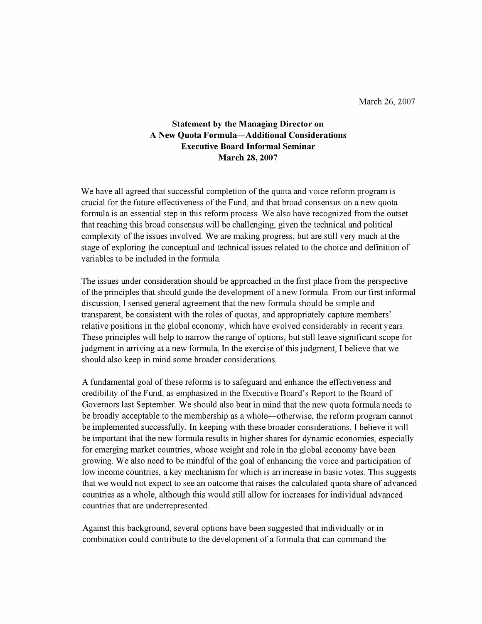March 26, 2007

## **Statement by the Managing Director on A New Quota Formula-Additional Considerations Executive Board Informal Seminar March 28, 2007**

We have all agreed that successful completion of the quota and voice reform program is crucial for the future effectiveness of the Fund, and that broad consensus on a new quota formula is an essential step in this reform process. We also have recognized from the outset that reaching this broad consensus will be challenging, given the technical and political complexity of the issues involved. We are making progress, but are still very much at the stage of exploring the conceptual and technical issues related to the choice and definition of variables to be included in the formula.

The issues under consideration should be approached in the first place from the perspective of the principles that should guide the development of a new formula. From our first informal discussion, I sensed general agreement that the new formula should be simple and transparent, be consistent with the roles of quotas, and appropriately capture members' relative positions in the global economy, which have evolved considerably in recent years. These principles will help to narrow the range of options, but still leave significant scope for judgment in arriving at a new formula. In the exercise of this judgment, I believe that we should also keep in mind some broader considerations.

A fundamental goal of these reforms is to safeguard and enhance the effectiveness and credibility of the Fund, as emphasized in the Executive Board's Report to the Board of Governors last September. We should also bear in mind that the new quota formula needs to be broadly acceptable to the membership as a whole—otherwise, the reform program cannot be implemented successfully. In keeping with these broader considerations, I believe it will be important that the new formula results in higher shares for dynamic economies, especially for emerging market countries, whose weight and role in the global economy have been growing. We also need to be mindful of the goal of enhancing the voice and participation of low income countries, a key mechanism for which is an increase in basic votes. This suggests that we would not expect to see an outcome that raises the calculated quota share of advanced countries as a whole, although this would still allow for increases for individual advanced countries that are underrepresented.

Against this background, several options have been suggested that individually or in combination could contribute to the development of a formula that can command the